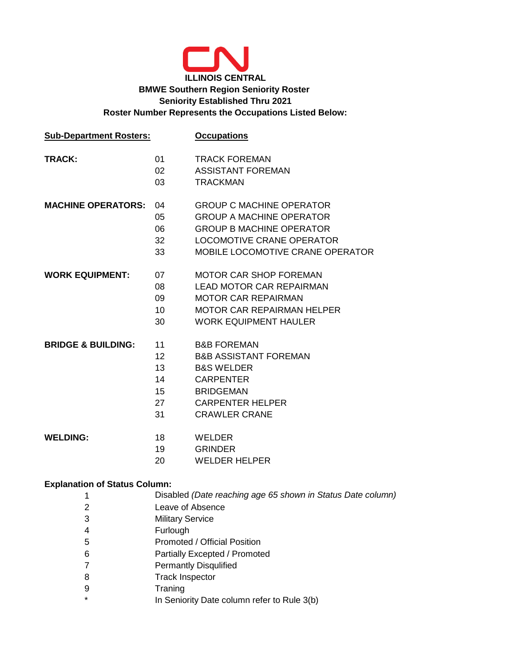

| <b>Sub-Department Rosters:</b> |                                                       | <b>Occupations</b>                                                                                                                                                             |  |  |  |  |  |
|--------------------------------|-------------------------------------------------------|--------------------------------------------------------------------------------------------------------------------------------------------------------------------------------|--|--|--|--|--|
| <b>TRACK:</b>                  | 01<br>02<br>03                                        | <b>TRACK FOREMAN</b><br><b>ASSISTANT FOREMAN</b><br><b>TRACKMAN</b>                                                                                                            |  |  |  |  |  |
| <b>MACHINE OPERATORS:</b>      | 04<br>05<br>06<br>32<br>33                            | <b>GROUP C MACHINE OPERATOR</b><br><b>GROUP A MACHINE OPERATOR</b><br><b>GROUP B MACHINE OPERATOR</b><br>LOCOMOTIVE CRANE OPERATOR<br>MOBILE LOCOMOTIVE CRANE OPERATOR         |  |  |  |  |  |
| <b>WORK EQUIPMENT:</b>         | 07<br>08<br>09<br>10<br>30                            | <b>MOTOR CAR SHOP FOREMAN</b><br><b>LEAD MOTOR CAR REPAIRMAN</b><br><b>MOTOR CAR REPAIRMAN</b><br><b>MOTOR CAR REPAIRMAN HELPER</b><br><b>WORK EQUIPMENT HAULER</b>            |  |  |  |  |  |
| <b>BRIDGE &amp; BUILDING:</b>  | 11<br>$12 \overline{ }$<br>13<br>14<br>15<br>27<br>31 | <b>B&amp;B FOREMAN</b><br><b>B&amp;B ASSISTANT FOREMAN</b><br><b>B&amp;S WELDER</b><br><b>CARPENTER</b><br><b>BRIDGEMAN</b><br><b>CARPENTER HELPER</b><br><b>CRAWLER CRANE</b> |  |  |  |  |  |
| <b>WELDING:</b>                | 18<br>19<br>20                                        | <b>WELDER</b><br><b>GRINDER</b><br><b>WELDER HELPER</b>                                                                                                                        |  |  |  |  |  |

## **Explanation of Status Column:**

| 1 | Disabled (Date reaching age 65 shown in Status Date column) |
|---|-------------------------------------------------------------|
| 2 | Leave of Absence                                            |
| 3 | <b>Military Service</b>                                     |
| 4 | Furlough                                                    |
| 5 | Promoted / Official Position                                |
| 6 | Partially Excepted / Promoted                               |
| 7 | <b>Permantly Disqulified</b>                                |
| 8 | <b>Track Inspector</b>                                      |
| 9 | Traning                                                     |
| ¥ | In Seniority Date column refer to Rule 3(b)                 |
|   |                                                             |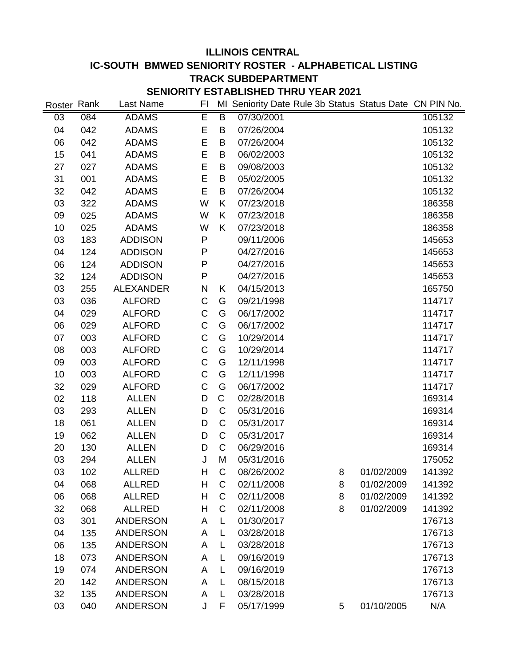## **ILLINOIS CENTRAL IC-SOUTH BMWED SENIORITY ROSTER - ALPHABETICAL LISTING TRACK SUBDEPARTMENT SENIORITY ESTABLISHED THRU YEAR 2021**

| Roster Rank |     | Last Name        | FI          |                | MI Seniority Date Rule 3b Status Status Date CN PIN No. |   |            |        |
|-------------|-----|------------------|-------------|----------------|---------------------------------------------------------|---|------------|--------|
| 03          | 084 | <b>ADAMS</b>     | Ē           | $\overline{B}$ | 07/30/2001                                              |   |            | 105132 |
| 04          | 042 | <b>ADAMS</b>     | E           | B              | 07/26/2004                                              |   |            | 105132 |
| 06          | 042 | <b>ADAMS</b>     | E           | B              | 07/26/2004                                              |   |            | 105132 |
| 15          | 041 | <b>ADAMS</b>     | E           | B              | 06/02/2003                                              |   |            | 105132 |
| 27          | 027 | <b>ADAMS</b>     | E           | B              | 09/08/2003                                              |   |            | 105132 |
| 31          | 001 | <b>ADAMS</b>     | E           | B              | 05/02/2005                                              |   |            | 105132 |
| 32          | 042 | <b>ADAMS</b>     | E           | B              | 07/26/2004                                              |   |            | 105132 |
| 03          | 322 | <b>ADAMS</b>     | W           | Κ              | 07/23/2018                                              |   |            | 186358 |
| 09          | 025 | <b>ADAMS</b>     | W           | K              | 07/23/2018                                              |   |            | 186358 |
| 10          | 025 | <b>ADAMS</b>     | W           | K              | 07/23/2018                                              |   |            | 186358 |
| 03          | 183 | <b>ADDISON</b>   | P           |                | 09/11/2006                                              |   |            | 145653 |
| 04          | 124 | <b>ADDISON</b>   | P           |                | 04/27/2016                                              |   |            | 145653 |
| 06          | 124 | <b>ADDISON</b>   | ${\sf P}$   |                | 04/27/2016                                              |   |            | 145653 |
| 32          | 124 | <b>ADDISON</b>   | P           |                | 04/27/2016                                              |   |            | 145653 |
| 03          | 255 | <b>ALEXANDER</b> | N           | Κ              | 04/15/2013                                              |   |            | 165750 |
| 03          | 036 | <b>ALFORD</b>    | C           | G              | 09/21/1998                                              |   |            | 114717 |
| 04          | 029 | <b>ALFORD</b>    | $\mathsf C$ | G              | 06/17/2002                                              |   |            | 114717 |
| 06          | 029 | <b>ALFORD</b>    | $\mathsf C$ | G              | 06/17/2002                                              |   |            | 114717 |
| 07          | 003 | <b>ALFORD</b>    | $\mathsf C$ | G              | 10/29/2014                                              |   |            | 114717 |
| 08          | 003 | <b>ALFORD</b>    | $\mathsf C$ | G              | 10/29/2014                                              |   |            | 114717 |
| 09          | 003 | <b>ALFORD</b>    | $\mathsf C$ | G              | 12/11/1998                                              |   |            | 114717 |
| 10          | 003 | <b>ALFORD</b>    | $\mathsf C$ | G              | 12/11/1998                                              |   |            | 114717 |
| 32          | 029 | <b>ALFORD</b>    | $\mathsf C$ | G              | 06/17/2002                                              |   |            | 114717 |
| 02          | 118 | <b>ALLEN</b>     | D           | C              | 02/28/2018                                              |   |            | 169314 |
| 03          | 293 | <b>ALLEN</b>     | D           | C              | 05/31/2016                                              |   |            | 169314 |
| 18          | 061 | <b>ALLEN</b>     | D           | $\mathsf C$    | 05/31/2017                                              |   |            | 169314 |
| 19          | 062 | <b>ALLEN</b>     | D           | C              | 05/31/2017                                              |   |            | 169314 |
| 20          | 130 | <b>ALLEN</b>     | D           | C              | 06/29/2016                                              |   |            | 169314 |
| 03          | 294 | <b>ALLEN</b>     | J           | M              | 05/31/2016                                              |   |            | 175052 |
| 03          | 102 | <b>ALLRED</b>    | Η           | C              | 08/26/2002                                              | 8 | 01/02/2009 | 141392 |
| 04          | 068 | <b>ALLRED</b>    | H           | C              | 02/11/2008                                              | 8 | 01/02/2009 | 141392 |
| 06          | 068 | <b>ALLRED</b>    | H           | $\mathsf C$    | 02/11/2008                                              | 8 | 01/02/2009 | 141392 |
| 32          | 068 | <b>ALLRED</b>    | H           | $\mathsf{C}$   | 02/11/2008                                              | 8 | 01/02/2009 | 141392 |
| 03          | 301 | <b>ANDERSON</b>  | A           | L              | 01/30/2017                                              |   |            | 176713 |
| 04          | 135 | <b>ANDERSON</b>  | A           | L              | 03/28/2018                                              |   |            | 176713 |
| 06          | 135 | <b>ANDERSON</b>  | A           | L              | 03/28/2018                                              |   |            | 176713 |
| 18          | 073 | <b>ANDERSON</b>  | A           | L              | 09/16/2019                                              |   |            | 176713 |
| 19          | 074 | <b>ANDERSON</b>  | A           | L              | 09/16/2019                                              |   |            | 176713 |
| 20          | 142 | <b>ANDERSON</b>  | A           | L              | 08/15/2018                                              |   |            | 176713 |
| 32          | 135 | <b>ANDERSON</b>  | A           | L              | 03/28/2018                                              |   |            | 176713 |
| 03          | 040 | <b>ANDERSON</b>  | J           | F              | 05/17/1999                                              | 5 | 01/10/2005 | N/A    |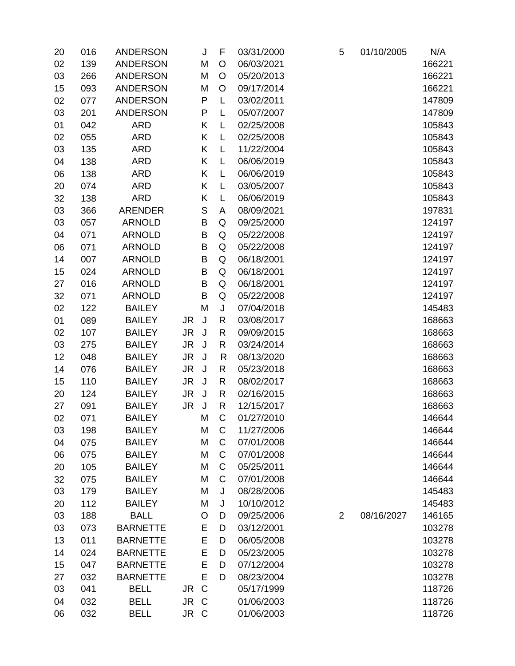| 20 | 016 | <b>ANDERSON</b> |           | J       | F            | 03/31/2000 | 5              | 01/10/2005 | N/A    |
|----|-----|-----------------|-----------|---------|--------------|------------|----------------|------------|--------|
| 02 | 139 | <b>ANDERSON</b> |           | M       | O            | 06/03/2021 |                |            | 166221 |
| 03 | 266 | <b>ANDERSON</b> |           | M       | $\circ$      | 05/20/2013 |                |            | 166221 |
| 15 | 093 | <b>ANDERSON</b> |           | М       | $\circ$      | 09/17/2014 |                |            | 166221 |
| 02 | 077 | <b>ANDERSON</b> |           | P       | L            | 03/02/2011 |                |            | 147809 |
| 03 | 201 | <b>ANDERSON</b> |           | P       | L            | 05/07/2007 |                |            | 147809 |
| 01 | 042 | <b>ARD</b>      |           | Κ       | L            | 02/25/2008 |                |            | 105843 |
| 02 | 055 | <b>ARD</b>      |           | Κ       | L            | 02/25/2008 |                |            | 105843 |
| 03 | 135 | <b>ARD</b>      |           | Κ       | L            | 11/22/2004 |                |            | 105843 |
| 04 | 138 | <b>ARD</b>      |           | Κ       | L            | 06/06/2019 |                |            | 105843 |
| 06 | 138 | <b>ARD</b>      |           | Κ       | L            | 06/06/2019 |                |            | 105843 |
| 20 | 074 | <b>ARD</b>      |           | Κ       | L            | 03/05/2007 |                |            | 105843 |
| 32 | 138 | <b>ARD</b>      |           | Κ       | L            | 06/06/2019 |                |            | 105843 |
| 03 | 366 | <b>ARENDER</b>  |           | S       | A            | 08/09/2021 |                |            | 197831 |
| 03 | 057 | <b>ARNOLD</b>   |           | B       | Q            | 09/25/2000 |                |            | 124197 |
| 04 | 071 | <b>ARNOLD</b>   |           | B       | Q            | 05/22/2008 |                |            | 124197 |
| 06 | 071 | <b>ARNOLD</b>   |           | B       | Q            | 05/22/2008 |                |            | 124197 |
| 14 | 007 | <b>ARNOLD</b>   |           | B       | Q            | 06/18/2001 |                |            | 124197 |
| 15 | 024 | <b>ARNOLD</b>   |           | B       | Q            | 06/18/2001 |                |            | 124197 |
| 27 | 016 | <b>ARNOLD</b>   |           | B       | Q            | 06/18/2001 |                |            | 124197 |
| 32 | 071 | <b>ARNOLD</b>   |           | B       | Q            | 05/22/2008 |                |            | 124197 |
| 02 | 122 | <b>BAILEY</b>   |           | M       | J            | 07/04/2018 |                |            | 145483 |
| 01 | 089 | <b>BAILEY</b>   | JR        | $\sf J$ | R            | 03/08/2017 |                |            | 168663 |
| 02 | 107 | <b>BAILEY</b>   | JR.       | J       | R            | 09/09/2015 |                |            | 168663 |
| 03 | 275 | <b>BAILEY</b>   | <b>JR</b> | J       | $\mathsf{R}$ | 03/24/2014 |                |            | 168663 |
| 12 | 048 | <b>BAILEY</b>   | JR        | J       | R            | 08/13/2020 |                |            | 168663 |
| 14 | 076 | <b>BAILEY</b>   | <b>JR</b> | $\sf J$ | $\mathsf{R}$ | 05/23/2018 |                |            | 168663 |
| 15 | 110 | <b>BAILEY</b>   | JR        | J       | R            | 08/02/2017 |                |            | 168663 |
| 20 | 124 | <b>BAILEY</b>   | JR.       | J       | $\mathsf{R}$ | 02/16/2015 |                |            | 168663 |
| 27 | 091 | <b>BAILEY</b>   | <b>JR</b> | J       | R            | 12/15/2017 |                |            | 168663 |
| 02 | 071 | <b>BAILEY</b>   |           | M       | C            | 01/27/2010 |                |            | 146644 |
| 03 | 198 | <b>BAILEY</b>   |           | M       | C            | 11/27/2006 |                |            | 146644 |
| 04 | 075 | <b>BAILEY</b>   |           | M       | $\mathsf C$  | 07/01/2008 |                |            | 146644 |
| 06 | 075 | <b>BAILEY</b>   |           | M       | $\mathsf C$  | 07/01/2008 |                |            | 146644 |
| 20 | 105 | <b>BAILEY</b>   |           | M       | С            | 05/25/2011 |                |            | 146644 |
| 32 | 075 | <b>BAILEY</b>   |           | M       | $\mathsf C$  | 07/01/2008 |                |            | 146644 |
| 03 | 179 | <b>BAILEY</b>   |           | M       | J            | 08/28/2006 |                |            | 145483 |
| 20 | 112 | <b>BAILEY</b>   |           | M       | J            | 10/10/2012 |                |            | 145483 |
| 03 | 188 | <b>BALL</b>     |           | O       | D            | 09/25/2006 | $\overline{2}$ | 08/16/2027 | 146165 |
| 03 | 073 | <b>BARNETTE</b> |           | E       | D            | 03/12/2001 |                |            | 103278 |
| 13 | 011 | <b>BARNETTE</b> |           | E       | D            | 06/05/2008 |                |            | 103278 |
| 14 | 024 | <b>BARNETTE</b> |           | E       | D            | 05/23/2005 |                |            | 103278 |
| 15 | 047 | <b>BARNETTE</b> |           | E       | D            | 07/12/2004 |                |            | 103278 |
| 27 | 032 | <b>BARNETTE</b> |           | E       | D            | 08/23/2004 |                |            | 103278 |
| 03 | 041 | <b>BELL</b>     | JR C      |         |              | 05/17/1999 |                |            | 118726 |
| 04 | 032 | <b>BELL</b>     | JR C      |         |              | 01/06/2003 |                |            | 118726 |
| 06 | 032 | <b>BELL</b>     | JR C      |         |              | 01/06/2003 |                |            | 118726 |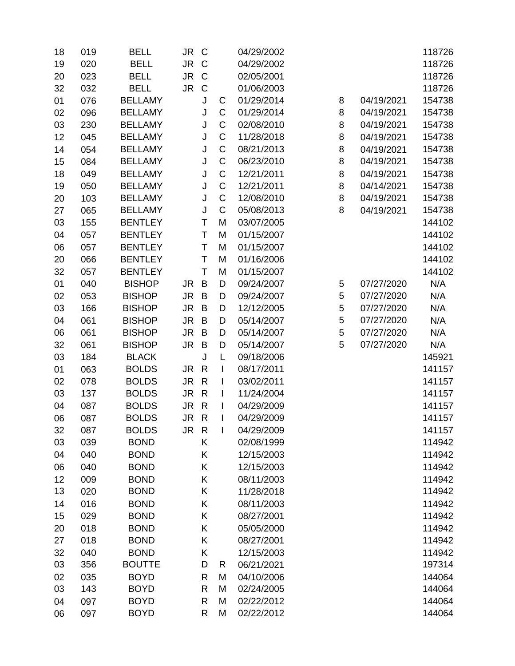| 18 | 019 | <b>BELL</b>    | JR C      |              |                          | 04/29/2002 |   |            | 118726 |
|----|-----|----------------|-----------|--------------|--------------------------|------------|---|------------|--------|
| 19 | 020 | <b>BELL</b>    | JR C      |              |                          | 04/29/2002 |   |            | 118726 |
| 20 | 023 | <b>BELL</b>    | JR        | $\mathsf{C}$ |                          | 02/05/2001 |   |            | 118726 |
| 32 | 032 | <b>BELL</b>    | JR        | $\mathsf C$  |                          | 01/06/2003 |   |            | 118726 |
| 01 | 076 | <b>BELLAMY</b> |           | J            | C                        | 01/29/2014 | 8 | 04/19/2021 | 154738 |
| 02 | 096 | <b>BELLAMY</b> |           | J            | C                        | 01/29/2014 | 8 | 04/19/2021 | 154738 |
| 03 | 230 | <b>BELLAMY</b> |           | J            | C                        | 02/08/2010 | 8 | 04/19/2021 | 154738 |
| 12 | 045 | <b>BELLAMY</b> |           | J            | C                        | 11/28/2018 | 8 | 04/19/2021 | 154738 |
| 14 | 054 | <b>BELLAMY</b> |           | J            | $\mathsf C$              | 08/21/2013 | 8 | 04/19/2021 | 154738 |
| 15 | 084 | <b>BELLAMY</b> |           | J            | C                        | 06/23/2010 | 8 | 04/19/2021 | 154738 |
| 18 | 049 | <b>BELLAMY</b> |           | J            | C                        | 12/21/2011 | 8 | 04/19/2021 | 154738 |
| 19 | 050 | <b>BELLAMY</b> |           | J            | $\mathsf C$              | 12/21/2011 | 8 | 04/14/2021 | 154738 |
| 20 | 103 | <b>BELLAMY</b> |           | J            | C                        | 12/08/2010 | 8 | 04/19/2021 | 154738 |
| 27 | 065 | <b>BELLAMY</b> |           | J            | $\mathsf C$              | 05/08/2013 | 8 | 04/19/2021 | 154738 |
| 03 | 155 | <b>BENTLEY</b> |           | T            | M                        | 03/07/2005 |   |            | 144102 |
| 04 | 057 | <b>BENTLEY</b> |           | T            | M                        | 01/15/2007 |   |            | 144102 |
| 06 | 057 | <b>BENTLEY</b> |           | T            | M                        | 01/15/2007 |   |            | 144102 |
| 20 | 066 | <b>BENTLEY</b> |           | T            | M                        | 01/16/2006 |   |            | 144102 |
| 32 | 057 | <b>BENTLEY</b> |           | T            | M                        | 01/15/2007 |   |            | 144102 |
| 01 | 040 | <b>BISHOP</b>  | <b>JR</b> | B            | D                        | 09/24/2007 | 5 | 07/27/2020 | N/A    |
| 02 | 053 | <b>BISHOP</b>  | JR.       | B            | D                        | 09/24/2007 | 5 | 07/27/2020 | N/A    |
| 03 | 166 | <b>BISHOP</b>  | <b>JR</b> | B            | D                        | 12/12/2005 | 5 | 07/27/2020 | N/A    |
| 04 | 061 | <b>BISHOP</b>  | <b>JR</b> | B            | D                        | 05/14/2007 | 5 | 07/27/2020 | N/A    |
| 06 | 061 | <b>BISHOP</b>  | <b>JR</b> | B            | D                        | 05/14/2007 | 5 | 07/27/2020 | N/A    |
| 32 | 061 | <b>BISHOP</b>  | <b>JR</b> | B            | D                        | 05/14/2007 | 5 | 07/27/2020 | N/A    |
| 03 | 184 | <b>BLACK</b>   |           | J            | L                        | 09/18/2006 |   |            | 145921 |
| 01 | 063 | <b>BOLDS</b>   | JR.       | $\mathsf{R}$ | I                        | 08/17/2011 |   |            | 141157 |
| 02 | 078 | <b>BOLDS</b>   | JR.       | $\mathsf{R}$ | I                        | 03/02/2011 |   |            | 141157 |
| 03 | 137 | <b>BOLDS</b>   | <b>JR</b> | $\mathsf{R}$ | I                        | 11/24/2004 |   |            | 141157 |
| 04 | 087 | <b>BOLDS</b>   | <b>JR</b> | $\mathsf{R}$ | $\mathsf{I}$             | 04/29/2009 |   |            | 141157 |
| 06 | 087 | <b>BOLDS</b>   | JR.       | $\mathsf{R}$ | I                        | 04/29/2009 |   |            | 141157 |
| 32 | 087 | <b>BOLDS</b>   | JR        | $\mathsf{R}$ | $\overline{\phantom{a}}$ | 04/29/2009 |   |            | 141157 |
| 03 | 039 | <b>BOND</b>    |           | Κ            |                          | 02/08/1999 |   |            | 114942 |
| 04 | 040 | <b>BOND</b>    |           | Κ            |                          | 12/15/2003 |   |            | 114942 |
| 06 | 040 | <b>BOND</b>    |           | Κ            |                          | 12/15/2003 |   |            | 114942 |
| 12 | 009 | <b>BOND</b>    |           | Κ            |                          | 08/11/2003 |   |            | 114942 |
| 13 | 020 | <b>BOND</b>    |           | Κ            |                          | 11/28/2018 |   |            | 114942 |
| 14 | 016 | <b>BOND</b>    |           | Κ            |                          | 08/11/2003 |   |            | 114942 |
| 15 | 029 | <b>BOND</b>    |           | Κ            |                          | 08/27/2001 |   |            | 114942 |
| 20 | 018 | <b>BOND</b>    |           | Κ            |                          | 05/05/2000 |   |            | 114942 |
| 27 | 018 | <b>BOND</b>    |           | Κ            |                          | 08/27/2001 |   |            | 114942 |
| 32 | 040 | <b>BOND</b>    |           | Κ            |                          | 12/15/2003 |   |            | 114942 |
| 03 | 356 | <b>BOUTTE</b>  |           | D            | R                        | 06/21/2021 |   |            | 197314 |
| 02 | 035 | <b>BOYD</b>    |           | R            | M                        | 04/10/2006 |   |            | 144064 |
| 03 | 143 | <b>BOYD</b>    |           | R            | M                        | 02/24/2005 |   |            | 144064 |
| 04 | 097 | <b>BOYD</b>    |           | R            | M                        | 02/22/2012 |   |            | 144064 |
| 06 | 097 | <b>BOYD</b>    |           | R            | M                        | 02/22/2012 |   |            | 144064 |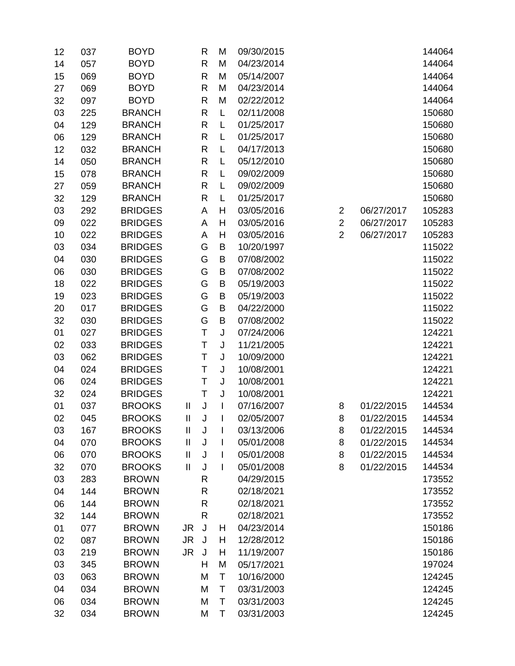| 12 | 037 | <b>BOYD</b>    |                            | R            | M                        | 09/30/2015 |                |            | 144064 |
|----|-----|----------------|----------------------------|--------------|--------------------------|------------|----------------|------------|--------|
| 14 | 057 | <b>BOYD</b>    |                            | $\mathsf{R}$ | M                        | 04/23/2014 |                |            | 144064 |
| 15 | 069 | <b>BOYD</b>    |                            | $\mathsf{R}$ | M                        | 05/14/2007 |                |            | 144064 |
| 27 | 069 | <b>BOYD</b>    |                            | $\mathsf{R}$ | M                        | 04/23/2014 |                |            | 144064 |
| 32 | 097 | <b>BOYD</b>    |                            | $\mathsf{R}$ | M                        | 02/22/2012 |                |            | 144064 |
| 03 | 225 | <b>BRANCH</b>  |                            | $\mathsf{R}$ | L                        | 02/11/2008 |                |            | 150680 |
| 04 | 129 | <b>BRANCH</b>  |                            | $\mathsf{R}$ | L                        | 01/25/2017 |                |            | 150680 |
| 06 | 129 | <b>BRANCH</b>  |                            | R            | L                        | 01/25/2017 |                |            | 150680 |
| 12 | 032 | <b>BRANCH</b>  |                            | $\mathsf{R}$ | L                        | 04/17/2013 |                |            | 150680 |
| 14 | 050 | <b>BRANCH</b>  |                            | $\mathsf{R}$ | L                        | 05/12/2010 |                |            | 150680 |
| 15 | 078 | <b>BRANCH</b>  |                            | R            | L                        | 09/02/2009 |                |            | 150680 |
| 27 | 059 | <b>BRANCH</b>  |                            | $\mathsf{R}$ | L                        | 09/02/2009 |                |            | 150680 |
| 32 | 129 | <b>BRANCH</b>  |                            | $\mathsf{R}$ | L                        | 01/25/2017 |                |            | 150680 |
| 03 | 292 | <b>BRIDGES</b> |                            | A            | Н                        | 03/05/2016 | $\overline{2}$ | 06/27/2017 | 105283 |
| 09 | 022 | <b>BRIDGES</b> |                            | A            | H                        | 03/05/2016 | $\overline{2}$ | 06/27/2017 | 105283 |
| 10 | 022 | <b>BRIDGES</b> |                            | A            | Н                        | 03/05/2016 | $\overline{2}$ | 06/27/2017 | 105283 |
| 03 | 034 | <b>BRIDGES</b> |                            | G            | B                        | 10/20/1997 |                |            | 115022 |
| 04 | 030 | <b>BRIDGES</b> |                            | G            | B                        | 07/08/2002 |                |            | 115022 |
| 06 | 030 | <b>BRIDGES</b> |                            | G            | B                        | 07/08/2002 |                |            | 115022 |
| 18 | 022 | <b>BRIDGES</b> |                            | G            | B                        | 05/19/2003 |                |            | 115022 |
| 19 | 023 | <b>BRIDGES</b> |                            | G            | B                        | 05/19/2003 |                |            | 115022 |
| 20 | 017 | <b>BRIDGES</b> |                            | G            | B                        | 04/22/2000 |                |            | 115022 |
| 32 | 030 | <b>BRIDGES</b> |                            | G            | B                        | 07/08/2002 |                |            | 115022 |
| 01 | 027 | <b>BRIDGES</b> |                            | T            | J                        | 07/24/2006 |                |            | 124221 |
| 02 | 033 | <b>BRIDGES</b> |                            | Τ            | J                        | 11/21/2005 |                |            | 124221 |
| 03 | 062 | <b>BRIDGES</b> |                            | T            | J                        | 10/09/2000 |                |            | 124221 |
| 04 | 024 | <b>BRIDGES</b> |                            | Τ            | J                        | 10/08/2001 |                |            | 124221 |
| 06 | 024 | <b>BRIDGES</b> |                            | T            | J                        | 10/08/2001 |                |            | 124221 |
| 32 | 024 | <b>BRIDGES</b> |                            | T            | J                        | 10/08/2001 |                |            | 124221 |
| 01 | 037 | <b>BROOKS</b>  | $\mathbf{I}$               | J            | $\overline{\phantom{a}}$ | 07/16/2007 | 8              | 01/22/2015 | 144534 |
| 02 | 045 | <b>BROOKS</b>  | $\mathbf{I}$               | J            |                          | 02/05/2007 | 8              | 01/22/2015 | 144534 |
| 03 | 167 | <b>BROOKS</b>  | Ш                          | J            | I                        | 03/13/2006 | 8              | 01/22/2015 | 144534 |
| 04 | 070 | <b>BROOKS</b>  | $\mathop{\rm II}\nolimits$ | J            | I                        | 05/01/2008 | 8              | 01/22/2015 | 144534 |
| 06 | 070 | <b>BROOKS</b>  | $\mathbf{I}$               | J            |                          | 05/01/2008 | 8              | 01/22/2015 | 144534 |
| 32 | 070 | <b>BROOKS</b>  | $\mathbf{I}$               | J            | $\mathsf{l}$             | 05/01/2008 | 8              | 01/22/2015 | 144534 |
| 03 | 283 | <b>BROWN</b>   |                            | $\mathsf{R}$ |                          | 04/29/2015 |                |            | 173552 |
| 04 | 144 | <b>BROWN</b>   |                            | $\mathsf{R}$ |                          | 02/18/2021 |                |            | 173552 |
| 06 | 144 | <b>BROWN</b>   |                            | $\mathsf{R}$ |                          | 02/18/2021 |                |            | 173552 |
| 32 | 144 | <b>BROWN</b>   |                            | $\mathsf{R}$ |                          | 02/18/2021 |                |            | 173552 |
| 01 | 077 | <b>BROWN</b>   | JR.                        | J            | Н                        | 04/23/2014 |                |            | 150186 |
| 02 | 087 | <b>BROWN</b>   | <b>JR</b>                  | J            | Н                        | 12/28/2012 |                |            | 150186 |
| 03 | 219 | <b>BROWN</b>   | JR.                        | J            | Н                        | 11/19/2007 |                |            | 150186 |
| 03 | 345 | <b>BROWN</b>   |                            | H            | M                        | 05/17/2021 |                |            | 197024 |
| 03 | 063 | <b>BROWN</b>   |                            | M            | Τ                        | 10/16/2000 |                |            | 124245 |
| 04 | 034 | <b>BROWN</b>   |                            | M            | T                        | 03/31/2003 |                |            | 124245 |
| 06 | 034 | <b>BROWN</b>   |                            | M            | T                        | 03/31/2003 |                |            | 124245 |
| 32 | 034 | <b>BROWN</b>   |                            | M            | Τ                        | 03/31/2003 |                |            | 124245 |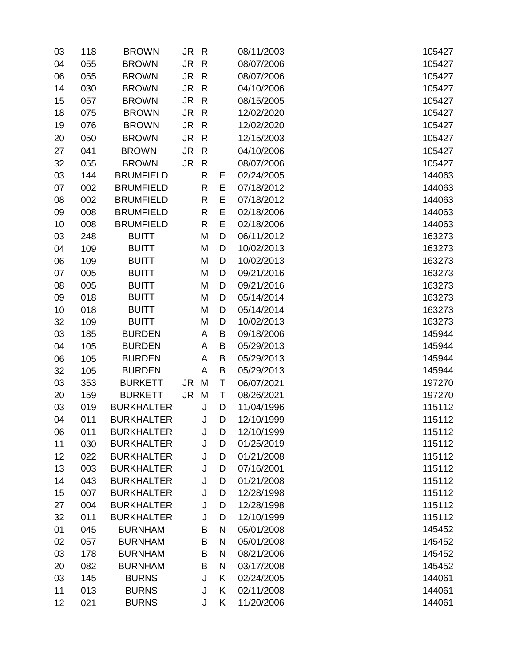| 03 | 118 | <b>BROWN</b>      | JR R |              |           | 08/11/2003 | 105427 |
|----|-----|-------------------|------|--------------|-----------|------------|--------|
| 04 | 055 | <b>BROWN</b>      | JR R |              |           | 08/07/2006 | 105427 |
| 06 | 055 | <b>BROWN</b>      | JR.  | $\mathsf{R}$ |           | 08/07/2006 | 105427 |
| 14 | 030 | <b>BROWN</b>      | JR R |              |           | 04/10/2006 | 105427 |
| 15 | 057 | <b>BROWN</b>      | JR   | $\mathsf{R}$ |           | 08/15/2005 | 105427 |
| 18 | 075 | <b>BROWN</b>      | JR R |              |           | 12/02/2020 | 105427 |
| 19 | 076 | <b>BROWN</b>      | JR   | $\mathsf{R}$ |           | 12/02/2020 | 105427 |
| 20 | 050 | <b>BROWN</b>      | JR   | $\mathsf{R}$ |           | 12/15/2003 | 105427 |
| 27 | 041 | <b>BROWN</b>      | JR.  | $\mathsf{R}$ |           | 04/10/2006 | 105427 |
| 32 | 055 | <b>BROWN</b>      | JR R |              |           | 08/07/2006 | 105427 |
| 03 | 144 | <b>BRUMFIELD</b>  |      | $\mathsf{R}$ | Е         | 02/24/2005 | 144063 |
| 07 | 002 | <b>BRUMFIELD</b>  |      | R            | E         | 07/18/2012 | 144063 |
| 08 | 002 | <b>BRUMFIELD</b>  |      | $\mathsf{R}$ | E         | 07/18/2012 | 144063 |
| 09 | 008 | <b>BRUMFIELD</b>  |      | R            | E         | 02/18/2006 | 144063 |
| 10 | 008 | <b>BRUMFIELD</b>  |      | $\mathsf{R}$ | E         | 02/18/2006 | 144063 |
| 03 | 248 | <b>BUITT</b>      |      | M            | D         | 06/11/2012 | 163273 |
| 04 | 109 | <b>BUITT</b>      |      | M            | D         | 10/02/2013 | 163273 |
| 06 | 109 | <b>BUITT</b>      |      | M            | D         | 10/02/2013 | 163273 |
| 07 | 005 | <b>BUITT</b>      |      | M            | D         | 09/21/2016 | 163273 |
| 08 | 005 | <b>BUITT</b>      |      | M            | D         | 09/21/2016 | 163273 |
| 09 | 018 | <b>BUITT</b>      |      | M            | D         | 05/14/2014 | 163273 |
| 10 | 018 | <b>BUITT</b>      |      | M            | D         | 05/14/2014 | 163273 |
| 32 | 109 | <b>BUITT</b>      |      | M            | D         | 10/02/2013 | 163273 |
| 03 | 185 | <b>BURDEN</b>     |      | Α            | B         | 09/18/2006 | 145944 |
| 04 | 105 | <b>BURDEN</b>     |      | A            | B         | 05/29/2013 | 145944 |
| 06 | 105 | <b>BURDEN</b>     |      | A            | B         | 05/29/2013 | 145944 |
| 32 | 105 | <b>BURDEN</b>     |      | A            | B         | 05/29/2013 | 145944 |
| 03 | 353 | <b>BURKETT</b>    | JR   | M            | T         | 06/07/2021 | 197270 |
| 20 | 159 | <b>BURKETT</b>    | JR   | M            | T         | 08/26/2021 | 197270 |
| 03 | 019 | <b>BURKHALTER</b> |      | J            | D         | 11/04/1996 | 115112 |
| 04 | 011 | <b>BURKHALTER</b> |      | J            | D         | 12/10/1999 | 115112 |
| 06 | 011 | <b>BURKHALTER</b> |      | J            | D         | 12/10/1999 | 115112 |
| 11 | 030 | <b>BURKHALTER</b> |      | J            | D         | 01/25/2019 | 115112 |
| 12 | 022 | <b>BURKHALTER</b> |      | J            | D         | 01/21/2008 | 115112 |
| 13 | 003 | <b>BURKHALTER</b> |      | J            | D         | 07/16/2001 | 115112 |
| 14 | 043 | <b>BURKHALTER</b> |      | J            | D         | 01/21/2008 | 115112 |
| 15 | 007 | <b>BURKHALTER</b> |      | $\mathsf J$  | D         | 12/28/1998 | 115112 |
| 27 | 004 | <b>BURKHALTER</b> |      | J            | D         | 12/28/1998 | 115112 |
| 32 | 011 | <b>BURKHALTER</b> |      | J            | D         | 12/10/1999 | 115112 |
| 01 | 045 | <b>BURNHAM</b>    |      | B            | ${\sf N}$ | 05/01/2008 | 145452 |
| 02 | 057 | <b>BURNHAM</b>    |      | Β            | N         | 05/01/2008 | 145452 |
| 03 | 178 | <b>BURNHAM</b>    |      | B            | N         | 08/21/2006 | 145452 |
| 20 | 082 | <b>BURNHAM</b>    |      | B            | N         | 03/17/2008 | 145452 |
| 03 | 145 | <b>BURNS</b>      |      | J            | Κ         | 02/24/2005 | 144061 |
| 11 | 013 | <b>BURNS</b>      |      | J            | Κ         | 02/11/2008 | 144061 |
| 12 | 021 | <b>BURNS</b>      |      | J            | K         | 11/20/2006 | 144061 |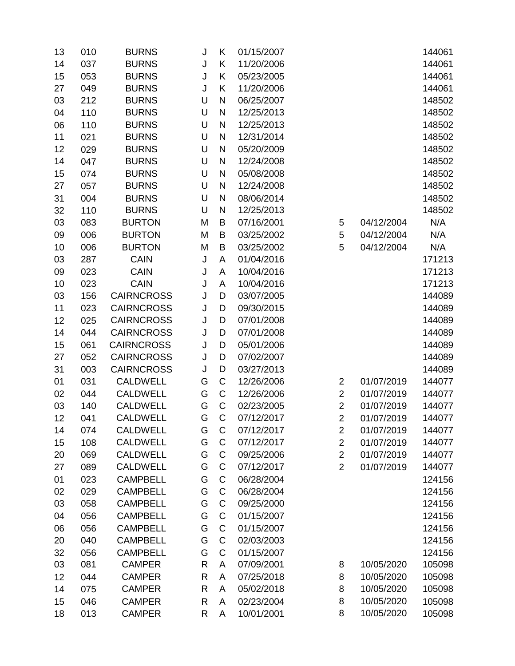| K<br>037<br><b>BURNS</b><br>11/20/2006<br>14<br>J<br>J<br>Κ<br>15<br>053<br><b>BURNS</b><br>05/23/2005<br>Κ<br>11/20/2006<br>27<br>049<br><b>BURNS</b><br>J<br>U<br>$\mathsf{N}$<br>03<br>212<br><b>BURNS</b><br>06/25/2007<br>U<br><b>BURNS</b><br>N<br>12/25/2013<br>110<br>04<br><b>BURNS</b><br>U<br>N<br>12/25/2013<br>110<br>06<br>U<br>N<br>11<br><b>BURNS</b><br>12/31/2014<br>021<br>U<br><b>BURNS</b><br>N<br>05/20/2009<br>12<br>029<br>$\mathsf{N}$<br>U<br>14<br><b>BURNS</b><br>12/24/2008<br>047<br>U<br><b>BURNS</b><br>$\mathsf{N}$<br>15<br>074<br>05/08/2008<br>27<br><b>BURNS</b><br>U<br>N<br>057<br>12/24/2008<br>U<br>N<br>31<br><b>BURNS</b><br>08/06/2014<br>004<br>U<br>N<br>32<br>110<br><b>BURNS</b><br>12/25/2013<br>5<br>N/A<br>03<br>083<br><b>BURTON</b><br>M<br>B<br>07/16/2001<br>04/12/2004<br>5<br><b>BURTON</b><br>M<br>B<br>04/12/2004<br>N/A<br>09<br>006<br>03/25/2002<br>5<br>10<br>006<br><b>BURTON</b><br>M<br>B<br>03/25/2002<br>04/12/2004<br>N/A<br>J<br>03<br>287<br>CAIN<br>A<br>01/04/2016<br>023<br>09<br><b>CAIN</b><br>J<br>A<br>10/04/2016<br><b>CAIN</b><br>J<br>A<br>10/04/2016<br>10<br>023<br><b>CAIRNCROSS</b><br>J<br>03/07/2005<br>03<br>156<br>D<br>J<br>11<br><b>CAIRNCROSS</b><br>D<br>09/30/2015<br>023<br><b>CAIRNCROSS</b><br>07/01/2008<br>025<br>J<br>D<br>12<br><b>CAIRNCROSS</b><br>J<br>044<br>D<br>07/01/2008<br>14<br><b>CAIRNCROSS</b><br>061<br>05/01/2006<br>15<br>J<br>D<br><b>CAIRNCROSS</b><br>27<br>052<br>J<br>07/02/2007<br>D<br><b>CAIRNCROSS</b><br>D<br>31<br>J<br>03/27/2013<br>003<br>$\mathsf C$<br>031<br><b>CALDWELL</b><br>12/26/2006<br>01/07/2019<br>01<br>G<br>$\overline{2}$<br>$\mathsf C$<br>$\overline{2}$<br>044<br><b>CALDWELL</b><br>G<br>12/26/2006<br>01/07/2019<br>02<br><b>CALDWELL</b><br>G<br>C<br>02/23/2005<br>$\overline{2}$<br>03<br>140<br>01/07/2019<br><b>CALDWELL</b><br>G<br>C<br>$\overline{2}$<br>12<br>07/12/2017<br>01/07/2019<br>041<br><b>CALDWELL</b><br>G<br>C<br>07/12/2017<br>01/07/2019<br>14<br>074<br>$\overline{2}$<br><b>CALDWELL</b><br>C<br>15<br>108<br>G<br>07/12/2017<br>$\overline{2}$<br>01/07/2019<br>$\overline{2}$<br>$\mathsf{C}$<br><b>CALDWELL</b><br>G<br>09/25/2006<br>01/07/2019<br>20<br>069<br><b>CALDWELL</b><br>G<br>C<br>$\overline{2}$<br>07/12/2017<br>01/07/2019<br>27<br>089<br>G<br>$\mathsf C$<br>023<br><b>CAMPBELL</b><br>06/28/2004<br>01<br><b>CAMPBELL</b><br>G<br>C<br>06/28/2004<br>02<br>029<br>03<br>G<br>C<br>058<br><b>CAMPBELL</b><br>09/25/2000<br><b>CAMPBELL</b><br>G<br>C<br>01/15/2007<br>04<br>056<br>G<br>$\mathsf C$<br><b>CAMPBELL</b><br>01/15/2007<br>06<br>056<br>G<br>C<br>040<br><b>CAMPBELL</b><br>20<br>02/03/2003<br>G<br>C<br>01/15/2007<br>32<br>056<br><b>CAMPBELL</b><br>03<br>081<br><b>CAMPER</b><br>$\mathsf{R}$<br>A<br>07/09/2001<br>10/05/2020<br>8<br><b>CAMPER</b><br>R<br>07/25/2018<br>8<br>10/05/2020<br>12<br>044<br>A<br>$\mathsf{R}$<br>10/05/2020<br>14<br>075<br><b>CAMPER</b><br>05/02/2018<br>8<br>A<br>8<br>10/05/2020<br><b>CAMPER</b><br>$\mathsf{R}$<br>02/23/2004<br>15<br>046<br>A<br>013<br><b>CAMPER</b><br>$\mathsf{R}$<br>10/01/2001<br>10/05/2020<br>18<br>8<br>A | 13 | 010 | <b>BURNS</b> | J | K | 01/15/2007 |  | 144061 |
|-----------------------------------------------------------------------------------------------------------------------------------------------------------------------------------------------------------------------------------------------------------------------------------------------------------------------------------------------------------------------------------------------------------------------------------------------------------------------------------------------------------------------------------------------------------------------------------------------------------------------------------------------------------------------------------------------------------------------------------------------------------------------------------------------------------------------------------------------------------------------------------------------------------------------------------------------------------------------------------------------------------------------------------------------------------------------------------------------------------------------------------------------------------------------------------------------------------------------------------------------------------------------------------------------------------------------------------------------------------------------------------------------------------------------------------------------------------------------------------------------------------------------------------------------------------------------------------------------------------------------------------------------------------------------------------------------------------------------------------------------------------------------------------------------------------------------------------------------------------------------------------------------------------------------------------------------------------------------------------------------------------------------------------------------------------------------------------------------------------------------------------------------------------------------------------------------------------------------------------------------------------------------------------------------------------------------------------------------------------------------------------------------------------------------------------------------------------------------------------------------------------------------------------------------------------------------------------------------------------------------------------------------------------------------------------------------------------------------------------------------------------------------------------------------------------------------------------------------------------------------------------------------------------------------------------------------------------------------------------------------------------------------------------------------------------------------------------------------------------------------------------------------------------------------------------------------|----|-----|--------------|---|---|------------|--|--------|
|                                                                                                                                                                                                                                                                                                                                                                                                                                                                                                                                                                                                                                                                                                                                                                                                                                                                                                                                                                                                                                                                                                                                                                                                                                                                                                                                                                                                                                                                                                                                                                                                                                                                                                                                                                                                                                                                                                                                                                                                                                                                                                                                                                                                                                                                                                                                                                                                                                                                                                                                                                                                                                                                                                                                                                                                                                                                                                                                                                                                                                                                                                                                                                                               |    |     |              |   |   |            |  | 144061 |
|                                                                                                                                                                                                                                                                                                                                                                                                                                                                                                                                                                                                                                                                                                                                                                                                                                                                                                                                                                                                                                                                                                                                                                                                                                                                                                                                                                                                                                                                                                                                                                                                                                                                                                                                                                                                                                                                                                                                                                                                                                                                                                                                                                                                                                                                                                                                                                                                                                                                                                                                                                                                                                                                                                                                                                                                                                                                                                                                                                                                                                                                                                                                                                                               |    |     |              |   |   |            |  | 144061 |
|                                                                                                                                                                                                                                                                                                                                                                                                                                                                                                                                                                                                                                                                                                                                                                                                                                                                                                                                                                                                                                                                                                                                                                                                                                                                                                                                                                                                                                                                                                                                                                                                                                                                                                                                                                                                                                                                                                                                                                                                                                                                                                                                                                                                                                                                                                                                                                                                                                                                                                                                                                                                                                                                                                                                                                                                                                                                                                                                                                                                                                                                                                                                                                                               |    |     |              |   |   |            |  | 144061 |
|                                                                                                                                                                                                                                                                                                                                                                                                                                                                                                                                                                                                                                                                                                                                                                                                                                                                                                                                                                                                                                                                                                                                                                                                                                                                                                                                                                                                                                                                                                                                                                                                                                                                                                                                                                                                                                                                                                                                                                                                                                                                                                                                                                                                                                                                                                                                                                                                                                                                                                                                                                                                                                                                                                                                                                                                                                                                                                                                                                                                                                                                                                                                                                                               |    |     |              |   |   |            |  | 148502 |
|                                                                                                                                                                                                                                                                                                                                                                                                                                                                                                                                                                                                                                                                                                                                                                                                                                                                                                                                                                                                                                                                                                                                                                                                                                                                                                                                                                                                                                                                                                                                                                                                                                                                                                                                                                                                                                                                                                                                                                                                                                                                                                                                                                                                                                                                                                                                                                                                                                                                                                                                                                                                                                                                                                                                                                                                                                                                                                                                                                                                                                                                                                                                                                                               |    |     |              |   |   |            |  | 148502 |
|                                                                                                                                                                                                                                                                                                                                                                                                                                                                                                                                                                                                                                                                                                                                                                                                                                                                                                                                                                                                                                                                                                                                                                                                                                                                                                                                                                                                                                                                                                                                                                                                                                                                                                                                                                                                                                                                                                                                                                                                                                                                                                                                                                                                                                                                                                                                                                                                                                                                                                                                                                                                                                                                                                                                                                                                                                                                                                                                                                                                                                                                                                                                                                                               |    |     |              |   |   |            |  | 148502 |
|                                                                                                                                                                                                                                                                                                                                                                                                                                                                                                                                                                                                                                                                                                                                                                                                                                                                                                                                                                                                                                                                                                                                                                                                                                                                                                                                                                                                                                                                                                                                                                                                                                                                                                                                                                                                                                                                                                                                                                                                                                                                                                                                                                                                                                                                                                                                                                                                                                                                                                                                                                                                                                                                                                                                                                                                                                                                                                                                                                                                                                                                                                                                                                                               |    |     |              |   |   |            |  | 148502 |
|                                                                                                                                                                                                                                                                                                                                                                                                                                                                                                                                                                                                                                                                                                                                                                                                                                                                                                                                                                                                                                                                                                                                                                                                                                                                                                                                                                                                                                                                                                                                                                                                                                                                                                                                                                                                                                                                                                                                                                                                                                                                                                                                                                                                                                                                                                                                                                                                                                                                                                                                                                                                                                                                                                                                                                                                                                                                                                                                                                                                                                                                                                                                                                                               |    |     |              |   |   |            |  | 148502 |
|                                                                                                                                                                                                                                                                                                                                                                                                                                                                                                                                                                                                                                                                                                                                                                                                                                                                                                                                                                                                                                                                                                                                                                                                                                                                                                                                                                                                                                                                                                                                                                                                                                                                                                                                                                                                                                                                                                                                                                                                                                                                                                                                                                                                                                                                                                                                                                                                                                                                                                                                                                                                                                                                                                                                                                                                                                                                                                                                                                                                                                                                                                                                                                                               |    |     |              |   |   |            |  | 148502 |
|                                                                                                                                                                                                                                                                                                                                                                                                                                                                                                                                                                                                                                                                                                                                                                                                                                                                                                                                                                                                                                                                                                                                                                                                                                                                                                                                                                                                                                                                                                                                                                                                                                                                                                                                                                                                                                                                                                                                                                                                                                                                                                                                                                                                                                                                                                                                                                                                                                                                                                                                                                                                                                                                                                                                                                                                                                                                                                                                                                                                                                                                                                                                                                                               |    |     |              |   |   |            |  | 148502 |
|                                                                                                                                                                                                                                                                                                                                                                                                                                                                                                                                                                                                                                                                                                                                                                                                                                                                                                                                                                                                                                                                                                                                                                                                                                                                                                                                                                                                                                                                                                                                                                                                                                                                                                                                                                                                                                                                                                                                                                                                                                                                                                                                                                                                                                                                                                                                                                                                                                                                                                                                                                                                                                                                                                                                                                                                                                                                                                                                                                                                                                                                                                                                                                                               |    |     |              |   |   |            |  | 148502 |
|                                                                                                                                                                                                                                                                                                                                                                                                                                                                                                                                                                                                                                                                                                                                                                                                                                                                                                                                                                                                                                                                                                                                                                                                                                                                                                                                                                                                                                                                                                                                                                                                                                                                                                                                                                                                                                                                                                                                                                                                                                                                                                                                                                                                                                                                                                                                                                                                                                                                                                                                                                                                                                                                                                                                                                                                                                                                                                                                                                                                                                                                                                                                                                                               |    |     |              |   |   |            |  | 148502 |
|                                                                                                                                                                                                                                                                                                                                                                                                                                                                                                                                                                                                                                                                                                                                                                                                                                                                                                                                                                                                                                                                                                                                                                                                                                                                                                                                                                                                                                                                                                                                                                                                                                                                                                                                                                                                                                                                                                                                                                                                                                                                                                                                                                                                                                                                                                                                                                                                                                                                                                                                                                                                                                                                                                                                                                                                                                                                                                                                                                                                                                                                                                                                                                                               |    |     |              |   |   |            |  | 148502 |
|                                                                                                                                                                                                                                                                                                                                                                                                                                                                                                                                                                                                                                                                                                                                                                                                                                                                                                                                                                                                                                                                                                                                                                                                                                                                                                                                                                                                                                                                                                                                                                                                                                                                                                                                                                                                                                                                                                                                                                                                                                                                                                                                                                                                                                                                                                                                                                                                                                                                                                                                                                                                                                                                                                                                                                                                                                                                                                                                                                                                                                                                                                                                                                                               |    |     |              |   |   |            |  |        |
|                                                                                                                                                                                                                                                                                                                                                                                                                                                                                                                                                                                                                                                                                                                                                                                                                                                                                                                                                                                                                                                                                                                                                                                                                                                                                                                                                                                                                                                                                                                                                                                                                                                                                                                                                                                                                                                                                                                                                                                                                                                                                                                                                                                                                                                                                                                                                                                                                                                                                                                                                                                                                                                                                                                                                                                                                                                                                                                                                                                                                                                                                                                                                                                               |    |     |              |   |   |            |  |        |
|                                                                                                                                                                                                                                                                                                                                                                                                                                                                                                                                                                                                                                                                                                                                                                                                                                                                                                                                                                                                                                                                                                                                                                                                                                                                                                                                                                                                                                                                                                                                                                                                                                                                                                                                                                                                                                                                                                                                                                                                                                                                                                                                                                                                                                                                                                                                                                                                                                                                                                                                                                                                                                                                                                                                                                                                                                                                                                                                                                                                                                                                                                                                                                                               |    |     |              |   |   |            |  |        |
|                                                                                                                                                                                                                                                                                                                                                                                                                                                                                                                                                                                                                                                                                                                                                                                                                                                                                                                                                                                                                                                                                                                                                                                                                                                                                                                                                                                                                                                                                                                                                                                                                                                                                                                                                                                                                                                                                                                                                                                                                                                                                                                                                                                                                                                                                                                                                                                                                                                                                                                                                                                                                                                                                                                                                                                                                                                                                                                                                                                                                                                                                                                                                                                               |    |     |              |   |   |            |  | 171213 |
|                                                                                                                                                                                                                                                                                                                                                                                                                                                                                                                                                                                                                                                                                                                                                                                                                                                                                                                                                                                                                                                                                                                                                                                                                                                                                                                                                                                                                                                                                                                                                                                                                                                                                                                                                                                                                                                                                                                                                                                                                                                                                                                                                                                                                                                                                                                                                                                                                                                                                                                                                                                                                                                                                                                                                                                                                                                                                                                                                                                                                                                                                                                                                                                               |    |     |              |   |   |            |  | 171213 |
|                                                                                                                                                                                                                                                                                                                                                                                                                                                                                                                                                                                                                                                                                                                                                                                                                                                                                                                                                                                                                                                                                                                                                                                                                                                                                                                                                                                                                                                                                                                                                                                                                                                                                                                                                                                                                                                                                                                                                                                                                                                                                                                                                                                                                                                                                                                                                                                                                                                                                                                                                                                                                                                                                                                                                                                                                                                                                                                                                                                                                                                                                                                                                                                               |    |     |              |   |   |            |  | 171213 |
|                                                                                                                                                                                                                                                                                                                                                                                                                                                                                                                                                                                                                                                                                                                                                                                                                                                                                                                                                                                                                                                                                                                                                                                                                                                                                                                                                                                                                                                                                                                                                                                                                                                                                                                                                                                                                                                                                                                                                                                                                                                                                                                                                                                                                                                                                                                                                                                                                                                                                                                                                                                                                                                                                                                                                                                                                                                                                                                                                                                                                                                                                                                                                                                               |    |     |              |   |   |            |  | 144089 |
|                                                                                                                                                                                                                                                                                                                                                                                                                                                                                                                                                                                                                                                                                                                                                                                                                                                                                                                                                                                                                                                                                                                                                                                                                                                                                                                                                                                                                                                                                                                                                                                                                                                                                                                                                                                                                                                                                                                                                                                                                                                                                                                                                                                                                                                                                                                                                                                                                                                                                                                                                                                                                                                                                                                                                                                                                                                                                                                                                                                                                                                                                                                                                                                               |    |     |              |   |   |            |  | 144089 |
|                                                                                                                                                                                                                                                                                                                                                                                                                                                                                                                                                                                                                                                                                                                                                                                                                                                                                                                                                                                                                                                                                                                                                                                                                                                                                                                                                                                                                                                                                                                                                                                                                                                                                                                                                                                                                                                                                                                                                                                                                                                                                                                                                                                                                                                                                                                                                                                                                                                                                                                                                                                                                                                                                                                                                                                                                                                                                                                                                                                                                                                                                                                                                                                               |    |     |              |   |   |            |  | 144089 |
|                                                                                                                                                                                                                                                                                                                                                                                                                                                                                                                                                                                                                                                                                                                                                                                                                                                                                                                                                                                                                                                                                                                                                                                                                                                                                                                                                                                                                                                                                                                                                                                                                                                                                                                                                                                                                                                                                                                                                                                                                                                                                                                                                                                                                                                                                                                                                                                                                                                                                                                                                                                                                                                                                                                                                                                                                                                                                                                                                                                                                                                                                                                                                                                               |    |     |              |   |   |            |  | 144089 |
|                                                                                                                                                                                                                                                                                                                                                                                                                                                                                                                                                                                                                                                                                                                                                                                                                                                                                                                                                                                                                                                                                                                                                                                                                                                                                                                                                                                                                                                                                                                                                                                                                                                                                                                                                                                                                                                                                                                                                                                                                                                                                                                                                                                                                                                                                                                                                                                                                                                                                                                                                                                                                                                                                                                                                                                                                                                                                                                                                                                                                                                                                                                                                                                               |    |     |              |   |   |            |  | 144089 |
|                                                                                                                                                                                                                                                                                                                                                                                                                                                                                                                                                                                                                                                                                                                                                                                                                                                                                                                                                                                                                                                                                                                                                                                                                                                                                                                                                                                                                                                                                                                                                                                                                                                                                                                                                                                                                                                                                                                                                                                                                                                                                                                                                                                                                                                                                                                                                                                                                                                                                                                                                                                                                                                                                                                                                                                                                                                                                                                                                                                                                                                                                                                                                                                               |    |     |              |   |   |            |  | 144089 |
|                                                                                                                                                                                                                                                                                                                                                                                                                                                                                                                                                                                                                                                                                                                                                                                                                                                                                                                                                                                                                                                                                                                                                                                                                                                                                                                                                                                                                                                                                                                                                                                                                                                                                                                                                                                                                                                                                                                                                                                                                                                                                                                                                                                                                                                                                                                                                                                                                                                                                                                                                                                                                                                                                                                                                                                                                                                                                                                                                                                                                                                                                                                                                                                               |    |     |              |   |   |            |  | 144089 |
|                                                                                                                                                                                                                                                                                                                                                                                                                                                                                                                                                                                                                                                                                                                                                                                                                                                                                                                                                                                                                                                                                                                                                                                                                                                                                                                                                                                                                                                                                                                                                                                                                                                                                                                                                                                                                                                                                                                                                                                                                                                                                                                                                                                                                                                                                                                                                                                                                                                                                                                                                                                                                                                                                                                                                                                                                                                                                                                                                                                                                                                                                                                                                                                               |    |     |              |   |   |            |  | 144077 |
|                                                                                                                                                                                                                                                                                                                                                                                                                                                                                                                                                                                                                                                                                                                                                                                                                                                                                                                                                                                                                                                                                                                                                                                                                                                                                                                                                                                                                                                                                                                                                                                                                                                                                                                                                                                                                                                                                                                                                                                                                                                                                                                                                                                                                                                                                                                                                                                                                                                                                                                                                                                                                                                                                                                                                                                                                                                                                                                                                                                                                                                                                                                                                                                               |    |     |              |   |   |            |  | 144077 |
|                                                                                                                                                                                                                                                                                                                                                                                                                                                                                                                                                                                                                                                                                                                                                                                                                                                                                                                                                                                                                                                                                                                                                                                                                                                                                                                                                                                                                                                                                                                                                                                                                                                                                                                                                                                                                                                                                                                                                                                                                                                                                                                                                                                                                                                                                                                                                                                                                                                                                                                                                                                                                                                                                                                                                                                                                                                                                                                                                                                                                                                                                                                                                                                               |    |     |              |   |   |            |  | 144077 |
|                                                                                                                                                                                                                                                                                                                                                                                                                                                                                                                                                                                                                                                                                                                                                                                                                                                                                                                                                                                                                                                                                                                                                                                                                                                                                                                                                                                                                                                                                                                                                                                                                                                                                                                                                                                                                                                                                                                                                                                                                                                                                                                                                                                                                                                                                                                                                                                                                                                                                                                                                                                                                                                                                                                                                                                                                                                                                                                                                                                                                                                                                                                                                                                               |    |     |              |   |   |            |  | 144077 |
|                                                                                                                                                                                                                                                                                                                                                                                                                                                                                                                                                                                                                                                                                                                                                                                                                                                                                                                                                                                                                                                                                                                                                                                                                                                                                                                                                                                                                                                                                                                                                                                                                                                                                                                                                                                                                                                                                                                                                                                                                                                                                                                                                                                                                                                                                                                                                                                                                                                                                                                                                                                                                                                                                                                                                                                                                                                                                                                                                                                                                                                                                                                                                                                               |    |     |              |   |   |            |  | 144077 |
|                                                                                                                                                                                                                                                                                                                                                                                                                                                                                                                                                                                                                                                                                                                                                                                                                                                                                                                                                                                                                                                                                                                                                                                                                                                                                                                                                                                                                                                                                                                                                                                                                                                                                                                                                                                                                                                                                                                                                                                                                                                                                                                                                                                                                                                                                                                                                                                                                                                                                                                                                                                                                                                                                                                                                                                                                                                                                                                                                                                                                                                                                                                                                                                               |    |     |              |   |   |            |  | 144077 |
|                                                                                                                                                                                                                                                                                                                                                                                                                                                                                                                                                                                                                                                                                                                                                                                                                                                                                                                                                                                                                                                                                                                                                                                                                                                                                                                                                                                                                                                                                                                                                                                                                                                                                                                                                                                                                                                                                                                                                                                                                                                                                                                                                                                                                                                                                                                                                                                                                                                                                                                                                                                                                                                                                                                                                                                                                                                                                                                                                                                                                                                                                                                                                                                               |    |     |              |   |   |            |  | 144077 |
|                                                                                                                                                                                                                                                                                                                                                                                                                                                                                                                                                                                                                                                                                                                                                                                                                                                                                                                                                                                                                                                                                                                                                                                                                                                                                                                                                                                                                                                                                                                                                                                                                                                                                                                                                                                                                                                                                                                                                                                                                                                                                                                                                                                                                                                                                                                                                                                                                                                                                                                                                                                                                                                                                                                                                                                                                                                                                                                                                                                                                                                                                                                                                                                               |    |     |              |   |   |            |  | 144077 |
|                                                                                                                                                                                                                                                                                                                                                                                                                                                                                                                                                                                                                                                                                                                                                                                                                                                                                                                                                                                                                                                                                                                                                                                                                                                                                                                                                                                                                                                                                                                                                                                                                                                                                                                                                                                                                                                                                                                                                                                                                                                                                                                                                                                                                                                                                                                                                                                                                                                                                                                                                                                                                                                                                                                                                                                                                                                                                                                                                                                                                                                                                                                                                                                               |    |     |              |   |   |            |  | 124156 |
|                                                                                                                                                                                                                                                                                                                                                                                                                                                                                                                                                                                                                                                                                                                                                                                                                                                                                                                                                                                                                                                                                                                                                                                                                                                                                                                                                                                                                                                                                                                                                                                                                                                                                                                                                                                                                                                                                                                                                                                                                                                                                                                                                                                                                                                                                                                                                                                                                                                                                                                                                                                                                                                                                                                                                                                                                                                                                                                                                                                                                                                                                                                                                                                               |    |     |              |   |   |            |  | 124156 |
|                                                                                                                                                                                                                                                                                                                                                                                                                                                                                                                                                                                                                                                                                                                                                                                                                                                                                                                                                                                                                                                                                                                                                                                                                                                                                                                                                                                                                                                                                                                                                                                                                                                                                                                                                                                                                                                                                                                                                                                                                                                                                                                                                                                                                                                                                                                                                                                                                                                                                                                                                                                                                                                                                                                                                                                                                                                                                                                                                                                                                                                                                                                                                                                               |    |     |              |   |   |            |  | 124156 |
|                                                                                                                                                                                                                                                                                                                                                                                                                                                                                                                                                                                                                                                                                                                                                                                                                                                                                                                                                                                                                                                                                                                                                                                                                                                                                                                                                                                                                                                                                                                                                                                                                                                                                                                                                                                                                                                                                                                                                                                                                                                                                                                                                                                                                                                                                                                                                                                                                                                                                                                                                                                                                                                                                                                                                                                                                                                                                                                                                                                                                                                                                                                                                                                               |    |     |              |   |   |            |  | 124156 |
|                                                                                                                                                                                                                                                                                                                                                                                                                                                                                                                                                                                                                                                                                                                                                                                                                                                                                                                                                                                                                                                                                                                                                                                                                                                                                                                                                                                                                                                                                                                                                                                                                                                                                                                                                                                                                                                                                                                                                                                                                                                                                                                                                                                                                                                                                                                                                                                                                                                                                                                                                                                                                                                                                                                                                                                                                                                                                                                                                                                                                                                                                                                                                                                               |    |     |              |   |   |            |  | 124156 |
|                                                                                                                                                                                                                                                                                                                                                                                                                                                                                                                                                                                                                                                                                                                                                                                                                                                                                                                                                                                                                                                                                                                                                                                                                                                                                                                                                                                                                                                                                                                                                                                                                                                                                                                                                                                                                                                                                                                                                                                                                                                                                                                                                                                                                                                                                                                                                                                                                                                                                                                                                                                                                                                                                                                                                                                                                                                                                                                                                                                                                                                                                                                                                                                               |    |     |              |   |   |            |  | 124156 |
|                                                                                                                                                                                                                                                                                                                                                                                                                                                                                                                                                                                                                                                                                                                                                                                                                                                                                                                                                                                                                                                                                                                                                                                                                                                                                                                                                                                                                                                                                                                                                                                                                                                                                                                                                                                                                                                                                                                                                                                                                                                                                                                                                                                                                                                                                                                                                                                                                                                                                                                                                                                                                                                                                                                                                                                                                                                                                                                                                                                                                                                                                                                                                                                               |    |     |              |   |   |            |  | 124156 |
|                                                                                                                                                                                                                                                                                                                                                                                                                                                                                                                                                                                                                                                                                                                                                                                                                                                                                                                                                                                                                                                                                                                                                                                                                                                                                                                                                                                                                                                                                                                                                                                                                                                                                                                                                                                                                                                                                                                                                                                                                                                                                                                                                                                                                                                                                                                                                                                                                                                                                                                                                                                                                                                                                                                                                                                                                                                                                                                                                                                                                                                                                                                                                                                               |    |     |              |   |   |            |  | 105098 |
|                                                                                                                                                                                                                                                                                                                                                                                                                                                                                                                                                                                                                                                                                                                                                                                                                                                                                                                                                                                                                                                                                                                                                                                                                                                                                                                                                                                                                                                                                                                                                                                                                                                                                                                                                                                                                                                                                                                                                                                                                                                                                                                                                                                                                                                                                                                                                                                                                                                                                                                                                                                                                                                                                                                                                                                                                                                                                                                                                                                                                                                                                                                                                                                               |    |     |              |   |   |            |  | 105098 |
|                                                                                                                                                                                                                                                                                                                                                                                                                                                                                                                                                                                                                                                                                                                                                                                                                                                                                                                                                                                                                                                                                                                                                                                                                                                                                                                                                                                                                                                                                                                                                                                                                                                                                                                                                                                                                                                                                                                                                                                                                                                                                                                                                                                                                                                                                                                                                                                                                                                                                                                                                                                                                                                                                                                                                                                                                                                                                                                                                                                                                                                                                                                                                                                               |    |     |              |   |   |            |  | 105098 |
|                                                                                                                                                                                                                                                                                                                                                                                                                                                                                                                                                                                                                                                                                                                                                                                                                                                                                                                                                                                                                                                                                                                                                                                                                                                                                                                                                                                                                                                                                                                                                                                                                                                                                                                                                                                                                                                                                                                                                                                                                                                                                                                                                                                                                                                                                                                                                                                                                                                                                                                                                                                                                                                                                                                                                                                                                                                                                                                                                                                                                                                                                                                                                                                               |    |     |              |   |   |            |  | 105098 |
|                                                                                                                                                                                                                                                                                                                                                                                                                                                                                                                                                                                                                                                                                                                                                                                                                                                                                                                                                                                                                                                                                                                                                                                                                                                                                                                                                                                                                                                                                                                                                                                                                                                                                                                                                                                                                                                                                                                                                                                                                                                                                                                                                                                                                                                                                                                                                                                                                                                                                                                                                                                                                                                                                                                                                                                                                                                                                                                                                                                                                                                                                                                                                                                               |    |     |              |   |   |            |  | 105098 |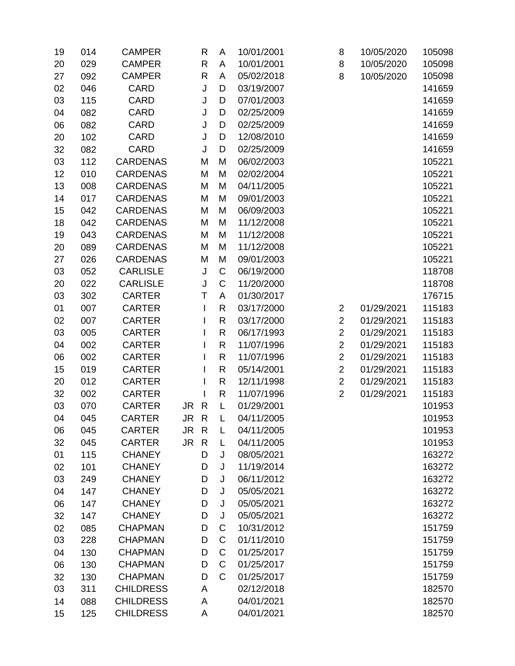| 19 | 014 | <b>CAMPER</b>    |      | R            | A            | 10/01/2001 | 8              | 10/05/2020 | 105098 |
|----|-----|------------------|------|--------------|--------------|------------|----------------|------------|--------|
| 20 | 029 | <b>CAMPER</b>    |      | $\mathsf{R}$ | A            | 10/01/2001 | 8              | 10/05/2020 | 105098 |
| 27 | 092 | <b>CAMPER</b>    |      | $\mathsf{R}$ | A            | 05/02/2018 | 8              | 10/05/2020 | 105098 |
| 02 | 046 | <b>CARD</b>      |      | J            | D            | 03/19/2007 |                |            | 141659 |
| 03 | 115 | <b>CARD</b>      |      | J            | D            | 07/01/2003 |                |            | 141659 |
| 04 | 082 | <b>CARD</b>      |      | J            | D            | 02/25/2009 |                |            | 141659 |
| 06 | 082 | <b>CARD</b>      |      | J            | D            | 02/25/2009 |                |            | 141659 |
| 20 | 102 | <b>CARD</b>      |      | J            | D            | 12/08/2010 |                |            | 141659 |
| 32 | 082 | <b>CARD</b>      |      | J            | D            | 02/25/2009 |                |            | 141659 |
| 03 | 112 | <b>CARDENAS</b>  |      | M            | M            | 06/02/2003 |                |            | 105221 |
| 12 | 010 | <b>CARDENAS</b>  |      | M            | M            | 02/02/2004 |                |            | 105221 |
| 13 | 008 | <b>CARDENAS</b>  |      | M            | M            | 04/11/2005 |                |            | 105221 |
| 14 | 017 | <b>CARDENAS</b>  |      | M            | M            | 09/01/2003 |                |            | 105221 |
| 15 | 042 | <b>CARDENAS</b>  |      | M            | M            | 06/09/2003 |                |            | 105221 |
| 18 | 042 | <b>CARDENAS</b>  |      | M            | M            | 11/12/2008 |                |            | 105221 |
| 19 | 043 | <b>CARDENAS</b>  |      | M            | M            | 11/12/2008 |                |            | 105221 |
| 20 | 089 | <b>CARDENAS</b>  |      | M            | M            | 11/12/2008 |                |            | 105221 |
| 27 | 026 | <b>CARDENAS</b>  |      | M            | M            | 09/01/2003 |                |            | 105221 |
| 03 | 052 | <b>CARLISLE</b>  |      | J            | C            | 06/19/2000 |                |            | 118708 |
| 20 | 022 | <b>CARLISLE</b>  |      | J            | $\mathsf{C}$ | 11/20/2000 |                |            | 118708 |
| 03 | 302 | <b>CARTER</b>    |      | T            | A            | 01/30/2017 |                |            | 176715 |
| 01 | 007 | <b>CARTER</b>    |      | I            | $\mathsf{R}$ | 03/17/2000 | $\overline{2}$ | 01/29/2021 | 115183 |
| 02 | 007 | <b>CARTER</b>    |      | L            | $\mathsf{R}$ | 03/17/2000 | $\overline{2}$ | 01/29/2021 | 115183 |
| 03 | 005 | <b>CARTER</b>    |      |              | $\mathsf{R}$ | 06/17/1993 | $\overline{2}$ | 01/29/2021 | 115183 |
| 04 | 002 | <b>CARTER</b>    |      |              | $\mathsf{R}$ | 11/07/1996 | $\overline{2}$ | 01/29/2021 | 115183 |
| 06 | 002 | <b>CARTER</b>    |      |              | $\mathsf{R}$ | 11/07/1996 | $\overline{2}$ | 01/29/2021 | 115183 |
| 15 | 019 | <b>CARTER</b>    |      |              | $\mathsf{R}$ | 05/14/2001 | $\overline{2}$ | 01/29/2021 | 115183 |
| 20 | 012 | <b>CARTER</b>    |      |              | $\mathsf{R}$ | 12/11/1998 | $\overline{c}$ | 01/29/2021 | 115183 |
| 32 | 002 | <b>CARTER</b>    |      | L            | $\mathsf{R}$ | 11/07/1996 | $\overline{2}$ | 01/29/2021 | 115183 |
| 03 | 070 | <b>CARTER</b>    | JR   | $\mathsf{R}$ | L            | 01/29/2001 |                |            | 101953 |
| 04 | 045 | <b>CARTER</b>    | JR   | $\mathsf{R}$ | L            | 04/11/2005 |                |            | 101953 |
| 06 | 045 | <b>CARTER</b>    | JR R |              | L            | 04/11/2005 |                |            | 101953 |
| 32 | 045 | <b>CARTER</b>    | JR   | $\mathsf{R}$ | L            | 04/11/2005 |                |            | 101953 |
| 01 | 115 | <b>CHANEY</b>    |      | D            | J            | 08/05/2021 |                |            | 163272 |
| 02 | 101 | <b>CHANEY</b>    |      | D            | J            | 11/19/2014 |                |            | 163272 |
| 03 | 249 | <b>CHANEY</b>    |      | D            | J            | 06/11/2012 |                |            | 163272 |
| 04 | 147 | <b>CHANEY</b>    |      | D            | J            | 05/05/2021 |                |            | 163272 |
| 06 | 147 | <b>CHANEY</b>    |      | D            | J            | 05/05/2021 |                |            | 163272 |
| 32 | 147 | <b>CHANEY</b>    |      | D            | J            | 05/05/2021 |                |            | 163272 |
| 02 | 085 | <b>CHAPMAN</b>   |      | D            | С            | 10/31/2012 |                |            | 151759 |
| 03 | 228 | <b>CHAPMAN</b>   |      | D            | $\mathsf C$  | 01/11/2010 |                |            | 151759 |
| 04 | 130 | <b>CHAPMAN</b>   |      | D            | $\mathsf{C}$ | 01/25/2017 |                |            | 151759 |
| 06 | 130 | <b>CHAPMAN</b>   |      | D            | $\mathsf C$  | 01/25/2017 |                |            | 151759 |
| 32 | 130 | <b>CHAPMAN</b>   |      | D            | C            | 01/25/2017 |                |            | 151759 |
| 03 | 311 | <b>CHILDRESS</b> |      | A            |              | 02/12/2018 |                |            | 182570 |
| 14 | 088 | <b>CHILDRESS</b> |      | Α            |              | 04/01/2021 |                |            | 182570 |
| 15 | 125 | <b>CHILDRESS</b> |      | Α            |              | 04/01/2021 |                |            | 182570 |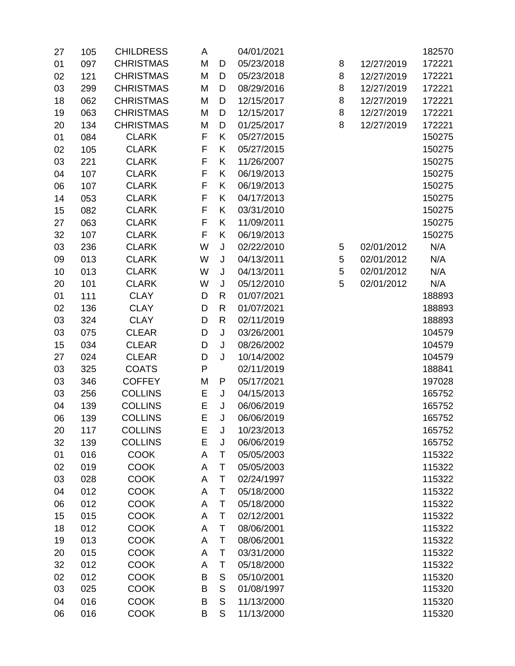| 27 | 105 | <b>CHILDRESS</b> | A            |              | 04/01/2021 |   |            | 182570 |
|----|-----|------------------|--------------|--------------|------------|---|------------|--------|
| 01 | 097 | <b>CHRISTMAS</b> | M            | D            | 05/23/2018 | 8 | 12/27/2019 | 172221 |
| 02 | 121 | <b>CHRISTMAS</b> | M            | D            | 05/23/2018 | 8 | 12/27/2019 | 172221 |
| 03 | 299 | <b>CHRISTMAS</b> | M            | D            | 08/29/2016 | 8 | 12/27/2019 | 172221 |
| 18 | 062 | <b>CHRISTMAS</b> | M            | D            | 12/15/2017 | 8 | 12/27/2019 | 172221 |
| 19 | 063 | <b>CHRISTMAS</b> | M            | D            | 12/15/2017 | 8 | 12/27/2019 | 172221 |
| 20 | 134 | <b>CHRISTMAS</b> | M            | D            | 01/25/2017 | 8 | 12/27/2019 | 172221 |
| 01 | 084 | <b>CLARK</b>     | F            | K            | 05/27/2015 |   |            | 150275 |
| 02 | 105 | <b>CLARK</b>     | F            | K            | 05/27/2015 |   |            | 150275 |
| 03 | 221 | <b>CLARK</b>     | F            | K            | 11/26/2007 |   |            | 150275 |
| 04 | 107 | <b>CLARK</b>     | F            | Κ            | 06/19/2013 |   |            | 150275 |
| 06 | 107 | <b>CLARK</b>     | F            | Κ            | 06/19/2013 |   |            | 150275 |
| 14 | 053 | <b>CLARK</b>     | F            | K            | 04/17/2013 |   |            | 150275 |
| 15 | 082 | <b>CLARK</b>     | F            | K            | 03/31/2010 |   |            | 150275 |
| 27 | 063 | <b>CLARK</b>     | F            | Κ            | 11/09/2011 |   |            | 150275 |
| 32 | 107 | <b>CLARK</b>     | F            | Κ            | 06/19/2013 |   |            | 150275 |
| 03 | 236 | <b>CLARK</b>     | W            | $\sf J$      | 02/22/2010 | 5 | 02/01/2012 | N/A    |
| 09 | 013 | <b>CLARK</b>     | W            | J            | 04/13/2011 | 5 | 02/01/2012 | N/A    |
| 10 | 013 | <b>CLARK</b>     | W            | J            | 04/13/2011 | 5 | 02/01/2012 | N/A    |
| 20 | 101 | <b>CLARK</b>     | W            | J            | 05/12/2010 | 5 | 02/01/2012 | N/A    |
| 01 | 111 | <b>CLAY</b>      | D            | R            | 01/07/2021 |   |            | 188893 |
| 02 | 136 | <b>CLAY</b>      | D            | $\mathsf{R}$ | 01/07/2021 |   |            | 188893 |
| 03 | 324 | <b>CLAY</b>      | D            | $\mathsf{R}$ | 02/11/2019 |   |            | 188893 |
| 03 | 075 | <b>CLEAR</b>     | D            | J            | 03/26/2001 |   |            | 104579 |
| 15 | 034 | <b>CLEAR</b>     | D            | J            | 08/26/2002 |   |            | 104579 |
| 27 | 024 | <b>CLEAR</b>     | D            | J            | 10/14/2002 |   |            | 104579 |
| 03 | 325 | <b>COATS</b>     | $\mathsf{P}$ |              | 02/11/2019 |   |            | 188841 |
| 03 | 346 | <b>COFFEY</b>    | M            | P            | 05/17/2021 |   |            | 197028 |
| 03 | 256 | <b>COLLINS</b>   | Ε            | J            | 04/15/2013 |   |            | 165752 |
| 04 | 139 | <b>COLLINS</b>   | E            | J            | 06/06/2019 |   |            | 165752 |
| 06 | 139 | <b>COLLINS</b>   | E            | J            | 06/06/2019 |   |            | 165752 |
| 20 | 117 | <b>COLLINS</b>   | Ε            | J            | 10/23/2013 |   |            | 165752 |
| 32 | 139 | <b>COLLINS</b>   | E            | J            | 06/06/2019 |   |            | 165752 |
| 01 | 016 | <b>COOK</b>      | A            | T            | 05/05/2003 |   |            | 115322 |
| 02 | 019 | <b>COOK</b>      | A            | T            | 05/05/2003 |   |            | 115322 |
| 03 | 028 | <b>COOK</b>      | A            | T            | 02/24/1997 |   |            | 115322 |
| 04 | 012 | <b>COOK</b>      | A            | T            | 05/18/2000 |   |            | 115322 |
| 06 | 012 | <b>COOK</b>      | A            | T            | 05/18/2000 |   |            | 115322 |
| 15 | 015 | <b>COOK</b>      | A            | Τ            | 02/12/2001 |   |            | 115322 |
| 18 | 012 | <b>COOK</b>      | A            | Τ            | 08/06/2001 |   |            | 115322 |
| 19 | 013 | <b>COOK</b>      | A            | Τ            | 08/06/2001 |   |            | 115322 |
| 20 | 015 | <b>COOK</b>      | A            | T            | 03/31/2000 |   |            | 115322 |
| 32 | 012 | <b>COOK</b>      | A            | Τ            | 05/18/2000 |   |            | 115322 |
| 02 | 012 | <b>COOK</b>      | B            | S            | 05/10/2001 |   |            | 115320 |
| 03 | 025 | <b>COOK</b>      | B            | S            | 01/08/1997 |   |            | 115320 |
| 04 | 016 | <b>COOK</b>      | B            | S            | 11/13/2000 |   |            | 115320 |
| 06 | 016 | <b>COOK</b>      | B            | S            | 11/13/2000 |   |            | 115320 |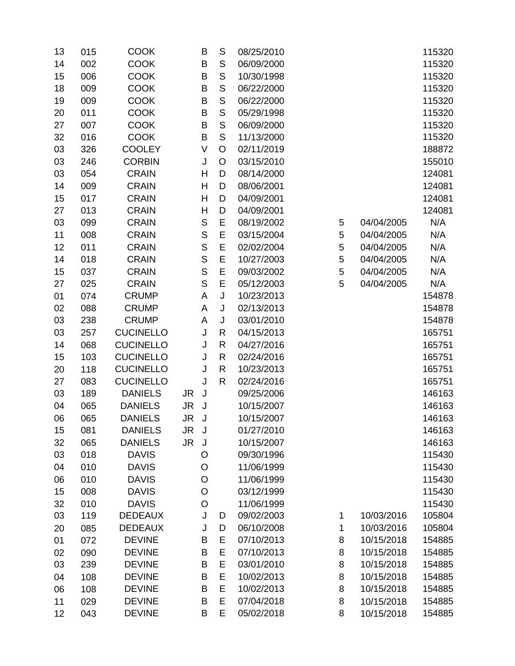| 13 | 015 | <b>COOK</b>      |           | В           | $\mathsf S$   | 08/25/2010 |   |            | 115320 |
|----|-----|------------------|-----------|-------------|---------------|------------|---|------------|--------|
| 14 | 002 | <b>COOK</b>      |           | B           | $\mathsf S$   | 06/09/2000 |   |            | 115320 |
| 15 | 006 | <b>COOK</b>      |           | B           | ${\mathsf S}$ | 10/30/1998 |   |            | 115320 |
| 18 | 009 | <b>COOK</b>      |           | B           | $\mathsf S$   | 06/22/2000 |   |            | 115320 |
| 19 | 009 | <b>COOK</b>      |           | B           | $\mathsf{S}$  | 06/22/2000 |   |            | 115320 |
| 20 | 011 | <b>COOK</b>      |           | Β           | $\mathsf S$   | 05/29/1998 |   |            | 115320 |
| 27 | 007 | <b>COOK</b>      |           | Β           | ${\mathsf S}$ | 06/09/2000 |   |            | 115320 |
| 32 | 016 | <b>COOK</b>      |           | B           | $\mathsf{S}$  | 11/13/2000 |   |            | 115320 |
| 03 | 326 | <b>COOLEY</b>    |           | V           | O             | 02/11/2019 |   |            | 188872 |
| 03 | 246 | <b>CORBIN</b>    |           | J           | O             | 03/15/2010 |   |            | 155010 |
| 03 | 054 | <b>CRAIN</b>     |           | Н           | D             | 08/14/2000 |   |            | 124081 |
| 14 | 009 | <b>CRAIN</b>     |           | Н           | D             | 08/06/2001 |   |            | 124081 |
| 15 | 017 | <b>CRAIN</b>     |           | Η           | D             | 04/09/2001 |   |            | 124081 |
| 27 | 013 | <b>CRAIN</b>     |           | Η           | D             | 04/09/2001 |   |            | 124081 |
| 03 | 099 | <b>CRAIN</b>     |           | $\mathsf S$ | E             | 08/19/2002 | 5 | 04/04/2005 | N/A    |
| 11 | 008 | <b>CRAIN</b>     |           | $\mathbb S$ | E             | 03/15/2004 | 5 | 04/04/2005 | N/A    |
| 12 | 011 | <b>CRAIN</b>     |           | $\mathbf S$ | E             | 02/02/2004 | 5 | 04/04/2005 | N/A    |
| 14 | 018 | <b>CRAIN</b>     |           | $\mathsf S$ | E             | 10/27/2003 | 5 | 04/04/2005 | N/A    |
| 15 | 037 | <b>CRAIN</b>     |           | $\mathbb S$ | E             | 09/03/2002 | 5 | 04/04/2005 | N/A    |
| 27 | 025 | <b>CRAIN</b>     |           | $\mathsf S$ | E             | 05/12/2003 | 5 | 04/04/2005 | N/A    |
| 01 | 074 | <b>CRUMP</b>     |           | А           | J             | 10/23/2013 |   |            | 154878 |
| 02 | 088 | <b>CRUMP</b>     |           | А           | J             | 02/13/2013 |   |            | 154878 |
| 03 | 238 | <b>CRUMP</b>     |           | A           | J             | 03/01/2010 |   |            | 154878 |
| 03 | 257 | <b>CUCINELLO</b> |           | J           | R             | 04/15/2013 |   |            | 165751 |
| 14 | 068 | <b>CUCINELLO</b> |           | J           | R             | 04/27/2016 |   |            | 165751 |
| 15 | 103 | <b>CUCINELLO</b> |           | J           | R             | 02/24/2016 |   |            | 165751 |
| 20 | 118 | <b>CUCINELLO</b> |           | J           | R             | 10/23/2013 |   |            | 165751 |
| 27 | 083 | <b>CUCINELLO</b> |           | J           | R             | 02/24/2016 |   |            | 165751 |
| 03 | 189 | <b>DANIELS</b>   | JR        | J           |               | 09/25/2006 |   |            | 146163 |
| 04 | 065 | <b>DANIELS</b>   | JR        | J           |               | 10/15/2007 |   |            | 146163 |
| 06 | 065 | <b>DANIELS</b>   | <b>JR</b> | J           |               | 10/15/2007 |   |            | 146163 |
| 15 | 081 | <b>DANIELS</b>   | JR J      |             |               | 01/27/2010 |   |            | 146163 |
| 32 | 065 | <b>DANIELS</b>   | <b>JR</b> | J           |               | 10/15/2007 |   |            | 146163 |
| 03 | 018 | <b>DAVIS</b>     |           | O           |               | 09/30/1996 |   |            | 115430 |
| 04 | 010 | <b>DAVIS</b>     |           | O           |               | 11/06/1999 |   |            | 115430 |
| 06 | 010 | <b>DAVIS</b>     |           | O           |               | 11/06/1999 |   |            | 115430 |
| 15 | 008 | <b>DAVIS</b>     |           | $\circ$     |               | 03/12/1999 |   |            | 115430 |
| 32 | 010 | <b>DAVIS</b>     |           | O           |               | 11/06/1999 |   |            | 115430 |
| 03 | 119 | <b>DEDEAUX</b>   |           | J           | D             | 09/02/2003 | 1 | 10/03/2016 | 105804 |
| 20 | 085 | <b>DEDEAUX</b>   |           | J           | D             | 06/10/2008 | 1 | 10/03/2016 | 105804 |
| 01 | 072 | <b>DEVINE</b>    |           | B           | E             | 07/10/2013 | 8 | 10/15/2018 | 154885 |
| 02 | 090 | <b>DEVINE</b>    |           | B           | E             | 07/10/2013 | 8 | 10/15/2018 | 154885 |
| 03 | 239 | <b>DEVINE</b>    |           | B           | E             | 03/01/2010 | 8 | 10/15/2018 | 154885 |
| 04 | 108 | <b>DEVINE</b>    |           | B           | E             | 10/02/2013 | 8 | 10/15/2018 | 154885 |
| 06 | 108 | <b>DEVINE</b>    |           | B           | E             | 10/02/2013 | 8 | 10/15/2018 | 154885 |
| 11 | 029 | <b>DEVINE</b>    |           | B           | E             | 07/04/2018 | 8 | 10/15/2018 | 154885 |
| 12 | 043 | <b>DEVINE</b>    |           | B           | E             | 05/02/2018 | 8 | 10/15/2018 | 154885 |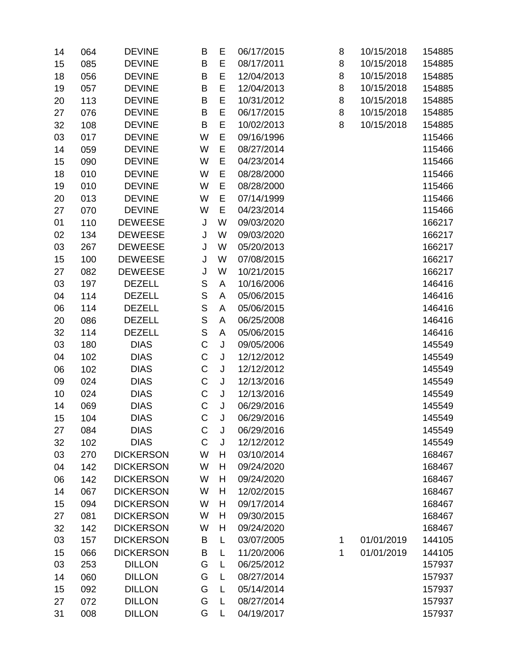| 14 | 064 | <b>DEVINE</b>    | B            | E | 06/17/2015 | 8 | 10/15/2018 | 154885 |
|----|-----|------------------|--------------|---|------------|---|------------|--------|
| 15 | 085 | <b>DEVINE</b>    | B            | E | 08/17/2011 | 8 | 10/15/2018 | 154885 |
| 18 | 056 | <b>DEVINE</b>    | B            | E | 12/04/2013 | 8 | 10/15/2018 | 154885 |
| 19 | 057 | <b>DEVINE</b>    | B            | E | 12/04/2013 | 8 | 10/15/2018 | 154885 |
| 20 | 113 | <b>DEVINE</b>    | B            | E | 10/31/2012 | 8 | 10/15/2018 | 154885 |
| 27 | 076 | <b>DEVINE</b>    | B            | E | 06/17/2015 | 8 | 10/15/2018 | 154885 |
| 32 | 108 | <b>DEVINE</b>    | B            | E | 10/02/2013 | 8 | 10/15/2018 | 154885 |
| 03 | 017 | <b>DEVINE</b>    | W            | E | 09/16/1996 |   |            | 115466 |
| 14 | 059 | <b>DEVINE</b>    | W            | E | 08/27/2014 |   |            | 115466 |
| 15 | 090 | <b>DEVINE</b>    | W            | E | 04/23/2014 |   |            | 115466 |
| 18 | 010 | <b>DEVINE</b>    | W            | E | 08/28/2000 |   |            | 115466 |
| 19 | 010 | <b>DEVINE</b>    | W            | E | 08/28/2000 |   |            | 115466 |
| 20 | 013 | <b>DEVINE</b>    | W            | E | 07/14/1999 |   |            | 115466 |
| 27 | 070 | <b>DEVINE</b>    | W            | E | 04/23/2014 |   |            | 115466 |
| 01 | 110 | <b>DEWEESE</b>   | J            | W | 09/03/2020 |   |            | 166217 |
| 02 | 134 | <b>DEWEESE</b>   | J            | W | 09/03/2020 |   |            | 166217 |
| 03 | 267 | <b>DEWEESE</b>   | J            | W | 05/20/2013 |   |            | 166217 |
| 15 | 100 | <b>DEWEESE</b>   | J            | W | 07/08/2015 |   |            | 166217 |
| 27 | 082 | <b>DEWEESE</b>   | J            | W | 10/21/2015 |   |            | 166217 |
| 03 | 197 | <b>DEZELL</b>    | $\mathbb S$  | A | 10/16/2006 |   |            | 146416 |
| 04 | 114 | <b>DEZELL</b>    | $\mathsf{S}$ | A | 05/06/2015 |   |            | 146416 |
| 06 | 114 | <b>DEZELL</b>    | S            | A | 05/06/2015 |   |            | 146416 |
| 20 | 086 | <b>DEZELL</b>    | $\mathbf S$  | A | 06/25/2008 |   |            | 146416 |
| 32 | 114 | <b>DEZELL</b>    | $\mathbf S$  | A | 05/06/2015 |   |            | 146416 |
| 03 | 180 | <b>DIAS</b>      | $\mathsf C$  | J | 09/05/2006 |   |            | 145549 |
| 04 | 102 | <b>DIAS</b>      | $\mathsf C$  | J | 12/12/2012 |   |            | 145549 |
| 06 | 102 | <b>DIAS</b>      | $\mathsf C$  | J | 12/12/2012 |   |            | 145549 |
| 09 | 024 | <b>DIAS</b>      | $\mathsf C$  | J | 12/13/2016 |   |            | 145549 |
| 10 | 024 | <b>DIAS</b>      | $\mathsf C$  | J | 12/13/2016 |   |            | 145549 |
| 14 | 069 | <b>DIAS</b>      | $\mathsf C$  | J | 06/29/2016 |   |            | 145549 |
| 15 | 104 | <b>DIAS</b>      | $\mathsf C$  | J | 06/29/2016 |   |            | 145549 |
| 27 | 084 | <b>DIAS</b>      | C            | J | 06/29/2016 |   |            | 145549 |
| 32 | 102 | <b>DIAS</b>      | C            | J | 12/12/2012 |   |            | 145549 |
| 03 | 270 | <b>DICKERSON</b> | W            | H | 03/10/2014 |   |            | 168467 |
| 04 | 142 | <b>DICKERSON</b> | W            | H | 09/24/2020 |   |            | 168467 |
| 06 | 142 | <b>DICKERSON</b> | W            | H | 09/24/2020 |   |            | 168467 |
| 14 | 067 | <b>DICKERSON</b> | W            | H | 12/02/2015 |   |            | 168467 |
| 15 | 094 | <b>DICKERSON</b> | W            | H | 09/17/2014 |   |            | 168467 |
| 27 | 081 | <b>DICKERSON</b> | W            | Н | 09/30/2015 |   |            | 168467 |
| 32 | 142 | <b>DICKERSON</b> | W            | H | 09/24/2020 |   |            | 168467 |
| 03 | 157 | <b>DICKERSON</b> | B            | L | 03/07/2005 | 1 | 01/01/2019 | 144105 |
| 15 | 066 | <b>DICKERSON</b> | B            | L | 11/20/2006 | 1 | 01/01/2019 | 144105 |
| 03 | 253 | <b>DILLON</b>    | G            | L | 06/25/2012 |   |            | 157937 |
| 14 | 060 | <b>DILLON</b>    | G            | L | 08/27/2014 |   |            | 157937 |
| 15 | 092 | <b>DILLON</b>    | G            | L | 05/14/2014 |   |            | 157937 |
| 27 | 072 | <b>DILLON</b>    | G            | L | 08/27/2014 |   |            | 157937 |
| 31 | 008 | <b>DILLON</b>    | G            | L | 04/19/2017 |   |            | 157937 |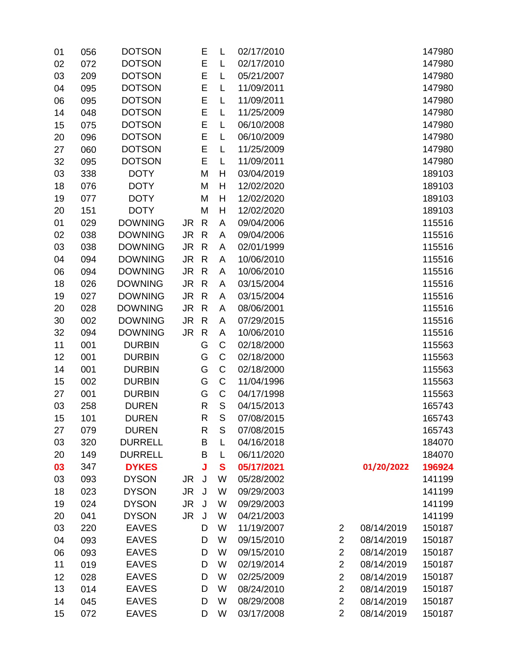| 01 | 056 | <b>DOTSON</b>  |           | E            | L            | 02/17/2010 |                |            | 147980 |
|----|-----|----------------|-----------|--------------|--------------|------------|----------------|------------|--------|
| 02 | 072 | <b>DOTSON</b>  |           | E            | L            | 02/17/2010 |                |            | 147980 |
| 03 | 209 | <b>DOTSON</b>  |           | E            | L            | 05/21/2007 |                |            | 147980 |
| 04 | 095 | <b>DOTSON</b>  |           | E            | L            | 11/09/2011 |                |            | 147980 |
| 06 | 095 | <b>DOTSON</b>  |           | E            | L            | 11/09/2011 |                |            | 147980 |
| 14 | 048 | <b>DOTSON</b>  |           | E            | L            | 11/25/2009 |                |            | 147980 |
| 15 | 075 | <b>DOTSON</b>  |           | E            | L            | 06/10/2008 |                |            | 147980 |
| 20 | 096 | <b>DOTSON</b>  |           | E            | L            | 06/10/2009 |                |            | 147980 |
| 27 | 060 | <b>DOTSON</b>  |           | E            | L            | 11/25/2009 |                |            | 147980 |
| 32 | 095 | <b>DOTSON</b>  |           | E            | L            | 11/09/2011 |                |            | 147980 |
| 03 | 338 | <b>DOTY</b>    |           | M            | H            | 03/04/2019 |                |            | 189103 |
| 18 | 076 | <b>DOTY</b>    |           | M            | H            | 12/02/2020 |                |            | 189103 |
| 19 | 077 | <b>DOTY</b>    |           | M            | H            | 12/02/2020 |                |            | 189103 |
| 20 | 151 | <b>DOTY</b>    |           | M            | H            | 12/02/2020 |                |            | 189103 |
| 01 | 029 | <b>DOWNING</b> | JR        | $\mathsf{R}$ | A            | 09/04/2006 |                |            | 115516 |
| 02 | 038 | <b>DOWNING</b> | JR.       | $\mathsf{R}$ | A            | 09/04/2006 |                |            | 115516 |
| 03 | 038 | <b>DOWNING</b> | JR.       | $\mathsf{R}$ | A            | 02/01/1999 |                |            | 115516 |
| 04 | 094 | <b>DOWNING</b> | <b>JR</b> | $\mathsf{R}$ | A            | 10/06/2010 |                |            | 115516 |
| 06 | 094 | <b>DOWNING</b> | <b>JR</b> | $\mathsf{R}$ | A            | 10/06/2010 |                |            | 115516 |
| 18 | 026 | <b>DOWNING</b> | <b>JR</b> | $\mathsf{R}$ | A            | 03/15/2004 |                |            | 115516 |
| 19 | 027 | <b>DOWNING</b> | JR.       | $\mathsf{R}$ | A            | 03/15/2004 |                |            | 115516 |
| 20 | 028 | <b>DOWNING</b> | <b>JR</b> | $\mathsf{R}$ | A            | 08/06/2001 |                |            | 115516 |
| 30 | 002 | <b>DOWNING</b> | JR.       | $\mathsf{R}$ | A            | 07/29/2015 |                |            | 115516 |
| 32 | 094 | <b>DOWNING</b> | JR.       | $\mathsf{R}$ | A            | 10/06/2010 |                |            | 115516 |
| 11 | 001 | <b>DURBIN</b>  |           | G            | C            | 02/18/2000 |                |            | 115563 |
| 12 | 001 | <b>DURBIN</b>  |           | G            | $\mathsf C$  | 02/18/2000 |                |            | 115563 |
| 14 | 001 | <b>DURBIN</b>  |           | G            | $\mathsf C$  | 02/18/2000 |                |            | 115563 |
| 15 | 002 | <b>DURBIN</b>  |           | G            | $\mathsf C$  | 11/04/1996 |                |            | 115563 |
| 27 | 001 | <b>DURBIN</b>  |           | G            | $\mathsf C$  | 04/17/1998 |                |            | 115563 |
| 03 | 258 | <b>DUREN</b>   |           | R            | S            | 04/15/2013 |                |            | 165743 |
| 15 | 101 | <b>DUREN</b>   |           | R            | S            | 07/08/2015 |                |            | 165743 |
| 27 | 079 | <b>DUREN</b>   |           | R            | S            | 07/08/2015 |                |            | 165743 |
| 03 | 320 | <b>DURRELL</b> |           | B            | L            | 04/16/2018 |                |            | 184070 |
| 20 | 149 | <b>DURRELL</b> |           | B            | L            | 06/11/2020 |                |            | 184070 |
| 03 | 347 | <b>DYKES</b>   |           | J            | $\mathbf{s}$ | 05/17/2021 |                | 01/20/2022 | 196924 |
| 03 | 093 | <b>DYSON</b>   | JR        | J            | W            | 05/28/2002 |                |            | 141199 |
| 18 | 023 | <b>DYSON</b>   | JR.       | J            | W            | 09/29/2003 |                |            | 141199 |
| 19 | 024 | <b>DYSON</b>   | <b>JR</b> | J            | W            | 09/29/2003 |                |            | 141199 |
| 20 | 041 | <b>DYSON</b>   | JR.       | J            | W            | 04/21/2003 |                |            | 141199 |
| 03 | 220 | <b>EAVES</b>   |           | D            | W            | 11/19/2007 | 2              | 08/14/2019 | 150187 |
| 04 | 093 | <b>EAVES</b>   |           | D            | W            | 09/15/2010 | $\overline{2}$ | 08/14/2019 | 150187 |
| 06 | 093 | <b>EAVES</b>   |           | D            | W            | 09/15/2010 | $\overline{2}$ | 08/14/2019 | 150187 |
| 11 | 019 | <b>EAVES</b>   |           | D            | W            | 02/19/2014 | $\overline{2}$ | 08/14/2019 | 150187 |
| 12 | 028 | <b>EAVES</b>   |           | D            | W            | 02/25/2009 | $\overline{c}$ | 08/14/2019 | 150187 |
| 13 | 014 | <b>EAVES</b>   |           | D            | W            | 08/24/2010 | $\overline{2}$ | 08/14/2019 | 150187 |
| 14 | 045 | <b>EAVES</b>   |           | D            | W            | 08/29/2008 | $\overline{2}$ | 08/14/2019 | 150187 |
| 15 | 072 | <b>EAVES</b>   |           | D            | W            | 03/17/2008 | $\overline{2}$ | 08/14/2019 | 150187 |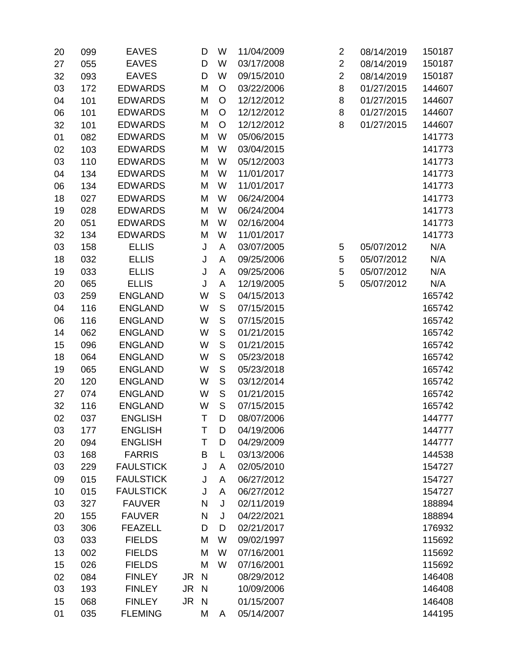| 20 | 099 | <b>EAVES</b>     | D                    | W            |   | 11/04/2009 | $\overline{2}$ | 08/14/2019 | 150187 |
|----|-----|------------------|----------------------|--------------|---|------------|----------------|------------|--------|
| 27 | 055 | <b>EAVES</b>     | D                    | W            |   | 03/17/2008 | $\overline{2}$ | 08/14/2019 | 150187 |
| 32 | 093 | <b>EAVES</b>     | D                    | W            |   | 09/15/2010 | $\overline{2}$ | 08/14/2019 | 150187 |
| 03 | 172 | <b>EDWARDS</b>   | M                    | $\circ$      |   | 03/22/2006 | 8              | 01/27/2015 | 144607 |
| 04 | 101 | <b>EDWARDS</b>   | M                    | $\circ$      |   | 12/12/2012 | 8              | 01/27/2015 | 144607 |
| 06 | 101 | <b>EDWARDS</b>   | M                    | O            |   | 12/12/2012 | 8              | 01/27/2015 | 144607 |
| 32 | 101 | <b>EDWARDS</b>   | M                    | O            |   | 12/12/2012 | 8              | 01/27/2015 | 144607 |
| 01 | 082 | <b>EDWARDS</b>   | M                    | W            |   | 05/06/2015 |                |            | 141773 |
| 02 | 103 | <b>EDWARDS</b>   | M                    | W            |   | 03/04/2015 |                |            | 141773 |
| 03 | 110 | <b>EDWARDS</b>   | M                    | W            |   | 05/12/2003 |                |            | 141773 |
| 04 | 134 | <b>EDWARDS</b>   | M                    | W            |   | 11/01/2017 |                |            | 141773 |
| 06 | 134 | <b>EDWARDS</b>   | M                    | W            |   | 11/01/2017 |                |            | 141773 |
| 18 | 027 | <b>EDWARDS</b>   | M                    | W            |   | 06/24/2004 |                |            | 141773 |
| 19 | 028 | <b>EDWARDS</b>   | M                    | W            |   | 06/24/2004 |                |            | 141773 |
| 20 | 051 | <b>EDWARDS</b>   | M                    | W            |   | 02/16/2004 |                |            | 141773 |
| 32 | 134 | <b>EDWARDS</b>   | M                    | W            |   | 11/01/2017 |                |            | 141773 |
| 03 | 158 | <b>ELLIS</b>     | J                    | A            |   | 03/07/2005 | 5              | 05/07/2012 | N/A    |
| 18 | 032 | <b>ELLIS</b>     | J                    | A            |   | 09/25/2006 | 5              | 05/07/2012 | N/A    |
| 19 | 033 | <b>ELLIS</b>     | J                    | A            |   | 09/25/2006 | 5              | 05/07/2012 | N/A    |
| 20 | 065 | <b>ELLIS</b>     | J                    | A            |   | 12/19/2005 | 5              | 05/07/2012 | N/A    |
| 03 | 259 | <b>ENGLAND</b>   | W                    | $\mathsf S$  |   | 04/15/2013 |                |            | 165742 |
| 04 | 116 | <b>ENGLAND</b>   | W                    | $\mathsf S$  |   | 07/15/2015 |                |            | 165742 |
| 06 | 116 | <b>ENGLAND</b>   | W                    | $\mathsf{S}$ |   | 07/15/2015 |                |            | 165742 |
| 14 | 062 | <b>ENGLAND</b>   | W                    | $\mathsf{S}$ |   | 01/21/2015 |                |            | 165742 |
| 15 | 096 | <b>ENGLAND</b>   | W                    | $\mathsf{S}$ |   | 01/21/2015 |                |            | 165742 |
| 18 | 064 | <b>ENGLAND</b>   | W                    | $\mathsf S$  |   | 05/23/2018 |                |            | 165742 |
| 19 | 065 | <b>ENGLAND</b>   | W                    | $\mathsf{S}$ |   | 05/23/2018 |                |            | 165742 |
| 20 | 120 | <b>ENGLAND</b>   | W                    | $\mathsf{S}$ |   | 03/12/2014 |                |            | 165742 |
| 27 | 074 | <b>ENGLAND</b>   | W                    | $\mathsf{S}$ |   | 01/21/2015 |                |            | 165742 |
| 32 | 116 | <b>ENGLAND</b>   | W                    | S            |   | 07/15/2015 |                |            | 165742 |
| 02 | 037 | <b>ENGLISH</b>   | Τ                    | D            |   | 08/07/2006 |                |            | 144777 |
| 03 | 177 | <b>ENGLISH</b>   | T                    | D            |   | 04/19/2006 |                |            | 144777 |
| 20 | 094 | <b>ENGLISH</b>   | Τ                    | D            |   | 04/29/2009 |                |            | 144777 |
| 03 | 168 | <b>FARRIS</b>    | B                    | L            |   | 03/13/2006 |                |            | 144538 |
| 03 | 229 | <b>FAULSTICK</b> | J                    | A            |   | 02/05/2010 |                |            | 154727 |
| 09 | 015 | <b>FAULSTICK</b> | J                    | A            |   | 06/27/2012 |                |            | 154727 |
| 10 | 015 | <b>FAULSTICK</b> | J                    | A            |   | 06/27/2012 |                |            | 154727 |
| 03 | 327 | <b>FAUVER</b>    | N                    | J            |   | 02/11/2019 |                |            | 188894 |
| 20 | 155 | <b>FAUVER</b>    | N                    | J            |   | 04/22/2021 |                |            | 188894 |
| 03 | 306 | <b>FEAZELL</b>   | D                    | D            |   | 02/21/2017 |                |            | 176932 |
| 03 | 033 | <b>FIELDS</b>    | M                    | W            |   | 09/02/1997 |                |            | 115692 |
| 13 | 002 | <b>FIELDS</b>    | M                    | W            |   | 07/16/2001 |                |            | 115692 |
| 15 | 026 | <b>FIELDS</b>    | M                    | W            |   | 07/16/2001 |                |            | 115692 |
| 02 | 084 | <b>FINLEY</b>    | JR N                 |              |   | 08/29/2012 |                |            | 146408 |
| 03 | 193 | <b>FINLEY</b>    | JR<br>N              |              |   | 10/09/2006 |                |            | 146408 |
| 15 | 068 | <b>FINLEY</b>    | JR<br>$\overline{N}$ |              |   | 01/15/2007 |                |            | 146408 |
| 01 | 035 | <b>FLEMING</b>   | М                    |              | A | 05/14/2007 |                |            | 144195 |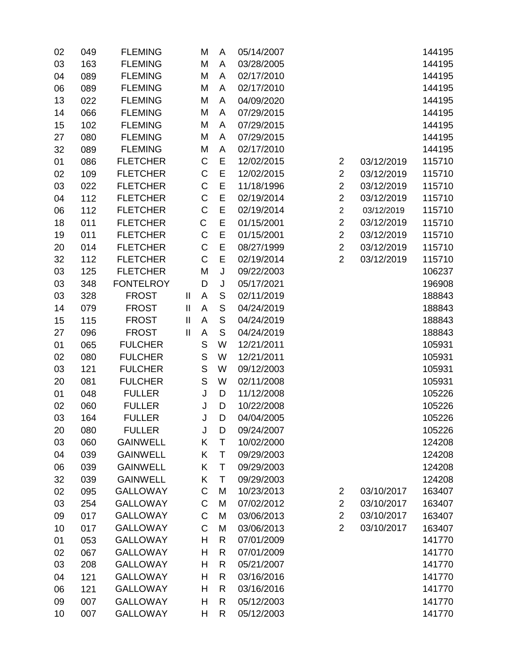| 02 | 049 | <b>FLEMING</b>   |                            | M                                                                                                                                                                                                                                                                                                                                                                                                                                                        | A             | 05/14/2007 |                |            | 144195 |
|----|-----|------------------|----------------------------|----------------------------------------------------------------------------------------------------------------------------------------------------------------------------------------------------------------------------------------------------------------------------------------------------------------------------------------------------------------------------------------------------------------------------------------------------------|---------------|------------|----------------|------------|--------|
| 03 | 163 | <b>FLEMING</b>   |                            | M                                                                                                                                                                                                                                                                                                                                                                                                                                                        | A             | 03/28/2005 |                |            | 144195 |
| 04 | 089 | <b>FLEMING</b>   |                            | M                                                                                                                                                                                                                                                                                                                                                                                                                                                        | A             | 02/17/2010 |                |            | 144195 |
| 06 | 089 | <b>FLEMING</b>   |                            | M                                                                                                                                                                                                                                                                                                                                                                                                                                                        | A             | 02/17/2010 |                |            | 144195 |
| 13 | 022 | <b>FLEMING</b>   |                            | M                                                                                                                                                                                                                                                                                                                                                                                                                                                        | A             | 04/09/2020 |                |            | 144195 |
| 14 | 066 | <b>FLEMING</b>   |                            | M                                                                                                                                                                                                                                                                                                                                                                                                                                                        | A             | 07/29/2015 |                |            | 144195 |
| 15 | 102 | <b>FLEMING</b>   |                            | M                                                                                                                                                                                                                                                                                                                                                                                                                                                        | A             | 07/29/2015 |                |            | 144195 |
| 27 | 080 | <b>FLEMING</b>   |                            | M                                                                                                                                                                                                                                                                                                                                                                                                                                                        | A             | 07/29/2015 |                |            | 144195 |
| 32 | 089 | <b>FLEMING</b>   |                            | M                                                                                                                                                                                                                                                                                                                                                                                                                                                        | A             | 02/17/2010 |                |            | 144195 |
| 01 | 086 | <b>FLETCHER</b>  |                            | $\mathsf C$                                                                                                                                                                                                                                                                                                                                                                                                                                              | E             | 12/02/2015 | $\overline{2}$ | 03/12/2019 | 115710 |
| 02 | 109 | <b>FLETCHER</b>  |                            | C                                                                                                                                                                                                                                                                                                                                                                                                                                                        | E             | 12/02/2015 | $\overline{2}$ | 03/12/2019 | 115710 |
| 03 | 022 | <b>FLETCHER</b>  |                            | C                                                                                                                                                                                                                                                                                                                                                                                                                                                        | E             | 11/18/1996 | $\overline{2}$ | 03/12/2019 | 115710 |
| 04 | 112 | <b>FLETCHER</b>  |                            | $\mathsf C$                                                                                                                                                                                                                                                                                                                                                                                                                                              | E             | 02/19/2014 | $\overline{c}$ | 03/12/2019 | 115710 |
| 06 | 112 | <b>FLETCHER</b>  |                            | C                                                                                                                                                                                                                                                                                                                                                                                                                                                        | E             | 02/19/2014 | $\overline{2}$ | 03/12/2019 | 115710 |
| 18 | 011 | <b>FLETCHER</b>  |                            | C                                                                                                                                                                                                                                                                                                                                                                                                                                                        | E             | 01/15/2001 | $\overline{2}$ | 03/12/2019 | 115710 |
| 19 | 011 | <b>FLETCHER</b>  |                            | $\mathsf C$                                                                                                                                                                                                                                                                                                                                                                                                                                              | E             | 01/15/2001 | $\overline{2}$ | 03/12/2019 | 115710 |
| 20 | 014 | <b>FLETCHER</b>  |                            | $\mathsf C$                                                                                                                                                                                                                                                                                                                                                                                                                                              | E             | 08/27/1999 | $\overline{2}$ | 03/12/2019 | 115710 |
| 32 | 112 | <b>FLETCHER</b>  |                            | C                                                                                                                                                                                                                                                                                                                                                                                                                                                        | E             | 02/19/2014 | $\overline{2}$ | 03/12/2019 | 115710 |
| 03 | 125 | <b>FLETCHER</b>  |                            | M                                                                                                                                                                                                                                                                                                                                                                                                                                                        | J             | 09/22/2003 |                |            | 106237 |
| 03 | 348 | <b>FONTELROY</b> |                            | D                                                                                                                                                                                                                                                                                                                                                                                                                                                        | $\sf J$       | 05/17/2021 |                |            | 196908 |
| 03 | 328 | <b>FROST</b>     | Ш                          | Α                                                                                                                                                                                                                                                                                                                                                                                                                                                        | S             | 02/11/2019 |                |            | 188843 |
| 14 | 079 | <b>FROST</b>     | $\mathop{\rm II}\nolimits$ | $\mathsf{A}$                                                                                                                                                                                                                                                                                                                                                                                                                                             | $\mathsf S$   | 04/24/2019 |                |            | 188843 |
| 15 | 115 | <b>FROST</b>     | $\mathbf{I}$               | A                                                                                                                                                                                                                                                                                                                                                                                                                                                        | ${\mathsf S}$ | 04/24/2019 |                |            | 188843 |
| 27 | 096 | <b>FROST</b>     | $\mathbf{II}$              | A                                                                                                                                                                                                                                                                                                                                                                                                                                                        | $\mathsf S$   | 04/24/2019 |                |            | 188843 |
| 01 | 065 | <b>FULCHER</b>   |                            | $\mathsf{S}% _{T}=\mathsf{S}_{T}\!\left( a,b\right) ,\ \mathsf{S}_{T}=\mathsf{S}_{T}\!\left( a,b\right) ,\ \mathsf{S}_{T}=\mathsf{S}_{T}\!\left( a,b\right) ,\ \mathsf{S}_{T}=\mathsf{S}_{T}\!\left( a,b\right) ,\ \mathsf{S}_{T}=\mathsf{S}_{T}\!\left( a,b\right) ,\ \mathsf{S}_{T}=\mathsf{S}_{T}\!\left( a,b\right) ,\ \mathsf{S}_{T}=\mathsf{S}_{T}\!\left( a,b\right) ,\ \mathsf{S}_{T}=\mathsf{S}_{T}\!\left( a,b\right) ,\ \mathsf{S}_{T}=\math$ | W             | 12/21/2011 |                |            | 105931 |
| 02 | 080 | <b>FULCHER</b>   |                            | $\mathsf S$                                                                                                                                                                                                                                                                                                                                                                                                                                              | W             | 12/21/2011 |                |            | 105931 |
| 03 | 121 | <b>FULCHER</b>   |                            | $\mathsf{S}% _{T}=\mathsf{S}_{T}\!\left( a,b\right) ,\ \mathsf{S}_{T}=\mathsf{S}_{T}\!\left( a,b\right) ,\ \mathsf{S}_{T}=\mathsf{S}_{T}\!\left( a,b\right) ,\ \mathsf{S}_{T}=\mathsf{S}_{T}\!\left( a,b\right) ,\ \mathsf{S}_{T}=\mathsf{S}_{T}\!\left( a,b\right) ,\ \mathsf{S}_{T}=\mathsf{S}_{T}\!\left( a,b\right) ,\ \mathsf{S}_{T}=\mathsf{S}_{T}\!\left( a,b\right) ,\ \mathsf{S}_{T}=\mathsf{S}_{T}\!\left( a,b\right) ,\ \mathsf{S}_{T}=\math$ | W             | 09/12/2003 |                |            | 105931 |
| 20 | 081 | <b>FULCHER</b>   |                            | $\mathsf{S}% _{T}=\mathsf{S}_{T}\!\left( a,b\right) ,\ \mathsf{S}_{T}=\mathsf{S}_{T}\!\left( a,b\right) ,\ \mathsf{S}_{T}=\mathsf{S}_{T}\!\left( a,b\right) ,\ \mathsf{S}_{T}=\mathsf{S}_{T}\!\left( a,b\right) ,\ \mathsf{S}_{T}=\mathsf{S}_{T}\!\left( a,b\right) ,\ \mathsf{S}_{T}=\mathsf{S}_{T}\!\left( a,b\right) ,\ \mathsf{S}_{T}=\mathsf{S}_{T}\!\left( a,b\right) ,\ \mathsf{S}_{T}=\mathsf{S}_{T}\!\left( a,b\right) ,\ \mathsf{S}_{T}=\math$ | W             | 02/11/2008 |                |            | 105931 |
| 01 | 048 | <b>FULLER</b>    |                            | J                                                                                                                                                                                                                                                                                                                                                                                                                                                        | D             | 11/12/2008 |                |            | 105226 |
| 02 | 060 | <b>FULLER</b>    |                            | J                                                                                                                                                                                                                                                                                                                                                                                                                                                        | D             | 10/22/2008 |                |            | 105226 |
| 03 | 164 | <b>FULLER</b>    |                            | J                                                                                                                                                                                                                                                                                                                                                                                                                                                        | D             | 04/04/2005 |                |            | 105226 |
| 20 | 080 | <b>FULLER</b>    |                            | J                                                                                                                                                                                                                                                                                                                                                                                                                                                        | D             | 09/24/2007 |                |            | 105226 |
| 03 | 060 | <b>GAINWELL</b>  |                            | Κ                                                                                                                                                                                                                                                                                                                                                                                                                                                        | Τ             | 10/02/2000 |                |            | 124208 |
| 04 | 039 | <b>GAINWELL</b>  |                            | Κ                                                                                                                                                                                                                                                                                                                                                                                                                                                        | T             | 09/29/2003 |                |            | 124208 |
| 06 | 039 | <b>GAINWELL</b>  |                            | Κ                                                                                                                                                                                                                                                                                                                                                                                                                                                        | T             | 09/29/2003 |                |            | 124208 |
| 32 | 039 | <b>GAINWELL</b>  |                            | Κ                                                                                                                                                                                                                                                                                                                                                                                                                                                        | T             | 09/29/2003 |                |            | 124208 |
| 02 | 095 | <b>GALLOWAY</b>  |                            | $\mathsf C$                                                                                                                                                                                                                                                                                                                                                                                                                                              | M             | 10/23/2013 | $\overline{2}$ | 03/10/2017 | 163407 |
| 03 | 254 | <b>GALLOWAY</b>  |                            | C                                                                                                                                                                                                                                                                                                                                                                                                                                                        | M             | 07/02/2012 | $\overline{2}$ | 03/10/2017 | 163407 |
| 09 | 017 | <b>GALLOWAY</b>  |                            | $\mathsf C$                                                                                                                                                                                                                                                                                                                                                                                                                                              | M             | 03/06/2013 | $\overline{2}$ | 03/10/2017 | 163407 |
| 10 | 017 | <b>GALLOWAY</b>  |                            | C                                                                                                                                                                                                                                                                                                                                                                                                                                                        | M             | 03/06/2013 | $\overline{2}$ | 03/10/2017 | 163407 |
| 01 | 053 | <b>GALLOWAY</b>  |                            | Η                                                                                                                                                                                                                                                                                                                                                                                                                                                        | R             | 07/01/2009 |                |            | 141770 |
| 02 | 067 | <b>GALLOWAY</b>  |                            | Η                                                                                                                                                                                                                                                                                                                                                                                                                                                        | R             | 07/01/2009 |                |            | 141770 |
| 03 | 208 | <b>GALLOWAY</b>  |                            | Η                                                                                                                                                                                                                                                                                                                                                                                                                                                        | R             | 05/21/2007 |                |            | 141770 |
| 04 | 121 | <b>GALLOWAY</b>  |                            | Η                                                                                                                                                                                                                                                                                                                                                                                                                                                        | R             | 03/16/2016 |                |            | 141770 |
| 06 | 121 | <b>GALLOWAY</b>  |                            | Η                                                                                                                                                                                                                                                                                                                                                                                                                                                        | R             | 03/16/2016 |                |            | 141770 |
| 09 | 007 | <b>GALLOWAY</b>  |                            | Н                                                                                                                                                                                                                                                                                                                                                                                                                                                        | R             | 05/12/2003 |                |            | 141770 |
| 10 | 007 | <b>GALLOWAY</b>  |                            | Н                                                                                                                                                                                                                                                                                                                                                                                                                                                        | R             | 05/12/2003 |                |            | 141770 |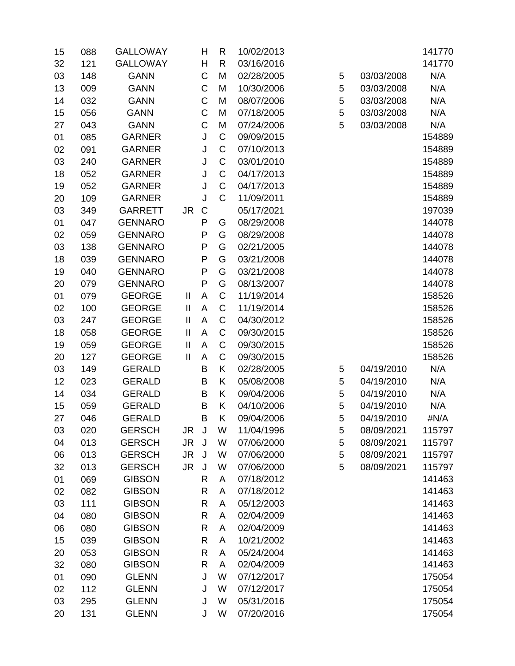| 15 | 088 | <b>GALLOWAY</b> |                            | Η            | R           | 10/02/2013 |   |            | 141770 |
|----|-----|-----------------|----------------------------|--------------|-------------|------------|---|------------|--------|
| 32 | 121 | <b>GALLOWAY</b> |                            | H            | R           | 03/16/2016 |   |            | 141770 |
| 03 | 148 | <b>GANN</b>     |                            | C            | M           | 02/28/2005 | 5 | 03/03/2008 | N/A    |
| 13 | 009 | <b>GANN</b>     |                            | C            | M           | 10/30/2006 | 5 | 03/03/2008 | N/A    |
| 14 | 032 | <b>GANN</b>     |                            | C            | M           | 08/07/2006 | 5 | 03/03/2008 | N/A    |
| 15 | 056 | <b>GANN</b>     |                            | C            | M           | 07/18/2005 | 5 | 03/03/2008 | N/A    |
| 27 | 043 | <b>GANN</b>     |                            | C            | M           | 07/24/2006 | 5 | 03/03/2008 | N/A    |
| 01 | 085 | <b>GARNER</b>   |                            | J            | $\mathsf C$ | 09/09/2015 |   |            | 154889 |
| 02 | 091 | <b>GARNER</b>   |                            | J            | $\mathsf C$ | 07/10/2013 |   |            | 154889 |
| 03 | 240 | <b>GARNER</b>   |                            | J            | $\mathsf C$ | 03/01/2010 |   |            | 154889 |
| 18 | 052 | <b>GARNER</b>   |                            | J            | C           | 04/17/2013 |   |            | 154889 |
| 19 | 052 | <b>GARNER</b>   |                            | J            | $\mathsf C$ | 04/17/2013 |   |            | 154889 |
| 20 | 109 | <b>GARNER</b>   |                            | J            | $\mathsf C$ | 11/09/2011 |   |            | 154889 |
| 03 | 349 | <b>GARRETT</b>  | JR.                        | $\mathsf C$  |             | 05/17/2021 |   |            | 197039 |
| 01 | 047 | <b>GENNARO</b>  |                            | $\mathsf{P}$ | G           | 08/29/2008 |   |            | 144078 |
| 02 | 059 | <b>GENNARO</b>  |                            | P            | G           | 08/29/2008 |   |            | 144078 |
| 03 | 138 | <b>GENNARO</b>  |                            | P            | G           | 02/21/2005 |   |            | 144078 |
| 18 | 039 | <b>GENNARO</b>  |                            | P            | G           | 03/21/2008 |   |            | 144078 |
| 19 | 040 | <b>GENNARO</b>  |                            | P            | G           | 03/21/2008 |   |            | 144078 |
| 20 | 079 | <b>GENNARO</b>  |                            | P            | G           | 08/13/2007 |   |            | 144078 |
| 01 | 079 | <b>GEORGE</b>   | Ш                          | A            | $\mathsf C$ | 11/19/2014 |   |            | 158526 |
| 02 | 100 | <b>GEORGE</b>   | $\mathop{\rm II}\nolimits$ | A            | $\mathsf C$ | 11/19/2014 |   |            | 158526 |
| 03 | 247 | <b>GEORGE</b>   | Ш                          | A            | $\mathsf C$ | 04/30/2012 |   |            | 158526 |
| 18 | 058 | <b>GEORGE</b>   | $\mathop{\rm II}\nolimits$ | A            | $\mathsf C$ | 09/30/2015 |   |            | 158526 |
| 19 | 059 | <b>GEORGE</b>   | $\mathbf{I}$               | $\mathsf{A}$ | $\mathsf C$ | 09/30/2015 |   |            | 158526 |
| 20 | 127 | <b>GEORGE</b>   | $\mathbf{II}$              | A            | C           | 09/30/2015 |   |            | 158526 |
| 03 | 149 | <b>GERALD</b>   |                            | B            | Κ           | 02/28/2005 | 5 | 04/19/2010 | N/A    |
| 12 | 023 | <b>GERALD</b>   |                            | B            | Κ           | 05/08/2008 | 5 | 04/19/2010 | N/A    |
| 14 | 034 | <b>GERALD</b>   |                            | B            | Κ           | 09/04/2006 | 5 | 04/19/2010 | N/A    |
| 15 | 059 | <b>GERALD</b>   |                            | B            | Κ           | 04/10/2006 | 5 | 04/19/2010 | N/A    |
| 27 | 046 | <b>GERALD</b>   |                            | B            | Κ           | 09/04/2006 | 5 | 04/19/2010 | #N/A   |
| 03 | 020 | <b>GERSCH</b>   | JR                         | J            | W           | 11/04/1996 | 5 | 08/09/2021 | 115797 |
| 04 | 013 | <b>GERSCH</b>   | JR.                        | J            | W           | 07/06/2000 | 5 | 08/09/2021 | 115797 |
| 06 | 013 | <b>GERSCH</b>   | JR.                        | J            | W           | 07/06/2000 | 5 | 08/09/2021 | 115797 |
| 32 | 013 | <b>GERSCH</b>   | <b>JR</b>                  | J            | W           | 07/06/2000 | 5 | 08/09/2021 | 115797 |
| 01 | 069 | <b>GIBSON</b>   |                            | R            | A           | 07/18/2012 |   |            | 141463 |
| 02 | 082 | <b>GIBSON</b>   |                            | R            | A           | 07/18/2012 |   |            | 141463 |
| 03 | 111 | <b>GIBSON</b>   |                            | R            | A           | 05/12/2003 |   |            | 141463 |
| 04 | 080 | <b>GIBSON</b>   |                            | R            | A           | 02/04/2009 |   |            | 141463 |
| 06 | 080 | <b>GIBSON</b>   |                            | R            | A           | 02/04/2009 |   |            | 141463 |
| 15 | 039 | <b>GIBSON</b>   |                            | R            | A           | 10/21/2002 |   |            | 141463 |
| 20 | 053 | <b>GIBSON</b>   |                            | R            | A           | 05/24/2004 |   |            | 141463 |
| 32 | 080 | <b>GIBSON</b>   |                            | R            | A           | 02/04/2009 |   |            | 141463 |
| 01 | 090 | <b>GLENN</b>    |                            | J            | W           | 07/12/2017 |   |            | 175054 |
| 02 | 112 | <b>GLENN</b>    |                            | J            | W           | 07/12/2017 |   |            | 175054 |
| 03 | 295 | <b>GLENN</b>    |                            | J            | W           | 05/31/2016 |   |            | 175054 |
| 20 | 131 | <b>GLENN</b>    |                            | J            | W           | 07/20/2016 |   |            | 175054 |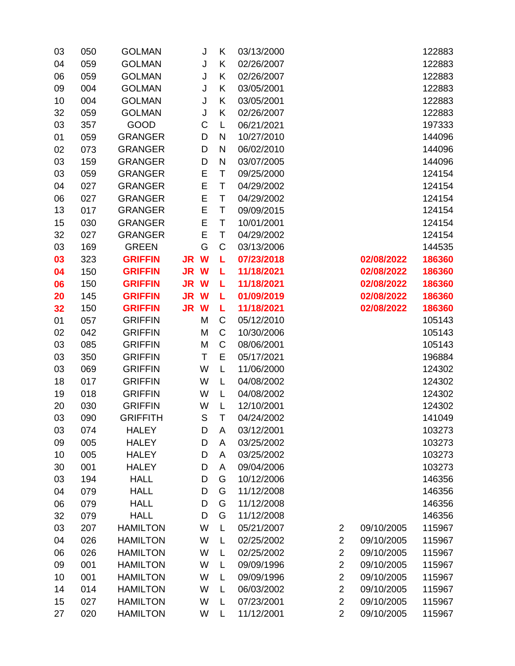| 03 | 050 | <b>GOLMAN</b>   |           | J | Κ            | 03/13/2000 |                |            | 122883 |
|----|-----|-----------------|-----------|---|--------------|------------|----------------|------------|--------|
| 04 | 059 | <b>GOLMAN</b>   |           | J | K            | 02/26/2007 |                |            | 122883 |
| 06 | 059 | <b>GOLMAN</b>   |           | J | K            | 02/26/2007 |                |            | 122883 |
| 09 | 004 | <b>GOLMAN</b>   |           | J | K            | 03/05/2001 |                |            | 122883 |
| 10 | 004 | <b>GOLMAN</b>   |           | J | K            | 03/05/2001 |                |            | 122883 |
| 32 | 059 | <b>GOLMAN</b>   |           | J | K            | 02/26/2007 |                |            | 122883 |
| 03 | 357 | <b>GOOD</b>     |           | C | L            | 06/21/2021 |                |            | 197333 |
| 01 | 059 | <b>GRANGER</b>  |           | D | $\mathsf{N}$ | 10/27/2010 |                |            | 144096 |
| 02 | 073 | <b>GRANGER</b>  |           | D | $\mathsf{N}$ | 06/02/2010 |                |            | 144096 |
| 03 | 159 | <b>GRANGER</b>  |           | D | $\mathsf{N}$ | 03/07/2005 |                |            | 144096 |
| 03 | 059 | <b>GRANGER</b>  |           | E | $\top$       | 09/25/2000 |                |            | 124154 |
| 04 | 027 | <b>GRANGER</b>  |           | E | $\top$       | 04/29/2002 |                |            | 124154 |
| 06 | 027 | <b>GRANGER</b>  |           | E | Τ            | 04/29/2002 |                |            | 124154 |
| 13 | 017 | <b>GRANGER</b>  |           | E | T            | 09/09/2015 |                |            | 124154 |
| 15 | 030 | <b>GRANGER</b>  |           | E | $\top$       | 10/01/2001 |                |            | 124154 |
| 32 | 027 | <b>GRANGER</b>  |           | E | Τ            | 04/29/2002 |                |            | 124154 |
| 03 | 169 | <b>GREEN</b>    |           | G | C            | 03/13/2006 |                |            | 144535 |
| 03 | 323 | <b>GRIFFIN</b>  | JR W      |   | L            | 07/23/2018 |                | 02/08/2022 | 186360 |
| 04 | 150 | <b>GRIFFIN</b>  | <b>JR</b> | W | г            | 11/18/2021 |                | 02/08/2022 | 186360 |
| 06 | 150 | <b>GRIFFIN</b>  | JR W      |   | г            | 11/18/2021 |                | 02/08/2022 | 186360 |
| 20 | 145 | <b>GRIFFIN</b>  | <b>JR</b> | W | L            | 01/09/2019 |                | 02/08/2022 | 186360 |
| 32 | 150 | <b>GRIFFIN</b>  | <b>JR</b> | W | L            | 11/18/2021 |                | 02/08/2022 | 186360 |
| 01 | 057 | <b>GRIFFIN</b>  |           | M | $\mathsf C$  | 05/12/2010 |                |            | 105143 |
| 02 | 042 | <b>GRIFFIN</b>  |           | M | $\mathsf C$  | 10/30/2006 |                |            | 105143 |
| 03 | 085 | <b>GRIFFIN</b>  |           | M | C            | 08/06/2001 |                |            | 105143 |
| 03 | 350 | <b>GRIFFIN</b>  |           | T | E            | 05/17/2021 |                |            | 196884 |
| 03 | 069 | <b>GRIFFIN</b>  |           | W | L            | 11/06/2000 |                |            | 124302 |
| 18 | 017 | <b>GRIFFIN</b>  |           | W | L            | 04/08/2002 |                |            | 124302 |
| 19 | 018 | <b>GRIFFIN</b>  |           | W | L            | 04/08/2002 |                |            | 124302 |
| 20 | 030 | <b>GRIFFIN</b>  |           | W | L            | 12/10/2001 |                |            | 124302 |
| 03 | 090 | <b>GRIFFITH</b> |           | S | Τ            | 04/24/2002 |                |            | 141049 |
| 03 | 074 | <b>HALEY</b>    |           | D | A            | 03/12/2001 |                |            | 103273 |
| 09 | 005 | <b>HALEY</b>    |           | D | A            | 03/25/2002 |                |            | 103273 |
| 10 | 005 | <b>HALEY</b>    |           | D | Α            | 03/25/2002 |                |            | 103273 |
| 30 | 001 | <b>HALEY</b>    |           | D | A            | 09/04/2006 |                |            | 103273 |
| 03 | 194 | <b>HALL</b>     |           | D | G            | 10/12/2006 |                |            | 146356 |
| 04 | 079 | <b>HALL</b>     |           | D | G            | 11/12/2008 |                |            | 146356 |
| 06 | 079 | <b>HALL</b>     |           | D | G            | 11/12/2008 |                |            | 146356 |
| 32 | 079 | <b>HALL</b>     |           | D | G            | 11/12/2008 |                |            | 146356 |
| 03 | 207 | <b>HAMILTON</b> |           | W | L            | 05/21/2007 | $\overline{2}$ | 09/10/2005 | 115967 |
| 04 | 026 | <b>HAMILTON</b> |           | W | L            | 02/25/2002 | $\overline{2}$ | 09/10/2005 | 115967 |
| 06 | 026 | <b>HAMILTON</b> |           | W | L            | 02/25/2002 | $\overline{2}$ | 09/10/2005 | 115967 |
| 09 | 001 | <b>HAMILTON</b> |           | W | L            | 09/09/1996 | $\overline{2}$ | 09/10/2005 | 115967 |
| 10 | 001 | <b>HAMILTON</b> |           | W | L            | 09/09/1996 | $\overline{2}$ | 09/10/2005 | 115967 |
| 14 | 014 | <b>HAMILTON</b> |           | W | L            | 06/03/2002 | $\overline{2}$ | 09/10/2005 | 115967 |
| 15 | 027 | <b>HAMILTON</b> |           | W | L            | 07/23/2001 | $\overline{2}$ | 09/10/2005 | 115967 |
| 27 | 020 | <b>HAMILTON</b> |           | W | L            | 11/12/2001 | $\overline{2}$ | 09/10/2005 | 115967 |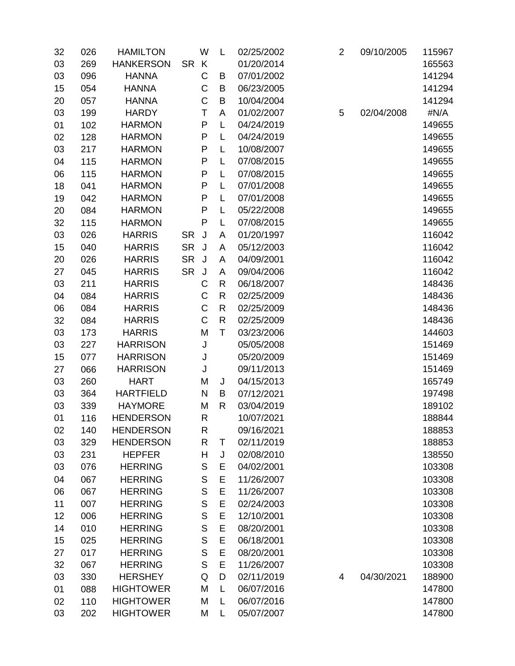| 32 | 026 | <b>HAMILTON</b>  |           | W            | L            | 02/25/2002 | $\overline{2}$ | 09/10/2005 | 115967 |
|----|-----|------------------|-----------|--------------|--------------|------------|----------------|------------|--------|
| 03 | 269 | <b>HANKERSON</b> | <b>SR</b> | K            |              | 01/20/2014 |                |            | 165563 |
| 03 | 096 | <b>HANNA</b>     |           | C            | B            | 07/01/2002 |                |            | 141294 |
| 15 | 054 | <b>HANNA</b>     |           | $\mathsf C$  | B            | 06/23/2005 |                |            | 141294 |
| 20 | 057 | <b>HANNA</b>     |           | $\mathsf C$  | B            | 10/04/2004 |                |            | 141294 |
| 03 | 199 | <b>HARDY</b>     |           | Τ            | A            | 01/02/2007 | 5              | 02/04/2008 | #N/A   |
| 01 | 102 | <b>HARMON</b>    |           | $\mathsf{P}$ | Г            | 04/24/2019 |                |            | 149655 |
| 02 | 128 | <b>HARMON</b>    |           | ${\sf P}$    | L            | 04/24/2019 |                |            | 149655 |
| 03 | 217 | <b>HARMON</b>    |           | P            | L            | 10/08/2007 |                |            | 149655 |
| 04 | 115 | <b>HARMON</b>    |           | P            | Г            | 07/08/2015 |                |            | 149655 |
| 06 | 115 | <b>HARMON</b>    |           | $\mathsf{P}$ | L            | 07/08/2015 |                |            | 149655 |
| 18 | 041 | <b>HARMON</b>    |           | P            | L            | 07/01/2008 |                |            | 149655 |
| 19 | 042 | <b>HARMON</b>    |           | P            | Г            | 07/01/2008 |                |            | 149655 |
| 20 | 084 | <b>HARMON</b>    |           | P            | L            | 05/22/2008 |                |            | 149655 |
| 32 | 115 | <b>HARMON</b>    |           | P            | L            | 07/08/2015 |                |            | 149655 |
| 03 | 026 | <b>HARRIS</b>    | <b>SR</b> | J            | A            | 01/20/1997 |                |            | 116042 |
| 15 | 040 | <b>HARRIS</b>    | <b>SR</b> | J            | A            | 05/12/2003 |                |            | 116042 |
| 20 | 026 | <b>HARRIS</b>    | <b>SR</b> | J            | A            | 04/09/2001 |                |            | 116042 |
| 27 | 045 | <b>HARRIS</b>    | <b>SR</b> | J            | A            | 09/04/2006 |                |            | 116042 |
| 03 | 211 | <b>HARRIS</b>    |           | C            | R            | 06/18/2007 |                |            | 148436 |
| 04 | 084 | <b>HARRIS</b>    |           | $\mathsf C$  | $\mathsf{R}$ | 02/25/2009 |                |            | 148436 |
| 06 | 084 | <b>HARRIS</b>    |           | $\mathsf C$  | $\mathsf{R}$ | 02/25/2009 |                |            | 148436 |
| 32 | 084 | <b>HARRIS</b>    |           | $\mathsf C$  | $\mathsf{R}$ | 02/25/2009 |                |            | 148436 |
| 03 | 173 | <b>HARRIS</b>    |           | M            | T            | 03/23/2006 |                |            | 144603 |
| 03 | 227 | <b>HARRISON</b>  |           | J            |              | 05/05/2008 |                |            | 151469 |
| 15 | 077 | <b>HARRISON</b>  |           | J            |              | 05/20/2009 |                |            | 151469 |
| 27 | 066 | <b>HARRISON</b>  |           | J            |              | 09/11/2013 |                |            | 151469 |
| 03 | 260 | <b>HART</b>      |           | M            | J            | 04/15/2013 |                |            | 165749 |
| 03 | 364 | <b>HARTFIELD</b> |           | N            | B            | 07/12/2021 |                |            | 197498 |
| 03 | 339 | <b>HAYMORE</b>   |           | M            | R            | 03/04/2019 |                |            | 189102 |
| 01 | 116 | <b>HENDERSON</b> |           | R            |              | 10/07/2021 |                |            | 188844 |
| 02 | 140 | <b>HENDERSON</b> |           | $\mathsf{R}$ |              | 09/16/2021 |                |            | 188853 |
| 03 | 329 | <b>HENDERSON</b> |           | R            | Т            | 02/11/2019 |                |            | 188853 |
| 03 | 231 | <b>HEPFER</b>    |           | H            | J            | 02/08/2010 |                |            | 138550 |
| 03 | 076 | <b>HERRING</b>   |           | S            | Ε            | 04/02/2001 |                |            | 103308 |
| 04 | 067 | <b>HERRING</b>   |           | S            | E            | 11/26/2007 |                |            | 103308 |
| 06 | 067 | <b>HERRING</b>   |           | S            | E            | 11/26/2007 |                |            | 103308 |
| 11 | 007 | <b>HERRING</b>   |           | $\mathsf{S}$ | E            | 02/24/2003 |                |            | 103308 |
| 12 | 006 | <b>HERRING</b>   |           | S            | E            | 12/10/2001 |                |            | 103308 |
| 14 | 010 | <b>HERRING</b>   |           | S            | E            | 08/20/2001 |                |            | 103308 |
| 15 | 025 | <b>HERRING</b>   |           | S            | E            | 06/18/2001 |                |            | 103308 |
| 27 | 017 | <b>HERRING</b>   |           | $\mathsf S$  | E            | 08/20/2001 |                |            | 103308 |
| 32 | 067 | <b>HERRING</b>   |           | $\mathsf S$  | E            | 11/26/2007 |                |            | 103308 |
| 03 | 330 | <b>HERSHEY</b>   |           | Q            | D            | 02/11/2019 | 4              | 04/30/2021 | 188900 |
| 01 | 088 | <b>HIGHTOWER</b> |           | M            | L            | 06/07/2016 |                |            | 147800 |
| 02 | 110 | <b>HIGHTOWER</b> |           | M            | L            | 06/07/2016 |                |            | 147800 |
| 03 | 202 | <b>HIGHTOWER</b> |           | M            | Г            | 05/07/2007 |                |            | 147800 |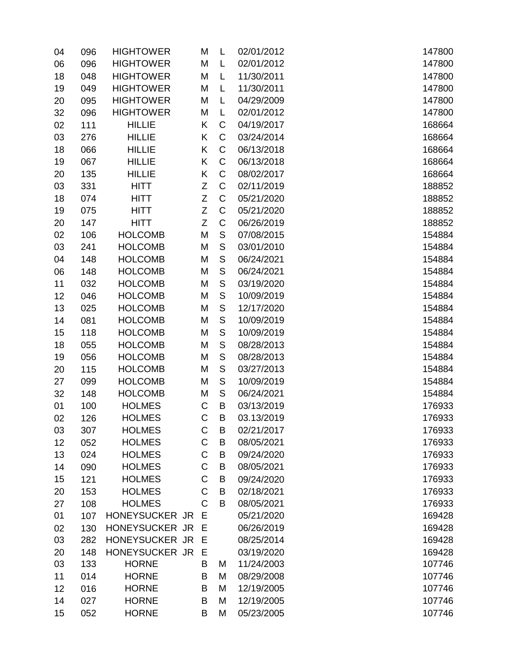| 04       | 096        | <b>HIGHTOWER</b>                | M      | L             | 02/01/2012               | 147800           |
|----------|------------|---------------------------------|--------|---------------|--------------------------|------------------|
| 06       | 096        | <b>HIGHTOWER</b>                | M      | L             | 02/01/2012               | 147800           |
| 18       | 048        | <b>HIGHTOWER</b>                | M      | L             | 11/30/2011               | 147800           |
| 19       | 049        | <b>HIGHTOWER</b>                | M      | L             | 11/30/2011               | 147800           |
| 20       | 095        | <b>HIGHTOWER</b>                | M      | L             | 04/29/2009               | 147800           |
| 32       | 096        | <b>HIGHTOWER</b>                | M      | L             | 02/01/2012               | 147800           |
| 02       | 111        | <b>HILLIE</b>                   | Κ      | C             | 04/19/2017               | 168664           |
| 03       | 276        | <b>HILLIE</b>                   | Κ      | C             | 03/24/2014               | 168664           |
| 18       | 066        | <b>HILLIE</b>                   | Κ      | $\mathsf C$   | 06/13/2018               | 168664           |
| 19       | 067        | <b>HILLIE</b>                   | Κ      | $\mathsf{C}$  | 06/13/2018               | 168664           |
| 20       | 135        | <b>HILLIE</b>                   | Κ      | $\mathsf C$   | 08/02/2017               | 168664           |
| 03       | 331        | <b>HITT</b>                     | Z      | C             | 02/11/2019               | 188852           |
| 18       | 074        | <b>HITT</b>                     | Z      | C             | 05/21/2020               | 188852           |
| 19       | 075        | HITT                            | Z      | $\mathsf C$   | 05/21/2020               | 188852           |
| 20       | 147        | <b>HITT</b>                     | Z      | $\mathsf C$   | 06/26/2019               | 188852           |
| 02       | 106        | <b>HOLCOMB</b>                  | M      | S             | 07/08/2015               | 154884           |
| 03       | 241        | <b>HOLCOMB</b>                  | M      | $\mathbb S$   | 03/01/2010               | 154884           |
| 04       | 148        | <b>HOLCOMB</b>                  | M      | $\mathsf S$   | 06/24/2021               | 154884           |
| 06       | 148        | <b>HOLCOMB</b>                  | M      | $\mathsf S$   | 06/24/2021               | 154884           |
| 11       | 032        | <b>HOLCOMB</b>                  | M      | $\mathsf S$   | 03/19/2020               | 154884           |
| 12       | 046        | <b>HOLCOMB</b>                  | M      | $\mathsf S$   | 10/09/2019               | 154884           |
| 13       | 025        | <b>HOLCOMB</b>                  | M      | $\mathsf{S}$  | 12/17/2020               | 154884           |
| 14       | 081        | <b>HOLCOMB</b>                  | M      | $\mathsf S$   | 10/09/2019               | 154884           |
| 15       | 118        | <b>HOLCOMB</b>                  | M      | ${\mathsf S}$ | 10/09/2019               | 154884           |
| 18       | 055        | <b>HOLCOMB</b>                  | M      | $\mathsf S$   | 08/28/2013               | 154884           |
| 19       | 056        | <b>HOLCOMB</b>                  | M      | ${\mathsf S}$ | 08/28/2013               | 154884           |
| 20       | 115        | <b>HOLCOMB</b>                  | M      | $\mathbb S$   | 03/27/2013               | 154884           |
| 27       | 099        | <b>HOLCOMB</b>                  | M      | $\mathsf S$   | 10/09/2019               | 154884           |
| 32       | 148        | <b>HOLCOMB</b>                  | M      | $\mathsf S$   | 06/24/2021               | 154884           |
| 01       | 100        | <b>HOLMES</b>                   | C      | B             | 03/13/2019               | 176933           |
| 02       | 126        | <b>HOLMES</b>                   | C      | B             | 03.13/2019               | 176933           |
| 03       | 307        | <b>HOLMES</b>                   | С      | B             | 02/21/2017               | 176933           |
| 12       | 052        | <b>HOLMES</b>                   | C      | B             | 08/05/2021               | 176933           |
| 13       | 024        | <b>HOLMES</b>                   | C      | B             | 09/24/2020               | 176933           |
| 14       | 090        | <b>HOLMES</b>                   | C      | B             | 08/05/2021               | 176933           |
| 15       | 121        | <b>HOLMES</b>                   | C      | B             | 09/24/2020               | 176933           |
| 20       | 153        | <b>HOLMES</b>                   | C      | B             | 02/18/2021               | 176933           |
| 27       | 108        | <b>HOLMES</b><br>HONEYSUCKER JR | C<br>E | B             | 08/05/2021               | 176933           |
| 01       | 107<br>130 | HONEYSUCKER JR E                |        |               | 05/21/2020<br>06/26/2019 | 169428<br>169428 |
| 02<br>03 | 282        | HONEYSUCKER JR E                |        |               | 08/25/2014               | 169428           |
|          |            | HONEYSUCKER JR                  | Е      |               |                          |                  |
| 20<br>03 | 148<br>133 | <b>HORNE</b>                    | B      | M             | 03/19/2020<br>11/24/2003 | 169428<br>107746 |
| 11       | 014        | <b>HORNE</b>                    | В      | M             | 08/29/2008               | 107746           |
| 12       | 016        | <b>HORNE</b>                    | B      | M             | 12/19/2005               | 107746           |
| 14       | 027        | <b>HORNE</b>                    | B      | M             | 12/19/2005               | 107746           |
| 15       | 052        | <b>HORNE</b>                    | B      | M             | 05/23/2005               | 107746           |
|          |            |                                 |        |               |                          |                  |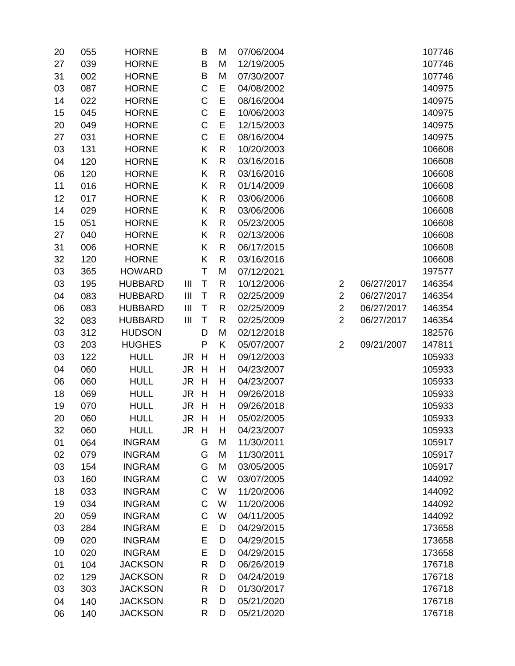| 20 | 055 | <b>HORNE</b>   |                | B            | M            | 07/06/2004 |                |            | 107746 |
|----|-----|----------------|----------------|--------------|--------------|------------|----------------|------------|--------|
| 27 | 039 | <b>HORNE</b>   |                | B            | M            | 12/19/2005 |                |            | 107746 |
| 31 | 002 | <b>HORNE</b>   |                | $\sf B$      | M            | 07/30/2007 |                |            | 107746 |
| 03 | 087 | <b>HORNE</b>   |                | C            | E            | 04/08/2002 |                |            | 140975 |
| 14 | 022 | <b>HORNE</b>   |                | $\mathsf C$  | E            | 08/16/2004 |                |            | 140975 |
| 15 | 045 | <b>HORNE</b>   |                | $\mathsf C$  | E            | 10/06/2003 |                |            | 140975 |
| 20 | 049 | <b>HORNE</b>   |                | $\mathsf C$  | E            | 12/15/2003 |                |            | 140975 |
| 27 | 031 | <b>HORNE</b>   |                | $\mathsf C$  | E            | 08/16/2004 |                |            | 140975 |
| 03 | 131 | <b>HORNE</b>   |                | Κ            | $\mathsf{R}$ | 10/20/2003 |                |            | 106608 |
| 04 | 120 | <b>HORNE</b>   |                | Κ            | $\mathsf{R}$ | 03/16/2016 |                |            | 106608 |
| 06 | 120 | <b>HORNE</b>   |                | Κ            | R            | 03/16/2016 |                |            | 106608 |
| 11 | 016 | <b>HORNE</b>   |                | Κ            | $\mathsf{R}$ | 01/14/2009 |                |            | 106608 |
| 12 | 017 | <b>HORNE</b>   |                | Κ            | $\mathsf{R}$ | 03/06/2006 |                |            | 106608 |
| 14 | 029 | <b>HORNE</b>   |                | Κ            | $\mathsf{R}$ | 03/06/2006 |                |            | 106608 |
| 15 | 051 | <b>HORNE</b>   |                | Κ            | $\mathsf{R}$ | 05/23/2005 |                |            | 106608 |
| 27 | 040 | <b>HORNE</b>   |                | Κ            | R            | 02/13/2006 |                |            | 106608 |
| 31 | 006 | <b>HORNE</b>   |                | Κ            | $\mathsf{R}$ | 06/17/2015 |                |            | 106608 |
| 32 | 120 | <b>HORNE</b>   |                | Κ            | $\mathsf{R}$ | 03/16/2016 |                |            | 106608 |
| 03 | 365 | <b>HOWARD</b>  |                | T            | M            | 07/12/2021 |                |            | 197577 |
| 03 | 195 | <b>HUBBARD</b> | $\mathbf{III}$ | T            | $\mathsf{R}$ | 10/12/2006 | $\overline{2}$ | 06/27/2017 | 146354 |
| 04 | 083 | <b>HUBBARD</b> | Ш              | $\sf T$      | R            | 02/25/2009 | $\overline{2}$ | 06/27/2017 | 146354 |
| 06 | 083 | <b>HUBBARD</b> | Ш              | $\mathsf T$  | $\mathsf{R}$ | 02/25/2009 | $\overline{2}$ | 06/27/2017 | 146354 |
| 32 | 083 | <b>HUBBARD</b> | $\mathbf{III}$ | T            | $\mathsf{R}$ | 02/25/2009 | $\overline{2}$ | 06/27/2017 | 146354 |
| 03 | 312 | <b>HUDSON</b>  |                | D            | M            | 02/12/2018 |                |            | 182576 |
| 03 | 203 | <b>HUGHES</b>  |                | $\mathsf{P}$ | K            | 05/07/2007 | $\overline{2}$ | 09/21/2007 | 147811 |
| 03 | 122 | <b>HULL</b>    | JR             | H            | H            | 09/12/2003 |                |            | 105933 |
| 04 | 060 | <b>HULL</b>    | <b>JR</b>      | H            | H            | 04/23/2007 |                |            | 105933 |
| 06 | 060 | <b>HULL</b>    | JR.            | H            | H            | 04/23/2007 |                |            | 105933 |
| 18 | 069 | <b>HULL</b>    | JR.            | H            | H            | 09/26/2018 |                |            | 105933 |
| 19 | 070 | <b>HULL</b>    | JR.            | H            | H            | 09/26/2018 |                |            | 105933 |
| 20 | 060 | <b>HULL</b>    | <b>JR</b>      | H            | H            | 05/02/2005 |                |            | 105933 |
| 32 | 060 | <b>HULL</b>    | JR H           |              | Н            | 04/23/2007 |                |            | 105933 |
| 01 | 064 | <b>INGRAM</b>  |                | G            | M            | 11/30/2011 |                |            | 105917 |
| 02 | 079 | <b>INGRAM</b>  |                | G            | M            | 11/30/2011 |                |            | 105917 |
| 03 | 154 | <b>INGRAM</b>  |                | G            | M            | 03/05/2005 |                |            | 105917 |
| 03 | 160 | <b>INGRAM</b>  |                | $\mathsf C$  | W            | 03/07/2005 |                |            | 144092 |
| 18 | 033 | <b>INGRAM</b>  |                | C            | W            | 11/20/2006 |                |            | 144092 |
| 19 | 034 | <b>INGRAM</b>  |                | $\mathsf C$  | W            | 11/20/2006 |                |            | 144092 |
| 20 | 059 | <b>INGRAM</b>  |                | $\mathsf C$  | W            | 04/11/2005 |                |            | 144092 |
| 03 | 284 | <b>INGRAM</b>  |                | E            | D            | 04/29/2015 |                |            | 173658 |
| 09 | 020 | <b>INGRAM</b>  |                | E            | D            | 04/29/2015 |                |            | 173658 |
| 10 | 020 | <b>INGRAM</b>  |                | E            | D            | 04/29/2015 |                |            | 173658 |
| 01 | 104 | <b>JACKSON</b> |                | R            | D            | 06/26/2019 |                |            | 176718 |
| 02 | 129 | <b>JACKSON</b> |                | R            | D            | 04/24/2019 |                |            | 176718 |
| 03 | 303 | <b>JACKSON</b> |                | $\mathsf{R}$ | D            | 01/30/2017 |                |            | 176718 |
| 04 | 140 | <b>JACKSON</b> |                | R            | D            | 05/21/2020 |                |            | 176718 |
| 06 | 140 | <b>JACKSON</b> |                | R            | D            | 05/21/2020 |                |            | 176718 |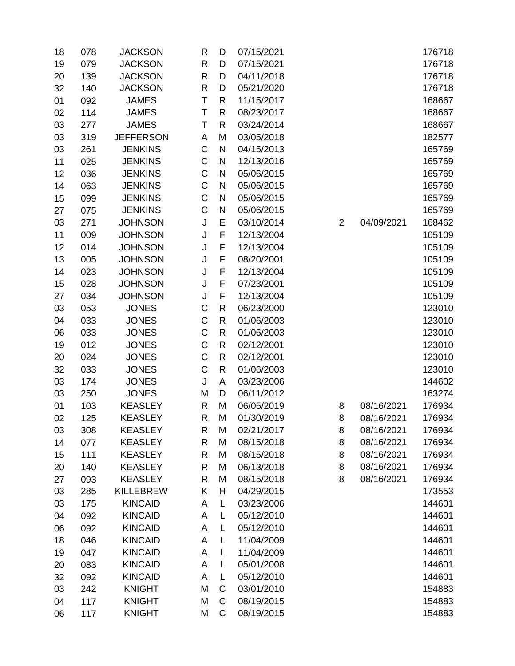| 18 | 078 | <b>JACKSON</b>   | R            | D            | 07/15/2021 |                |            | 176718 |
|----|-----|------------------|--------------|--------------|------------|----------------|------------|--------|
| 19 | 079 | <b>JACKSON</b>   | $\mathsf{R}$ | D            | 07/15/2021 |                |            | 176718 |
| 20 | 139 | <b>JACKSON</b>   | $\mathsf{R}$ | D            | 04/11/2018 |                |            | 176718 |
| 32 | 140 | <b>JACKSON</b>   | $\mathsf{R}$ | D            | 05/21/2020 |                |            | 176718 |
| 01 | 092 | <b>JAMES</b>     | Τ            | $\mathsf{R}$ | 11/15/2017 |                |            | 168667 |
| 02 | 114 | <b>JAMES</b>     | T            | $\mathsf{R}$ | 08/23/2017 |                |            | 168667 |
| 03 | 277 | <b>JAMES</b>     | Τ            | R            | 03/24/2014 |                |            | 168667 |
| 03 | 319 | <b>JEFFERSON</b> | A            | M            | 03/05/2018 |                |            | 182577 |
| 03 | 261 | <b>JENKINS</b>   | $\mathsf C$  | ${\sf N}$    | 04/15/2013 |                |            | 165769 |
| 11 | 025 | <b>JENKINS</b>   | $\mathsf C$  | N            | 12/13/2016 |                |            | 165769 |
| 12 | 036 | <b>JENKINS</b>   | $\mathsf C$  | N            | 05/06/2015 |                |            | 165769 |
| 14 | 063 | <b>JENKINS</b>   | $\mathsf C$  | N            | 05/06/2015 |                |            | 165769 |
| 15 | 099 | <b>JENKINS</b>   | $\mathsf C$  | N            | 05/06/2015 |                |            | 165769 |
| 27 | 075 | <b>JENKINS</b>   | C            | $\mathsf{N}$ | 05/06/2015 |                |            | 165769 |
| 03 | 271 | <b>JOHNSON</b>   | J            | E            | 03/10/2014 | $\overline{2}$ | 04/09/2021 | 168462 |
| 11 | 009 | <b>JOHNSON</b>   | J            | F            | 12/13/2004 |                |            | 105109 |
| 12 | 014 | <b>JOHNSON</b>   | J            | F            | 12/13/2004 |                |            | 105109 |
| 13 | 005 | <b>JOHNSON</b>   | J            | F            | 08/20/2001 |                |            | 105109 |
| 14 | 023 | <b>JOHNSON</b>   | J            | F            | 12/13/2004 |                |            | 105109 |
| 15 | 028 | <b>JOHNSON</b>   | J            | F            | 07/23/2001 |                |            | 105109 |
| 27 | 034 | <b>JOHNSON</b>   | J            | F            | 12/13/2004 |                |            | 105109 |
| 03 | 053 | <b>JONES</b>     | C            | $\mathsf{R}$ | 06/23/2000 |                |            | 123010 |
| 04 | 033 | <b>JONES</b>     | $\mathsf C$  | $\mathsf{R}$ | 01/06/2003 |                |            | 123010 |
| 06 | 033 | <b>JONES</b>     | $\mathsf C$  | ${\sf R}$    | 01/06/2003 |                |            | 123010 |
| 19 | 012 | <b>JONES</b>     | $\mathsf C$  | $\mathsf{R}$ | 02/12/2001 |                |            | 123010 |
| 20 | 024 | <b>JONES</b>     | $\mathsf C$  | $\mathsf{R}$ | 02/12/2001 |                |            | 123010 |
| 32 | 033 | <b>JONES</b>     | $\mathsf C$  | $\mathsf{R}$ | 01/06/2003 |                |            | 123010 |
| 03 | 174 | <b>JONES</b>     | J            | A            | 03/23/2006 |                |            | 144602 |
| 03 | 250 | <b>JONES</b>     | M            | D            | 06/11/2012 |                |            | 163274 |
| 01 | 103 | <b>KEASLEY</b>   | $\mathsf{R}$ | M            | 06/05/2019 | 8              | 08/16/2021 | 176934 |
| 02 | 125 | <b>KEASLEY</b>   | R            | M            | 01/30/2019 | 8              | 08/16/2021 | 176934 |
| 03 | 308 | <b>KEASLEY</b>   | R            | M            | 02/21/2017 | 8              | 08/16/2021 | 176934 |
| 14 | 077 | <b>KEASLEY</b>   | R            | M            | 08/15/2018 | 8              | 08/16/2021 | 176934 |
| 15 | 111 | <b>KEASLEY</b>   | R            | M            | 08/15/2018 | 8              | 08/16/2021 | 176934 |
| 20 | 140 | <b>KEASLEY</b>   | $\mathsf{R}$ | M            | 06/13/2018 | 8              | 08/16/2021 | 176934 |
| 27 | 093 | <b>KEASLEY</b>   | $\mathsf{R}$ | M            | 08/15/2018 | 8              | 08/16/2021 | 176934 |
| 03 | 285 | <b>KILLEBREW</b> | Κ            | Н            | 04/29/2015 |                |            | 173553 |
| 03 | 175 | <b>KINCAID</b>   | Α            | L            | 03/23/2006 |                |            | 144601 |
| 04 | 092 | <b>KINCAID</b>   | A            | L            | 05/12/2010 |                |            | 144601 |
| 06 | 092 | <b>KINCAID</b>   | Α            | L            | 05/12/2010 |                |            | 144601 |
| 18 | 046 | <b>KINCAID</b>   | Α            | Г            | 11/04/2009 |                |            | 144601 |
| 19 | 047 | <b>KINCAID</b>   | Α            | L            | 11/04/2009 |                |            | 144601 |
| 20 | 083 | <b>KINCAID</b>   | Α            | L            | 05/01/2008 |                |            | 144601 |
| 32 | 092 | <b>KINCAID</b>   | A            | L            | 05/12/2010 |                |            | 144601 |
| 03 | 242 | <b>KNIGHT</b>    | M            | C            | 03/01/2010 |                |            | 154883 |
| 04 | 117 | <b>KNIGHT</b>    | M            | $\mathsf C$  | 08/19/2015 |                |            | 154883 |
| 06 | 117 | <b>KNIGHT</b>    | M            | C            | 08/19/2015 |                |            | 154883 |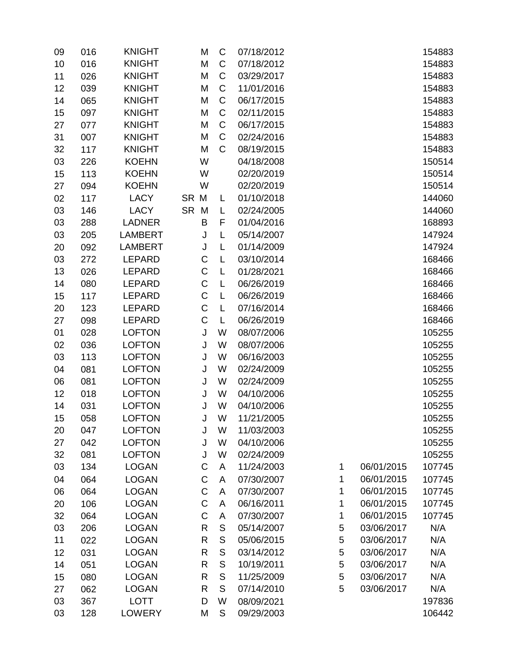| 09 | 016 | <b>KNIGHT</b>  | M            | C            | 07/18/2012 |   |            | 154883 |
|----|-----|----------------|--------------|--------------|------------|---|------------|--------|
| 10 | 016 | <b>KNIGHT</b>  | M            | C            | 07/18/2012 |   |            | 154883 |
| 11 | 026 | <b>KNIGHT</b>  | M            | C            | 03/29/2017 |   |            | 154883 |
| 12 | 039 | <b>KNIGHT</b>  | M            | C            | 11/01/2016 |   |            | 154883 |
| 14 | 065 | <b>KNIGHT</b>  | M            | C            | 06/17/2015 |   |            | 154883 |
| 15 | 097 | <b>KNIGHT</b>  | M            | C            | 02/11/2015 |   |            | 154883 |
| 27 | 077 | <b>KNIGHT</b>  | M            | C            | 06/17/2015 |   |            | 154883 |
| 31 | 007 | <b>KNIGHT</b>  | M            | C            | 02/24/2016 |   |            | 154883 |
| 32 | 117 | <b>KNIGHT</b>  | M            | C            | 08/19/2015 |   |            | 154883 |
| 03 | 226 | <b>KOEHN</b>   | W            |              | 04/18/2008 |   |            | 150514 |
| 15 | 113 | <b>KOEHN</b>   | W            |              | 02/20/2019 |   |            | 150514 |
| 27 | 094 | <b>KOEHN</b>   | W            |              | 02/20/2019 |   |            | 150514 |
| 02 | 117 | <b>LACY</b>    | SR M         | L            | 01/10/2018 |   |            | 144060 |
| 03 | 146 | <b>LACY</b>    | SR M         | L            | 02/24/2005 |   |            | 144060 |
| 03 | 288 | <b>LADNER</b>  | B            | F            | 01/04/2016 |   |            | 168893 |
| 03 | 205 | <b>LAMBERT</b> | J            | L            | 05/14/2007 |   |            | 147924 |
| 20 | 092 | <b>LAMBERT</b> | J            | L            | 01/14/2009 |   |            | 147924 |
| 03 | 272 | <b>LEPARD</b>  | C            | L            | 03/10/2014 |   |            | 168466 |
| 13 | 026 | <b>LEPARD</b>  | C            | L            | 01/28/2021 |   |            | 168466 |
| 14 | 080 | <b>LEPARD</b>  | $\mathsf C$  | L            | 06/26/2019 |   |            | 168466 |
| 15 | 117 | <b>LEPARD</b>  | $\mathsf C$  | L            | 06/26/2019 |   |            | 168466 |
| 20 | 123 | <b>LEPARD</b>  | $\mathsf C$  | L            | 07/16/2014 |   |            | 168466 |
| 27 | 098 | <b>LEPARD</b>  | $\mathsf C$  | L            | 06/26/2019 |   |            | 168466 |
| 01 | 028 | <b>LOFTON</b>  | J            | W            | 08/07/2006 |   |            | 105255 |
| 02 | 036 | <b>LOFTON</b>  | J            | W            | 08/07/2006 |   |            | 105255 |
| 03 | 113 | <b>LOFTON</b>  | J            | W            | 06/16/2003 |   |            | 105255 |
| 04 | 081 | <b>LOFTON</b>  | J            | W            | 02/24/2009 |   |            | 105255 |
| 06 | 081 | <b>LOFTON</b>  | J            | W            | 02/24/2009 |   |            | 105255 |
| 12 | 018 | <b>LOFTON</b>  | J            | W            | 04/10/2006 |   |            | 105255 |
| 14 | 031 | <b>LOFTON</b>  | J            | W            | 04/10/2006 |   |            | 105255 |
| 15 | 058 | <b>LOFTON</b>  | J            | W            | 11/21/2005 |   |            | 105255 |
| 20 | 047 | <b>LOFTON</b>  | J            | W            | 11/03/2003 |   |            | 105255 |
| 27 | 042 | <b>LOFTON</b>  | J            | W            | 04/10/2006 |   |            | 105255 |
| 32 | 081 | <b>LOFTON</b>  | J            | W            | 02/24/2009 |   |            | 105255 |
| 03 | 134 | <b>LOGAN</b>   | C            | A            | 11/24/2003 | 1 | 06/01/2015 | 107745 |
| 04 | 064 | <b>LOGAN</b>   | C            | A            | 07/30/2007 | 1 | 06/01/2015 | 107745 |
| 06 | 064 | <b>LOGAN</b>   | $\mathsf C$  | A            | 07/30/2007 | 1 | 06/01/2015 | 107745 |
| 20 | 106 | <b>LOGAN</b>   | $\mathsf C$  | A            | 06/16/2011 | 1 | 06/01/2015 | 107745 |
| 32 | 064 | <b>LOGAN</b>   | C            | A            | 07/30/2007 | 1 | 06/01/2015 | 107745 |
| 03 | 206 | <b>LOGAN</b>   | $\mathsf{R}$ | $\mathsf S$  | 05/14/2007 | 5 | 03/06/2017 | N/A    |
| 11 | 022 | <b>LOGAN</b>   | $\mathsf{R}$ | $\mathsf{S}$ | 05/06/2015 | 5 | 03/06/2017 | N/A    |
| 12 | 031 | <b>LOGAN</b>   | R            | S            | 03/14/2012 | 5 | 03/06/2017 | N/A    |
| 14 | 051 | <b>LOGAN</b>   | $\mathsf{R}$ | $\mathsf S$  | 10/19/2011 | 5 | 03/06/2017 | N/A    |
| 15 | 080 | <b>LOGAN</b>   | R            | S            | 11/25/2009 | 5 | 03/06/2017 | N/A    |
| 27 | 062 | <b>LOGAN</b>   | $\mathsf{R}$ | S            | 07/14/2010 | 5 | 03/06/2017 | N/A    |
| 03 | 367 | <b>LOTT</b>    | D            | W            | 08/09/2021 |   |            | 197836 |
| 03 | 128 | <b>LOWERY</b>  | M            | S            | 09/29/2003 |   |            | 106442 |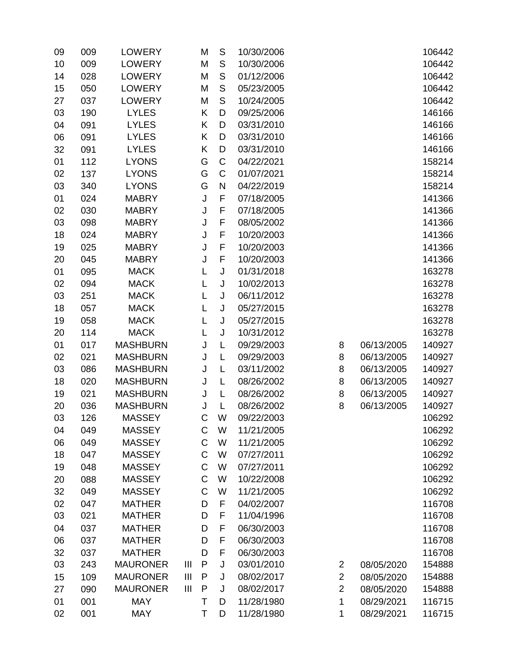| 09 | 009 | <b>LOWERY</b>   |                | M           | $\mathsf S$   | 10/30/2006 |                |            | 106442 |
|----|-----|-----------------|----------------|-------------|---------------|------------|----------------|------------|--------|
| 10 | 009 | <b>LOWERY</b>   |                | M           | S             | 10/30/2006 |                |            | 106442 |
| 14 | 028 | <b>LOWERY</b>   |                | M           | ${\mathsf S}$ | 01/12/2006 |                |            | 106442 |
| 15 | 050 | <b>LOWERY</b>   |                | M           | $\mathsf{S}$  | 05/23/2005 |                |            | 106442 |
| 27 | 037 | <b>LOWERY</b>   |                | M           | $\mathsf{S}$  | 10/24/2005 |                |            | 106442 |
| 03 | 190 | <b>LYLES</b>    |                | Κ           | D             | 09/25/2006 |                |            | 146166 |
| 04 | 091 | <b>LYLES</b>    |                | Κ           | D             | 03/31/2010 |                |            | 146166 |
| 06 | 091 | <b>LYLES</b>    |                | Κ           | D             | 03/31/2010 |                |            | 146166 |
| 32 | 091 | <b>LYLES</b>    |                | Κ           | D             | 03/31/2010 |                |            | 146166 |
| 01 | 112 | <b>LYONS</b>    |                | G           | $\mathsf C$   | 04/22/2021 |                |            | 158214 |
| 02 | 137 | <b>LYONS</b>    |                | G           | C             | 01/07/2021 |                |            | 158214 |
| 03 | 340 | <b>LYONS</b>    |                | G           | ${\sf N}$     | 04/22/2019 |                |            | 158214 |
| 01 | 024 | <b>MABRY</b>    |                | J           | F             | 07/18/2005 |                |            | 141366 |
| 02 | 030 | <b>MABRY</b>    |                | J           | F             | 07/18/2005 |                |            | 141366 |
| 03 | 098 | <b>MABRY</b>    |                | J           | F             | 08/05/2002 |                |            | 141366 |
| 18 | 024 | <b>MABRY</b>    |                | J           | F             | 10/20/2003 |                |            | 141366 |
| 19 | 025 | <b>MABRY</b>    |                | J           | F             | 10/20/2003 |                |            | 141366 |
| 20 | 045 | <b>MABRY</b>    |                | J           | F             | 10/20/2003 |                |            | 141366 |
| 01 | 095 | <b>MACK</b>     |                | L           | J             | 01/31/2018 |                |            | 163278 |
| 02 | 094 | <b>MACK</b>     |                | L           | J             | 10/02/2013 |                |            | 163278 |
| 03 | 251 | <b>MACK</b>     |                | L           | J             | 06/11/2012 |                |            | 163278 |
| 18 | 057 | <b>MACK</b>     |                | L           | J             | 05/27/2015 |                |            | 163278 |
| 19 | 058 | <b>MACK</b>     |                | L           | J             | 05/27/2015 |                |            | 163278 |
| 20 | 114 | <b>MACK</b>     |                | L           | J             | 10/31/2012 |                |            | 163278 |
| 01 | 017 | <b>MASHBURN</b> |                | J           | L             | 09/29/2003 | 8              | 06/13/2005 | 140927 |
| 02 | 021 | <b>MASHBURN</b> |                | J           | L             | 09/29/2003 | 8              | 06/13/2005 | 140927 |
| 03 | 086 | <b>MASHBURN</b> |                | J           | L             | 03/11/2002 | 8              | 06/13/2005 | 140927 |
| 18 | 020 | <b>MASHBURN</b> |                | J           | L             | 08/26/2002 | 8              | 06/13/2005 | 140927 |
| 19 | 021 | <b>MASHBURN</b> |                | J           | L             | 08/26/2002 | 8              | 06/13/2005 | 140927 |
| 20 | 036 | <b>MASHBURN</b> |                | J           | L             | 08/26/2002 | 8              | 06/13/2005 | 140927 |
| 03 | 126 | <b>MASSEY</b>   |                | C           | W             | 09/22/2003 |                |            | 106292 |
| 04 | 049 | <b>MASSEY</b>   |                | C           | W             | 11/21/2005 |                |            | 106292 |
| 06 | 049 | <b>MASSEY</b>   |                | C           | W             | 11/21/2005 |                |            | 106292 |
| 18 | 047 | <b>MASSEY</b>   |                | $\mathsf C$ | W             | 07/27/2011 |                |            | 106292 |
| 19 | 048 | <b>MASSEY</b>   |                | C           | W             | 07/27/2011 |                |            | 106292 |
| 20 | 088 | <b>MASSEY</b>   |                | C           | W             | 10/22/2008 |                |            | 106292 |
| 32 | 049 | <b>MASSEY</b>   |                | C           | W             | 11/21/2005 |                |            | 106292 |
| 02 | 047 | <b>MATHER</b>   |                | D           | F             | 04/02/2007 |                |            | 116708 |
| 03 | 021 | <b>MATHER</b>   |                | D           | F             | 11/04/1996 |                |            | 116708 |
| 04 | 037 | <b>MATHER</b>   |                | D           | F             | 06/30/2003 |                |            | 116708 |
| 06 | 037 | <b>MATHER</b>   |                | D           | F             | 06/30/2003 |                |            | 116708 |
| 32 | 037 | <b>MATHER</b>   |                | D           | F             | 06/30/2003 |                |            | 116708 |
| 03 | 243 | <b>MAURONER</b> | $\mathbf{III}$ | ${\sf P}$   | J             | 03/01/2010 | 2              | 08/05/2020 | 154888 |
| 15 | 109 | <b>MAURONER</b> | $\mathbf{III}$ | P           | J             | 08/02/2017 | $\overline{2}$ | 08/05/2020 | 154888 |
| 27 | 090 | <b>MAURONER</b> | $\mathbf{III}$ | P           | J             | 08/02/2017 | $\overline{2}$ | 08/05/2020 | 154888 |
| 01 | 001 | <b>MAY</b>      |                | Τ           | D             | 11/28/1980 | 1              | 08/29/2021 | 116715 |
| 02 | 001 | <b>MAY</b>      |                | Τ           | D             | 11/28/1980 | 1              | 08/29/2021 | 116715 |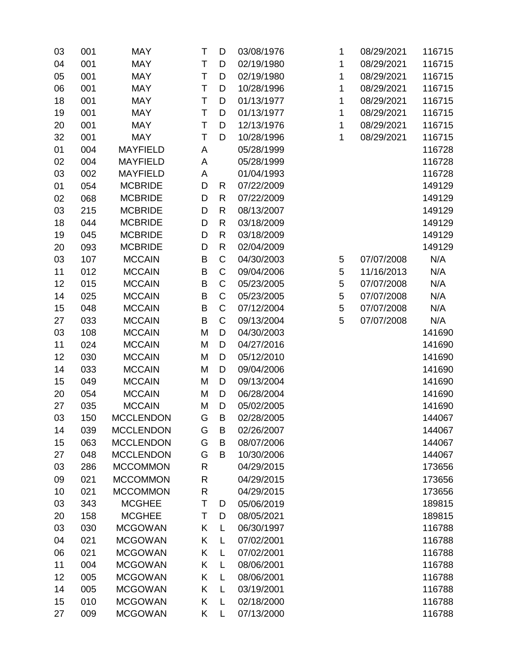| 03 | 001 | <b>MAY</b>       | Τ | D            | 03/08/1976 | 1 | 08/29/2021 | 116715 |
|----|-----|------------------|---|--------------|------------|---|------------|--------|
| 04 | 001 | <b>MAY</b>       | T | D            | 02/19/1980 | 1 | 08/29/2021 | 116715 |
| 05 | 001 | <b>MAY</b>       | T | D            | 02/19/1980 | 1 | 08/29/2021 | 116715 |
| 06 | 001 | <b>MAY</b>       | T | D            | 10/28/1996 | 1 | 08/29/2021 | 116715 |
| 18 | 001 | <b>MAY</b>       | T | D            | 01/13/1977 | 1 | 08/29/2021 | 116715 |
| 19 | 001 | <b>MAY</b>       | T | D            | 01/13/1977 | 1 | 08/29/2021 | 116715 |
| 20 | 001 | <b>MAY</b>       | Τ | D            | 12/13/1976 | 1 | 08/29/2021 | 116715 |
| 32 | 001 | <b>MAY</b>       | T | D            | 10/28/1996 | 1 | 08/29/2021 | 116715 |
| 01 | 004 | <b>MAYFIELD</b>  | A |              | 05/28/1999 |   |            | 116728 |
| 02 | 004 | <b>MAYFIELD</b>  | A |              | 05/28/1999 |   |            | 116728 |
| 03 | 002 | <b>MAYFIELD</b>  | A |              | 01/04/1993 |   |            | 116728 |
| 01 | 054 | <b>MCBRIDE</b>   | D | R            | 07/22/2009 |   |            | 149129 |
| 02 | 068 | <b>MCBRIDE</b>   | D | $\mathsf{R}$ | 07/22/2009 |   |            | 149129 |
| 03 | 215 | <b>MCBRIDE</b>   | D | R            | 08/13/2007 |   |            | 149129 |
| 18 | 044 | <b>MCBRIDE</b>   | D | $\mathsf{R}$ | 03/18/2009 |   |            | 149129 |
| 19 | 045 | <b>MCBRIDE</b>   | D | $\mathsf{R}$ | 03/18/2009 |   |            | 149129 |
| 20 | 093 | <b>MCBRIDE</b>   | D | $\mathsf{R}$ | 02/04/2009 |   |            | 149129 |
| 03 | 107 | <b>MCCAIN</b>    | B | C            | 04/30/2003 | 5 | 07/07/2008 | N/A    |
| 11 | 012 | <b>MCCAIN</b>    | B | $\mathsf C$  | 09/04/2006 | 5 | 11/16/2013 | N/A    |
| 12 | 015 | <b>MCCAIN</b>    | B | C            | 05/23/2005 | 5 | 07/07/2008 | N/A    |
| 14 | 025 | <b>MCCAIN</b>    | B | C            | 05/23/2005 | 5 | 07/07/2008 | N/A    |
| 15 | 048 | <b>MCCAIN</b>    | B | C            | 07/12/2004 | 5 | 07/07/2008 | N/A    |
| 27 | 033 | <b>MCCAIN</b>    | B | $\mathsf C$  | 09/13/2004 | 5 | 07/07/2008 | N/A    |
| 03 | 108 | <b>MCCAIN</b>    | M | D            | 04/30/2003 |   |            | 141690 |
| 11 | 024 | <b>MCCAIN</b>    | M | D            | 04/27/2016 |   |            | 141690 |
| 12 | 030 | <b>MCCAIN</b>    | M | D            | 05/12/2010 |   |            | 141690 |
| 14 | 033 | <b>MCCAIN</b>    | M | D            | 09/04/2006 |   |            | 141690 |
| 15 | 049 | <b>MCCAIN</b>    | M | D            | 09/13/2004 |   |            | 141690 |
| 20 | 054 | <b>MCCAIN</b>    | M | D            | 06/28/2004 |   |            | 141690 |
| 27 | 035 | <b>MCCAIN</b>    | M | D            | 05/02/2005 |   |            | 141690 |
| 03 | 150 | <b>MCCLENDON</b> | G | B            | 02/28/2005 |   |            | 144067 |
| 14 | 039 | <b>MCCLENDON</b> | G | B            | 02/26/2007 |   |            | 144067 |
| 15 | 063 | <b>MCCLENDON</b> | G | B            | 08/07/2006 |   |            | 144067 |
| 27 | 048 | <b>MCCLENDON</b> | G | B            | 10/30/2006 |   |            | 144067 |
| 03 | 286 | <b>MCCOMMON</b>  | R |              | 04/29/2015 |   |            | 173656 |
| 09 | 021 | <b>MCCOMMON</b>  | R |              | 04/29/2015 |   |            | 173656 |
| 10 | 021 | <b>MCCOMMON</b>  | R |              | 04/29/2015 |   |            | 173656 |
| 03 | 343 | <b>MCGHEE</b>    | Т | D            | 05/06/2019 |   |            | 189815 |
| 20 | 158 | <b>MCGHEE</b>    | Τ | D            | 08/05/2021 |   |            | 189815 |
| 03 | 030 | <b>MCGOWAN</b>   | K | L            | 06/30/1997 |   |            | 116788 |
| 04 | 021 | <b>MCGOWAN</b>   | K | L            | 07/02/2001 |   |            | 116788 |
| 06 | 021 | <b>MCGOWAN</b>   | K | L            | 07/02/2001 |   |            | 116788 |
| 11 | 004 | <b>MCGOWAN</b>   | Κ | L            | 08/06/2001 |   |            | 116788 |
| 12 | 005 | <b>MCGOWAN</b>   | Κ | L            | 08/06/2001 |   |            | 116788 |
| 14 | 005 | <b>MCGOWAN</b>   | Κ | L            | 03/19/2001 |   |            | 116788 |
| 15 | 010 | <b>MCGOWAN</b>   | Κ | L            | 02/18/2000 |   |            | 116788 |
| 27 | 009 | <b>MCGOWAN</b>   | Κ | Г            | 07/13/2000 |   |            | 116788 |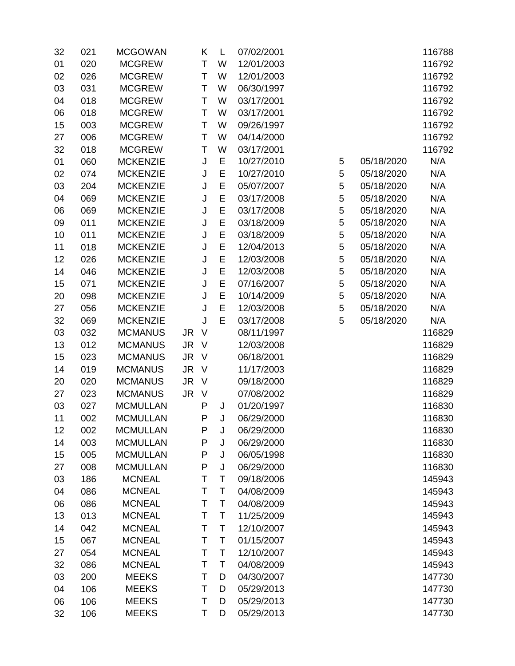| 32 | 021 | <b>MCGOWAN</b>  |           | Κ      | L  | 07/02/2001 |   |            | 116788 |
|----|-----|-----------------|-----------|--------|----|------------|---|------------|--------|
| 01 | 020 | <b>MCGREW</b>   |           | T      | W  | 12/01/2003 |   |            | 116792 |
| 02 | 026 | <b>MCGREW</b>   |           | T      | W  | 12/01/2003 |   |            | 116792 |
| 03 | 031 | <b>MCGREW</b>   |           | T      | W  | 06/30/1997 |   |            | 116792 |
| 04 | 018 | <b>MCGREW</b>   |           | T      | W  | 03/17/2001 |   |            | 116792 |
| 06 | 018 | <b>MCGREW</b>   |           | T      | W  | 03/17/2001 |   |            | 116792 |
| 15 | 003 | <b>MCGREW</b>   |           | T      | W  | 09/26/1997 |   |            | 116792 |
| 27 | 006 | <b>MCGREW</b>   |           | Τ      | W  | 04/14/2000 |   |            | 116792 |
| 32 | 018 | <b>MCGREW</b>   |           | T      | W  | 03/17/2001 |   |            | 116792 |
| 01 | 060 | <b>MCKENZIE</b> |           | J      | E  | 10/27/2010 | 5 | 05/18/2020 | N/A    |
| 02 | 074 | <b>MCKENZIE</b> |           | J      | E  | 10/27/2010 | 5 | 05/18/2020 | N/A    |
| 03 | 204 | <b>MCKENZIE</b> |           | J      | E  | 05/07/2007 | 5 | 05/18/2020 | N/A    |
| 04 | 069 | <b>MCKENZIE</b> |           | J      | E  | 03/17/2008 | 5 | 05/18/2020 | N/A    |
| 06 | 069 | <b>MCKENZIE</b> |           | J      | E  | 03/17/2008 | 5 | 05/18/2020 | N/A    |
| 09 | 011 | <b>MCKENZIE</b> |           | J      | E  | 03/18/2009 | 5 | 05/18/2020 | N/A    |
| 10 | 011 | <b>MCKENZIE</b> |           | J      | E  | 03/18/2009 | 5 | 05/18/2020 | N/A    |
| 11 | 018 | <b>MCKENZIE</b> |           | J      | E  | 12/04/2013 | 5 | 05/18/2020 | N/A    |
| 12 | 026 | <b>MCKENZIE</b> |           | J      | E  | 12/03/2008 | 5 | 05/18/2020 | N/A    |
| 14 | 046 | <b>MCKENZIE</b> |           | J      | E  | 12/03/2008 | 5 | 05/18/2020 | N/A    |
| 15 | 071 | <b>MCKENZIE</b> |           | J      | E  | 07/16/2007 | 5 | 05/18/2020 | N/A    |
| 20 | 098 | <b>MCKENZIE</b> |           | J      | E  | 10/14/2009 | 5 | 05/18/2020 | N/A    |
| 27 | 056 | <b>MCKENZIE</b> |           | J      | E  | 12/03/2008 | 5 | 05/18/2020 | N/A    |
| 32 | 069 | <b>MCKENZIE</b> |           | J      | E  | 03/17/2008 | 5 | 05/18/2020 | N/A    |
| 03 | 032 | <b>MCMANUS</b>  | JR.       | $\vee$ |    | 08/11/1997 |   |            | 116829 |
| 13 | 012 | <b>MCMANUS</b>  | JR V      |        |    | 12/03/2008 |   |            | 116829 |
| 15 | 023 | <b>MCMANUS</b>  | <b>JR</b> | $\vee$ |    | 06/18/2001 |   |            | 116829 |
| 14 | 019 | <b>MCMANUS</b>  | <b>JR</b> | $\vee$ |    | 11/17/2003 |   |            | 116829 |
| 20 | 020 | <b>MCMANUS</b>  | JR.       | $\vee$ |    | 09/18/2000 |   |            | 116829 |
| 27 | 023 | <b>MCMANUS</b>  | <b>JR</b> | $\vee$ |    | 07/08/2002 |   |            | 116829 |
| 03 | 027 | <b>MCMULLAN</b> |           | P      | J  | 01/20/1997 |   |            | 116830 |
| 11 | 002 | <b>MCMULLAN</b> |           | P      | J  | 06/29/2000 |   |            | 116830 |
| 12 | 002 | <b>MCMULLAN</b> |           | P      | J  | 06/29/2000 |   |            | 116830 |
| 14 | 003 | <b>MCMULLAN</b> |           | P      | J  | 06/29/2000 |   |            | 116830 |
| 15 | 005 | <b>MCMULLAN</b> |           | P      | J  | 06/05/1998 |   |            | 116830 |
| 27 | 008 | <b>MCMULLAN</b> |           | P      | J  | 06/29/2000 |   |            | 116830 |
| 03 | 186 | <b>MCNEAL</b>   |           | T      | T  | 09/18/2006 |   |            | 145943 |
| 04 | 086 | <b>MCNEAL</b>   |           | T      | T  | 04/08/2009 |   |            | 145943 |
| 06 | 086 | <b>MCNEAL</b>   |           | Τ      | Τ  | 04/08/2009 |   |            | 145943 |
| 13 | 013 | <b>MCNEAL</b>   |           | Т      | Τ  | 11/25/2009 |   |            | 145943 |
| 14 | 042 | <b>MCNEAL</b>   |           | Τ      | T  | 12/10/2007 |   |            | 145943 |
| 15 | 067 | <b>MCNEAL</b>   |           | T      | T. | 01/15/2007 |   |            | 145943 |
| 27 | 054 | <b>MCNEAL</b>   |           | T      | T  | 12/10/2007 |   |            | 145943 |
| 32 | 086 | <b>MCNEAL</b>   |           | Τ      | Τ  | 04/08/2009 |   |            | 145943 |
| 03 | 200 | <b>MEEKS</b>    |           | Τ      | D  | 04/30/2007 |   |            | 147730 |
| 04 | 106 | <b>MEEKS</b>    |           | Τ      | D  | 05/29/2013 |   |            | 147730 |
| 06 | 106 | <b>MEEKS</b>    |           | Τ      | D  | 05/29/2013 |   |            | 147730 |
| 32 | 106 | <b>MEEKS</b>    |           | Τ      | D  | 05/29/2013 |   |            | 147730 |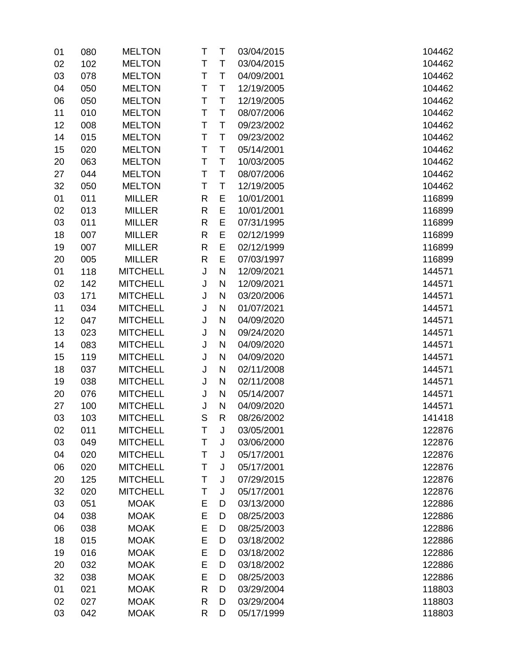| 01 | 080 | <b>MELTON</b>   | Τ            | T            | 03/04/2015 | 104462 |
|----|-----|-----------------|--------------|--------------|------------|--------|
| 02 | 102 | <b>MELTON</b>   | T            | T            | 03/04/2015 | 104462 |
| 03 | 078 | <b>MELTON</b>   | Т            | T            | 04/09/2001 | 104462 |
| 04 | 050 | <b>MELTON</b>   | T            | T            | 12/19/2005 | 104462 |
| 06 | 050 | <b>MELTON</b>   | Τ            | T            | 12/19/2005 | 104462 |
| 11 | 010 | <b>MELTON</b>   | Τ            | T            | 08/07/2006 | 104462 |
| 12 | 008 | <b>MELTON</b>   | Τ            | T            | 09/23/2002 | 104462 |
| 14 | 015 | <b>MELTON</b>   | Τ            | T            | 09/23/2002 | 104462 |
| 15 | 020 | <b>MELTON</b>   | Τ            | T            | 05/14/2001 | 104462 |
| 20 | 063 | <b>MELTON</b>   | T            | T            | 10/03/2005 | 104462 |
| 27 | 044 | <b>MELTON</b>   | T            | T            | 08/07/2006 | 104462 |
| 32 | 050 | <b>MELTON</b>   | Τ            | T            | 12/19/2005 | 104462 |
| 01 | 011 | <b>MILLER</b>   | $\mathsf{R}$ | E            | 10/01/2001 | 116899 |
| 02 | 013 | <b>MILLER</b>   | $\mathsf{R}$ | E            | 10/01/2001 | 116899 |
| 03 | 011 | <b>MILLER</b>   | $\mathsf{R}$ | E            | 07/31/1995 | 116899 |
| 18 | 007 | <b>MILLER</b>   | $\mathsf{R}$ | E            | 02/12/1999 | 116899 |
| 19 | 007 | <b>MILLER</b>   | R            | E            | 02/12/1999 | 116899 |
| 20 | 005 | <b>MILLER</b>   | R            | E            | 07/03/1997 | 116899 |
| 01 | 118 | <b>MITCHELL</b> | J            | N            | 12/09/2021 | 144571 |
| 02 | 142 | <b>MITCHELL</b> | J            | $\mathsf{N}$ | 12/09/2021 | 144571 |
| 03 | 171 | <b>MITCHELL</b> | J            | $\mathsf{N}$ | 03/20/2006 | 144571 |
| 11 | 034 | <b>MITCHELL</b> | J            | ${\sf N}$    | 01/07/2021 | 144571 |
| 12 | 047 | <b>MITCHELL</b> | J            | $\mathsf{N}$ | 04/09/2020 | 144571 |
| 13 | 023 | <b>MITCHELL</b> | J            | N            | 09/24/2020 | 144571 |
| 14 | 083 | <b>MITCHELL</b> | J            | $\mathsf{N}$ | 04/09/2020 | 144571 |
| 15 | 119 | <b>MITCHELL</b> | J            | $\mathsf{N}$ | 04/09/2020 | 144571 |
| 18 | 037 | <b>MITCHELL</b> | J            | $\mathsf{N}$ | 02/11/2008 | 144571 |
| 19 | 038 | <b>MITCHELL</b> | J            | $\mathsf{N}$ | 02/11/2008 | 144571 |
| 20 | 076 | <b>MITCHELL</b> | J            | $\mathsf{N}$ | 05/14/2007 | 144571 |
| 27 | 100 | <b>MITCHELL</b> | J            | $\mathsf{N}$ | 04/09/2020 | 144571 |
| 03 | 103 | <b>MITCHELL</b> | S            | $\mathsf{R}$ | 08/26/2002 | 141418 |
| 02 | 011 | <b>MITCHELL</b> | Τ            | J            | 03/05/2001 | 122876 |
| 03 | 049 | <b>MITCHELL</b> | Т            | J            | 03/06/2000 | 122876 |
| 04 | 020 | <b>MITCHELL</b> | Т            | J            | 05/17/2001 | 122876 |
| 06 | 020 | <b>MITCHELL</b> | Т            | J            | 05/17/2001 | 122876 |
| 20 | 125 | <b>MITCHELL</b> | Τ            | J            | 07/29/2015 | 122876 |
| 32 | 020 | <b>MITCHELL</b> | Τ            | J            | 05/17/2001 | 122876 |
| 03 | 051 | <b>MOAK</b>     | E            | D            | 03/13/2000 | 122886 |
| 04 | 038 | <b>MOAK</b>     | E            | D            | 08/25/2003 | 122886 |
| 06 | 038 | <b>MOAK</b>     | E            | D            | 08/25/2003 | 122886 |
| 18 | 015 | <b>MOAK</b>     | E            | D            | 03/18/2002 | 122886 |
| 19 | 016 | <b>MOAK</b>     | E            | D            | 03/18/2002 | 122886 |
| 20 | 032 | <b>MOAK</b>     | E            | D            | 03/18/2002 | 122886 |
| 32 | 038 | <b>MOAK</b>     | E            | D            | 08/25/2003 | 122886 |
| 01 | 021 | <b>MOAK</b>     | $\mathsf{R}$ | D            | 03/29/2004 | 118803 |
| 02 | 027 | <b>MOAK</b>     | R            | D            | 03/29/2004 | 118803 |
| 03 | 042 | <b>MOAK</b>     | R            | D            | 05/17/1999 | 118803 |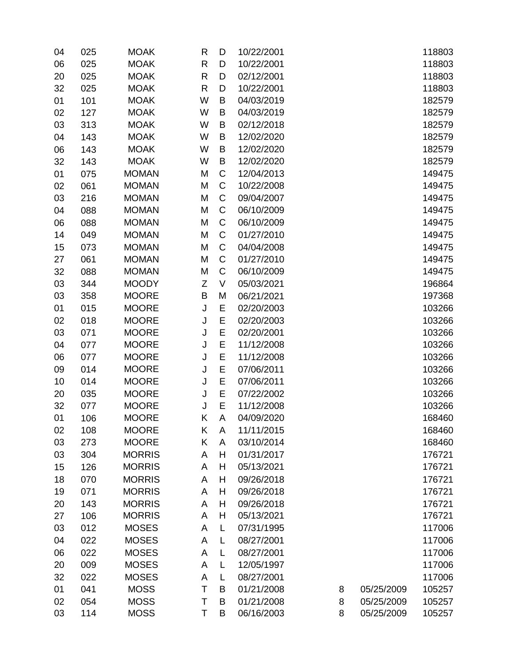| 04 | 025 | <b>MOAK</b>   | R            | D           | 10/22/2001 |   |            | 118803 |
|----|-----|---------------|--------------|-------------|------------|---|------------|--------|
| 06 | 025 | <b>MOAK</b>   | $\mathsf{R}$ | D           | 10/22/2001 |   |            | 118803 |
| 20 | 025 | <b>MOAK</b>   | R            | D           | 02/12/2001 |   |            | 118803 |
| 32 | 025 | <b>MOAK</b>   | $\mathsf{R}$ | D           | 10/22/2001 |   |            | 118803 |
| 01 | 101 | <b>MOAK</b>   | W            | B           | 04/03/2019 |   |            | 182579 |
| 02 | 127 | <b>MOAK</b>   | W            | B           | 04/03/2019 |   |            | 182579 |
| 03 | 313 | <b>MOAK</b>   | W            | B           | 02/12/2018 |   |            | 182579 |
| 04 | 143 | <b>MOAK</b>   | W            | B           | 12/02/2020 |   |            | 182579 |
| 06 | 143 | <b>MOAK</b>   | W            | B           | 12/02/2020 |   |            | 182579 |
| 32 | 143 | <b>MOAK</b>   | W            | B           | 12/02/2020 |   |            | 182579 |
| 01 | 075 | <b>MOMAN</b>  | M            | $\mathsf C$ | 12/04/2013 |   |            | 149475 |
| 02 | 061 | <b>MOMAN</b>  | M            | $\mathsf C$ | 10/22/2008 |   |            | 149475 |
| 03 | 216 | <b>MOMAN</b>  | M            | C           | 09/04/2007 |   |            | 149475 |
| 04 | 088 | <b>MOMAN</b>  | M            | C           | 06/10/2009 |   |            | 149475 |
| 06 | 088 | <b>MOMAN</b>  | M            | $\mathsf C$ | 06/10/2009 |   |            | 149475 |
| 14 | 049 | <b>MOMAN</b>  | M            | C           | 01/27/2010 |   |            | 149475 |
| 15 | 073 | <b>MOMAN</b>  | M            | $\mathsf C$ | 04/04/2008 |   |            | 149475 |
| 27 | 061 | <b>MOMAN</b>  | M            | C           | 01/27/2010 |   |            | 149475 |
| 32 | 088 | <b>MOMAN</b>  | M            | C           | 06/10/2009 |   |            | 149475 |
| 03 | 344 | <b>MOODY</b>  | Z            | $\vee$      | 05/03/2021 |   |            | 196864 |
| 03 | 358 | <b>MOORE</b>  | B            | M           | 06/21/2021 |   |            | 197368 |
| 01 | 015 | <b>MOORE</b>  | J            | E           | 02/20/2003 |   |            | 103266 |
| 02 | 018 | <b>MOORE</b>  | J            | E           | 02/20/2003 |   |            | 103266 |
| 03 | 071 | <b>MOORE</b>  | J            | E           | 02/20/2001 |   |            | 103266 |
| 04 | 077 | <b>MOORE</b>  | J            | E           | 11/12/2008 |   |            | 103266 |
| 06 | 077 | <b>MOORE</b>  | J            | E           | 11/12/2008 |   |            | 103266 |
| 09 | 014 | <b>MOORE</b>  | J            | E           | 07/06/2011 |   |            | 103266 |
| 10 | 014 | <b>MOORE</b>  | J            | E           | 07/06/2011 |   |            | 103266 |
| 20 | 035 | <b>MOORE</b>  | J            | E           | 07/22/2002 |   |            | 103266 |
| 32 | 077 | <b>MOORE</b>  | J            | E           | 11/12/2008 |   |            | 103266 |
| 01 | 106 | <b>MOORE</b>  | Κ            | A           | 04/09/2020 |   |            | 168460 |
| 02 | 108 | <b>MOORE</b>  | Κ            | A           | 11/11/2015 |   |            | 168460 |
| 03 | 273 | <b>MOORE</b>  | Κ            | A           | 03/10/2014 |   |            | 168460 |
| 03 | 304 | <b>MORRIS</b> | A            | Н           | 01/31/2017 |   |            | 176721 |
| 15 | 126 | <b>MORRIS</b> | A            | H           | 05/13/2021 |   |            | 176721 |
| 18 | 070 | <b>MORRIS</b> | A            | H           | 09/26/2018 |   |            | 176721 |
| 19 | 071 | <b>MORRIS</b> | A            | H           | 09/26/2018 |   |            | 176721 |
| 20 | 143 | <b>MORRIS</b> | A            | H           | 09/26/2018 |   |            | 176721 |
| 27 | 106 | <b>MORRIS</b> | A            | Н           | 05/13/2021 |   |            | 176721 |
| 03 | 012 | <b>MOSES</b>  | A            | L           | 07/31/1995 |   |            | 117006 |
| 04 | 022 | <b>MOSES</b>  | A            | L           | 08/27/2001 |   |            | 117006 |
| 06 | 022 | <b>MOSES</b>  | A            | L           | 08/27/2001 |   |            | 117006 |
| 20 | 009 | <b>MOSES</b>  | A            | L           | 12/05/1997 |   |            | 117006 |
| 32 | 022 | <b>MOSES</b>  | A            | L           | 08/27/2001 |   |            | 117006 |
| 01 | 041 | <b>MOSS</b>   | T            | B           | 01/21/2008 | 8 | 05/25/2009 | 105257 |
| 02 | 054 | <b>MOSS</b>   | Τ            | B           | 01/21/2008 | 8 | 05/25/2009 | 105257 |
| 03 | 114 | <b>MOSS</b>   | Τ            | B           | 06/16/2003 | 8 | 05/25/2009 | 105257 |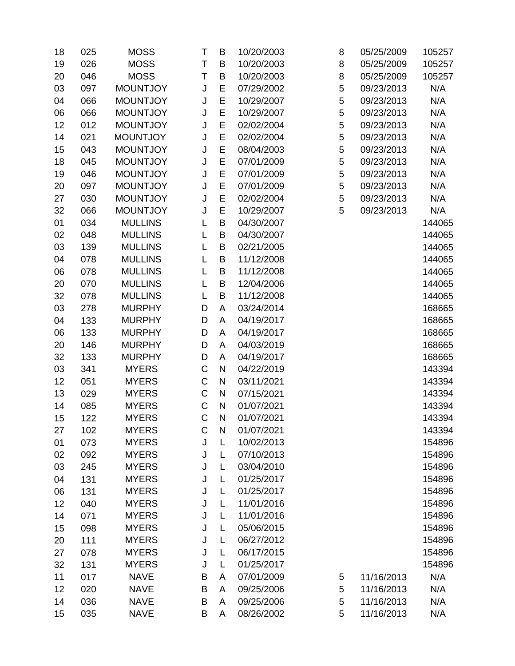| 18 | 025 | <b>MOSS</b>     | T           | B         | 10/20/2003 | 8 | 05/25/2009 | 105257 |
|----|-----|-----------------|-------------|-----------|------------|---|------------|--------|
| 19 | 026 | <b>MOSS</b>     | T           | B         | 10/20/2003 | 8 | 05/25/2009 | 105257 |
| 20 | 046 | <b>MOSS</b>     | T           | B         | 10/20/2003 | 8 | 05/25/2009 | 105257 |
| 03 | 097 | <b>MOUNTJOY</b> | J           | E         | 07/29/2002 | 5 | 09/23/2013 | N/A    |
| 04 | 066 | <b>MOUNTJOY</b> | J           | E         | 10/29/2007 | 5 | 09/23/2013 | N/A    |
| 06 | 066 | <b>MOUNTJOY</b> | J           | E         | 10/29/2007 | 5 | 09/23/2013 | N/A    |
| 12 | 012 | <b>MOUNTJOY</b> | J           | E         | 02/02/2004 | 5 | 09/23/2013 | N/A    |
| 14 | 021 | <b>MOUNTJOY</b> | J           | E         | 02/02/2004 | 5 | 09/23/2013 | N/A    |
| 15 | 043 | <b>MOUNTJOY</b> | J           | E         | 08/04/2003 | 5 | 09/23/2013 | N/A    |
| 18 | 045 | <b>MOUNTJOY</b> | J           | E         | 07/01/2009 | 5 | 09/23/2013 | N/A    |
| 19 | 046 | <b>MOUNTJOY</b> | J           | E         | 07/01/2009 | 5 | 09/23/2013 | N/A    |
| 20 | 097 | <b>MOUNTJOY</b> | J           | E         | 07/01/2009 | 5 | 09/23/2013 | N/A    |
| 27 | 030 | <b>MOUNTJOY</b> | J           | E         | 02/02/2004 | 5 | 09/23/2013 | N/A    |
| 32 | 066 | <b>MOUNTJOY</b> | J           | E         | 10/29/2007 | 5 | 09/23/2013 | N/A    |
| 01 | 034 | <b>MULLINS</b>  | L           | B         | 04/30/2007 |   |            | 144065 |
| 02 | 048 | <b>MULLINS</b>  | L           | B         | 04/30/2007 |   |            | 144065 |
| 03 | 139 | <b>MULLINS</b>  | L           | B         | 02/21/2005 |   |            | 144065 |
| 04 | 078 | <b>MULLINS</b>  | L           | B         | 11/12/2008 |   |            | 144065 |
| 06 | 078 | <b>MULLINS</b>  | L           | B         | 11/12/2008 |   |            | 144065 |
| 20 | 070 | <b>MULLINS</b>  | L           | B         | 12/04/2006 |   |            | 144065 |
| 32 | 078 | <b>MULLINS</b>  | L           | B         | 11/12/2008 |   |            | 144065 |
| 03 | 278 | <b>MURPHY</b>   | D           | A         | 03/24/2014 |   |            | 168665 |
| 04 | 133 | <b>MURPHY</b>   | D           | A         | 04/19/2017 |   |            | 168665 |
| 06 | 133 | <b>MURPHY</b>   | D           | A         | 04/19/2017 |   |            | 168665 |
| 20 | 146 | <b>MURPHY</b>   | D           | A         | 04/03/2019 |   |            | 168665 |
| 32 | 133 | <b>MURPHY</b>   | D           | A         | 04/19/2017 |   |            | 168665 |
| 03 | 341 | <b>MYERS</b>    | $\mathsf C$ | ${\sf N}$ | 04/22/2019 |   |            | 143394 |
| 12 | 051 | <b>MYERS</b>    | $\mathsf C$ | ${\sf N}$ | 03/11/2021 |   |            | 143394 |
| 13 | 029 | <b>MYERS</b>    | $\mathsf C$ | ${\sf N}$ | 07/15/2021 |   |            | 143394 |
| 14 | 085 | <b>MYERS</b>    | C           | ${\sf N}$ | 01/07/2021 |   |            | 143394 |
| 15 | 122 | <b>MYERS</b>    | $\mathsf C$ | N         | 01/07/2021 |   |            | 143394 |
| 27 | 102 | <b>MYERS</b>    | C           | N         | 01/07/2021 |   |            | 143394 |
| 01 | 073 | <b>MYERS</b>    | J           | L         | 10/02/2013 |   |            | 154896 |
| 02 | 092 | <b>MYERS</b>    | J           | L         | 07/10/2013 |   |            | 154896 |
| 03 | 245 | <b>MYERS</b>    | J           | L         | 03/04/2010 |   |            | 154896 |
| 04 | 131 | <b>MYERS</b>    | J           | L         | 01/25/2017 |   |            | 154896 |
| 06 | 131 | <b>MYERS</b>    | J           | L         | 01/25/2017 |   |            | 154896 |
| 12 | 040 | <b>MYERS</b>    | J           | L         | 11/01/2016 |   |            | 154896 |
| 14 | 071 | <b>MYERS</b>    | J           | L         | 11/01/2016 |   |            | 154896 |
| 15 | 098 | <b>MYERS</b>    | J           | L         | 05/06/2015 |   |            | 154896 |
| 20 | 111 | <b>MYERS</b>    | J           | L         | 06/27/2012 |   |            | 154896 |
| 27 | 078 | <b>MYERS</b>    | J           | L         | 06/17/2015 |   |            | 154896 |
| 32 | 131 | <b>MYERS</b>    | J           | L         | 01/25/2017 |   |            | 154896 |
| 11 | 017 | <b>NAVE</b>     | B           | A         | 07/01/2009 | 5 | 11/16/2013 | N/A    |
| 12 | 020 | <b>NAVE</b>     | B           | A         | 09/25/2006 | 5 | 11/16/2013 | N/A    |
| 14 | 036 | <b>NAVE</b>     | B           | A         | 09/25/2006 | 5 | 11/16/2013 | N/A    |
| 15 | 035 | <b>NAVE</b>     | B           | A         | 08/26/2002 | 5 | 11/16/2013 | N/A    |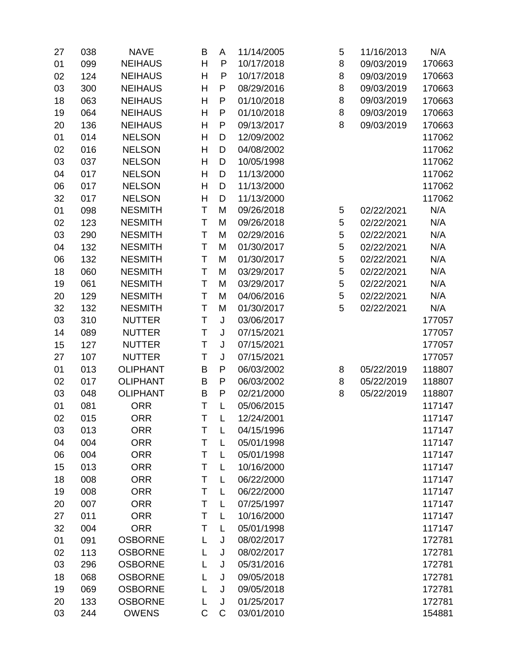| 27 | 038 | <b>NAVE</b>     | B | A            | 11/14/2005 | 5 | 11/16/2013 | N/A    |
|----|-----|-----------------|---|--------------|------------|---|------------|--------|
| 01 | 099 | <b>NEIHAUS</b>  | Н | P            | 10/17/2018 | 8 | 09/03/2019 | 170663 |
| 02 | 124 | <b>NEIHAUS</b>  | H | P            | 10/17/2018 | 8 | 09/03/2019 | 170663 |
| 03 | 300 | <b>NEIHAUS</b>  | Η | P            | 08/29/2016 | 8 | 09/03/2019 | 170663 |
| 18 | 063 | <b>NEIHAUS</b>  | H | P            | 01/10/2018 | 8 | 09/03/2019 | 170663 |
| 19 | 064 | <b>NEIHAUS</b>  | Η | P            | 01/10/2018 | 8 | 09/03/2019 | 170663 |
| 20 | 136 | <b>NEIHAUS</b>  | Η | $\mathsf{P}$ | 09/13/2017 | 8 | 09/03/2019 | 170663 |
| 01 | 014 | <b>NELSON</b>   | Η | D            | 12/09/2002 |   |            | 117062 |
| 02 | 016 | <b>NELSON</b>   | Η | D            | 04/08/2002 |   |            | 117062 |
| 03 | 037 | <b>NELSON</b>   | H | D            | 10/05/1998 |   |            | 117062 |
| 04 | 017 | <b>NELSON</b>   | Η | D            | 11/13/2000 |   |            | 117062 |
| 06 | 017 | <b>NELSON</b>   | H | D            | 11/13/2000 |   |            | 117062 |
| 32 | 017 | <b>NELSON</b>   | Η | D            | 11/13/2000 |   |            | 117062 |
| 01 | 098 | <b>NESMITH</b>  | T | M            | 09/26/2018 | 5 | 02/22/2021 | N/A    |
| 02 | 123 | <b>NESMITH</b>  | T | M            | 09/26/2018 | 5 | 02/22/2021 | N/A    |
| 03 | 290 | <b>NESMITH</b>  | T | M            | 02/29/2016 | 5 | 02/22/2021 | N/A    |
| 04 | 132 | <b>NESMITH</b>  | T | M            | 01/30/2017 | 5 | 02/22/2021 | N/A    |
| 06 | 132 | <b>NESMITH</b>  | T | M            | 01/30/2017 | 5 | 02/22/2021 | N/A    |
| 18 | 060 | <b>NESMITH</b>  | T | M            | 03/29/2017 | 5 | 02/22/2021 | N/A    |
| 19 | 061 | <b>NESMITH</b>  | T | M            | 03/29/2017 | 5 | 02/22/2021 | N/A    |
| 20 | 129 | <b>NESMITH</b>  | T | M            | 04/06/2016 | 5 | 02/22/2021 | N/A    |
| 32 | 132 | <b>NESMITH</b>  | T | M            | 01/30/2017 | 5 | 02/22/2021 | N/A    |
| 03 | 310 | <b>NUTTER</b>   | T | J            | 03/06/2017 |   |            | 177057 |
| 14 | 089 | <b>NUTTER</b>   | T | J            | 07/15/2021 |   |            | 177057 |
| 15 | 127 | <b>NUTTER</b>   | T | J            | 07/15/2021 |   |            | 177057 |
| 27 | 107 | <b>NUTTER</b>   | T | J            | 07/15/2021 |   |            | 177057 |
| 01 | 013 | <b>OLIPHANT</b> | B | $\mathsf{P}$ | 06/03/2002 | 8 | 05/22/2019 | 118807 |
| 02 | 017 | <b>OLIPHANT</b> | B | P            | 06/03/2002 | 8 | 05/22/2019 | 118807 |
| 03 | 048 | <b>OLIPHANT</b> | B | $\mathsf{P}$ | 02/21/2000 | 8 | 05/22/2019 | 118807 |
| 01 | 081 | <b>ORR</b>      | T | L            | 05/06/2015 |   |            | 117147 |
| 02 | 015 | <b>ORR</b>      | T | L            | 12/24/2001 |   |            | 117147 |
| 03 | 013 | <b>ORR</b>      | Τ | L            | 04/15/1996 |   |            | 117147 |
| 04 | 004 | <b>ORR</b>      | Τ | L            | 05/01/1998 |   |            | 117147 |
| 06 | 004 | <b>ORR</b>      | Τ | L            | 05/01/1998 |   |            | 117147 |
| 15 | 013 | <b>ORR</b>      | Τ | L            | 10/16/2000 |   |            | 117147 |
| 18 | 008 | <b>ORR</b>      | Τ | L            | 06/22/2000 |   |            | 117147 |
| 19 | 008 | <b>ORR</b>      | T | L            | 06/22/2000 |   |            | 117147 |
| 20 | 007 | <b>ORR</b>      | Τ | L            | 07/25/1997 |   |            | 117147 |
| 27 | 011 | <b>ORR</b>      | Τ | L            | 10/16/2000 |   |            | 117147 |
| 32 | 004 | <b>ORR</b>      | Τ | L            | 05/01/1998 |   |            | 117147 |
| 01 | 091 | <b>OSBORNE</b>  | L | J            | 08/02/2017 |   |            | 172781 |
| 02 | 113 | <b>OSBORNE</b>  | L | J            | 08/02/2017 |   |            | 172781 |
| 03 | 296 | <b>OSBORNE</b>  | L | J            | 05/31/2016 |   |            | 172781 |
| 18 | 068 | <b>OSBORNE</b>  | L | J            | 09/05/2018 |   |            | 172781 |
| 19 | 069 | <b>OSBORNE</b>  | L | J            | 09/05/2018 |   |            | 172781 |
| 20 | 133 | <b>OSBORNE</b>  | L | J            | 01/25/2017 |   |            | 172781 |
| 03 | 244 | <b>OWENS</b>    | C | С            | 03/01/2010 |   |            | 154881 |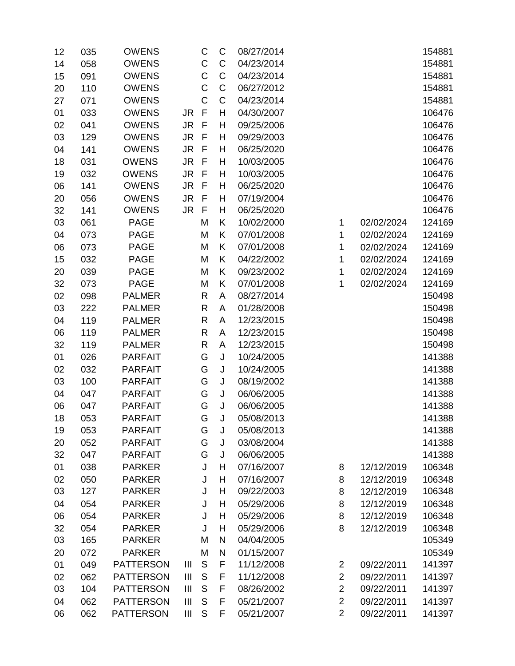| 12 | 035 | <b>OWENS</b>     |                | C            | C           | 08/27/2014 |                |            | 154881 |
|----|-----|------------------|----------------|--------------|-------------|------------|----------------|------------|--------|
| 14 | 058 | <b>OWENS</b>     |                | $\mathsf C$  | $\mathsf C$ | 04/23/2014 |                |            | 154881 |
| 15 | 091 | <b>OWENS</b>     |                | $\mathsf C$  | C           | 04/23/2014 |                |            | 154881 |
| 20 | 110 | <b>OWENS</b>     |                | $\mathsf C$  | C           | 06/27/2012 |                |            | 154881 |
| 27 | 071 | <b>OWENS</b>     |                | $\mathsf C$  | C           | 04/23/2014 |                |            | 154881 |
| 01 | 033 | <b>OWENS</b>     | JR             | $\mathsf F$  | H           | 04/30/2007 |                |            | 106476 |
| 02 | 041 | <b>OWENS</b>     | <b>JR</b>      | F            | H           | 09/25/2006 |                |            | 106476 |
| 03 | 129 | <b>OWENS</b>     | <b>JR</b>      | F            | Н           | 09/29/2003 |                |            | 106476 |
| 04 | 141 | <b>OWENS</b>     | <b>JR</b>      | F            | H           | 06/25/2020 |                |            | 106476 |
| 18 | 031 | <b>OWENS</b>     | <b>JR</b>      | F            | H           | 10/03/2005 |                |            | 106476 |
| 19 | 032 | <b>OWENS</b>     | <b>JR</b>      | F            | H           | 10/03/2005 |                |            | 106476 |
| 06 | 141 | <b>OWENS</b>     | <b>JR</b>      | $\mathsf F$  | H           | 06/25/2020 |                |            | 106476 |
| 20 | 056 | <b>OWENS</b>     | <b>JR</b>      | F            | H           | 07/19/2004 |                |            | 106476 |
| 32 | 141 | <b>OWENS</b>     | <b>JR</b>      | $\mathsf F$  | H           | 06/25/2020 |                |            | 106476 |
| 03 | 061 | <b>PAGE</b>      |                | M            | K           | 10/02/2000 | 1              | 02/02/2024 | 124169 |
| 04 | 073 | <b>PAGE</b>      |                | M            | K           | 07/01/2008 | 1              | 02/02/2024 | 124169 |
| 06 | 073 | <b>PAGE</b>      |                | M            | Κ           | 07/01/2008 | 1              | 02/02/2024 | 124169 |
| 15 | 032 | <b>PAGE</b>      |                | M            | Κ           | 04/22/2002 | 1              | 02/02/2024 | 124169 |
| 20 | 039 | <b>PAGE</b>      |                | M            | Κ           | 09/23/2002 | 1              | 02/02/2024 | 124169 |
| 32 | 073 | <b>PAGE</b>      |                | M            | K           | 07/01/2008 | 1              | 02/02/2024 | 124169 |
| 02 | 098 | <b>PALMER</b>    |                | R            | A           | 08/27/2014 |                |            | 150498 |
| 03 | 222 | <b>PALMER</b>    |                | $\mathsf{R}$ | A           | 01/28/2008 |                |            | 150498 |
| 04 | 119 | <b>PALMER</b>    |                | R            | A           | 12/23/2015 |                |            | 150498 |
| 06 | 119 | <b>PALMER</b>    |                | $\mathsf{R}$ | A           | 12/23/2015 |                |            | 150498 |
| 32 | 119 | <b>PALMER</b>    |                | R            | A           | 12/23/2015 |                |            | 150498 |
| 01 | 026 | <b>PARFAIT</b>   |                | G            | J           | 10/24/2005 |                |            | 141388 |
| 02 | 032 | <b>PARFAIT</b>   |                | G            | J           | 10/24/2005 |                |            | 141388 |
| 03 | 100 | <b>PARFAIT</b>   |                | G            | J           | 08/19/2002 |                |            | 141388 |
| 04 | 047 | <b>PARFAIT</b>   |                | G            | J           | 06/06/2005 |                |            | 141388 |
| 06 | 047 | <b>PARFAIT</b>   |                | G            | J           | 06/06/2005 |                |            | 141388 |
| 18 | 053 | <b>PARFAIT</b>   |                | G            | J           | 05/08/2013 |                |            | 141388 |
| 19 | 053 | <b>PARFAIT</b>   |                | G            | J           | 05/08/2013 |                |            | 141388 |
| 20 | 052 | <b>PARFAIT</b>   |                | G            | J           | 03/08/2004 |                |            | 141388 |
| 32 | 047 | <b>PARFAIT</b>   |                | G            | J           | 06/06/2005 |                |            | 141388 |
| 01 | 038 | <b>PARKER</b>    |                | J            | H           | 07/16/2007 | 8              | 12/12/2019 | 106348 |
| 02 | 050 | <b>PARKER</b>    |                | J            | Η           | 07/16/2007 | 8              | 12/12/2019 | 106348 |
| 03 | 127 | <b>PARKER</b>    |                | J            | H           | 09/22/2003 | 8              | 12/12/2019 | 106348 |
| 04 | 054 | <b>PARKER</b>    |                | J            | H           | 05/29/2006 | 8              | 12/12/2019 | 106348 |
| 06 | 054 | <b>PARKER</b>    |                | J            | H           | 05/29/2006 | 8              | 12/12/2019 | 106348 |
| 32 | 054 | <b>PARKER</b>    |                | J            | H           | 05/29/2006 | 8              | 12/12/2019 | 106348 |
| 03 | 165 | <b>PARKER</b>    |                | M            | N           | 04/04/2005 |                |            | 105349 |
| 20 | 072 | <b>PARKER</b>    |                | M            | N           | 01/15/2007 |                |            | 105349 |
| 01 | 049 | <b>PATTERSON</b> | $\mathbf{III}$ | S            | F           | 11/12/2008 | $\overline{c}$ | 09/22/2011 | 141397 |
| 02 | 062 | <b>PATTERSON</b> | $\mathbf{III}$ | S            | F           | 11/12/2008 | $\overline{2}$ | 09/22/2011 | 141397 |
| 03 | 104 | <b>PATTERSON</b> | $\mathbf{III}$ | S            | F           | 08/26/2002 | $\overline{2}$ | 09/22/2011 | 141397 |
| 04 | 062 | <b>PATTERSON</b> | III            | $\mathsf S$  | F           | 05/21/2007 | $\overline{2}$ | 09/22/2011 | 141397 |
| 06 | 062 | <b>PATTERSON</b> | $\mathbf{III}$ | $\mathsf S$  | F           | 05/21/2007 | $\overline{2}$ | 09/22/2011 | 141397 |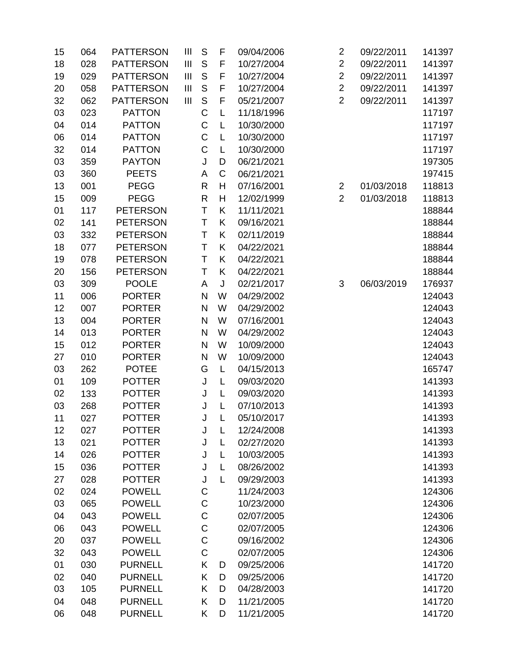| 15 | 064 | <b>PATTERSON</b> | $\mathbf{III}$ | S            | F       | 09/04/2006 | $\overline{2}$ | 09/22/2011 | 141397 |
|----|-----|------------------|----------------|--------------|---------|------------|----------------|------------|--------|
| 18 | 028 | <b>PATTERSON</b> | Ш              | S            | F       | 10/27/2004 | $\overline{2}$ | 09/22/2011 | 141397 |
| 19 | 029 | <b>PATTERSON</b> | $\mathbf{III}$ | S            | F       | 10/27/2004 | $\overline{2}$ | 09/22/2011 | 141397 |
| 20 | 058 | <b>PATTERSON</b> | Ш              | $\mathsf S$  | F       | 10/27/2004 | $\overline{2}$ | 09/22/2011 | 141397 |
| 32 | 062 | <b>PATTERSON</b> | $\mathbf{III}$ | $\mathsf{S}$ | F       | 05/21/2007 | $\overline{2}$ | 09/22/2011 | 141397 |
| 03 | 023 | <b>PATTON</b>    |                | $\mathsf C$  | L       | 11/18/1996 |                |            | 117197 |
| 04 | 014 | <b>PATTON</b>    |                | $\mathsf C$  | L       | 10/30/2000 |                |            | 117197 |
| 06 | 014 | <b>PATTON</b>    |                | $\mathsf C$  | L       | 10/30/2000 |                |            | 117197 |
| 32 | 014 | <b>PATTON</b>    |                | $\mathsf C$  | L       | 10/30/2000 |                |            | 117197 |
| 03 | 359 | <b>PAYTON</b>    |                | J            | D       | 06/21/2021 |                |            | 197305 |
| 03 | 360 | <b>PEETS</b>     |                | A            | C       | 06/21/2021 |                |            | 197415 |
| 13 | 001 | <b>PEGG</b>      |                | $\mathsf{R}$ | H       | 07/16/2001 | 2              | 01/03/2018 | 118813 |
| 15 | 009 | <b>PEGG</b>      |                | $\mathsf{R}$ | H       | 12/02/1999 | $\overline{2}$ | 01/03/2018 | 118813 |
| 01 | 117 | <b>PETERSON</b>  |                | T            | K       | 11/11/2021 |                |            | 188844 |
| 02 | 141 | <b>PETERSON</b>  |                | T            | K       | 09/16/2021 |                |            | 188844 |
| 03 | 332 | <b>PETERSON</b>  |                | Τ            | Κ       | 02/11/2019 |                |            | 188844 |
| 18 | 077 | <b>PETERSON</b>  |                | T            | K       | 04/22/2021 |                |            | 188844 |
| 19 | 078 | <b>PETERSON</b>  |                | Τ            | K       | 04/22/2021 |                |            | 188844 |
| 20 | 156 | <b>PETERSON</b>  |                | Τ            | K       | 04/22/2021 |                |            | 188844 |
| 03 | 309 | <b>POOLE</b>     |                | A            | $\sf J$ | 02/21/2017 | 3              | 06/03/2019 | 176937 |
| 11 | 006 | <b>PORTER</b>    |                | N            | W       | 04/29/2002 |                |            | 124043 |
| 12 | 007 | <b>PORTER</b>    |                | N            | W       | 04/29/2002 |                |            | 124043 |
| 13 | 004 | <b>PORTER</b>    |                | N            | W       | 07/16/2001 |                |            | 124043 |
| 14 | 013 | <b>PORTER</b>    |                | N            | W       | 04/29/2002 |                |            | 124043 |
| 15 | 012 | <b>PORTER</b>    |                | N            | W       | 10/09/2000 |                |            | 124043 |
| 27 | 010 | <b>PORTER</b>    |                | N            | W       | 10/09/2000 |                |            | 124043 |
| 03 | 262 | <b>POTEE</b>     |                | G            | L       | 04/15/2013 |                |            | 165747 |
| 01 | 109 | <b>POTTER</b>    |                | J            | L       | 09/03/2020 |                |            | 141393 |
| 02 | 133 | <b>POTTER</b>    |                | J            | L       | 09/03/2020 |                |            | 141393 |
| 03 | 268 | <b>POTTER</b>    |                | J            | L       | 07/10/2013 |                |            | 141393 |
| 11 | 027 | <b>POTTER</b>    |                | J            | L       | 05/10/2017 |                |            | 141393 |
| 12 | 027 | <b>POTTER</b>    |                | J            | L       | 12/24/2008 |                |            | 141393 |
| 13 | 021 | <b>POTTER</b>    |                | J            | L       | 02/27/2020 |                |            | 141393 |
| 14 | 026 | <b>POTTER</b>    |                | J            | L       | 10/03/2005 |                |            | 141393 |
| 15 | 036 | <b>POTTER</b>    |                | J            | L       | 08/26/2002 |                |            | 141393 |
| 27 | 028 | <b>POTTER</b>    |                | J            | L       | 09/29/2003 |                |            | 141393 |
| 02 | 024 | <b>POWELL</b>    |                | $\mathsf C$  |         | 11/24/2003 |                |            | 124306 |
| 03 | 065 | <b>POWELL</b>    |                | C            |         | 10/23/2000 |                |            | 124306 |
| 04 | 043 | <b>POWELL</b>    |                | C            |         | 02/07/2005 |                |            | 124306 |
| 06 | 043 | <b>POWELL</b>    |                | $\mathsf C$  |         | 02/07/2005 |                |            | 124306 |
| 20 | 037 | <b>POWELL</b>    |                | $\mathsf C$  |         | 09/16/2002 |                |            | 124306 |
| 32 | 043 | <b>POWELL</b>    |                | $\mathsf C$  |         | 02/07/2005 |                |            | 124306 |
| 01 | 030 | <b>PURNELL</b>   |                | Κ<br>Κ       | D       | 09/25/2006 |                |            | 141720 |
| 02 | 040 | <b>PURNELL</b>   |                | Κ            | D<br>D  | 09/25/2006 |                |            | 141720 |
| 03 | 105 | <b>PURNELL</b>   |                | Κ            |         | 04/28/2003 |                |            | 141720 |
| 04 | 048 | <b>PURNELL</b>   |                |              | D<br>D  | 11/21/2005 |                |            | 141720 |
| 06 | 048 | <b>PURNELL</b>   |                | Κ            |         | 11/21/2005 |                |            | 141720 |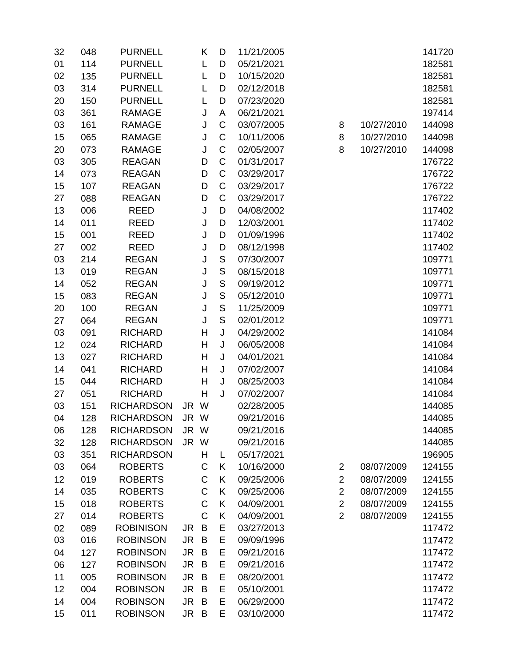| 32 | 048 | <b>PURNELL</b>    |           | Κ           | D             | 11/21/2005 |                |            | 141720 |
|----|-----|-------------------|-----------|-------------|---------------|------------|----------------|------------|--------|
| 01 | 114 | <b>PURNELL</b>    |           | L           | D             | 05/21/2021 |                |            | 182581 |
| 02 | 135 | <b>PURNELL</b>    |           | L           | D             | 10/15/2020 |                |            | 182581 |
| 03 | 314 | <b>PURNELL</b>    |           | L           | D             | 02/12/2018 |                |            | 182581 |
| 20 | 150 | <b>PURNELL</b>    |           | L           | D             | 07/23/2020 |                |            | 182581 |
| 03 | 361 | <b>RAMAGE</b>     |           | J           | A             | 06/21/2021 |                |            | 197414 |
| 03 | 161 | <b>RAMAGE</b>     |           | J           | C             | 03/07/2005 | 8              | 10/27/2010 | 144098 |
| 15 | 065 | <b>RAMAGE</b>     |           | J           | $\mathsf C$   | 10/11/2006 | 8              | 10/27/2010 | 144098 |
| 20 | 073 | <b>RAMAGE</b>     |           | J           | $\mathsf C$   | 02/05/2007 | 8              | 10/27/2010 | 144098 |
| 03 | 305 | <b>REAGAN</b>     |           | D           | $\mathsf C$   | 01/31/2017 |                |            | 176722 |
| 14 | 073 | <b>REAGAN</b>     |           | D           | C             | 03/29/2017 |                |            | 176722 |
| 15 | 107 | <b>REAGAN</b>     |           | D           | C             | 03/29/2017 |                |            | 176722 |
| 27 | 088 | <b>REAGAN</b>     |           | D           | $\mathsf C$   | 03/29/2017 |                |            | 176722 |
| 13 | 006 | <b>REED</b>       |           | J           | D             | 04/08/2002 |                |            | 117402 |
| 14 | 011 | <b>REED</b>       |           | J           | D             | 12/03/2001 |                |            | 117402 |
| 15 | 001 | <b>REED</b>       |           | J           | D             | 01/09/1996 |                |            | 117402 |
| 27 | 002 | <b>REED</b>       |           | J           | D             | 08/12/1998 |                |            | 117402 |
| 03 | 214 | <b>REGAN</b>      |           | J           | $\mathsf S$   | 07/30/2007 |                |            | 109771 |
| 13 | 019 | <b>REGAN</b>      |           | J           | $\mathsf S$   | 08/15/2018 |                |            | 109771 |
| 14 | 052 | <b>REGAN</b>      |           | J           | ${\mathsf S}$ | 09/19/2012 |                |            | 109771 |
| 15 | 083 | <b>REGAN</b>      |           | J           | $\mathsf S$   | 05/12/2010 |                |            | 109771 |
| 20 | 100 | <b>REGAN</b>      |           | J           | $\mathsf S$   | 11/25/2009 |                |            | 109771 |
| 27 | 064 | <b>REGAN</b>      |           | J           | $\mathsf S$   | 02/01/2012 |                |            | 109771 |
| 03 | 091 | <b>RICHARD</b>    |           | H           | J             | 04/29/2002 |                |            | 141084 |
| 12 | 024 | <b>RICHARD</b>    |           | H           | J             | 06/05/2008 |                |            | 141084 |
| 13 | 027 | <b>RICHARD</b>    |           | Н           | J             | 04/01/2021 |                |            | 141084 |
| 14 | 041 | <b>RICHARD</b>    |           | Η           | J             | 07/02/2007 |                |            | 141084 |
| 15 | 044 | <b>RICHARD</b>    |           | H           | J             | 08/25/2003 |                |            | 141084 |
| 27 | 051 | <b>RICHARD</b>    |           | H           | J             | 07/02/2007 |                |            | 141084 |
| 03 | 151 | <b>RICHARDSON</b> | JR W      |             |               | 02/28/2005 |                |            | 144085 |
| 04 | 128 | <b>RICHARDSON</b> | JR W      |             |               | 09/21/2016 |                |            | 144085 |
| 06 | 128 | <b>RICHARDSON</b> | JR W      |             |               | 09/21/2016 |                |            | 144085 |
| 32 | 128 | <b>RICHARDSON</b> | JR W      |             |               | 09/21/2016 |                |            | 144085 |
| 03 | 351 | <b>RICHARDSON</b> |           | Н           | L             | 05/17/2021 |                |            | 196905 |
| 03 | 064 | <b>ROBERTS</b>    |           | C           | K             | 10/16/2000 | $\overline{c}$ | 08/07/2009 | 124155 |
| 12 | 019 | <b>ROBERTS</b>    |           | C           | K             | 09/25/2006 | $\overline{2}$ | 08/07/2009 | 124155 |
| 14 | 035 | <b>ROBERTS</b>    |           | C           | K             | 09/25/2006 | $\overline{2}$ | 08/07/2009 | 124155 |
| 15 | 018 | <b>ROBERTS</b>    |           | $\mathsf C$ | K             | 04/09/2001 | $\overline{2}$ | 08/07/2009 | 124155 |
| 27 | 014 | <b>ROBERTS</b>    |           | $\mathsf C$ | K             | 04/09/2001 | $\overline{2}$ | 08/07/2009 | 124155 |
| 02 | 089 | <b>ROBINISON</b>  | JR        | B           | Ε             | 03/27/2013 |                |            | 117472 |
| 03 | 016 | <b>ROBINSON</b>   | JR        | B           | E             | 09/09/1996 |                |            | 117472 |
| 04 | 127 | <b>ROBINSON</b>   | <b>JR</b> | B           | E             | 09/21/2016 |                |            | 117472 |
| 06 | 127 | <b>ROBINSON</b>   | JR        | B           | E             | 09/21/2016 |                |            | 117472 |
| 11 | 005 | <b>ROBINSON</b>   | <b>JR</b> | B           | E             | 08/20/2001 |                |            | 117472 |
| 12 | 004 | <b>ROBINSON</b>   | JR        | B           | E             | 05/10/2001 |                |            | 117472 |
| 14 | 004 | <b>ROBINSON</b>   | JR.       | B           | E             | 06/29/2000 |                |            | 117472 |
| 15 | 011 | <b>ROBINSON</b>   | JR B      |             | E             | 03/10/2000 |                |            | 117472 |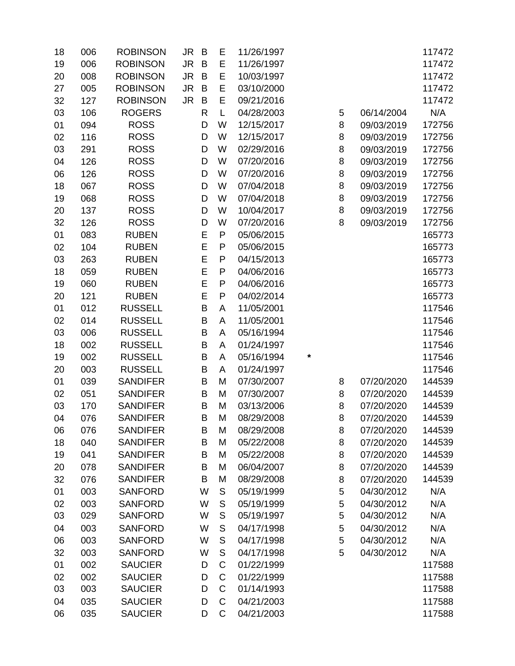| 18 | 006 | <b>ROBINSON</b> | <b>JR</b><br>B | Е            | 11/26/1997 |   |   |            | 117472 |
|----|-----|-----------------|----------------|--------------|------------|---|---|------------|--------|
| 19 | 006 | <b>ROBINSON</b> | <b>JR</b><br>B | E            | 11/26/1997 |   |   |            | 117472 |
| 20 | 008 | <b>ROBINSON</b> | <b>JR</b><br>B | E            | 10/03/1997 |   |   |            | 117472 |
| 27 | 005 | <b>ROBINSON</b> | <b>JR</b><br>B | E            | 03/10/2000 |   |   |            | 117472 |
| 32 | 127 | <b>ROBINSON</b> | <b>JR</b><br>B | E            | 09/21/2016 |   |   |            | 117472 |
| 03 | 106 | <b>ROGERS</b>   | R              | L            | 04/28/2003 |   | 5 | 06/14/2004 | N/A    |
| 01 | 094 | <b>ROSS</b>     | D              | W            | 12/15/2017 |   | 8 | 09/03/2019 | 172756 |
| 02 | 116 | <b>ROSS</b>     | D              | W            | 12/15/2017 |   | 8 | 09/03/2019 | 172756 |
| 03 | 291 | <b>ROSS</b>     | D              | W            | 02/29/2016 |   | 8 | 09/03/2019 | 172756 |
| 04 | 126 | <b>ROSS</b>     | D              | W            | 07/20/2016 |   | 8 | 09/03/2019 | 172756 |
| 06 | 126 | <b>ROSS</b>     | D              | W            | 07/20/2016 |   | 8 | 09/03/2019 | 172756 |
| 18 | 067 | <b>ROSS</b>     | D              | W            | 07/04/2018 |   | 8 | 09/03/2019 | 172756 |
| 19 | 068 | <b>ROSS</b>     | D              | W            | 07/04/2018 |   | 8 | 09/03/2019 | 172756 |
| 20 | 137 | <b>ROSS</b>     | D              | W            | 10/04/2017 |   | 8 | 09/03/2019 | 172756 |
| 32 | 126 | <b>ROSS</b>     | D              | W            | 07/20/2016 |   | 8 | 09/03/2019 | 172756 |
| 01 | 083 | <b>RUBEN</b>    | E              | P            | 05/06/2015 |   |   |            | 165773 |
| 02 | 104 | <b>RUBEN</b>    | E              | P            | 05/06/2015 |   |   |            | 165773 |
| 03 | 263 | <b>RUBEN</b>    | E              | P            | 04/15/2013 |   |   |            | 165773 |
| 18 | 059 | <b>RUBEN</b>    | E              | $\mathsf{P}$ | 04/06/2016 |   |   |            | 165773 |
| 19 | 060 | <b>RUBEN</b>    | E              | ${\sf P}$    | 04/06/2016 |   |   |            | 165773 |
| 20 | 121 | <b>RUBEN</b>    | E              | ${\sf P}$    | 04/02/2014 |   |   |            | 165773 |
| 01 | 012 | <b>RUSSELL</b>  | B              | A            | 11/05/2001 |   |   |            | 117546 |
| 02 | 014 | <b>RUSSELL</b>  | B              | A            | 11/05/2001 |   |   |            | 117546 |
| 03 | 006 | <b>RUSSELL</b>  | B              | A            | 05/16/1994 |   |   |            | 117546 |
| 18 | 002 | <b>RUSSELL</b>  | B              | A            | 01/24/1997 |   |   |            | 117546 |
| 19 | 002 | <b>RUSSELL</b>  | B              | A            | 05/16/1994 | * |   |            | 117546 |
| 20 | 003 | <b>RUSSELL</b>  | B              | A            | 01/24/1997 |   |   |            | 117546 |
| 01 | 039 | <b>SANDIFER</b> | B              | M            | 07/30/2007 |   | 8 | 07/20/2020 | 144539 |
| 02 | 051 | <b>SANDIFER</b> | B              | M            | 07/30/2007 |   | 8 | 07/20/2020 | 144539 |
| 03 | 170 | <b>SANDIFER</b> | B              | M            | 03/13/2006 |   | 8 | 07/20/2020 | 144539 |
| 04 | 076 | <b>SANDIFER</b> | B              | M            | 08/29/2008 |   | 8 | 07/20/2020 | 144539 |
| 06 | 076 | <b>SANDIFER</b> | B              | M            | 08/29/2008 |   | 8 | 07/20/2020 | 144539 |
| 18 | 040 | <b>SANDIFER</b> | B              | M            | 05/22/2008 |   | 8 | 07/20/2020 | 144539 |
| 19 | 041 | <b>SANDIFER</b> | B              | M            | 05/22/2008 |   | 8 | 07/20/2020 | 144539 |
| 20 | 078 | <b>SANDIFER</b> | B              | M            | 06/04/2007 |   | 8 | 07/20/2020 | 144539 |
| 32 | 076 | <b>SANDIFER</b> | B              | M            | 08/29/2008 |   | 8 | 07/20/2020 | 144539 |
| 01 | 003 | <b>SANFORD</b>  | W              | S            | 05/19/1999 |   | 5 | 04/30/2012 | N/A    |
| 02 | 003 | <b>SANFORD</b>  | W              | S            | 05/19/1999 |   | 5 | 04/30/2012 | N/A    |
| 03 | 029 | <b>SANFORD</b>  | W              | S            | 05/19/1997 |   | 5 | 04/30/2012 | N/A    |
| 04 | 003 | <b>SANFORD</b>  | W              | S            | 04/17/1998 |   | 5 | 04/30/2012 | N/A    |
| 06 | 003 | <b>SANFORD</b>  | W              | S            | 04/17/1998 |   | 5 | 04/30/2012 | N/A    |
| 32 | 003 | <b>SANFORD</b>  | W              | S            | 04/17/1998 |   | 5 | 04/30/2012 | N/A    |
| 01 | 002 | <b>SAUCIER</b>  | D              | $\mathsf C$  | 01/22/1999 |   |   |            | 117588 |
| 02 | 002 | <b>SAUCIER</b>  | D              | C            | 01/22/1999 |   |   |            | 117588 |
| 03 | 003 | <b>SAUCIER</b>  | D              | C            | 01/14/1993 |   |   |            | 117588 |
| 04 | 035 | <b>SAUCIER</b>  | D              | $\mathsf{C}$ | 04/21/2003 |   |   |            | 117588 |
| 06 | 035 | <b>SAUCIER</b>  | D              | C            | 04/21/2003 |   |   |            | 117588 |
|    |     |                 |                |              |            |   |   |            |        |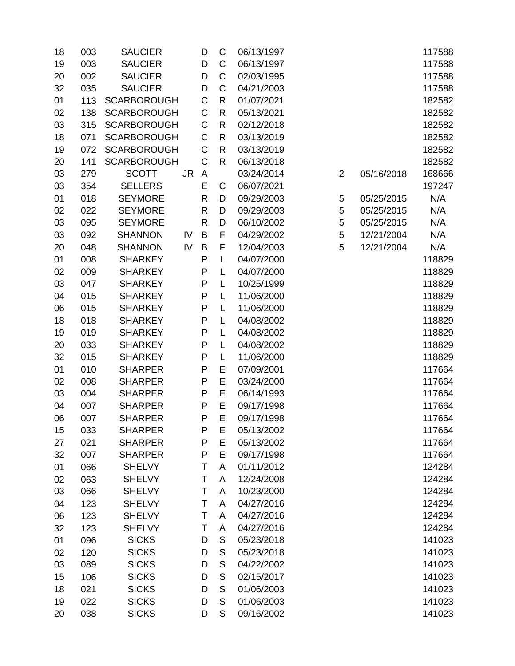| 18 | 003 | <b>SAUCIER</b>     |     | D            | $\mathsf C$   | 06/13/1997 |                |            | 117588 |
|----|-----|--------------------|-----|--------------|---------------|------------|----------------|------------|--------|
| 19 | 003 | <b>SAUCIER</b>     |     | D            | C             | 06/13/1997 |                |            | 117588 |
| 20 | 002 | <b>SAUCIER</b>     |     | D            | C             | 02/03/1995 |                |            | 117588 |
| 32 | 035 | <b>SAUCIER</b>     |     | D            | C             | 04/21/2003 |                |            | 117588 |
| 01 | 113 | <b>SCARBOROUGH</b> |     | C            | R             | 01/07/2021 |                |            | 182582 |
| 02 | 138 | <b>SCARBOROUGH</b> |     | $\mathsf C$  | R             | 05/13/2021 |                |            | 182582 |
| 03 | 315 | <b>SCARBOROUGH</b> |     | C            | R             | 02/12/2018 |                |            | 182582 |
| 18 | 071 | <b>SCARBOROUGH</b> |     | $\mathsf C$  | $\mathsf{R}$  | 03/13/2019 |                |            | 182582 |
| 19 | 072 | <b>SCARBOROUGH</b> |     | C            | R             | 03/13/2019 |                |            | 182582 |
| 20 | 141 | <b>SCARBOROUGH</b> |     | $\mathsf C$  | $\mathsf{R}$  | 06/13/2018 |                |            | 182582 |
| 03 | 279 | <b>SCOTT</b>       | JR. | A            |               | 03/24/2014 | $\overline{2}$ | 05/16/2018 | 168666 |
| 03 | 354 | <b>SELLERS</b>     |     | E            | C             | 06/07/2021 |                |            | 197247 |
| 01 | 018 | <b>SEYMORE</b>     |     | R            | D             | 09/29/2003 | 5              | 05/25/2015 | N/A    |
| 02 | 022 | <b>SEYMORE</b>     |     | $\mathsf{R}$ | D             | 09/29/2003 | 5              | 05/25/2015 | N/A    |
| 03 | 095 | <b>SEYMORE</b>     |     | $\mathsf{R}$ | D             | 06/10/2002 | 5              | 05/25/2015 | N/A    |
| 03 | 092 | <b>SHANNON</b>     | IV  | B            | F             | 04/29/2002 | 5              | 12/21/2004 | N/A    |
| 20 | 048 | <b>SHANNON</b>     | IV  | B            | F             | 12/04/2003 | 5              | 12/21/2004 | N/A    |
| 01 | 008 | <b>SHARKEY</b>     |     | P            | L             | 04/07/2000 |                |            | 118829 |
| 02 | 009 | <b>SHARKEY</b>     |     | P            | L             | 04/07/2000 |                |            | 118829 |
| 03 | 047 | <b>SHARKEY</b>     |     | P            | L             | 10/25/1999 |                |            | 118829 |
| 04 | 015 | <b>SHARKEY</b>     |     | P            | L             | 11/06/2000 |                |            | 118829 |
| 06 | 015 | <b>SHARKEY</b>     |     | P            | L             | 11/06/2000 |                |            | 118829 |
| 18 | 018 | <b>SHARKEY</b>     |     | P            | L             | 04/08/2002 |                |            | 118829 |
| 19 | 019 | <b>SHARKEY</b>     |     | P            | L             | 04/08/2002 |                |            | 118829 |
| 20 | 033 | <b>SHARKEY</b>     |     | P            | L             | 04/08/2002 |                |            | 118829 |
| 32 | 015 | <b>SHARKEY</b>     |     | P            | L             | 11/06/2000 |                |            | 118829 |
| 01 | 010 | <b>SHARPER</b>     |     | P            | E             | 07/09/2001 |                |            | 117664 |
| 02 | 008 | <b>SHARPER</b>     |     | P            | E             | 03/24/2000 |                |            | 117664 |
| 03 | 004 | <b>SHARPER</b>     |     | P            | E             | 06/14/1993 |                |            | 117664 |
| 04 | 007 | <b>SHARPER</b>     |     | P            | E             | 09/17/1998 |                |            | 117664 |
| 06 | 007 | <b>SHARPER</b>     |     | P            | E             | 09/17/1998 |                |            | 117664 |
| 15 | 033 | <b>SHARPER</b>     |     | P            | E             | 05/13/2002 |                |            | 117664 |
| 27 | 021 | <b>SHARPER</b>     |     | P            | E             | 05/13/2002 |                |            | 117664 |
| 32 | 007 | <b>SHARPER</b>     |     | P            | E             | 09/17/1998 |                |            | 117664 |
| 01 | 066 | <b>SHELVY</b>      |     | Τ            | A             | 01/11/2012 |                |            | 124284 |
| 02 | 063 | <b>SHELVY</b>      |     | T            | A             | 12/24/2008 |                |            | 124284 |
| 03 | 066 | <b>SHELVY</b>      |     | T            | A             | 10/23/2000 |                |            | 124284 |
| 04 | 123 | <b>SHELVY</b>      |     | T            | A             | 04/27/2016 |                |            | 124284 |
| 06 | 123 | <b>SHELVY</b>      |     | Τ            | A             | 04/27/2016 |                |            | 124284 |
| 32 | 123 | <b>SHELVY</b>      |     | Т            | A             | 04/27/2016 |                |            | 124284 |
| 01 | 096 | <b>SICKS</b>       |     | D            | S             | 05/23/2018 |                |            | 141023 |
| 02 | 120 | <b>SICKS</b>       |     | D            | ${\mathsf S}$ | 05/23/2018 |                |            | 141023 |
| 03 | 089 | <b>SICKS</b>       |     | D            | ${\mathsf S}$ | 04/22/2002 |                |            | 141023 |
| 15 | 106 | <b>SICKS</b>       |     | D            | ${\mathsf S}$ | 02/15/2017 |                |            | 141023 |
| 18 | 021 | <b>SICKS</b>       |     | D            | $\mathsf S$   | 01/06/2003 |                |            | 141023 |
| 19 | 022 | <b>SICKS</b>       |     | D            | $\mathsf S$   | 01/06/2003 |                |            | 141023 |
| 20 | 038 | <b>SICKS</b>       |     | D            | S             | 09/16/2002 |                |            | 141023 |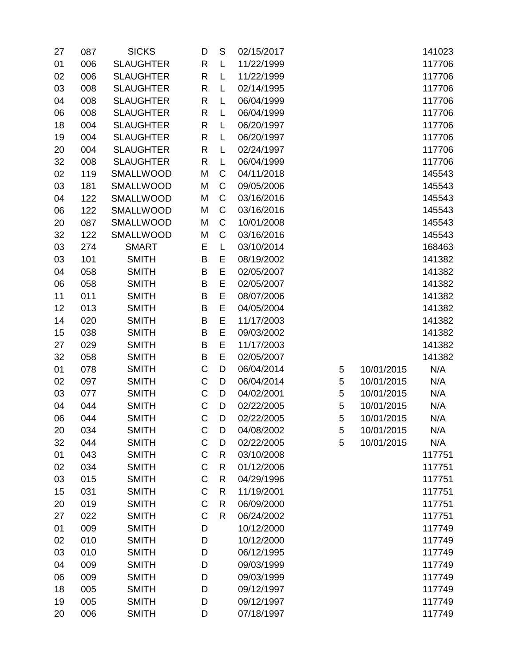| 27       | 087        | <b>SICKS</b>                 | D            | S            | 02/15/2017               |   |            | 141023           |
|----------|------------|------------------------------|--------------|--------------|--------------------------|---|------------|------------------|
| 01       | 006        | <b>SLAUGHTER</b>             | $\mathsf{R}$ | L            | 11/22/1999               |   |            | 117706           |
| 02       | 006        | <b>SLAUGHTER</b>             | R            | L            | 11/22/1999               |   |            | 117706           |
| 03       | 008        | <b>SLAUGHTER</b>             | $\mathsf{R}$ | L            | 02/14/1995               |   |            | 117706           |
| 04       | 008        | <b>SLAUGHTER</b>             | $\mathsf{R}$ | L            | 06/04/1999               |   |            | 117706           |
| 06       | 008        | <b>SLAUGHTER</b>             | $\mathsf{R}$ | L            | 06/04/1999               |   |            | 117706           |
| 18       | 004        | <b>SLAUGHTER</b>             | $\mathsf{R}$ | L            | 06/20/1997               |   |            | 117706           |
| 19       | 004        | <b>SLAUGHTER</b>             | $\mathsf{R}$ | L            | 06/20/1997               |   |            | 117706           |
| 20       | 004        | <b>SLAUGHTER</b>             | $\mathsf{R}$ | L            | 02/24/1997               |   |            | 117706           |
| 32       | 008        | <b>SLAUGHTER</b>             | $\mathsf{R}$ | L            | 06/04/1999               |   |            | 117706           |
| 02       | 119        | SMALLWOOD                    | M            | C            | 04/11/2018               |   |            | 145543           |
| 03       | 181        | SMALLWOOD                    | M            | $\mathsf C$  | 09/05/2006               |   |            | 145543           |
| 04       | 122        | <b>SMALLWOOD</b>             | M            | $\mathsf C$  | 03/16/2016               |   |            | 145543           |
| 06       | 122        | <b>SMALLWOOD</b>             | M            | C            | 03/16/2016               |   |            | 145543           |
| 20       | 087        | <b>SMALLWOOD</b>             | M            | C            | 10/01/2008               |   |            | 145543           |
| 32       | 122        | <b>SMALLWOOD</b>             | M            | C            | 03/16/2016               |   |            | 145543           |
| 03       | 274        | <b>SMART</b>                 | Ε            | L            | 03/10/2014               |   |            | 168463           |
| 03       | 101        | <b>SMITH</b>                 | B            | E            | 08/19/2002               |   |            | 141382           |
| 04       | 058        | <b>SMITH</b>                 | B            | E            | 02/05/2007               |   |            | 141382           |
| 06       | 058        | <b>SMITH</b>                 | B            | E            | 02/05/2007               |   |            | 141382           |
| 11       | 011        | <b>SMITH</b>                 | B            | E            | 08/07/2006               |   |            | 141382           |
| 12       | 013        | <b>SMITH</b>                 | B            | E            | 04/05/2004               |   |            | 141382           |
| 14       | 020        | <b>SMITH</b>                 | B            | E            | 11/17/2003               |   |            | 141382           |
| 15       | 038        | <b>SMITH</b>                 | B            | E            | 09/03/2002               |   |            | 141382           |
| 27       | 029        | <b>SMITH</b>                 | B            | E            | 11/17/2003               |   |            | 141382           |
| 32       | 058        | <b>SMITH</b>                 | B            | E            | 02/05/2007               |   |            | 141382           |
| 01       | 078        | <b>SMITH</b>                 | $\mathsf C$  | D            | 06/04/2014               | 5 | 10/01/2015 | N/A              |
| 02       | 097        | <b>SMITH</b>                 | C            | D            | 06/04/2014               | 5 | 10/01/2015 | N/A              |
| 03       | 077        | <b>SMITH</b>                 | $\mathsf C$  | D            | 04/02/2001               | 5 | 10/01/2015 | N/A              |
| 04       | 044        | <b>SMITH</b>                 | $\mathsf C$  | D            | 02/22/2005               | 5 | 10/01/2015 | N/A              |
| 06       | 044        | <b>SMITH</b>                 | C            | D            | 02/22/2005               | 5 | 10/01/2015 | N/A              |
| 20       | 034        | <b>SMITH</b>                 | C            | D            | 04/08/2002               | 5 | 10/01/2015 | N/A              |
| 32       | 044        | <b>SMITH</b>                 | $\mathsf C$  | D            | 02/22/2005               | 5 | 10/01/2015 | N/A              |
| 01       | 043        | <b>SMITH</b>                 | C            | R            | 03/10/2008               |   |            | 117751           |
| 02       | 034        | <b>SMITH</b>                 | $\mathsf C$  | R            | 01/12/2006               |   |            | 117751           |
| 03       | 015        | <b>SMITH</b>                 | $\mathsf C$  | R            | 04/29/1996               |   |            | 117751           |
| 15       | 031        | <b>SMITH</b>                 | C            | R            | 11/19/2001               |   |            | 117751           |
| 20       | 019        | <b>SMITH</b>                 | $\mathsf C$  | R            | 06/09/2000               |   |            | 117751           |
| 27       | 022        | <b>SMITH</b>                 | $\mathsf C$  | $\mathsf{R}$ | 06/24/2002               |   |            | 117751           |
| 01       | 009        | <b>SMITH</b>                 | D            |              | 10/12/2000               |   |            | 117749           |
| 02       | 010        | <b>SMITH</b>                 | D            |              | 10/12/2000               |   |            | 117749           |
| 03       | 010        | <b>SMITH</b>                 | D            |              | 06/12/1995               |   |            | 117749           |
| 04       | 009        | <b>SMITH</b>                 | D            |              | 09/03/1999               |   |            | 117749           |
| 06       | 009        | <b>SMITH</b>                 | D<br>D       |              | 09/03/1999               |   |            | 117749           |
| 18       | 005<br>005 | <b>SMITH</b>                 |              |              | 09/12/1997               |   |            | 117749           |
| 19<br>20 | 006        | <b>SMITH</b><br><b>SMITH</b> | D<br>D       |              | 09/12/1997<br>07/18/1997 |   |            | 117749<br>117749 |
|          |            |                              |              |              |                          |   |            |                  |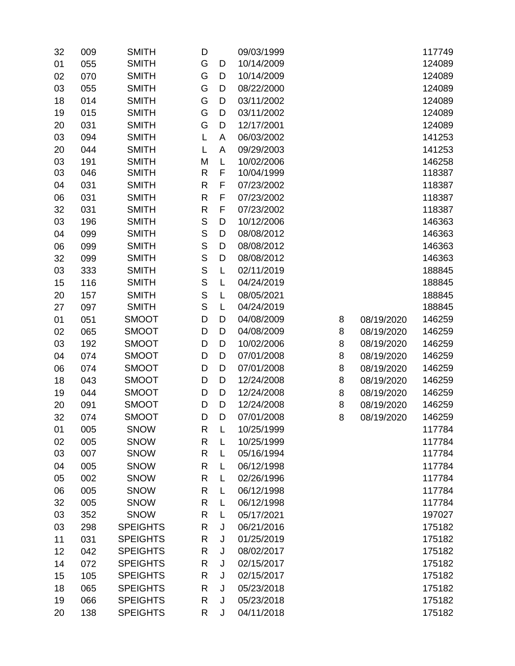| 32 | 009 | <b>SMITH</b>    | D            |   | 09/03/1999 |   |            | 117749 |
|----|-----|-----------------|--------------|---|------------|---|------------|--------|
| 01 | 055 | <b>SMITH</b>    | G            | D | 10/14/2009 |   |            | 124089 |
| 02 | 070 | <b>SMITH</b>    | G            | D | 10/14/2009 |   |            | 124089 |
| 03 | 055 | <b>SMITH</b>    | G            | D | 08/22/2000 |   |            | 124089 |
| 18 | 014 | <b>SMITH</b>    | G            | D | 03/11/2002 |   |            | 124089 |
| 19 | 015 | <b>SMITH</b>    | G            | D | 03/11/2002 |   |            | 124089 |
| 20 | 031 | <b>SMITH</b>    | G            | D | 12/17/2001 |   |            | 124089 |
| 03 | 094 | <b>SMITH</b>    | L            | A | 06/03/2002 |   |            | 141253 |
| 20 | 044 | <b>SMITH</b>    | L            | A | 09/29/2003 |   |            | 141253 |
| 03 | 191 | <b>SMITH</b>    | M            | L | 10/02/2006 |   |            | 146258 |
| 03 | 046 | <b>SMITH</b>    | R            | F | 10/04/1999 |   |            | 118387 |
| 04 | 031 | <b>SMITH</b>    | R            | F | 07/23/2002 |   |            | 118387 |
| 06 | 031 | <b>SMITH</b>    | $\mathsf{R}$ | F | 07/23/2002 |   |            | 118387 |
| 32 | 031 | <b>SMITH</b>    | $\mathsf{R}$ | F | 07/23/2002 |   |            | 118387 |
| 03 | 196 | <b>SMITH</b>    | S            | D | 10/12/2006 |   |            | 146363 |
| 04 | 099 | <b>SMITH</b>    | $\mathsf{S}$ | D | 08/08/2012 |   |            | 146363 |
| 06 | 099 | <b>SMITH</b>    | $\mathsf S$  | D | 08/08/2012 |   |            | 146363 |
| 32 | 099 | <b>SMITH</b>    | $\mathsf{S}$ | D | 08/08/2012 |   |            | 146363 |
| 03 | 333 | <b>SMITH</b>    | S            | L | 02/11/2019 |   |            | 188845 |
| 15 | 116 | <b>SMITH</b>    | $\mathsf{S}$ | L | 04/24/2019 |   |            | 188845 |
| 20 | 157 | <b>SMITH</b>    | $\mathsf S$  | L | 08/05/2021 |   |            | 188845 |
| 27 | 097 | <b>SMITH</b>    | S            | L | 04/24/2019 |   |            | 188845 |
| 01 | 051 | <b>SMOOT</b>    | D            | D | 04/08/2009 | 8 | 08/19/2020 | 146259 |
| 02 | 065 | <b>SMOOT</b>    | D            | D | 04/08/2009 | 8 | 08/19/2020 | 146259 |
| 03 | 192 | <b>SMOOT</b>    | D            | D | 10/02/2006 | 8 | 08/19/2020 | 146259 |
| 04 | 074 | <b>SMOOT</b>    | D            | D | 07/01/2008 | 8 | 08/19/2020 | 146259 |
| 06 | 074 | <b>SMOOT</b>    | D            | D | 07/01/2008 | 8 | 08/19/2020 | 146259 |
| 18 | 043 | <b>SMOOT</b>    | D            | D | 12/24/2008 | 8 | 08/19/2020 | 146259 |
| 19 | 044 | <b>SMOOT</b>    | D            | D | 12/24/2008 | 8 | 08/19/2020 | 146259 |
| 20 | 091 | <b>SMOOT</b>    | D            | D | 12/24/2008 | 8 | 08/19/2020 | 146259 |
| 32 | 074 | <b>SMOOT</b>    | D            | D | 07/01/2008 | 8 | 08/19/2020 | 146259 |
| 01 | 005 | <b>SNOW</b>     | R            | L | 10/25/1999 |   |            | 117784 |
| 02 | 005 | <b>SNOW</b>     | $\mathsf{R}$ | L | 10/25/1999 |   |            | 117784 |
| 03 | 007 | <b>SNOW</b>     | $\mathsf{R}$ | L | 05/16/1994 |   |            | 117784 |
| 04 | 005 | <b>SNOW</b>     | $\mathsf{R}$ | L | 06/12/1998 |   |            | 117784 |
| 05 | 002 | <b>SNOW</b>     | $\mathsf{R}$ | L | 02/26/1996 |   |            | 117784 |
| 06 | 005 | <b>SNOW</b>     | R            | L | 06/12/1998 |   |            | 117784 |
| 32 | 005 | <b>SNOW</b>     | $\mathsf{R}$ | L | 06/12/1998 |   |            | 117784 |
| 03 | 352 | <b>SNOW</b>     | R            | L | 05/17/2021 |   |            | 197027 |
| 03 | 298 | <b>SPEIGHTS</b> | $\mathsf{R}$ | J | 06/21/2016 |   |            | 175182 |
| 11 | 031 | <b>SPEIGHTS</b> | $\mathsf{R}$ | J | 01/25/2019 |   |            | 175182 |
| 12 | 042 | <b>SPEIGHTS</b> | R            | J | 08/02/2017 |   |            | 175182 |
| 14 | 072 | <b>SPEIGHTS</b> | R            | J | 02/15/2017 |   |            | 175182 |
| 15 | 105 | <b>SPEIGHTS</b> | R            | J | 02/15/2017 |   |            | 175182 |
| 18 | 065 | <b>SPEIGHTS</b> | $\mathsf{R}$ | J | 05/23/2018 |   |            | 175182 |
| 19 | 066 | <b>SPEIGHTS</b> | R            | J | 05/23/2018 |   |            | 175182 |
| 20 | 138 | <b>SPEIGHTS</b> | R            | J | 04/11/2018 |   |            | 175182 |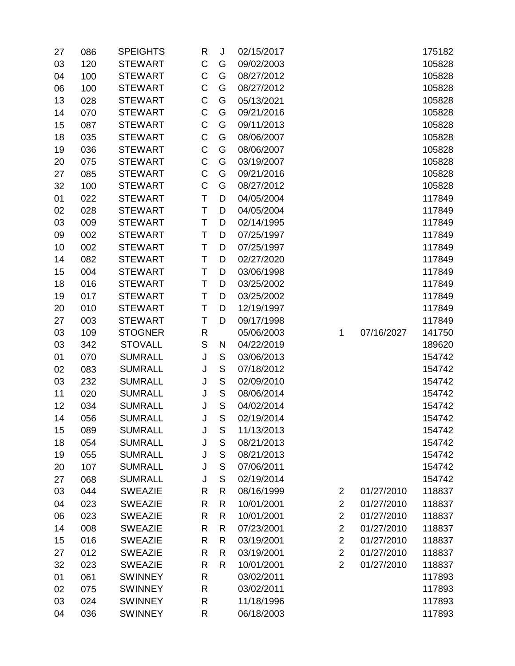| 27 | 086 | <b>SPEIGHTS</b> | R            | J             | 02/15/2017 |                |            | 175182 |
|----|-----|-----------------|--------------|---------------|------------|----------------|------------|--------|
| 03 | 120 | <b>STEWART</b>  | $\mathsf C$  | G             | 09/02/2003 |                |            | 105828 |
| 04 | 100 | <b>STEWART</b>  | $\mathsf C$  | G             | 08/27/2012 |                |            | 105828 |
| 06 | 100 | <b>STEWART</b>  | C            | G             | 08/27/2012 |                |            | 105828 |
| 13 | 028 | <b>STEWART</b>  | $\mathsf C$  | G             | 05/13/2021 |                |            | 105828 |
| 14 | 070 | <b>STEWART</b>  | $\mathsf C$  | G             | 09/21/2016 |                |            | 105828 |
| 15 | 087 | <b>STEWART</b>  | $\mathsf C$  | G             | 09/11/2013 |                |            | 105828 |
| 18 | 035 | <b>STEWART</b>  | $\mathsf C$  | G             | 08/06/2007 |                |            | 105828 |
| 19 | 036 | <b>STEWART</b>  | $\mathsf C$  | G             | 08/06/2007 |                |            | 105828 |
| 20 | 075 | <b>STEWART</b>  | $\mathsf C$  | G             | 03/19/2007 |                |            | 105828 |
| 27 | 085 | <b>STEWART</b>  | $\mathsf C$  | G             | 09/21/2016 |                |            | 105828 |
| 32 | 100 | <b>STEWART</b>  | $\mathsf C$  | G             | 08/27/2012 |                |            | 105828 |
| 01 | 022 | <b>STEWART</b>  | T            | D             | 04/05/2004 |                |            | 117849 |
| 02 | 028 | <b>STEWART</b>  | T            | D             | 04/05/2004 |                |            | 117849 |
| 03 | 009 | <b>STEWART</b>  | T            | D             | 02/14/1995 |                |            | 117849 |
| 09 | 002 | <b>STEWART</b>  | T            | D             | 07/25/1997 |                |            | 117849 |
| 10 | 002 | <b>STEWART</b>  | Τ            | D             | 07/25/1997 |                |            | 117849 |
| 14 | 082 | <b>STEWART</b>  | T            | D             | 02/27/2020 |                |            | 117849 |
| 15 | 004 | <b>STEWART</b>  | T            | D             | 03/06/1998 |                |            | 117849 |
| 18 | 016 | <b>STEWART</b>  | Τ            | D             | 03/25/2002 |                |            | 117849 |
| 19 | 017 | <b>STEWART</b>  | T            | D             | 03/25/2002 |                |            | 117849 |
| 20 | 010 | <b>STEWART</b>  | T            | D             | 12/19/1997 |                |            | 117849 |
| 27 | 003 | <b>STEWART</b>  | Τ            | D             | 09/17/1998 |                |            | 117849 |
| 03 | 109 | <b>STOGNER</b>  | R            |               | 05/06/2003 | 1              | 07/16/2027 | 141750 |
| 03 | 342 | <b>STOVALL</b>  | $\mathbb S$  | N             | 04/22/2019 |                |            | 189620 |
| 01 | 070 | <b>SUMRALL</b>  | J            | $\mathsf S$   | 03/06/2013 |                |            | 154742 |
| 02 | 083 | <b>SUMRALL</b>  | J            | $\mathsf{S}$  | 07/18/2012 |                |            | 154742 |
| 03 | 232 | <b>SUMRALL</b>  | J            | ${\mathsf S}$ | 02/09/2010 |                |            | 154742 |
| 11 | 020 | <b>SUMRALL</b>  | J            | $\mathsf S$   | 08/06/2014 |                |            | 154742 |
| 12 | 034 | <b>SUMRALL</b>  | J            | $\mathsf{S}$  | 04/02/2014 |                |            | 154742 |
| 14 | 056 | <b>SUMRALL</b>  | J            | S             | 02/19/2014 |                |            | 154742 |
| 15 | 089 | <b>SUMRALL</b>  | J            | S             | 11/13/2013 |                |            | 154742 |
| 18 | 054 | <b>SUMRALL</b>  | J            | $\mathsf S$   | 08/21/2013 |                |            | 154742 |
| 19 | 055 | <b>SUMRALL</b>  | J            | $\mathsf S$   | 08/21/2013 |                |            | 154742 |
| 20 | 107 | <b>SUMRALL</b>  | J            | ${\mathsf S}$ | 07/06/2011 |                |            | 154742 |
| 27 | 068 | <b>SUMRALL</b>  | J            | $\mathsf S$   | 02/19/2014 |                |            | 154742 |
| 03 | 044 | <b>SWEAZIE</b>  | $\mathsf{R}$ | R             | 08/16/1999 | 2              | 01/27/2010 | 118837 |
| 04 | 023 | <b>SWEAZIE</b>  | $\mathsf{R}$ | R             | 10/01/2001 | $\overline{2}$ | 01/27/2010 | 118837 |
| 06 | 023 | <b>SWEAZIE</b>  | $\mathsf{R}$ | R             | 10/01/2001 | $\overline{2}$ | 01/27/2010 | 118837 |
| 14 | 008 | <b>SWEAZIE</b>  | $\mathsf{R}$ | R             | 07/23/2001 | $\overline{2}$ | 01/27/2010 | 118837 |
| 15 | 016 | <b>SWEAZIE</b>  | $\mathsf{R}$ | R             | 03/19/2001 | $\overline{2}$ | 01/27/2010 | 118837 |
| 27 | 012 | <b>SWEAZIE</b>  | R            | R             | 03/19/2001 | $\overline{2}$ | 01/27/2010 | 118837 |
| 32 | 023 | <b>SWEAZIE</b>  | R            | R             | 10/01/2001 | $\overline{2}$ | 01/27/2010 | 118837 |
| 01 | 061 | <b>SWINNEY</b>  | ${\sf R}$    |               | 03/02/2011 |                |            | 117893 |
| 02 | 075 | <b>SWINNEY</b>  | $\mathsf{R}$ |               | 03/02/2011 |                |            | 117893 |
| 03 | 024 | <b>SWINNEY</b>  | R            |               | 11/18/1996 |                |            | 117893 |
| 04 | 036 | <b>SWINNEY</b>  | $\mathsf{R}$ |               | 06/18/2003 |                |            | 117893 |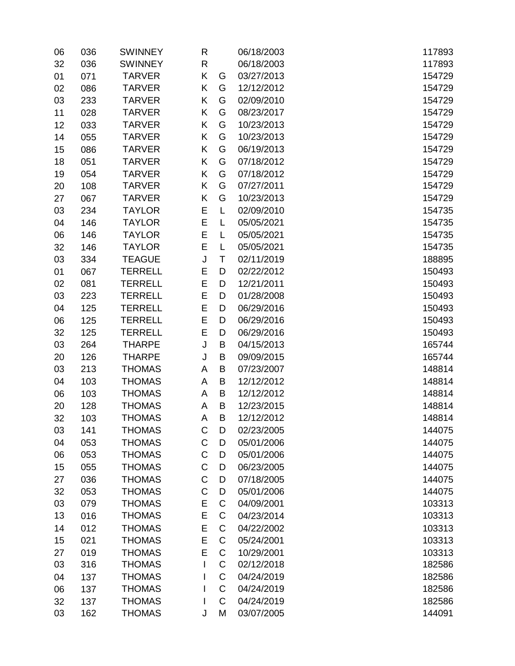| 06 | 036 | <b>SWINNEY</b> | R           |             | 06/18/2003 | 117893 |
|----|-----|----------------|-------------|-------------|------------|--------|
| 32 | 036 | <b>SWINNEY</b> | R           |             | 06/18/2003 | 117893 |
| 01 | 071 | <b>TARVER</b>  | K           | G           | 03/27/2013 | 154729 |
| 02 | 086 | <b>TARVER</b>  | Κ           | G           | 12/12/2012 | 154729 |
| 03 | 233 | <b>TARVER</b>  | Κ           | G           | 02/09/2010 | 154729 |
| 11 | 028 | <b>TARVER</b>  | Κ           | G           | 08/23/2017 | 154729 |
| 12 | 033 | <b>TARVER</b>  | Κ           | G           | 10/23/2013 | 154729 |
| 14 | 055 | <b>TARVER</b>  | Κ           | G           | 10/23/2013 | 154729 |
| 15 | 086 | <b>TARVER</b>  | Κ           | G           | 06/19/2013 | 154729 |
| 18 | 051 | <b>TARVER</b>  | Κ           | G           | 07/18/2012 | 154729 |
| 19 | 054 | <b>TARVER</b>  | Κ           | G           | 07/18/2012 | 154729 |
| 20 | 108 | <b>TARVER</b>  | Κ           | G           | 07/27/2011 | 154729 |
| 27 | 067 | <b>TARVER</b>  | Κ           | G           | 10/23/2013 | 154729 |
| 03 | 234 | <b>TAYLOR</b>  | Ε           | L           | 02/09/2010 | 154735 |
| 04 | 146 | <b>TAYLOR</b>  | E           | L           | 05/05/2021 | 154735 |
| 06 | 146 | <b>TAYLOR</b>  | E           | L           | 05/05/2021 | 154735 |
| 32 | 146 | <b>TAYLOR</b>  | E           | L           | 05/05/2021 | 154735 |
| 03 | 334 | <b>TEAGUE</b>  | J           | T           | 02/11/2019 | 188895 |
| 01 | 067 | <b>TERRELL</b> | E           | D           | 02/22/2012 | 150493 |
| 02 | 081 | <b>TERRELL</b> | E           | D           | 12/21/2011 | 150493 |
| 03 | 223 | <b>TERRELL</b> | E           | D           | 01/28/2008 | 150493 |
| 04 | 125 | <b>TERRELL</b> | E           | D           | 06/29/2016 | 150493 |
| 06 | 125 | <b>TERRELL</b> | E           | D           | 06/29/2016 | 150493 |
| 32 | 125 | <b>TERRELL</b> | E           | D           | 06/29/2016 | 150493 |
| 03 | 264 | <b>THARPE</b>  | J           | B           | 04/15/2013 | 165744 |
| 20 | 126 | <b>THARPE</b>  | J           | B           | 09/09/2015 | 165744 |
| 03 | 213 | <b>THOMAS</b>  | A           | B           | 07/23/2007 | 148814 |
| 04 | 103 | <b>THOMAS</b>  | A           | B           | 12/12/2012 | 148814 |
| 06 | 103 | <b>THOMAS</b>  | A           | B           | 12/12/2012 | 148814 |
| 20 | 128 | <b>THOMAS</b>  | A           | B           | 12/23/2015 | 148814 |
| 32 | 103 | <b>THOMAS</b>  | Α           | B           | 12/12/2012 | 148814 |
| 03 | 141 | <b>THOMAS</b>  | C           | D           | 02/23/2005 | 144075 |
| 04 | 053 | <b>THOMAS</b>  | C           | D           | 05/01/2006 | 144075 |
| 06 | 053 | <b>THOMAS</b>  | $\mathsf C$ | D           | 05/01/2006 | 144075 |
| 15 | 055 | <b>THOMAS</b>  | $\mathsf C$ | D           | 06/23/2005 | 144075 |
| 27 | 036 | <b>THOMAS</b>  | $\mathsf C$ | D           | 07/18/2005 | 144075 |
| 32 | 053 | <b>THOMAS</b>  | $\mathsf C$ | D           | 05/01/2006 | 144075 |
| 03 | 079 | <b>THOMAS</b>  | E           | C           | 04/09/2001 | 103313 |
| 13 | 016 | <b>THOMAS</b>  | E           | C           | 04/23/2014 | 103313 |
| 14 | 012 | <b>THOMAS</b>  | E           | C           | 04/22/2002 | 103313 |
| 15 | 021 | <b>THOMAS</b>  | E           | $\mathsf C$ | 05/24/2001 | 103313 |
| 27 | 019 | <b>THOMAS</b>  | E           | C           | 10/29/2001 | 103313 |
| 03 | 316 | <b>THOMAS</b>  | L           | C           | 02/12/2018 | 182586 |
| 04 | 137 | <b>THOMAS</b>  |             | $\mathsf C$ | 04/24/2019 | 182586 |
| 06 | 137 | <b>THOMAS</b>  | I           | C           | 04/24/2019 | 182586 |
| 32 | 137 | <b>THOMAS</b>  | I           | C           | 04/24/2019 | 182586 |
| 03 | 162 | <b>THOMAS</b>  | J           | M           | 03/07/2005 | 144091 |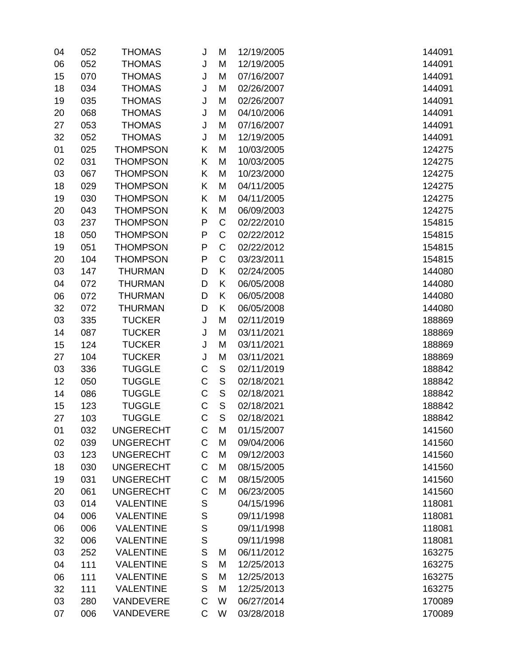| 04 | 052 | <b>THOMAS</b>    | J           | M             | 12/19/2005 | 144091 |
|----|-----|------------------|-------------|---------------|------------|--------|
| 06 | 052 | <b>THOMAS</b>    | J           | M             | 12/19/2005 | 144091 |
| 15 | 070 | <b>THOMAS</b>    | J           | M             | 07/16/2007 | 144091 |
| 18 | 034 | <b>THOMAS</b>    | J           | M             | 02/26/2007 | 144091 |
| 19 | 035 | <b>THOMAS</b>    | J           | M             | 02/26/2007 | 144091 |
| 20 | 068 | <b>THOMAS</b>    | J           | M             | 04/10/2006 | 144091 |
| 27 | 053 | <b>THOMAS</b>    | J           | M             | 07/16/2007 | 144091 |
| 32 | 052 | <b>THOMAS</b>    | J           | M             | 12/19/2005 | 144091 |
| 01 | 025 | <b>THOMPSON</b>  | Κ           | M             | 10/03/2005 | 124275 |
| 02 | 031 | <b>THOMPSON</b>  | Κ           | M             | 10/03/2005 | 124275 |
| 03 | 067 | <b>THOMPSON</b>  | Κ           | M             | 10/23/2000 | 124275 |
| 18 | 029 | <b>THOMPSON</b>  | Κ           | M             | 04/11/2005 | 124275 |
| 19 | 030 | <b>THOMPSON</b>  | Κ           | M             | 04/11/2005 | 124275 |
| 20 | 043 | <b>THOMPSON</b>  | Κ           | M             | 06/09/2003 | 124275 |
| 03 | 237 | <b>THOMPSON</b>  | P           | $\mathsf C$   | 02/22/2010 | 154815 |
| 18 | 050 | <b>THOMPSON</b>  | P           | $\mathsf C$   | 02/22/2012 | 154815 |
| 19 | 051 | <b>THOMPSON</b>  | P           | $\mathsf C$   | 02/22/2012 | 154815 |
| 20 | 104 | <b>THOMPSON</b>  | P           | C             | 03/23/2011 | 154815 |
| 03 | 147 | <b>THURMAN</b>   | D           | K             | 02/24/2005 | 144080 |
| 04 | 072 | <b>THURMAN</b>   | D           | Κ             | 06/05/2008 | 144080 |
| 06 | 072 | <b>THURMAN</b>   | D           | Κ             | 06/05/2008 | 144080 |
| 32 | 072 | <b>THURMAN</b>   | D           | Κ             | 06/05/2008 | 144080 |
| 03 | 335 | <b>TUCKER</b>    | J           | M             | 02/11/2019 | 188869 |
| 14 | 087 | <b>TUCKER</b>    | J           | M             | 03/11/2021 | 188869 |
| 15 | 124 | <b>TUCKER</b>    | J           | M             | 03/11/2021 | 188869 |
| 27 | 104 | <b>TUCKER</b>    | J           | M             | 03/11/2021 | 188869 |
| 03 | 336 | <b>TUGGLE</b>    | C           | ${\mathsf S}$ | 02/11/2019 | 188842 |
| 12 | 050 | <b>TUGGLE</b>    | C           | $\mathsf S$   | 02/18/2021 | 188842 |
| 14 | 086 | <b>TUGGLE</b>    | C           | $\mathsf S$   | 02/18/2021 | 188842 |
| 15 | 123 | <b>TUGGLE</b>    | C           | $\mathsf S$   | 02/18/2021 | 188842 |
| 27 | 103 | <b>TUGGLE</b>    | C           | S             | 02/18/2021 | 188842 |
| 01 | 032 | <b>UNGERECHT</b> | C           | M             | 01/15/2007 | 141560 |
| 02 | 039 | <b>UNGERECHT</b> | C           | M             | 09/04/2006 | 141560 |
| 03 | 123 | <b>UNGERECHT</b> | C           | M             | 09/12/2003 | 141560 |
| 18 | 030 | <b>UNGERECHT</b> | C           | M             | 08/15/2005 | 141560 |
| 19 | 031 | <b>UNGERECHT</b> | C           | M             | 08/15/2005 | 141560 |
| 20 | 061 | <b>UNGERECHT</b> | C           | M             | 06/23/2005 | 141560 |
| 03 | 014 | <b>VALENTINE</b> | S           |               | 04/15/1996 | 118081 |
| 04 | 006 | <b>VALENTINE</b> | S           |               | 09/11/1998 | 118081 |
| 06 | 006 | <b>VALENTINE</b> | S           |               | 09/11/1998 | 118081 |
| 32 | 006 | <b>VALENTINE</b> | S           |               | 09/11/1998 | 118081 |
| 03 | 252 | <b>VALENTINE</b> | S           | M             | 06/11/2012 | 163275 |
| 04 | 111 | <b>VALENTINE</b> | $\mathsf S$ | M             | 12/25/2013 | 163275 |
| 06 | 111 | <b>VALENTINE</b> | $\mathsf S$ | M             | 12/25/2013 | 163275 |
| 32 | 111 | <b>VALENTINE</b> | $\mathsf S$ | M             | 12/25/2013 | 163275 |
| 03 | 280 | VANDEVERE        | $\mathsf C$ | W             | 06/27/2014 | 170089 |
| 07 | 006 | VANDEVERE        | C           | W             | 03/28/2018 | 170089 |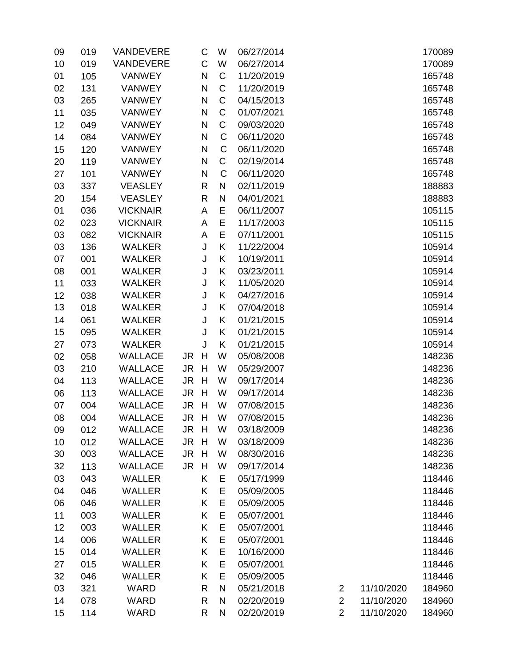| 09 | 019 | VANDEVERE       |      | C            | W            | 06/27/2014 |                |            | 170089 |
|----|-----|-----------------|------|--------------|--------------|------------|----------------|------------|--------|
| 10 | 019 | VANDEVERE       |      | $\mathsf C$  | W            | 06/27/2014 |                |            | 170089 |
| 01 | 105 | <b>VANWEY</b>   |      | $\mathsf{N}$ | C            | 11/20/2019 |                |            | 165748 |
| 02 | 131 | <b>VANWEY</b>   |      | $\mathsf{N}$ | C            | 11/20/2019 |                |            | 165748 |
| 03 | 265 | <b>VANWEY</b>   |      | N            | $\mathsf C$  | 04/15/2013 |                |            | 165748 |
| 11 | 035 | <b>VANWEY</b>   |      | N            | $\mathsf C$  | 01/07/2021 |                |            | 165748 |
| 12 | 049 | <b>VANWEY</b>   |      | N            | $\mathsf C$  | 09/03/2020 |                |            | 165748 |
| 14 | 084 | <b>VANWEY</b>   |      | $\mathsf{N}$ | C            | 06/11/2020 |                |            | 165748 |
| 15 | 120 | <b>VANWEY</b>   |      | N            | C            | 06/11/2020 |                |            | 165748 |
| 20 | 119 | <b>VANWEY</b>   |      | N            | C            | 02/19/2014 |                |            | 165748 |
| 27 | 101 | <b>VANWEY</b>   |      | $\mathsf{N}$ | C            | 06/11/2020 |                |            | 165748 |
| 03 | 337 | <b>VEASLEY</b>  |      | R            | $\mathsf{N}$ | 02/11/2019 |                |            | 188883 |
| 20 | 154 | <b>VEASLEY</b>  |      | R            | ${\sf N}$    | 04/01/2021 |                |            | 188883 |
| 01 | 036 | <b>VICKNAIR</b> |      | A            | E            | 06/11/2007 |                |            | 105115 |
| 02 | 023 | <b>VICKNAIR</b> |      | A            | E            | 11/17/2003 |                |            | 105115 |
| 03 | 082 | <b>VICKNAIR</b> |      | A            | E            | 07/11/2001 |                |            | 105115 |
| 03 | 136 | <b>WALKER</b>   |      | J            | K            | 11/22/2004 |                |            | 105914 |
| 07 | 001 | <b>WALKER</b>   |      | J            | Κ            | 10/19/2011 |                |            | 105914 |
| 08 | 001 | <b>WALKER</b>   |      | J            | K            | 03/23/2011 |                |            | 105914 |
| 11 | 033 | <b>WALKER</b>   |      | J            | Κ            | 11/05/2020 |                |            | 105914 |
| 12 | 038 | <b>WALKER</b>   |      | J            | K            | 04/27/2016 |                |            | 105914 |
| 13 | 018 | <b>WALKER</b>   |      | J            | Κ            | 07/04/2018 |                |            | 105914 |
| 14 | 061 | <b>WALKER</b>   |      | J            | K            | 01/21/2015 |                |            | 105914 |
| 15 | 095 | <b>WALKER</b>   |      | J            | K            | 01/21/2015 |                |            | 105914 |
| 27 | 073 | <b>WALKER</b>   |      | J            | K            | 01/21/2015 |                |            | 105914 |
| 02 | 058 | <b>WALLACE</b>  | JR H |              | W            | 05/08/2008 |                |            | 148236 |
| 03 | 210 | <b>WALLACE</b>  | JR H |              | W            | 05/29/2007 |                |            | 148236 |
| 04 | 113 | <b>WALLACE</b>  | JR   | H            | W            | 09/17/2014 |                |            | 148236 |
| 06 | 113 | <b>WALLACE</b>  | JR   | H            | W            | 09/17/2014 |                |            | 148236 |
| 07 | 004 | <b>WALLACE</b>  | JR H |              | W            | 07/08/2015 |                |            | 148236 |
| 08 | 004 | <b>WALLACE</b>  | JR H |              | W            | 07/08/2015 |                |            | 148236 |
| 09 | 012 | <b>WALLACE</b>  | JR   | H            | W            | 03/18/2009 |                |            | 148236 |
| 10 | 012 | <b>WALLACE</b>  | JR   | H            | W            | 03/18/2009 |                |            | 148236 |
| 30 | 003 | <b>WALLACE</b>  | JR H |              | W            | 08/30/2016 |                |            | 148236 |
| 32 | 113 | <b>WALLACE</b>  | JR.  | H            | W            | 09/17/2014 |                |            | 148236 |
| 03 | 043 | <b>WALLER</b>   |      | Κ            | Е            | 05/17/1999 |                |            | 118446 |
| 04 | 046 | <b>WALLER</b>   |      | Κ            | E            | 05/09/2005 |                |            | 118446 |
| 06 | 046 | <b>WALLER</b>   |      | Κ            | E            | 05/09/2005 |                |            | 118446 |
| 11 | 003 | <b>WALLER</b>   |      | Κ            | E            | 05/07/2001 |                |            | 118446 |
| 12 | 003 | <b>WALLER</b>   |      | Κ            | E            | 05/07/2001 |                |            | 118446 |
| 14 | 006 | <b>WALLER</b>   |      | Κ            | E            | 05/07/2001 |                |            | 118446 |
| 15 | 014 | <b>WALLER</b>   |      | Κ            | E            | 10/16/2000 |                |            | 118446 |
| 27 | 015 | <b>WALLER</b>   |      | Κ            | E            | 05/07/2001 |                |            | 118446 |
| 32 | 046 | <b>WALLER</b>   |      | Κ            | E            | 05/09/2005 |                |            | 118446 |
| 03 | 321 | WARD            |      | R            | ${\sf N}$    | 05/21/2018 | $\overline{c}$ | 11/10/2020 | 184960 |
| 14 | 078 | <b>WARD</b>     |      | $\mathsf{R}$ | N            | 02/20/2019 | $\overline{2}$ | 11/10/2020 | 184960 |
| 15 | 114 | WARD            |      | R            | N            | 02/20/2019 | $\overline{2}$ | 11/10/2020 | 184960 |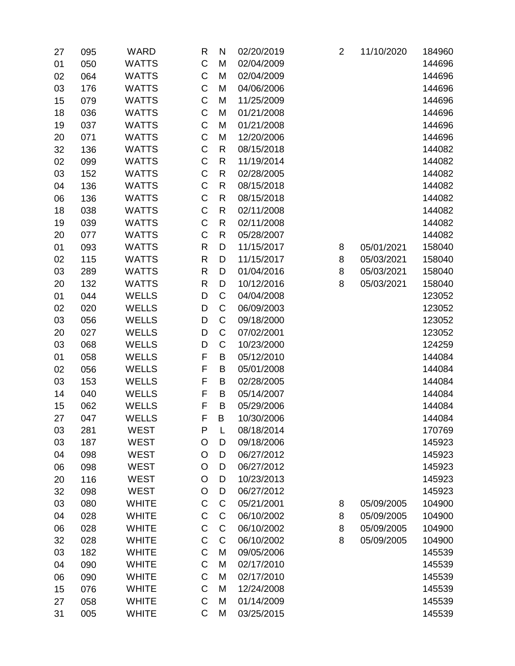| 27 | 095 | <b>WARD</b>  | $\mathsf{R}$ | N            | 02/20/2019 | $\overline{2}$ | 11/10/2020 | 184960 |
|----|-----|--------------|--------------|--------------|------------|----------------|------------|--------|
| 01 | 050 | <b>WATTS</b> | $\mathsf C$  | M            | 02/04/2009 |                |            | 144696 |
| 02 | 064 | <b>WATTS</b> | C            | M            | 02/04/2009 |                |            | 144696 |
| 03 | 176 | <b>WATTS</b> | $\mathsf C$  | M            | 04/06/2006 |                |            | 144696 |
| 15 | 079 | <b>WATTS</b> | $\mathsf C$  | M            | 11/25/2009 |                |            | 144696 |
| 18 | 036 | <b>WATTS</b> | $\mathsf C$  | M            | 01/21/2008 |                |            | 144696 |
| 19 | 037 | <b>WATTS</b> | $\mathsf C$  | M            | 01/21/2008 |                |            | 144696 |
| 20 | 071 | <b>WATTS</b> | $\mathsf C$  | M            | 12/20/2006 |                |            | 144696 |
| 32 | 136 | <b>WATTS</b> | $\mathsf C$  | $\mathsf{R}$ | 08/15/2018 |                |            | 144082 |
| 02 | 099 | <b>WATTS</b> | $\mathsf C$  | ${\sf R}$    | 11/19/2014 |                |            | 144082 |
| 03 | 152 | <b>WATTS</b> | $\mathsf C$  | $\mathsf{R}$ | 02/28/2005 |                |            | 144082 |
| 04 | 136 | <b>WATTS</b> | $\mathsf C$  | ${\sf R}$    | 08/15/2018 |                |            | 144082 |
| 06 | 136 | <b>WATTS</b> | $\mathsf C$  | $\mathsf{R}$ | 08/15/2018 |                |            | 144082 |
| 18 | 038 | <b>WATTS</b> | $\mathsf C$  | $\mathsf{R}$ | 02/11/2008 |                |            | 144082 |
| 19 | 039 | <b>WATTS</b> | $\mathsf C$  | $\mathsf{R}$ | 02/11/2008 |                |            | 144082 |
| 20 | 077 | <b>WATTS</b> | $\mathsf C$  | $\mathsf{R}$ | 05/28/2007 |                |            | 144082 |
| 01 | 093 | <b>WATTS</b> | $\mathsf{R}$ | D            | 11/15/2017 | 8              | 05/01/2021 | 158040 |
| 02 | 115 | <b>WATTS</b> | $\mathsf{R}$ | D            | 11/15/2017 | 8              | 05/03/2021 | 158040 |
| 03 | 289 | <b>WATTS</b> | $\mathsf{R}$ | D            | 01/04/2016 | 8              | 05/03/2021 | 158040 |
| 20 | 132 | <b>WATTS</b> | $\mathsf{R}$ | D            | 10/12/2016 | 8              | 05/03/2021 | 158040 |
| 01 | 044 | <b>WELLS</b> | D            | $\mathsf C$  | 04/04/2008 |                |            | 123052 |
| 02 | 020 | <b>WELLS</b> | D            | $\mathsf C$  | 06/09/2003 |                |            | 123052 |
| 03 | 056 | <b>WELLS</b> | D            | C            | 09/18/2000 |                |            | 123052 |
| 20 | 027 | <b>WELLS</b> | D            | $\mathsf C$  | 07/02/2001 |                |            | 123052 |
| 03 | 068 | <b>WELLS</b> | D            | C            | 10/23/2000 |                |            | 124259 |
| 01 | 058 | <b>WELLS</b> | F            | B            | 05/12/2010 |                |            | 144084 |
| 02 | 056 | <b>WELLS</b> | F            | B            | 05/01/2008 |                |            | 144084 |
| 03 | 153 | <b>WELLS</b> | F            | B            | 02/28/2005 |                |            | 144084 |
| 14 | 040 | <b>WELLS</b> | F            | B            | 05/14/2007 |                |            | 144084 |
| 15 | 062 | <b>WELLS</b> | F            | B            | 05/29/2006 |                |            | 144084 |
| 27 | 047 | <b>WELLS</b> | F            | B            | 10/30/2006 |                |            | 144084 |
| 03 | 281 | <b>WEST</b>  | P            | L            | 08/18/2014 |                |            | 170769 |
| 03 | 187 | WEST         | O            | D            | 09/18/2006 |                |            | 145923 |
| 04 | 098 | WEST         | O            | D            | 06/27/2012 |                |            | 145923 |
| 06 | 098 | <b>WEST</b>  | $\circ$      | D            | 06/27/2012 |                |            | 145923 |
| 20 | 116 | <b>WEST</b>  | O            | D            | 10/23/2013 |                |            | 145923 |
| 32 | 098 | <b>WEST</b>  | $\circ$      | D            | 06/27/2012 |                |            | 145923 |
| 03 | 080 | <b>WHITE</b> | $\mathsf C$  | $\mathsf C$  | 05/21/2001 | 8              | 05/09/2005 | 104900 |
| 04 | 028 | <b>WHITE</b> | $\mathsf C$  | C            | 06/10/2002 | 8              | 05/09/2005 | 104900 |
| 06 | 028 | <b>WHITE</b> | $\mathsf C$  | C            | 06/10/2002 | 8              | 05/09/2005 | 104900 |
| 32 | 028 | <b>WHITE</b> | $\mathsf C$  | $\mathsf C$  | 06/10/2002 | 8              | 05/09/2005 | 104900 |
| 03 | 182 | <b>WHITE</b> | $\mathsf C$  | M            | 09/05/2006 |                |            | 145539 |
| 04 | 090 | <b>WHITE</b> | $\mathsf C$  | M            | 02/17/2010 |                |            | 145539 |
| 06 | 090 | <b>WHITE</b> | $\mathsf C$  | M            | 02/17/2010 |                |            | 145539 |
| 15 | 076 | <b>WHITE</b> | $\mathsf C$  | M            | 12/24/2008 |                |            | 145539 |
| 27 | 058 | <b>WHITE</b> | $\mathsf C$  | M            | 01/14/2009 |                |            | 145539 |
| 31 | 005 | <b>WHITE</b> | $\mathsf C$  | M            | 03/25/2015 |                |            | 145539 |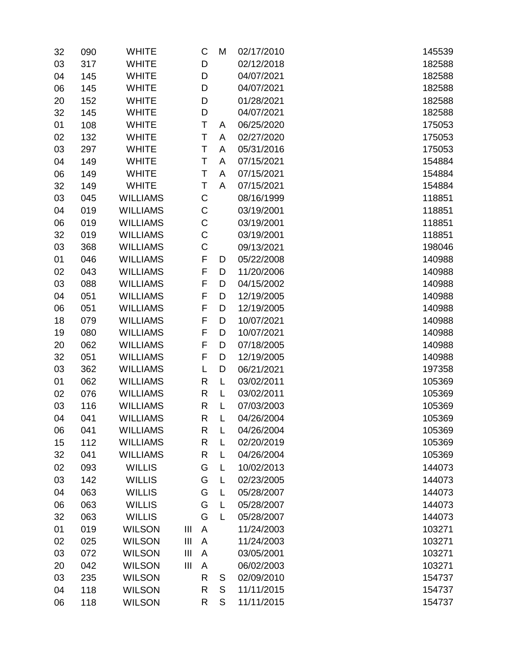| 32 | 090 | <b>WHITE</b>    |                | C | M           | 02/17/2010 | 145539 |
|----|-----|-----------------|----------------|---|-------------|------------|--------|
| 03 | 317 | <b>WHITE</b>    |                | D |             | 02/12/2018 | 182588 |
| 04 | 145 | <b>WHITE</b>    |                | D |             | 04/07/2021 | 182588 |
| 06 | 145 | <b>WHITE</b>    |                | D |             | 04/07/2021 | 182588 |
| 20 | 152 | <b>WHITE</b>    |                | D |             | 01/28/2021 | 182588 |
| 32 | 145 | <b>WHITE</b>    |                | D |             | 04/07/2021 | 182588 |
| 01 | 108 | <b>WHITE</b>    |                | Τ | A           | 06/25/2020 | 175053 |
| 02 | 132 | <b>WHITE</b>    |                | Т | A           | 02/27/2020 | 175053 |
| 03 | 297 | <b>WHITE</b>    |                | T | A           | 05/31/2016 | 175053 |
| 04 | 149 | <b>WHITE</b>    |                | T | A           | 07/15/2021 | 154884 |
| 06 | 149 | <b>WHITE</b>    |                | Τ | A           | 07/15/2021 | 154884 |
| 32 | 149 | <b>WHITE</b>    |                | Τ | A           | 07/15/2021 | 154884 |
| 03 | 045 | <b>WILLIAMS</b> |                | C |             | 08/16/1999 | 118851 |
| 04 | 019 | <b>WILLIAMS</b> |                | C |             | 03/19/2001 | 118851 |
| 06 | 019 | <b>WILLIAMS</b> |                | C |             | 03/19/2001 | 118851 |
| 32 | 019 | <b>WILLIAMS</b> |                | C |             | 03/19/2001 | 118851 |
| 03 | 368 | <b>WILLIAMS</b> |                | C |             | 09/13/2021 | 198046 |
| 01 | 046 | <b>WILLIAMS</b> |                | F | D           | 05/22/2008 | 140988 |
| 02 | 043 | <b>WILLIAMS</b> |                | F | D           | 11/20/2006 | 140988 |
| 03 | 088 | <b>WILLIAMS</b> |                | F | D           | 04/15/2002 | 140988 |
| 04 | 051 | <b>WILLIAMS</b> |                | F | D           | 12/19/2005 | 140988 |
| 06 | 051 | <b>WILLIAMS</b> |                | F | D           | 12/19/2005 | 140988 |
| 18 | 079 | <b>WILLIAMS</b> |                | F | D           | 10/07/2021 | 140988 |
| 19 | 080 | <b>WILLIAMS</b> |                | F | D           | 10/07/2021 | 140988 |
| 20 | 062 | <b>WILLIAMS</b> |                | F | D           | 07/18/2005 | 140988 |
| 32 | 051 | <b>WILLIAMS</b> |                | F | D           | 12/19/2005 | 140988 |
| 03 | 362 | <b>WILLIAMS</b> |                | L | D           | 06/21/2021 | 197358 |
| 01 | 062 | <b>WILLIAMS</b> |                | R | L           | 03/02/2011 | 105369 |
| 02 | 076 | <b>WILLIAMS</b> |                | R | L           | 03/02/2011 | 105369 |
| 03 | 116 | <b>WILLIAMS</b> |                | R | L           | 07/03/2003 | 105369 |
| 04 | 041 | <b>WILLIAMS</b> |                | R | L           | 04/26/2004 | 105369 |
| 06 | 041 | <b>WILLIAMS</b> |                | R | L           | 04/26/2004 | 105369 |
| 15 | 112 | <b>WILLIAMS</b> |                | R | L           | 02/20/2019 | 105369 |
| 32 | 041 | <b>WILLIAMS</b> |                | R | L           | 04/26/2004 | 105369 |
| 02 | 093 | <b>WILLIS</b>   |                | G | L           | 10/02/2013 | 144073 |
| 03 | 142 | <b>WILLIS</b>   |                | G | L           | 02/23/2005 | 144073 |
| 04 | 063 | <b>WILLIS</b>   |                | G | L           | 05/28/2007 | 144073 |
| 06 | 063 | <b>WILLIS</b>   |                | G | L           | 05/28/2007 | 144073 |
| 32 | 063 | <b>WILLIS</b>   |                | G | L           | 05/28/2007 | 144073 |
| 01 | 019 | <b>WILSON</b>   | $\mathbf{III}$ | A |             | 11/24/2003 | 103271 |
| 02 | 025 | <b>WILSON</b>   | Ш              | A |             | 11/24/2003 | 103271 |
| 03 | 072 | <b>WILSON</b>   | $\mathbf{III}$ | A |             | 03/05/2001 | 103271 |
| 20 | 042 | <b>WILSON</b>   | $\mathbf{III}$ | A |             | 06/02/2003 | 103271 |
| 03 | 235 | <b>WILSON</b>   |                | R | S           | 02/09/2010 | 154737 |
| 04 | 118 | <b>WILSON</b>   |                | R | $\mathsf S$ | 11/11/2015 | 154737 |
| 06 | 118 | <b>WILSON</b>   |                | R | S           | 11/11/2015 | 154737 |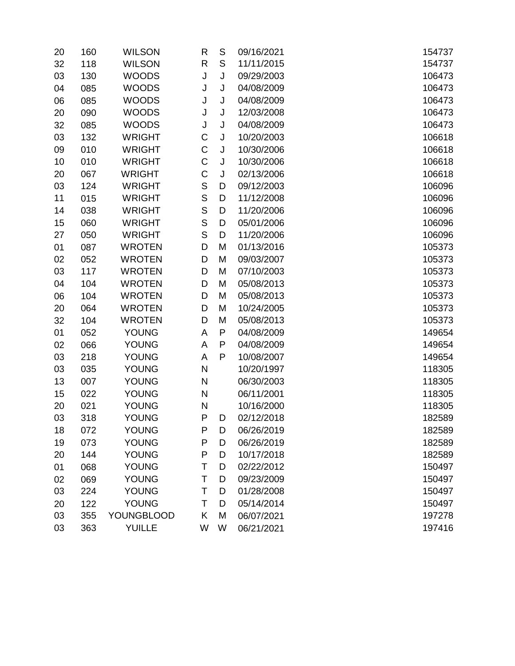| 20 | 160 | <b>WILSON</b>     | R            | $\mathsf S$ | 09/16/2021 | 154737 |
|----|-----|-------------------|--------------|-------------|------------|--------|
| 32 | 118 | <b>WILSON</b>     | R            | S           | 11/11/2015 | 154737 |
| 03 | 130 | <b>WOODS</b>      | J            | J           | 09/29/2003 | 106473 |
| 04 | 085 | <b>WOODS</b>      | J            | J           | 04/08/2009 | 106473 |
| 06 | 085 | <b>WOODS</b>      | J            | J           | 04/08/2009 | 106473 |
| 20 | 090 | <b>WOODS</b>      | J            | J           | 12/03/2008 | 106473 |
| 32 | 085 | <b>WOODS</b>      | J            | J           | 04/08/2009 | 106473 |
| 03 | 132 | <b>WRIGHT</b>     | C            | J           | 10/20/2003 | 106618 |
| 09 | 010 | <b>WRIGHT</b>     | C            | J           | 10/30/2006 | 106618 |
| 10 | 010 | <b>WRIGHT</b>     | C            | J           | 10/30/2006 | 106618 |
| 20 | 067 | <b>WRIGHT</b>     | C            | J           | 02/13/2006 | 106618 |
| 03 | 124 | <b>WRIGHT</b>     | $\mathbb S$  | D           | 09/12/2003 | 106096 |
| 11 | 015 | <b>WRIGHT</b>     | S            | D           | 11/12/2008 | 106096 |
| 14 | 038 | <b>WRIGHT</b>     | $\mathsf S$  | D           | 11/20/2006 | 106096 |
| 15 | 060 | <b>WRIGHT</b>     | S            | D           | 05/01/2006 | 106096 |
| 27 | 050 | <b>WRIGHT</b>     | S            | D           | 11/20/2006 | 106096 |
| 01 | 087 | <b>WROTEN</b>     | D            | M           | 01/13/2016 | 105373 |
| 02 | 052 | <b>WROTEN</b>     | D            | M           | 09/03/2007 | 105373 |
| 03 | 117 | <b>WROTEN</b>     | D            | M           | 07/10/2003 | 105373 |
| 04 | 104 | <b>WROTEN</b>     | D            | M           | 05/08/2013 | 105373 |
| 06 | 104 | <b>WROTEN</b>     | D            | M           | 05/08/2013 | 105373 |
| 20 | 064 | <b>WROTEN</b>     | D            | M           | 10/24/2005 | 105373 |
| 32 | 104 | <b>WROTEN</b>     | D            | M           | 05/08/2013 | 105373 |
| 01 | 052 | <b>YOUNG</b>      | A            | P           | 04/08/2009 | 149654 |
| 02 | 066 | <b>YOUNG</b>      | Α            | P           | 04/08/2009 | 149654 |
| 03 | 218 | <b>YOUNG</b>      | А            | P           | 10/08/2007 | 149654 |
| 03 | 035 | <b>YOUNG</b>      | $\mathsf{N}$ |             | 10/20/1997 | 118305 |
| 13 | 007 | <b>YOUNG</b>      | N            |             | 06/30/2003 | 118305 |
| 15 | 022 | <b>YOUNG</b>      | N            |             | 06/11/2001 | 118305 |
| 20 | 021 | <b>YOUNG</b>      | N            |             | 10/16/2000 | 118305 |
| 03 | 318 | <b>YOUNG</b>      | P            | D           | 02/12/2018 | 182589 |
| 18 | 072 | <b>YOUNG</b>      | P            | D           | 06/26/2019 | 182589 |
| 19 | 073 | <b>YOUNG</b>      | P            | D           | 06/26/2019 | 182589 |
| 20 | 144 | <b>YOUNG</b>      | P            | D           | 10/17/2018 | 182589 |
| 01 | 068 | <b>YOUNG</b>      | T            | D           | 02/22/2012 | 150497 |
| 02 | 069 | <b>YOUNG</b>      | T            | D           | 09/23/2009 | 150497 |
| 03 | 224 | <b>YOUNG</b>      | T            | D           | 01/28/2008 | 150497 |
| 20 | 122 | <b>YOUNG</b>      | T            | D           | 05/14/2014 | 150497 |
| 03 | 355 | <b>YOUNGBLOOD</b> | Κ            | M           | 06/07/2021 | 197278 |
| 03 | 363 | <b>YUILLE</b>     | W            | W           | 06/21/2021 | 197416 |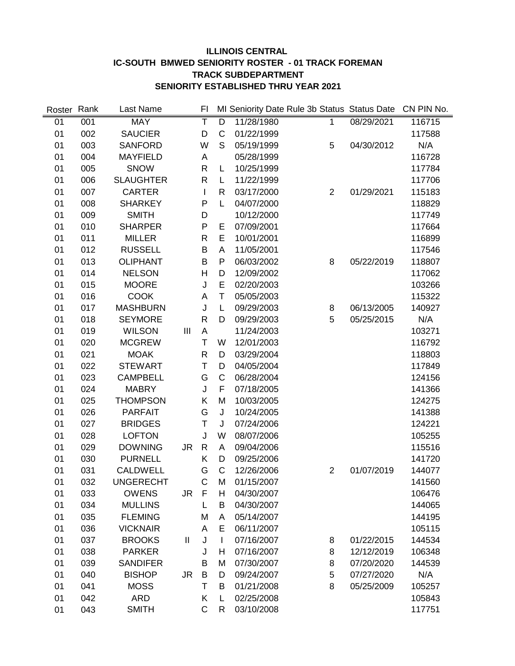#### **ILLINOIS CENTRAL IC-SOUTH BMWED SENIORITY ROSTER - 01 TRACK FOREMAN TRACK SUBDEPARTMENT SENIORITY ESTABLISHED THRU YEAR 2021**

| Roster | Rank | Last Name        |    | FI           |              |            | MI Seniority Date Rule 3b Status Status Date |            | CN PIN No. |
|--------|------|------------------|----|--------------|--------------|------------|----------------------------------------------|------------|------------|
| 01     | 001  | <b>MAY</b>       |    | T            | D            | 11/28/1980 | 1                                            | 08/29/2021 | 116715     |
| 01     | 002  | <b>SAUCIER</b>   |    | D            | $\mathsf C$  | 01/22/1999 |                                              |            | 117588     |
| 01     | 003  | <b>SANFORD</b>   |    | W            | S            | 05/19/1999 | 5                                            | 04/30/2012 | N/A        |
| 01     | 004  | <b>MAYFIELD</b>  |    | A            |              | 05/28/1999 |                                              |            | 116728     |
| 01     | 005  | <b>SNOW</b>      |    | $\mathsf{R}$ | L            | 10/25/1999 |                                              |            | 117784     |
| 01     | 006  | <b>SLAUGHTER</b> |    | R            | L            | 11/22/1999 |                                              |            | 117706     |
| 01     | 007  | <b>CARTER</b>    |    | L            | R            | 03/17/2000 | $\overline{2}$                               | 01/29/2021 | 115183     |
| 01     | 008  | <b>SHARKEY</b>   |    | P            | L            | 04/07/2000 |                                              |            | 118829     |
| 01     | 009  | <b>SMITH</b>     |    | D            |              | 10/12/2000 |                                              |            | 117749     |
| 01     | 010  | <b>SHARPER</b>   |    | P            | Е            | 07/09/2001 |                                              |            | 117664     |
| 01     | 011  | <b>MILLER</b>    |    | R            | E            | 10/01/2001 |                                              |            | 116899     |
| 01     | 012  | <b>RUSSELL</b>   |    | B            | A            | 11/05/2001 |                                              |            | 117546     |
| 01     | 013  | <b>OLIPHANT</b>  |    | B            | $\mathsf{P}$ | 06/03/2002 | 8                                            | 05/22/2019 | 118807     |
| 01     | 014  | <b>NELSON</b>    |    | Н            | D            | 12/09/2002 |                                              |            | 117062     |
| 01     | 015  | <b>MOORE</b>     |    | J            | E            | 02/20/2003 |                                              |            | 103266     |
| 01     | 016  | <b>COOK</b>      |    | A            | $\mathsf T$  | 05/05/2003 |                                              |            | 115322     |
| 01     | 017  | <b>MASHBURN</b>  |    | J            | L            | 09/29/2003 | 8                                            | 06/13/2005 | 140927     |
| 01     | 018  | <b>SEYMORE</b>   |    | $\mathsf{R}$ | D            | 09/29/2003 | 5                                            | 05/25/2015 | N/A        |
| 01     | 019  | <b>WILSON</b>    | Ш  | A            |              | 11/24/2003 |                                              |            | 103271     |
| 01     | 020  | <b>MCGREW</b>    |    | T            | W            | 12/01/2003 |                                              |            | 116792     |
| 01     | 021  | <b>MOAK</b>      |    | R            | D            | 03/29/2004 |                                              |            | 118803     |
| 01     | 022  | <b>STEWART</b>   |    | Τ            | D            | 04/05/2004 |                                              |            | 117849     |
| 01     | 023  | <b>CAMPBELL</b>  |    | G            | C            | 06/28/2004 |                                              |            | 124156     |
| 01     | 024  | <b>MABRY</b>     |    | J            | $\mathsf F$  | 07/18/2005 |                                              |            | 141366     |
| 01     | 025  | <b>THOMPSON</b>  |    | Κ            | M            | 10/03/2005 |                                              |            | 124275     |
| 01     | 026  | <b>PARFAIT</b>   |    | G            | $\sf J$      | 10/24/2005 |                                              |            | 141388     |
| 01     | 027  | <b>BRIDGES</b>   |    | Т            | J            | 07/24/2006 |                                              |            | 124221     |
| 01     | 028  | <b>LOFTON</b>    |    | J            | W            | 08/07/2006 |                                              |            | 105255     |
| 01     | 029  | <b>DOWNING</b>   | JR | $\mathsf{R}$ | A            | 09/04/2006 |                                              |            | 115516     |
| 01     | 030  | <b>PURNELL</b>   |    | Κ            | D            | 09/25/2006 |                                              |            | 141720     |
| 01     | 031  | <b>CALDWELL</b>  |    | G            | $\mathsf C$  | 12/26/2006 | $\overline{2}$                               | 01/07/2019 | 144077     |
| 01     | 032  | <b>UNGERECHT</b> |    | $\mathsf{C}$ | M            | 01/15/2007 |                                              |            | 141560     |
| 01     | 033  | <b>OWENS</b>     | JR | F            | H            | 04/30/2007 |                                              |            | 106476     |
| 01     | 034  | <b>MULLINS</b>   |    | L            | B            | 04/30/2007 |                                              |            | 144065     |
| 01     | 035  | <b>FLEMING</b>   |    | M            | A            | 05/14/2007 |                                              |            | 144195     |
| 01     | 036  | <b>VICKNAIR</b>  |    | A            | E            | 06/11/2007 |                                              |            | 105115     |
| 01     | 037  | <b>BROOKS</b>    | Ш  | J            | L            | 07/16/2007 | 8                                            | 01/22/2015 | 144534     |
| 01     | 038  | <b>PARKER</b>    |    | J            | н            | 07/16/2007 | 8                                            | 12/12/2019 | 106348     |
| 01     | 039  | <b>SANDIFER</b>  |    | B            | M            | 07/30/2007 | 8                                            | 07/20/2020 | 144539     |
| 01     | 040  | <b>BISHOP</b>    | JR | B            | D            | 09/24/2007 | 5                                            | 07/27/2020 | N/A        |
| 01     | 041  | <b>MOSS</b>      |    | т            | B            | 01/21/2008 | 8                                            | 05/25/2009 | 105257     |
| 01     | 042  | <b>ARD</b>       |    | Κ            | L            | 02/25/2008 |                                              |            | 105843     |
| 01     | 043  | <b>SMITH</b>     |    | $\mathsf C$  | R            | 03/10/2008 |                                              |            | 117751     |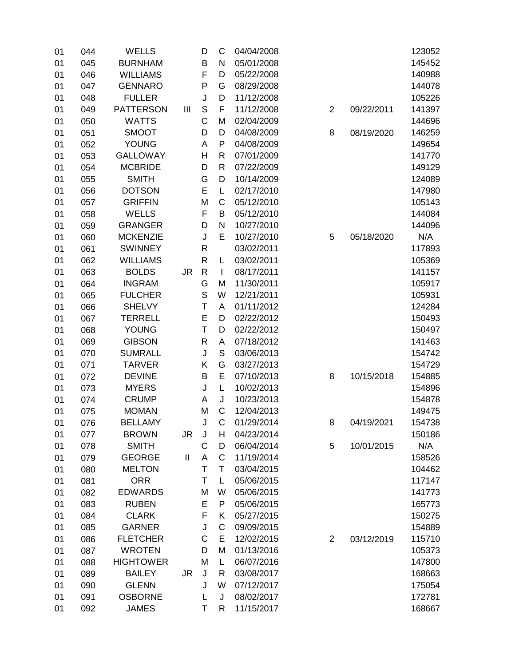| 01 | 044 | <b>WELLS</b>     |              | D                                                                                                                                                                                                                                                                                                                                                                                                                                                        | C            | 04/04/2008 |                |            | 123052 |
|----|-----|------------------|--------------|----------------------------------------------------------------------------------------------------------------------------------------------------------------------------------------------------------------------------------------------------------------------------------------------------------------------------------------------------------------------------------------------------------------------------------------------------------|--------------|------------|----------------|------------|--------|
| 01 | 045 | <b>BURNHAM</b>   |              | B                                                                                                                                                                                                                                                                                                                                                                                                                                                        | N            | 05/01/2008 |                |            | 145452 |
| 01 | 046 | <b>WILLIAMS</b>  |              | F                                                                                                                                                                                                                                                                                                                                                                                                                                                        | D            | 05/22/2008 |                |            | 140988 |
| 01 | 047 | <b>GENNARO</b>   |              | P                                                                                                                                                                                                                                                                                                                                                                                                                                                        | G            | 08/29/2008 |                |            | 144078 |
| 01 | 048 | <b>FULLER</b>    |              | J                                                                                                                                                                                                                                                                                                                                                                                                                                                        | D            | 11/12/2008 |                |            | 105226 |
| 01 | 049 | <b>PATTERSON</b> | Ш            | $\mathsf{S}% _{T}=\mathsf{S}_{T}\!\left( a,b\right) ,\ \mathsf{S}_{T}=\mathsf{S}_{T}\!\left( a,b\right) ,\ \mathsf{S}_{T}=\mathsf{S}_{T}\!\left( a,b\right) ,\ \mathsf{S}_{T}=\mathsf{S}_{T}\!\left( a,b\right) ,\ \mathsf{S}_{T}=\mathsf{S}_{T}\!\left( a,b\right) ,\ \mathsf{S}_{T}=\mathsf{S}_{T}\!\left( a,b\right) ,\ \mathsf{S}_{T}=\mathsf{S}_{T}\!\left( a,b\right) ,\ \mathsf{S}_{T}=\mathsf{S}_{T}\!\left( a,b\right) ,\ \mathsf{S}_{T}=\math$ | F            | 11/12/2008 | $\overline{2}$ | 09/22/2011 | 141397 |
| 01 | 050 | <b>WATTS</b>     |              | C                                                                                                                                                                                                                                                                                                                                                                                                                                                        | M            | 02/04/2009 |                |            | 144696 |
| 01 | 051 | <b>SMOOT</b>     |              | D                                                                                                                                                                                                                                                                                                                                                                                                                                                        | D            | 04/08/2009 | 8              | 08/19/2020 | 146259 |
| 01 | 052 | <b>YOUNG</b>     |              | Α                                                                                                                                                                                                                                                                                                                                                                                                                                                        | P            | 04/08/2009 |                |            | 149654 |
| 01 | 053 | <b>GALLOWAY</b>  |              | Н                                                                                                                                                                                                                                                                                                                                                                                                                                                        | R            | 07/01/2009 |                |            | 141770 |
| 01 | 054 | <b>MCBRIDE</b>   |              | D                                                                                                                                                                                                                                                                                                                                                                                                                                                        | R            | 07/22/2009 |                |            | 149129 |
| 01 | 055 | <b>SMITH</b>     |              | G                                                                                                                                                                                                                                                                                                                                                                                                                                                        | D            | 10/14/2009 |                |            | 124089 |
| 01 | 056 | <b>DOTSON</b>    |              | E                                                                                                                                                                                                                                                                                                                                                                                                                                                        | L            | 02/17/2010 |                |            | 147980 |
| 01 | 057 | <b>GRIFFIN</b>   |              | M                                                                                                                                                                                                                                                                                                                                                                                                                                                        | $\mathsf C$  | 05/12/2010 |                |            | 105143 |
| 01 | 058 | <b>WELLS</b>     |              | F                                                                                                                                                                                                                                                                                                                                                                                                                                                        | B            | 05/12/2010 |                |            | 144084 |
| 01 | 059 | <b>GRANGER</b>   |              | D                                                                                                                                                                                                                                                                                                                                                                                                                                                        | N            | 10/27/2010 |                |            | 144096 |
| 01 | 060 | <b>MCKENZIE</b>  |              | J                                                                                                                                                                                                                                                                                                                                                                                                                                                        | E            | 10/27/2010 | 5              | 05/18/2020 | N/A    |
| 01 | 061 | <b>SWINNEY</b>   |              | R                                                                                                                                                                                                                                                                                                                                                                                                                                                        |              | 03/02/2011 |                |            | 117893 |
| 01 | 062 | <b>WILLIAMS</b>  |              | R                                                                                                                                                                                                                                                                                                                                                                                                                                                        | L            | 03/02/2011 |                |            | 105369 |
| 01 | 063 | <b>BOLDS</b>     | <b>JR</b>    | $\mathsf R$                                                                                                                                                                                                                                                                                                                                                                                                                                              | $\mathbf{I}$ | 08/17/2011 |                |            | 141157 |
| 01 | 064 | <b>INGRAM</b>    |              | G                                                                                                                                                                                                                                                                                                                                                                                                                                                        | M            | 11/30/2011 |                |            | 105917 |
| 01 | 065 | <b>FULCHER</b>   |              | S                                                                                                                                                                                                                                                                                                                                                                                                                                                        | W            | 12/21/2011 |                |            | 105931 |
| 01 | 066 | <b>SHELVY</b>    |              | Τ                                                                                                                                                                                                                                                                                                                                                                                                                                                        | Α            | 01/11/2012 |                |            | 124284 |
| 01 | 067 | <b>TERRELL</b>   |              | E                                                                                                                                                                                                                                                                                                                                                                                                                                                        | D            | 02/22/2012 |                |            | 150493 |
| 01 | 068 | <b>YOUNG</b>     |              | T                                                                                                                                                                                                                                                                                                                                                                                                                                                        | D            | 02/22/2012 |                |            | 150497 |
| 01 | 069 | <b>GIBSON</b>    |              | R                                                                                                                                                                                                                                                                                                                                                                                                                                                        | Α            | 07/18/2012 |                |            | 141463 |
| 01 | 070 | <b>SUMRALL</b>   |              | J                                                                                                                                                                                                                                                                                                                                                                                                                                                        | $\mathbf S$  | 03/06/2013 |                |            | 154742 |
| 01 | 071 | <b>TARVER</b>    |              | Κ                                                                                                                                                                                                                                                                                                                                                                                                                                                        | G            | 03/27/2013 |                |            | 154729 |
| 01 | 072 | <b>DEVINE</b>    |              | B                                                                                                                                                                                                                                                                                                                                                                                                                                                        | E            | 07/10/2013 | 8              | 10/15/2018 | 154885 |
| 01 | 073 | <b>MYERS</b>     |              | J                                                                                                                                                                                                                                                                                                                                                                                                                                                        | L            | 10/02/2013 |                |            | 154896 |
| 01 | 074 | <b>CRUMP</b>     |              | Α                                                                                                                                                                                                                                                                                                                                                                                                                                                        | J            | 10/23/2013 |                |            | 154878 |
| 01 | 075 | <b>MOMAN</b>     |              | M                                                                                                                                                                                                                                                                                                                                                                                                                                                        | C            | 12/04/2013 |                |            | 149475 |
| 01 | 076 | <b>BELLAMY</b>   |              | J                                                                                                                                                                                                                                                                                                                                                                                                                                                        | C            | 01/29/2014 | 8              | 04/19/2021 | 154738 |
| 01 | 077 | <b>BROWN</b>     | JR           | J                                                                                                                                                                                                                                                                                                                                                                                                                                                        | н            | 04/23/2014 |                |            | 150186 |
| 01 | 078 | <b>SMITH</b>     |              | С                                                                                                                                                                                                                                                                                                                                                                                                                                                        | D            | 06/04/2014 | 5              | 10/01/2015 | N/A    |
| 01 | 079 | <b>GEORGE</b>    | $\mathbf{I}$ | Α                                                                                                                                                                                                                                                                                                                                                                                                                                                        | C            | 11/19/2014 |                |            | 158526 |
| 01 | 080 | <b>MELTON</b>    |              | T                                                                                                                                                                                                                                                                                                                                                                                                                                                        | T            | 03/04/2015 |                |            | 104462 |
| 01 | 081 | <b>ORR</b>       |              | т                                                                                                                                                                                                                                                                                                                                                                                                                                                        | L            | 05/06/2015 |                |            | 117147 |
| 01 | 082 | <b>EDWARDS</b>   |              | M                                                                                                                                                                                                                                                                                                                                                                                                                                                        | W            | 05/06/2015 |                |            | 141773 |
| 01 | 083 | <b>RUBEN</b>     |              | Е                                                                                                                                                                                                                                                                                                                                                                                                                                                        | P            | 05/06/2015 |                |            | 165773 |
| 01 | 084 | <b>CLARK</b>     |              | F                                                                                                                                                                                                                                                                                                                                                                                                                                                        | Κ            | 05/27/2015 |                |            | 150275 |
| 01 | 085 | <b>GARNER</b>    |              | J                                                                                                                                                                                                                                                                                                                                                                                                                                                        | C            | 09/09/2015 |                |            | 154889 |
| 01 | 086 | <b>FLETCHER</b>  |              | C                                                                                                                                                                                                                                                                                                                                                                                                                                                        | Е            | 12/02/2015 | $\overline{2}$ | 03/12/2019 | 115710 |
| 01 | 087 | <b>WROTEN</b>    |              | D                                                                                                                                                                                                                                                                                                                                                                                                                                                        | M            | 01/13/2016 |                |            | 105373 |
| 01 | 088 | <b>HIGHTOWER</b> |              | M                                                                                                                                                                                                                                                                                                                                                                                                                                                        | L            | 06/07/2016 |                |            | 147800 |
| 01 | 089 | <b>BAILEY</b>    | <b>JR</b>    | J                                                                                                                                                                                                                                                                                                                                                                                                                                                        | R            | 03/08/2017 |                |            | 168663 |
| 01 | 090 | <b>GLENN</b>     |              | J                                                                                                                                                                                                                                                                                                                                                                                                                                                        | W            | 07/12/2017 |                |            | 175054 |
| 01 | 091 | <b>OSBORNE</b>   |              | L                                                                                                                                                                                                                                                                                                                                                                                                                                                        | J            | 08/02/2017 |                |            | 172781 |
| 01 | 092 | <b>JAMES</b>     |              | Τ                                                                                                                                                                                                                                                                                                                                                                                                                                                        | R            | 11/15/2017 |                |            | 168667 |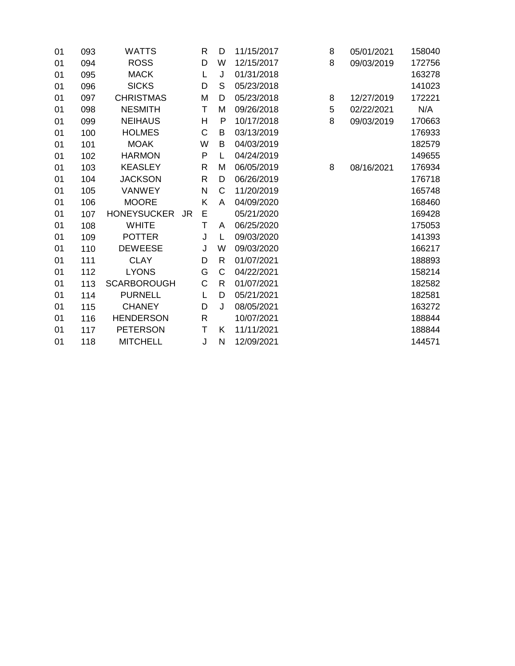| 01 | 093 | WATTS              |           | R | D            | 11/15/2017 | 8 | 05/01/2021 | 158040 |
|----|-----|--------------------|-----------|---|--------------|------------|---|------------|--------|
| 01 | 094 | <b>ROSS</b>        |           | D | W            | 12/15/2017 | 8 | 09/03/2019 | 172756 |
| 01 | 095 | <b>MACK</b>        |           | L | J            | 01/31/2018 |   |            | 163278 |
| 01 | 096 | <b>SICKS</b>       |           | D | S            | 05/23/2018 |   |            | 141023 |
| 01 | 097 | <b>CHRISTMAS</b>   |           | M | D            | 05/23/2018 | 8 | 12/27/2019 | 172221 |
| 01 | 098 | <b>NESMITH</b>     |           | т | M            | 09/26/2018 | 5 | 02/22/2021 | N/A    |
| 01 | 099 | <b>NEIHAUS</b>     |           | Н | P            | 10/17/2018 | 8 | 09/03/2019 | 170663 |
| 01 | 100 | <b>HOLMES</b>      |           | C | B            | 03/13/2019 |   |            | 176933 |
| 01 | 101 | <b>MOAK</b>        |           | W | B            | 04/03/2019 |   |            | 182579 |
| 01 | 102 | <b>HARMON</b>      |           | P | L            | 04/24/2019 |   |            | 149655 |
| 01 | 103 | <b>KEASLEY</b>     |           | R | Μ            | 06/05/2019 | 8 | 08/16/2021 | 176934 |
| 01 | 104 | <b>JACKSON</b>     |           | R | D            | 06/26/2019 |   |            | 176718 |
| 01 | 105 | <b>VANWEY</b>      |           | N | $\mathsf{C}$ | 11/20/2019 |   |            | 165748 |
| 01 | 106 | <b>MOORE</b>       |           | K | A            | 04/09/2020 |   |            | 168460 |
| 01 | 107 | <b>HONEYSUCKER</b> | <b>JR</b> | Е |              | 05/21/2020 |   |            | 169428 |
| 01 | 108 | <b>WHITE</b>       |           | Τ | A            | 06/25/2020 |   |            | 175053 |
| 01 | 109 | <b>POTTER</b>      |           | J | L            | 09/03/2020 |   |            | 141393 |
| 01 | 110 | <b>DEWEESE</b>     |           | J | W            | 09/03/2020 |   |            | 166217 |
| 01 | 111 | <b>CLAY</b>        |           | D | R            | 01/07/2021 |   |            | 188893 |
| 01 | 112 | <b>LYONS</b>       |           | G | C            | 04/22/2021 |   |            | 158214 |
| 01 | 113 | <b>SCARBOROUGH</b> |           | C | R            | 01/07/2021 |   |            | 182582 |
| 01 | 114 | <b>PURNELL</b>     |           | L | D            | 05/21/2021 |   |            | 182581 |
| 01 | 115 | <b>CHANEY</b>      |           | D | J            | 08/05/2021 |   |            | 163272 |
| 01 | 116 | <b>HENDERSON</b>   |           | R |              | 10/07/2021 |   |            | 188844 |
| 01 | 117 | <b>PETERSON</b>    |           | Τ | Κ            | 11/11/2021 |   |            | 188844 |
| 01 | 118 | <b>MITCHELL</b>    |           | J | N            | 12/09/2021 |   |            | 144571 |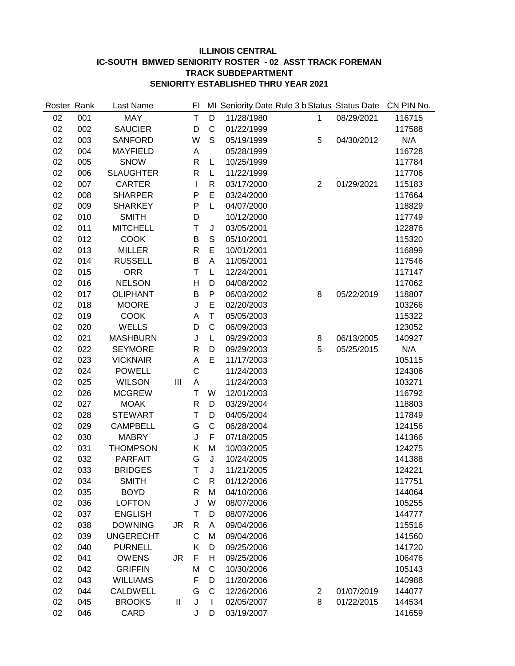#### **ILLINOIS CENTRAL IC-SOUTH BMWED SENIORITY ROSTER - 02 ASST TRACK FOREMAN TRACK SUBDEPARTMENT SENIORITY ESTABLISHED THRU YEAR 2021**

| Roster Rank |     | Last Name        |           | FI           |                |            | MI Seniority Date Rule 3 b Status Status Date |            | CN PIN No. |
|-------------|-----|------------------|-----------|--------------|----------------|------------|-----------------------------------------------|------------|------------|
| 02          | 001 | <b>MAY</b>       |           | Ŧ            | $\overline{D}$ | 11/28/1980 | 1                                             | 08/29/2021 | 116715     |
| 02          | 002 | <b>SAUCIER</b>   |           | D            | $\mathsf{C}$   | 01/22/1999 |                                               |            | 117588     |
| 02          | 003 | <b>SANFORD</b>   |           | W            | S              | 05/19/1999 | 5                                             | 04/30/2012 | N/A        |
| 02          | 004 | <b>MAYFIELD</b>  |           | А            |                | 05/28/1999 |                                               |            | 116728     |
| 02          | 005 | <b>SNOW</b>      |           | R            | L              | 10/25/1999 |                                               |            | 117784     |
| 02          | 006 | <b>SLAUGHTER</b> |           | R            | L              | 11/22/1999 |                                               |            | 117706     |
| 02          | 007 | <b>CARTER</b>    |           | L            | R              | 03/17/2000 | $\overline{2}$                                | 01/29/2021 | 115183     |
| 02          | 008 | <b>SHARPER</b>   |           | P            | E              | 03/24/2000 |                                               |            | 117664     |
| 02          | 009 | <b>SHARKEY</b>   |           | P            | L              | 04/07/2000 |                                               |            | 118829     |
| 02          | 010 | <b>SMITH</b>     |           | D            |                | 10/12/2000 |                                               |            | 117749     |
| 02          | 011 | <b>MITCHELL</b>  |           | Τ            | J              | 03/05/2001 |                                               |            | 122876     |
| 02          | 012 | <b>COOK</b>      |           | B            | $\mathbb S$    | 05/10/2001 |                                               |            | 115320     |
| 02          | 013 | <b>MILLER</b>    |           | R            | E              | 10/01/2001 |                                               |            | 116899     |
| 02          | 014 | <b>RUSSELL</b>   |           | B            | A              | 11/05/2001 |                                               |            | 117546     |
| 02          | 015 | <b>ORR</b>       |           | T            | L              | 12/24/2001 |                                               |            | 117147     |
| 02          | 016 | <b>NELSON</b>    |           | Η            | D              | 04/08/2002 |                                               |            | 117062     |
| 02          | 017 | <b>OLIPHANT</b>  |           | B            | P              | 06/03/2002 | 8                                             | 05/22/2019 | 118807     |
| 02          | 018 | <b>MOORE</b>     |           | J            | E              | 02/20/2003 |                                               |            | 103266     |
| 02          | 019 | <b>COOK</b>      |           | A            | $\mathsf T$    | 05/05/2003 |                                               |            | 115322     |
| 02          | 020 | <b>WELLS</b>     |           | D            | $\mathsf C$    | 06/09/2003 |                                               |            | 123052     |
| 02          | 021 | <b>MASHBURN</b>  |           | J            | L              | 09/29/2003 | 8                                             | 06/13/2005 | 140927     |
| 02          | 022 | <b>SEYMORE</b>   |           | R            | D              | 09/29/2003 | 5                                             | 05/25/2015 | N/A        |
| 02          | 023 | <b>VICKNAIR</b>  |           | A            | E              | 11/17/2003 |                                               |            | 105115     |
| 02          | 024 | <b>POWELL</b>    |           | $\mathsf{C}$ |                | 11/24/2003 |                                               |            | 124306     |
| 02          | 025 | <b>WILSON</b>    | III       | A            |                | 11/24/2003 |                                               |            | 103271     |
| 02          | 026 | <b>MCGREW</b>    |           | $\mathsf T$  | W              | 12/01/2003 |                                               |            | 116792     |
| 02          | 027 | <b>MOAK</b>      |           | R            | D              | 03/29/2004 |                                               |            | 118803     |
| 02          | 028 | <b>STEWART</b>   |           | Τ            | D              | 04/05/2004 |                                               |            | 117849     |
| 02          | 029 | <b>CAMPBELL</b>  |           | G            | $\mathsf C$    | 06/28/2004 |                                               |            | 124156     |
| 02          | 030 | <b>MABRY</b>     |           | J            | F              | 07/18/2005 |                                               |            | 141366     |
| 02          | 031 | <b>THOMPSON</b>  |           | Κ            | M              | 10/03/2005 |                                               |            | 124275     |
| 02          | 032 | <b>PARFAIT</b>   |           | G            | J              | 10/24/2005 |                                               |            | 141388     |
| 02          | 033 | <b>BRIDGES</b>   |           | T            | J              | 11/21/2005 |                                               |            | 124221     |
| 02          | 034 | <b>SMITH</b>     |           | С            | R              | 01/12/2006 |                                               |            | 117751     |
| 02          | 035 | <b>BOYD</b>      |           | R            | M              | 04/10/2006 |                                               |            | 144064     |
| 02          | 036 | <b>LOFTON</b>    |           | J            | W              | 08/07/2006 |                                               |            | 105255     |
| 02          | 037 | <b>ENGLISH</b>   |           | Τ            | D              | 08/07/2006 |                                               |            | 144777     |
| 02          | 038 | <b>DOWNING</b>   | <b>JR</b> | R            | Α              | 09/04/2006 |                                               |            | 115516     |
| 02          | 039 | <b>UNGERECHT</b> |           | C            | M              | 09/04/2006 |                                               |            | 141560     |
| 02          | 040 | <b>PURNELL</b>   |           | Κ            | D              | 09/25/2006 |                                               |            | 141720     |
| 02          | 041 | <b>OWENS</b>     | <b>JR</b> | F            | Η              | 09/25/2006 |                                               |            | 106476     |
| 02          | 042 | <b>GRIFFIN</b>   |           | M            | $\mathsf{C}$   | 10/30/2006 |                                               |            | 105143     |
| 02          | 043 | <b>WILLIAMS</b>  |           | F            | D              | 11/20/2006 |                                               |            | 140988     |
| 02          | 044 | <b>CALDWELL</b>  |           | G            | C              | 12/26/2006 | $\overline{c}$                                | 01/07/2019 | 144077     |
| 02          | 045 | <b>BROOKS</b>    | Ш         | J            | I              | 02/05/2007 | 8                                             | 01/22/2015 | 144534     |
| 02          | 046 | CARD             |           | J            | D              | 03/19/2007 |                                               |            | 141659     |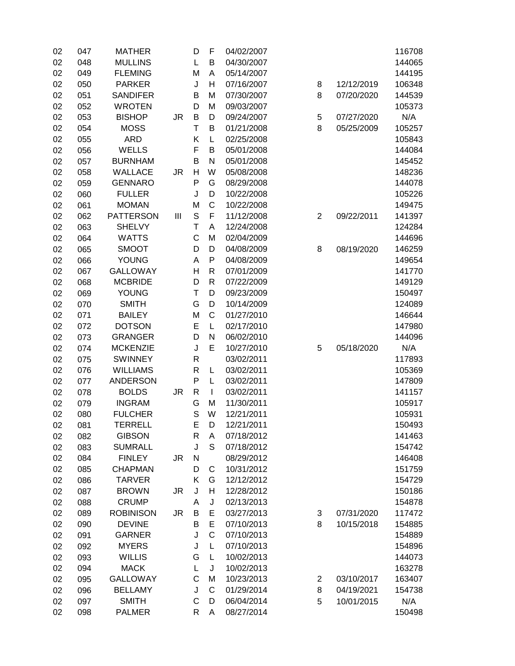| 02 | 047 | <b>MATHER</b>    |    | D            | F            | 04/02/2007 |                |            | 116708 |
|----|-----|------------------|----|--------------|--------------|------------|----------------|------------|--------|
| 02 | 048 | <b>MULLINS</b>   |    | L            | B            | 04/30/2007 |                |            | 144065 |
| 02 | 049 | <b>FLEMING</b>   |    | M            | A            | 05/14/2007 |                |            | 144195 |
| 02 | 050 | <b>PARKER</b>    |    | J            | Н            | 07/16/2007 | 8              | 12/12/2019 | 106348 |
| 02 | 051 | <b>SANDIFER</b>  |    | B            | M            | 07/30/2007 | 8              | 07/20/2020 | 144539 |
| 02 | 052 | <b>WROTEN</b>    |    | D            | M            | 09/03/2007 |                |            | 105373 |
| 02 | 053 | <b>BISHOP</b>    | JR | B            | D            | 09/24/2007 | 5              | 07/27/2020 | N/A    |
| 02 | 054 | <b>MOSS</b>      |    | T            | B            | 01/21/2008 | 8              | 05/25/2009 | 105257 |
| 02 | 055 | <b>ARD</b>       |    | Κ            | L            | 02/25/2008 |                |            | 105843 |
| 02 | 056 | <b>WELLS</b>     |    | F            | B            | 05/01/2008 |                |            | 144084 |
| 02 | 057 | <b>BURNHAM</b>   |    | B            | $\mathsf{N}$ | 05/01/2008 |                |            | 145452 |
| 02 | 058 | <b>WALLACE</b>   | JR | H            | W            | 05/08/2008 |                |            | 148236 |
| 02 | 059 | <b>GENNARO</b>   |    | P            | G            | 08/29/2008 |                |            | 144078 |
| 02 | 060 | <b>FULLER</b>    |    | J            | D            | 10/22/2008 |                |            | 105226 |
| 02 | 061 | <b>MOMAN</b>     |    | M            | C            | 10/22/2008 |                |            | 149475 |
| 02 | 062 | <b>PATTERSON</b> | Ш  | $\mathsf S$  | F            | 11/12/2008 | $\overline{2}$ | 09/22/2011 | 141397 |
| 02 | 063 | <b>SHELVY</b>    |    | $\mathsf T$  | A            | 12/24/2008 |                |            | 124284 |
| 02 | 064 | <b>WATTS</b>     |    | C            | M            | 02/04/2009 |                |            | 144696 |
| 02 | 065 | <b>SMOOT</b>     |    | D            | D            | 04/08/2009 | 8              | 08/19/2020 | 146259 |
| 02 | 066 | <b>YOUNG</b>     |    | A            | P            | 04/08/2009 |                |            | 149654 |
| 02 | 067 | <b>GALLOWAY</b>  |    | H            | $\mathsf{R}$ | 07/01/2009 |                |            | 141770 |
| 02 | 068 | <b>MCBRIDE</b>   |    | D            | $\mathsf{R}$ | 07/22/2009 |                |            | 149129 |
| 02 | 069 | <b>YOUNG</b>     |    | T            | D            | 09/23/2009 |                |            | 150497 |
| 02 | 070 | <b>SMITH</b>     |    | G            | D            | 10/14/2009 |                |            | 124089 |
| 02 | 071 | <b>BAILEY</b>    |    | M            | C            | 01/27/2010 |                |            | 146644 |
| 02 | 072 | <b>DOTSON</b>    |    | E            | L            | 02/17/2010 |                |            | 147980 |
|    |     | <b>GRANGER</b>   |    | D            | ${\sf N}$    | 06/02/2010 |                |            | 144096 |
| 02 | 073 |                  |    |              | E            |            |                |            |        |
| 02 | 074 | <b>MCKENZIE</b>  |    | J            |              | 10/27/2010 | 5              | 05/18/2020 | N/A    |
| 02 | 075 | <b>SWINNEY</b>   |    | $\mathsf{R}$ |              | 03/02/2011 |                |            | 117893 |
| 02 | 076 | <b>WILLIAMS</b>  |    | R            | L            | 03/02/2011 |                |            | 105369 |
| 02 | 077 | <b>ANDERSON</b>  |    | P            | L            | 03/02/2011 |                |            | 147809 |
| 02 | 078 | <b>BOLDS</b>     | JR | $\sf R$      | $\mathbf{I}$ | 03/02/2011 |                |            | 141157 |
| 02 | 079 | <b>INGRAM</b>    |    | G            | M            | 11/30/2011 |                |            | 105917 |
| 02 | 080 | <b>FULCHER</b>   |    | S            | W            | 12/21/2011 |                |            | 105931 |
| 02 | 081 | <b>TERRELL</b>   |    | E            | D            | 12/21/2011 |                |            | 150493 |
| 02 | 082 | <b>GIBSON</b>    |    | R            | Α            | 07/18/2012 |                |            | 141463 |
| 02 | 083 | <b>SUMRALL</b>   |    | J            | S            | 07/18/2012 |                |            | 154742 |
| 02 | 084 | <b>FINLEY</b>    | JR | N            |              | 08/29/2012 |                |            | 146408 |
| 02 | 085 | <b>CHAPMAN</b>   |    | D            | $\mathsf C$  | 10/31/2012 |                |            | 151759 |
| 02 | 086 | <b>TARVER</b>    |    | Κ            | G            | 12/12/2012 |                |            | 154729 |
| 02 | 087 | <b>BROWN</b>     | JR | J            | Н            | 12/28/2012 |                |            | 150186 |
| 02 | 088 | <b>CRUMP</b>     |    | A            | J            | 02/13/2013 |                |            | 154878 |
| 02 | 089 | <b>ROBINISON</b> | JR | B            | E            | 03/27/2013 | 3              | 07/31/2020 | 117472 |
| 02 | 090 | <b>DEVINE</b>    |    | B            | E            | 07/10/2013 | 8              | 10/15/2018 | 154885 |
| 02 | 091 | <b>GARNER</b>    |    | J            | $\mathsf C$  | 07/10/2013 |                |            | 154889 |
| 02 | 092 | <b>MYERS</b>     |    | J            | L            | 07/10/2013 |                |            | 154896 |
| 02 | 093 | <b>WILLIS</b>    |    | G            | L            | 10/02/2013 |                |            | 144073 |
| 02 | 094 | <b>MACK</b>      |    | L            | J            | 10/02/2013 |                |            | 163278 |
| 02 | 095 | <b>GALLOWAY</b>  |    | $\mathsf{C}$ | M            | 10/23/2013 | $\overline{2}$ | 03/10/2017 | 163407 |
| 02 | 096 | <b>BELLAMY</b>   |    | J            | $\mathsf C$  | 01/29/2014 | 8              | 04/19/2021 | 154738 |
| 02 | 097 | <b>SMITH</b>     |    | $\mathsf{C}$ | D            | 06/04/2014 | 5              | 10/01/2015 | N/A    |
| 02 | 098 | <b>PALMER</b>    |    | R            | Α            | 08/27/2014 |                |            | 150498 |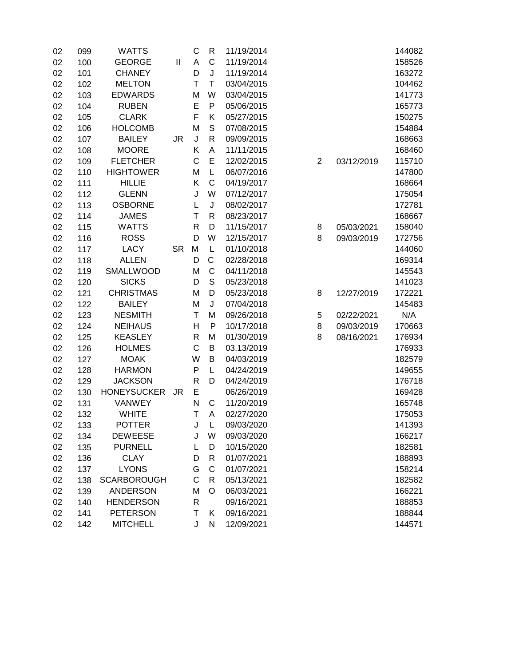| 02 | 099 | <b>WATTS</b>       |           | C            | $\mathsf{R}$ | 11/19/2014 |                |            | 144082 |
|----|-----|--------------------|-----------|--------------|--------------|------------|----------------|------------|--------|
| 02 | 100 | <b>GEORGE</b>      | Ш         | A            | C            | 11/19/2014 |                |            | 158526 |
| 02 | 101 | <b>CHANEY</b>      |           | D            | J            | 11/19/2014 |                |            | 163272 |
| 02 | 102 | <b>MELTON</b>      |           | T            | $\mathsf T$  | 03/04/2015 |                |            | 104462 |
| 02 | 103 | <b>EDWARDS</b>     |           | M            | W            | 03/04/2015 |                |            | 141773 |
| 02 | 104 | <b>RUBEN</b>       |           | E            | ${\sf P}$    | 05/06/2015 |                |            | 165773 |
| 02 | 105 | <b>CLARK</b>       |           | F            | Κ            | 05/27/2015 |                |            | 150275 |
| 02 | 106 | <b>HOLCOMB</b>     |           | M            | $\mathsf S$  | 07/08/2015 |                |            | 154884 |
| 02 | 107 | <b>BAILEY</b>      | JR.       | J            | $\mathsf{R}$ | 09/09/2015 |                |            | 168663 |
| 02 | 108 | <b>MOORE</b>       |           | K            | A            | 11/11/2015 |                |            | 168460 |
| 02 | 109 | <b>FLETCHER</b>    |           | $\mathsf C$  | E            | 12/02/2015 | $\overline{2}$ | 03/12/2019 | 115710 |
| 02 | 110 | <b>HIGHTOWER</b>   |           | M            | L            | 06/07/2016 |                |            | 147800 |
| 02 | 111 | <b>HILLIE</b>      |           | K            | $\mathsf C$  | 04/19/2017 |                |            | 168664 |
| 02 | 112 | <b>GLENN</b>       |           | J            | W            | 07/12/2017 |                |            | 175054 |
| 02 | 113 | <b>OSBORNE</b>     |           | L            | J            | 08/02/2017 |                |            | 172781 |
| 02 | 114 | <b>JAMES</b>       |           | Τ            | $\mathsf{R}$ | 08/23/2017 |                |            | 168667 |
| 02 | 115 | <b>WATTS</b>       |           | R            | D            | 11/15/2017 | 8              | 05/03/2021 | 158040 |
| 02 | 116 | <b>ROSS</b>        |           | D            | W            | 12/15/2017 | 8              | 09/03/2019 | 172756 |
| 02 | 117 | <b>LACY</b>        | <b>SR</b> | M            | L            | 01/10/2018 |                |            | 144060 |
| 02 | 118 | <b>ALLEN</b>       |           | D            | C            | 02/28/2018 |                |            | 169314 |
| 02 | 119 | SMALLWOOD          |           | M            | $\mathsf C$  | 04/11/2018 |                |            | 145543 |
| 02 | 120 | <b>SICKS</b>       |           | D            | $\mathsf{S}$ | 05/23/2018 |                |            | 141023 |
| 02 | 121 | <b>CHRISTMAS</b>   |           | M            | D            | 05/23/2018 | 8              | 12/27/2019 | 172221 |
| 02 | 122 | <b>BAILEY</b>      |           | M            | J            | 07/04/2018 |                |            | 145483 |
| 02 | 123 | <b>NESMITH</b>     |           | Т            | M            | 09/26/2018 | 5              | 02/22/2021 | N/A    |
| 02 | 124 | <b>NEIHAUS</b>     |           | H            | P            | 10/17/2018 | 8              | 09/03/2019 | 170663 |
| 02 | 125 | <b>KEASLEY</b>     |           | $\mathsf{R}$ | M            | 01/30/2019 | 8              | 08/16/2021 | 176934 |
| 02 | 126 | <b>HOLMES</b>      |           | $\mathsf C$  | B            | 03.13/2019 |                |            | 176933 |
| 02 | 127 | <b>MOAK</b>        |           | W            | B            | 04/03/2019 |                |            | 182579 |
| 02 | 128 | <b>HARMON</b>      |           | P            | L            | 04/24/2019 |                |            | 149655 |
| 02 | 129 | <b>JACKSON</b>     |           | R            | D            | 04/24/2019 |                |            | 176718 |
| 02 | 130 | <b>HONEYSUCKER</b> | JR        | E            |              | 06/26/2019 |                |            | 169428 |
| 02 | 131 | VANWEY             |           | $\mathsf{N}$ | $\mathbf C$  | 11/20/2019 |                |            | 165748 |
| 02 | 132 | <b>WHITE</b>       |           | Τ            | A            | 02/27/2020 |                |            | 175053 |
| 02 | 133 | <b>POTTER</b>      |           | J            | L            | 09/03/2020 |                |            | 141393 |
| 02 | 134 | <b>DEWEESE</b>     |           | J            | W            | 09/03/2020 |                |            | 166217 |
| 02 | 135 | <b>PURNELL</b>     |           | L            | D            | 10/15/2020 |                |            | 182581 |
| 02 | 136 | <b>CLAY</b>        |           | D            | $\mathsf{R}$ | 01/07/2021 |                |            | 188893 |
| 02 | 137 | <b>LYONS</b>       |           | G            | $\mathsf C$  | 01/07/2021 |                |            | 158214 |
| 02 | 138 | <b>SCARBOROUGH</b> |           | C            | $\mathsf{R}$ | 05/13/2021 |                |            | 182582 |
| 02 | 139 | <b>ANDERSON</b>    |           | M            | O            | 06/03/2021 |                |            | 166221 |
| 02 | 140 | <b>HENDERSON</b>   |           | $\mathsf{R}$ |              | 09/16/2021 |                |            | 188853 |
| 02 | 141 | <b>PETERSON</b>    |           | T            | Κ            | 09/16/2021 |                |            | 188844 |
| 02 | 142 | <b>MITCHELL</b>    |           | J            | ${\sf N}$    | 12/09/2021 |                |            | 144571 |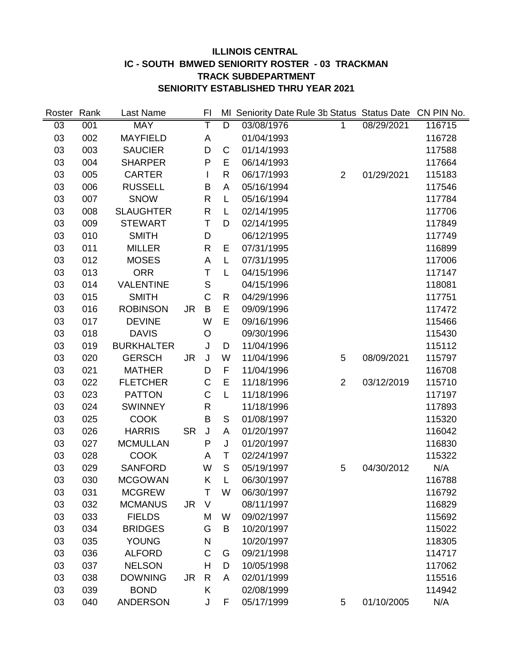# **ILLINOIS CENTRAL IC - SOUTH BMWED SENIORITY ROSTER - 03 TRACKMAN TRACK SUBDEPARTMENT SENIORITY ESTABLISHED THRU YEAR 2021**

| Roster | Rank | Last Name         |           | FI           | MI             | Seniority Date Rule 3b Status Status Date CN PIN No. |                |            |        |
|--------|------|-------------------|-----------|--------------|----------------|------------------------------------------------------|----------------|------------|--------|
| 03     | 001  | <b>MAY</b>        |           | T            | $\overline{D}$ | 03/08/1976                                           | $\mathbf{1}$   | 08/29/2021 | 116715 |
| 03     | 002  | <b>MAYFIELD</b>   |           | A            |                | 01/04/1993                                           |                |            | 116728 |
| 03     | 003  | <b>SAUCIER</b>    |           | D            | C              | 01/14/1993                                           |                |            | 117588 |
| 03     | 004  | <b>SHARPER</b>    |           | P            | E              | 06/14/1993                                           |                |            | 117664 |
| 03     | 005  | <b>CARTER</b>     |           |              | R              | 06/17/1993                                           | $\overline{2}$ | 01/29/2021 | 115183 |
| 03     | 006  | <b>RUSSELL</b>    |           | Β            | A              | 05/16/1994                                           |                |            | 117546 |
| 03     | 007  | <b>SNOW</b>       |           | $\mathsf{R}$ | L              | 05/16/1994                                           |                |            | 117784 |
| 03     | 008  | <b>SLAUGHTER</b>  |           | $\mathsf{R}$ | L              | 02/14/1995                                           |                |            | 117706 |
| 03     | 009  | <b>STEWART</b>    |           | Τ            | D              | 02/14/1995                                           |                |            | 117849 |
| 03     | 010  | <b>SMITH</b>      |           | D            |                | 06/12/1995                                           |                |            | 117749 |
| 03     | 011  | <b>MILLER</b>     |           | R            | E              | 07/31/1995                                           |                |            | 116899 |
| 03     | 012  | <b>MOSES</b>      |           | A            | L              | 07/31/1995                                           |                |            | 117006 |
| 03     | 013  | <b>ORR</b>        |           | Τ            | L              | 04/15/1996                                           |                |            | 117147 |
| 03     | 014  | <b>VALENTINE</b>  |           | S            |                | 04/15/1996                                           |                |            | 118081 |
| 03     | 015  | <b>SMITH</b>      |           | C            | R              | 04/29/1996                                           |                |            | 117751 |
| 03     | 016  | <b>ROBINSON</b>   | <b>JR</b> | B            | E              | 09/09/1996                                           |                |            | 117472 |
| 03     | 017  | <b>DEVINE</b>     |           | W            | E              | 09/16/1996                                           |                |            | 115466 |
| 03     | 018  | <b>DAVIS</b>      |           | $\circ$      |                | 09/30/1996                                           |                |            | 115430 |
| 03     | 019  | <b>BURKHALTER</b> |           | J            | D              | 11/04/1996                                           |                |            | 115112 |
| 03     | 020  | <b>GERSCH</b>     | <b>JR</b> | J            | W              | 11/04/1996                                           | 5              | 08/09/2021 | 115797 |
| 03     | 021  | <b>MATHER</b>     |           | D            | F              | 11/04/1996                                           |                |            | 116708 |
| 03     | 022  | <b>FLETCHER</b>   |           | C            | E              | 11/18/1996                                           | $\overline{2}$ | 03/12/2019 | 115710 |
| 03     | 023  | <b>PATTON</b>     |           | C            | L              | 11/18/1996                                           |                |            | 117197 |
| 03     | 024  | <b>SWINNEY</b>    |           | R            |                | 11/18/1996                                           |                |            | 117893 |
| 03     | 025  | <b>COOK</b>       |           | B            | $\mathsf S$    | 01/08/1997                                           |                |            | 115320 |
| 03     | 026  | <b>HARRIS</b>     | <b>SR</b> | J            | Α              | 01/20/1997                                           |                |            | 116042 |
| 03     | 027  | <b>MCMULLAN</b>   |           | P            | J              | 01/20/1997                                           |                |            | 116830 |
| 03     | 028  | <b>COOK</b>       |           | A            | T              | 02/24/1997                                           |                |            | 115322 |
| 03     | 029  | <b>SANFORD</b>    |           | W            | $\mathsf{S}$   | 05/19/1997                                           | 5              | 04/30/2012 | N/A    |
| 03     | 030  | <b>MCGOWAN</b>    |           | Κ            | L              | 06/30/1997                                           |                |            | 116788 |
| 03     | 031  | <b>MCGREW</b>     |           | Τ            | W              | 06/30/1997                                           |                |            | 116792 |
| 03     | 032  | <b>MCMANUS</b>    | <b>JR</b> | $\vee$       |                | 08/11/1997                                           |                |            | 116829 |
| 03     | 033  | <b>FIELDS</b>     |           | M            | W              | 09/02/1997                                           |                |            | 115692 |
| 03     | 034  | <b>BRIDGES</b>    |           | G            | B              | 10/20/1997                                           |                |            | 115022 |
| 03     | 035  | <b>YOUNG</b>      |           | N            |                | 10/20/1997                                           |                |            | 118305 |
| 03     | 036  | <b>ALFORD</b>     |           | $\mathsf{C}$ | G              | 09/21/1998                                           |                |            | 114717 |
| 03     | 037  | <b>NELSON</b>     |           | H            | D              | 10/05/1998                                           |                |            | 117062 |
| 03     | 038  | <b>DOWNING</b>    | <b>JR</b> | $\mathsf{R}$ | A              | 02/01/1999                                           |                |            | 115516 |
| 03     | 039  | <b>BOND</b>       |           | Κ            |                | 02/08/1999                                           |                |            | 114942 |
| 03     | 040  | <b>ANDERSON</b>   |           | J            | F              | 05/17/1999                                           | 5              | 01/10/2005 | N/A    |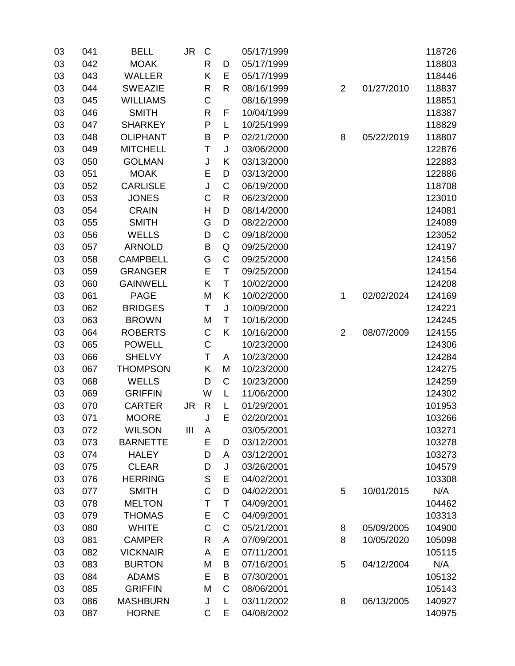| 03 | 041 | <b>BELL</b>     | <b>JR</b> | C            |              | 05/17/1999 |                |            | 118726 |
|----|-----|-----------------|-----------|--------------|--------------|------------|----------------|------------|--------|
| 03 | 042 | <b>MOAK</b>     |           | R            | D            | 05/17/1999 |                |            | 118803 |
| 03 | 043 | <b>WALLER</b>   |           | Κ            | E            | 05/17/1999 |                |            | 118446 |
| 03 | 044 | <b>SWEAZIE</b>  |           | R            | $\mathsf R$  | 08/16/1999 | $\overline{2}$ | 01/27/2010 | 118837 |
| 03 | 045 | <b>WILLIAMS</b> |           | $\mathsf C$  |              | 08/16/1999 |                |            | 118851 |
| 03 | 046 | <b>SMITH</b>    |           | R            | F            | 10/04/1999 |                |            | 118387 |
| 03 | 047 | <b>SHARKEY</b>  |           | P            | L            | 10/25/1999 |                |            | 118829 |
| 03 | 048 | <b>OLIPHANT</b> |           | B            | P            | 02/21/2000 | 8              | 05/22/2019 | 118807 |
| 03 | 049 | <b>MITCHELL</b> |           | T            | J            | 03/06/2000 |                |            | 122876 |
| 03 | 050 | <b>GOLMAN</b>   |           | J            | Κ            | 03/13/2000 |                |            | 122883 |
| 03 | 051 | <b>MOAK</b>     |           | E            | D            | 03/13/2000 |                |            | 122886 |
| 03 | 052 | <b>CARLISLE</b> |           | J            | $\mathsf C$  | 06/19/2000 |                |            | 118708 |
| 03 | 053 | <b>JONES</b>    |           | C            | $\mathsf{R}$ | 06/23/2000 |                |            | 123010 |
| 03 | 054 | <b>CRAIN</b>    |           | H            | D            | 08/14/2000 |                |            | 124081 |
| 03 | 055 | <b>SMITH</b>    |           | G            | D            | 08/22/2000 |                |            | 124089 |
| 03 | 056 | <b>WELLS</b>    |           | D            | $\mathsf C$  | 09/18/2000 |                |            | 123052 |
| 03 | 057 | <b>ARNOLD</b>   |           | B            | Q            | 09/25/2000 |                |            | 124197 |
| 03 | 058 | <b>CAMPBELL</b> |           | G            | $\mathsf C$  | 09/25/2000 |                |            | 124156 |
| 03 | 059 | <b>GRANGER</b>  |           | E            | T            | 09/25/2000 |                |            | 124154 |
| 03 | 060 | <b>GAINWELL</b> |           | Κ            | T            | 10/02/2000 |                |            | 124208 |
| 03 | 061 | <b>PAGE</b>     |           | M            | Κ            | 10/02/2000 | 1              | 02/02/2024 | 124169 |
| 03 | 062 | <b>BRIDGES</b>  |           | T            | $\sf J$      | 10/09/2000 |                |            | 124221 |
| 03 | 063 | <b>BROWN</b>    |           | M            | Τ            | 10/16/2000 |                |            | 124245 |
| 03 | 064 | <b>ROBERTS</b>  |           | $\mathsf C$  | K            | 10/16/2000 | $\overline{2}$ | 08/07/2009 | 124155 |
| 03 | 065 | <b>POWELL</b>   |           | C            |              | 10/23/2000 |                |            | 124306 |
| 03 | 066 | <b>SHELVY</b>   |           | Т            | A            | 10/23/2000 |                |            | 124284 |
| 03 | 067 | <b>THOMPSON</b> |           | Κ            | M            | 10/23/2000 |                |            | 124275 |
| 03 | 068 | <b>WELLS</b>    |           | D            | C            | 10/23/2000 |                |            | 124259 |
| 03 | 069 | <b>GRIFFIN</b>  |           | W            | L            | 11/06/2000 |                |            | 124302 |
| 03 | 070 | <b>CARTER</b>   | <b>JR</b> | $\mathsf{R}$ | L            | 01/29/2001 |                |            | 101953 |
| 03 | 071 | <b>MOORE</b>    |           | J            | E            | 02/20/2001 |                |            | 103266 |
| 03 | 072 | <b>WILSON</b>   | III       | A            |              | 03/05/2001 |                |            | 103271 |
| 03 | 073 | <b>BARNETTE</b> |           | Е            | D            | 03/12/2001 |                |            | 103278 |
| 03 | 074 | <b>HALEY</b>    |           | D            | A            | 03/12/2001 |                |            | 103273 |
| 03 | 075 | <b>CLEAR</b>    |           | D            | J            | 03/26/2001 |                |            | 104579 |
| 03 | 076 | <b>HERRING</b>  |           | $\mathbb S$  | E            | 04/02/2001 |                |            | 103308 |
| 03 | 077 | <b>SMITH</b>    |           | $\mathsf C$  | D            | 04/02/2001 | 5              | 10/01/2015 | N/A    |
| 03 | 078 | <b>MELTON</b>   |           | T            | T            | 04/09/2001 |                |            | 104462 |
| 03 | 079 | <b>THOMAS</b>   |           | Е            | $\mathsf C$  | 04/09/2001 |                |            | 103313 |
| 03 | 080 | <b>WHITE</b>    |           | $\mathsf C$  | $\mathsf C$  | 05/21/2001 | 8              | 05/09/2005 | 104900 |
| 03 | 081 | <b>CAMPER</b>   |           | R            | A            | 07/09/2001 | 8              | 10/05/2020 | 105098 |
| 03 | 082 | <b>VICKNAIR</b> |           | A            | E            | 07/11/2001 |                |            | 105115 |
| 03 | 083 | <b>BURTON</b>   |           | M            | $\sf B$      | 07/16/2001 | 5              | 04/12/2004 | N/A    |
| 03 | 084 | <b>ADAMS</b>    |           | E            | B            | 07/30/2001 |                |            | 105132 |
| 03 | 085 | <b>GRIFFIN</b>  |           | M            | C            | 08/06/2001 |                |            | 105143 |
| 03 | 086 | <b>MASHBURN</b> |           | J            | L            | 03/11/2002 | 8              | 06/13/2005 | 140927 |
| 03 | 087 | <b>HORNE</b>    |           | C            | E            | 04/08/2002 |                |            | 140975 |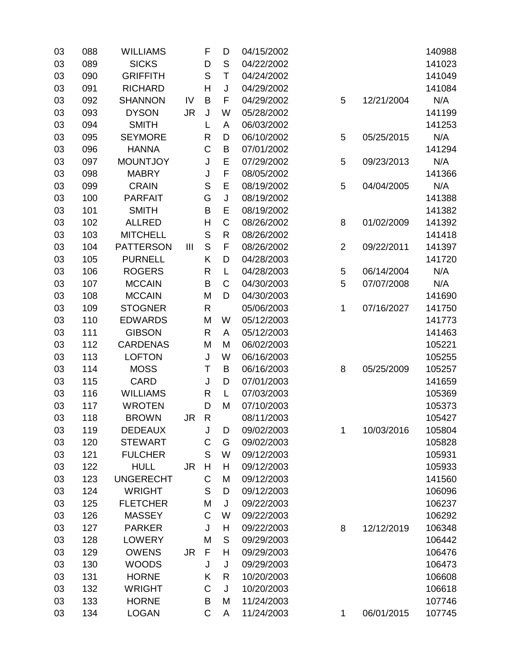| 03 | 088 | <b>WILLIAMS</b>  |                | F            | D            | 04/15/2002 |                |            | 140988 |
|----|-----|------------------|----------------|--------------|--------------|------------|----------------|------------|--------|
| 03 | 089 | <b>SICKS</b>     |                | D            | S            | 04/22/2002 |                |            | 141023 |
| 03 | 090 | <b>GRIFFITH</b>  |                | S            | T            | 04/24/2002 |                |            | 141049 |
| 03 | 091 | <b>RICHARD</b>   |                | H            | J            | 04/29/2002 |                |            | 141084 |
| 03 | 092 | <b>SHANNON</b>   | IV             | $\mathsf B$  | F            | 04/29/2002 | 5              | 12/21/2004 | N/A    |
| 03 | 093 | <b>DYSON</b>     | <b>JR</b>      | J            | W            | 05/28/2002 |                |            | 141199 |
| 03 | 094 | <b>SMITH</b>     |                | L            | A            | 06/03/2002 |                |            | 141253 |
| 03 | 095 | <b>SEYMORE</b>   |                | $\mathsf{R}$ | D            | 06/10/2002 | 5              | 05/25/2015 | N/A    |
| 03 | 096 | <b>HANNA</b>     |                | $\mathsf C$  | B            | 07/01/2002 |                |            | 141294 |
| 03 | 097 | <b>MOUNTJOY</b>  |                | J            | E            | 07/29/2002 | 5              | 09/23/2013 | N/A    |
| 03 | 098 | <b>MABRY</b>     |                | J            | F            | 08/05/2002 |                |            | 141366 |
| 03 | 099 | <b>CRAIN</b>     |                | $\mathsf S$  | E            | 08/19/2002 | 5              | 04/04/2005 | N/A    |
| 03 | 100 | <b>PARFAIT</b>   |                | G            | J            | 08/19/2002 |                |            | 141388 |
| 03 | 101 | <b>SMITH</b>     |                | B            | E            | 08/19/2002 |                |            | 141382 |
| 03 | 102 | <b>ALLRED</b>    |                | $\mathsf{H}$ | $\mathsf C$  | 08/26/2002 | 8              | 01/02/2009 | 141392 |
| 03 | 103 | <b>MITCHELL</b>  |                | S            | $\mathsf{R}$ | 08/26/2002 |                |            | 141418 |
| 03 | 104 | <b>PATTERSON</b> | $\mathbf{III}$ | $\mathsf S$  | F            | 08/26/2002 | $\overline{2}$ | 09/22/2011 | 141397 |
| 03 | 105 | <b>PURNELL</b>   |                | Κ            | D            | 04/28/2003 |                |            | 141720 |
| 03 | 106 | <b>ROGERS</b>    |                | $\mathsf{R}$ | L            | 04/28/2003 | 5              | 06/14/2004 | N/A    |
| 03 | 107 | <b>MCCAIN</b>    |                | B            | C            | 04/30/2003 | 5              | 07/07/2008 | N/A    |
| 03 | 108 | <b>MCCAIN</b>    |                | M            | D            | 04/30/2003 |                |            | 141690 |
| 03 | 109 | <b>STOGNER</b>   |                | $\mathsf{R}$ |              | 05/06/2003 | 1              | 07/16/2027 | 141750 |
| 03 | 110 | <b>EDWARDS</b>   |                | M            | W            | 05/12/2003 |                |            | 141773 |
| 03 | 111 | <b>GIBSON</b>    |                | $\mathsf{R}$ | A            | 05/12/2003 |                |            | 141463 |
| 03 | 112 | <b>CARDENAS</b>  |                | M            | M            | 06/02/2003 |                |            | 105221 |
| 03 | 113 | <b>LOFTON</b>    |                | J            | W            | 06/16/2003 |                |            | 105255 |
| 03 | 114 | <b>MOSS</b>      |                | Τ            | B            | 06/16/2003 | 8              | 05/25/2009 | 105257 |
| 03 | 115 | <b>CARD</b>      |                | J            | D            | 07/01/2003 |                |            | 141659 |
| 03 | 116 | <b>WILLIAMS</b>  |                | $\mathsf{R}$ | L            | 07/03/2003 |                |            | 105369 |
| 03 | 117 | <b>WROTEN</b>    |                | D            | M            | 07/10/2003 |                |            | 105373 |
| 03 | 118 | <b>BROWN</b>     | JR             | $\mathsf{R}$ |              | 08/11/2003 |                |            | 105427 |
| 03 | 119 | <b>DEDEAUX</b>   |                | J            | D            | 09/02/2003 | 1              | 10/03/2016 | 105804 |
| 03 | 120 | <b>STEWART</b>   |                | $\mathsf C$  | G            | 09/02/2003 |                |            | 105828 |
| 03 | 121 | <b>FULCHER</b>   |                | S            | W            | 09/12/2003 |                |            | 105931 |
| 03 | 122 | <b>HULL</b>      | <b>JR</b>      | Н            | Н            | 09/12/2003 |                |            | 105933 |
| 03 | 123 | <b>UNGERECHT</b> |                | $\mathsf C$  | M            | 09/12/2003 |                |            | 141560 |
| 03 | 124 | <b>WRIGHT</b>    |                | S            | D            | 09/12/2003 |                |            | 106096 |
| 03 | 125 | <b>FLETCHER</b>  |                | M            | J            | 09/22/2003 |                |            | 106237 |
| 03 | 126 | <b>MASSEY</b>    |                | $\mathsf{C}$ | W            | 09/22/2003 |                |            | 106292 |
| 03 | 127 | <b>PARKER</b>    |                | J            | H            | 09/22/2003 | 8              | 12/12/2019 | 106348 |
| 03 | 128 | <b>LOWERY</b>    |                | M            | $\mathsf S$  | 09/29/2003 |                |            | 106442 |
| 03 | 129 | <b>OWENS</b>     | <b>JR</b>      | $\mathsf F$  | H            | 09/29/2003 |                |            | 106476 |
| 03 | 130 | <b>WOODS</b>     |                | J            | J            | 09/29/2003 |                |            | 106473 |
| 03 | 131 | <b>HORNE</b>     |                | Κ            | $\mathsf{R}$ | 10/20/2003 |                |            | 106608 |
| 03 | 132 | <b>WRIGHT</b>    |                | $\mathsf C$  | J            | 10/20/2003 |                |            | 106618 |
| 03 | 133 | <b>HORNE</b>     |                | Β            | M            | 11/24/2003 |                |            | 107746 |
| 03 | 134 | <b>LOGAN</b>     |                | $\mathsf C$  | A            | 11/24/2003 | 1              | 06/01/2015 | 107745 |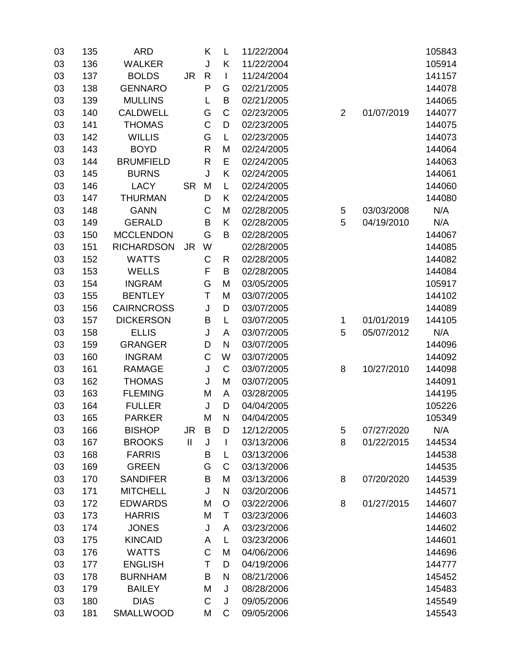| 03 | 135 | <b>ARD</b>        |               | K            | L            | 11/22/2004 |                |            | 105843 |
|----|-----|-------------------|---------------|--------------|--------------|------------|----------------|------------|--------|
| 03 | 136 | <b>WALKER</b>     |               | J            | Κ            | 11/22/2004 |                |            | 105914 |
| 03 | 137 | <b>BOLDS</b>      | <b>JR</b>     | $\mathsf{R}$ | I            | 11/24/2004 |                |            | 141157 |
| 03 | 138 | <b>GENNARO</b>    |               | P            | G            | 02/21/2005 |                |            | 144078 |
| 03 | 139 | <b>MULLINS</b>    |               | L            | $\sf B$      | 02/21/2005 |                |            | 144065 |
| 03 | 140 | <b>CALDWELL</b>   |               | G            | $\mathsf C$  | 02/23/2005 | $\overline{2}$ | 01/07/2019 | 144077 |
| 03 | 141 | <b>THOMAS</b>     |               | C            | D            | 02/23/2005 |                |            | 144075 |
| 03 | 142 | <b>WILLIS</b>     |               | G            | L            | 02/23/2005 |                |            | 144073 |
| 03 | 143 | <b>BOYD</b>       |               | R            | M            | 02/24/2005 |                |            | 144064 |
| 03 | 144 | <b>BRUMFIELD</b>  |               | $\mathsf R$  | E            | 02/24/2005 |                |            | 144063 |
| 03 | 145 | <b>BURNS</b>      |               | J            | Κ            | 02/24/2005 |                |            | 144061 |
| 03 | 146 | <b>LACY</b>       | <b>SR</b>     | M            | L            | 02/24/2005 |                |            | 144060 |
| 03 | 147 | <b>THURMAN</b>    |               | D            | Κ            | 02/24/2005 |                |            | 144080 |
| 03 | 148 | <b>GANN</b>       |               | C            | M            | 02/28/2005 | 5              | 03/03/2008 | N/A    |
| 03 | 149 | <b>GERALD</b>     |               | B            | Κ            | 02/28/2005 | 5              | 04/19/2010 | N/A    |
| 03 | 150 | <b>MCCLENDON</b>  |               | G            | B            | 02/28/2005 |                |            | 144067 |
| 03 | 151 | <b>RICHARDSON</b> | <b>JR</b>     | W            |              | 02/28/2005 |                |            | 144085 |
| 03 | 152 | <b>WATTS</b>      |               | $\mathsf C$  | R            | 02/28/2005 |                |            | 144082 |
| 03 | 153 | <b>WELLS</b>      |               | F            | $\sf B$      | 02/28/2005 |                |            | 144084 |
| 03 | 154 | <b>INGRAM</b>     |               | G            | M            | 03/05/2005 |                |            | 105917 |
| 03 | 155 | <b>BENTLEY</b>    |               | T            | M            | 03/07/2005 |                |            | 144102 |
| 03 | 156 | <b>CAIRNCROSS</b> |               | J            | D            | 03/07/2005 |                |            | 144089 |
| 03 | 157 | <b>DICKERSON</b>  |               | B            | L            | 03/07/2005 | 1              | 01/01/2019 | 144105 |
| 03 | 158 | <b>ELLIS</b>      |               | J            | A            | 03/07/2005 | 5              | 05/07/2012 | N/A    |
| 03 | 159 | <b>GRANGER</b>    |               | D            | N            | 03/07/2005 |                |            | 144096 |
| 03 | 160 | <b>INGRAM</b>     |               | $\mathsf C$  | W            | 03/07/2005 |                |            | 144092 |
| 03 | 161 | <b>RAMAGE</b>     |               | J            | $\mathsf C$  | 03/07/2005 | 8              | 10/27/2010 | 144098 |
| 03 | 162 | <b>THOMAS</b>     |               | J            | M            | 03/07/2005 |                |            | 144091 |
| 03 | 163 | <b>FLEMING</b>    |               | M            | A            | 03/28/2005 |                |            | 144195 |
| 03 | 164 | <b>FULLER</b>     |               | J            | D            | 04/04/2005 |                |            | 105226 |
| 03 | 165 | <b>PARKER</b>     |               | M            | N            | 04/04/2005 |                |            | 105349 |
| 03 | 166 | <b>BISHOP</b>     | <b>JR</b>     | B            | D            | 12/12/2005 | 5              | 07/27/2020 | N/A    |
| 03 | 167 | <b>BROOKS</b>     | $\mathbf{II}$ | J            | I            | 03/13/2006 | 8              | 01/22/2015 | 144534 |
| 03 | 168 | <b>FARRIS</b>     |               | B            | L            | 03/13/2006 |                |            | 144538 |
| 03 | 169 | <b>GREEN</b>      |               | G            | C            | 03/13/2006 |                |            | 144535 |
| 03 | 170 | <b>SANDIFER</b>   |               | B            | M            | 03/13/2006 | 8              | 07/20/2020 | 144539 |
| 03 | 171 | <b>MITCHELL</b>   |               | J            | $\mathsf{N}$ | 03/20/2006 |                |            | 144571 |
| 03 | 172 | <b>EDWARDS</b>    |               | M            | $\circ$      | 03/22/2006 | 8              | 01/27/2015 | 144607 |
| 03 | 173 | <b>HARRIS</b>     |               | M            | Τ            | 03/23/2006 |                |            | 144603 |
| 03 | 174 | <b>JONES</b>      |               | J            | A            | 03/23/2006 |                |            | 144602 |
| 03 | 175 | <b>KINCAID</b>    |               | A            | L            | 03/23/2006 |                |            | 144601 |
| 03 | 176 | <b>WATTS</b>      |               | $\mathsf C$  | M            | 04/06/2006 |                |            | 144696 |
| 03 | 177 | <b>ENGLISH</b>    |               | Τ            | D            | 04/19/2006 |                |            | 144777 |
| 03 | 178 | <b>BURNHAM</b>    |               | B            | N            | 08/21/2006 |                |            | 145452 |
| 03 | 179 | <b>BAILEY</b>     |               | M            | J            | 08/28/2006 |                |            | 145483 |
| 03 | 180 | <b>DIAS</b>       |               | C            | J            | 09/05/2006 |                |            | 145549 |
| 03 | 181 | SMALLWOOD         |               | М            | C            | 09/05/2006 |                |            | 145543 |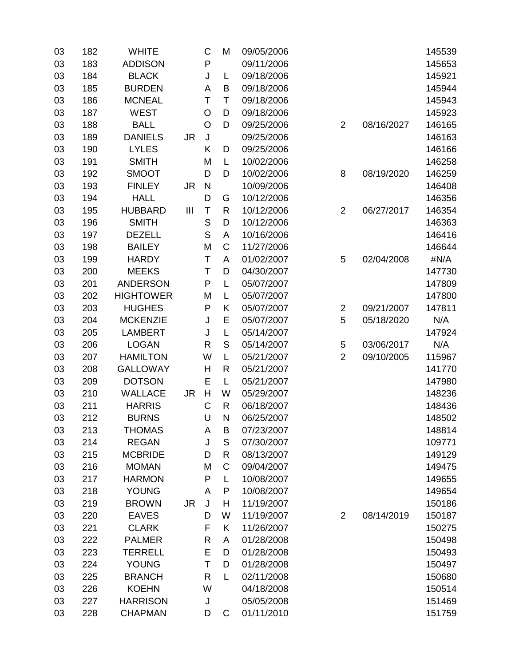| 03 | 182 | <b>WHITE</b>     |           | С            | M             | 09/05/2006 |                |            | 145539 |
|----|-----|------------------|-----------|--------------|---------------|------------|----------------|------------|--------|
| 03 | 183 | <b>ADDISON</b>   |           | P            |               | 09/11/2006 |                |            | 145653 |
| 03 | 184 | <b>BLACK</b>     |           | J            | L             | 09/18/2006 |                |            | 145921 |
| 03 | 185 | <b>BURDEN</b>    |           | A            | B             | 09/18/2006 |                |            | 145944 |
| 03 | 186 | <b>MCNEAL</b>    |           | T            | T             | 09/18/2006 |                |            | 145943 |
| 03 | 187 | <b>WEST</b>      |           | $\circ$      | D             | 09/18/2006 |                |            | 145923 |
| 03 | 188 | <b>BALL</b>      |           | $\circ$      | D             | 09/25/2006 | $\overline{2}$ | 08/16/2027 | 146165 |
| 03 | 189 | <b>DANIELS</b>   | <b>JR</b> | J            |               | 09/25/2006 |                |            | 146163 |
| 03 | 190 | <b>LYLES</b>     |           | Κ            | D             | 09/25/2006 |                |            | 146166 |
| 03 | 191 | <b>SMITH</b>     |           | M            | L             | 10/02/2006 |                |            | 146258 |
| 03 | 192 | <b>SMOOT</b>     |           | D            | D             | 10/02/2006 | 8              | 08/19/2020 | 146259 |
| 03 | 193 | <b>FINLEY</b>    | <b>JR</b> | $\mathsf{N}$ |               | 10/09/2006 |                |            | 146408 |
| 03 | 194 | <b>HALL</b>      |           | D            | G             | 10/12/2006 |                |            | 146356 |
| 03 | 195 | <b>HUBBARD</b>   | Ш         | $\top$       | $\mathsf{R}$  | 10/12/2006 | $\overline{2}$ | 06/27/2017 | 146354 |
| 03 | 196 | <b>SMITH</b>     |           | $\mathsf{S}$ | D             | 10/12/2006 |                |            | 146363 |
| 03 | 197 | <b>DEZELL</b>    |           | S            | A             | 10/16/2006 |                |            | 146416 |
| 03 | 198 | <b>BAILEY</b>    |           | M            | $\mathsf C$   | 11/27/2006 |                |            | 146644 |
| 03 | 199 | <b>HARDY</b>     |           | T            | A             | 01/02/2007 | 5              | 02/04/2008 | #N/A   |
| 03 | 200 | <b>MEEKS</b>     |           | T            | D             | 04/30/2007 |                |            | 147730 |
| 03 | 201 | <b>ANDERSON</b>  |           | ${\sf P}$    | L             | 05/07/2007 |                |            | 147809 |
| 03 | 202 | <b>HIGHTOWER</b> |           | M            | L             | 05/07/2007 |                |            | 147800 |
| 03 | 203 | <b>HUGHES</b>    |           | P            | Κ             | 05/07/2007 | $\overline{2}$ | 09/21/2007 | 147811 |
| 03 | 204 | <b>MCKENZIE</b>  |           | J            | E             | 05/07/2007 | 5              | 05/18/2020 | N/A    |
| 03 | 205 | <b>LAMBERT</b>   |           | J            | L             | 05/14/2007 |                |            | 147924 |
| 03 | 206 | <b>LOGAN</b>     |           | R            | $\mathsf S$   | 05/14/2007 | $\mathbf 5$    | 03/06/2017 | N/A    |
| 03 | 207 | <b>HAMILTON</b>  |           | W            | L             | 05/21/2007 | $\overline{2}$ | 09/10/2005 | 115967 |
| 03 | 208 | <b>GALLOWAY</b>  |           | H            | R             | 05/21/2007 |                |            | 141770 |
| 03 | 209 | <b>DOTSON</b>    |           | E            | L             | 05/21/2007 |                |            | 147980 |
| 03 | 210 | <b>WALLACE</b>   | <b>JR</b> | H            | W             | 05/29/2007 |                |            | 148236 |
| 03 | 211 | <b>HARRIS</b>    |           | C            | $\mathsf{R}$  | 06/18/2007 |                |            | 148436 |
| 03 | 212 | <b>BURNS</b>     |           | U            | N             | 06/25/2007 |                |            | 148502 |
| 03 | 213 | <b>THOMAS</b>    |           | A            | B             | 07/23/2007 |                |            | 148814 |
| 03 | 214 | <b>REGAN</b>     |           | J            | ${\mathsf S}$ | 07/30/2007 |                |            | 109771 |
| 03 | 215 | <b>MCBRIDE</b>   |           | D            | R             | 08/13/2007 |                |            | 149129 |
| 03 | 216 | <b>MOMAN</b>     |           | M            | C             | 09/04/2007 |                |            | 149475 |
| 03 | 217 | <b>HARMON</b>    |           | ${\sf P}$    | L             | 10/08/2007 |                |            | 149655 |
| 03 | 218 | <b>YOUNG</b>     |           | A            | P             | 10/08/2007 |                |            | 149654 |
| 03 | 219 | <b>BROWN</b>     | <b>JR</b> | J            | Н             | 11/19/2007 |                |            | 150186 |
| 03 | 220 | <b>EAVES</b>     |           | D            | W             | 11/19/2007 | $\overline{2}$ | 08/14/2019 | 150187 |
| 03 | 221 | <b>CLARK</b>     |           | F            | Κ             | 11/26/2007 |                |            | 150275 |
| 03 | 222 | <b>PALMER</b>    |           | R            | A             | 01/28/2008 |                |            | 150498 |
| 03 | 223 | <b>TERRELL</b>   |           | E            | D             | 01/28/2008 |                |            | 150493 |
| 03 | 224 | <b>YOUNG</b>     |           | T            | D             | 01/28/2008 |                |            | 150497 |
| 03 | 225 | <b>BRANCH</b>    |           | R            | L             | 02/11/2008 |                |            | 150680 |
| 03 | 226 | <b>KOEHN</b>     |           | W            |               | 04/18/2008 |                |            | 150514 |
| 03 | 227 | <b>HARRISON</b>  |           | J            |               | 05/05/2008 |                |            | 151469 |
| 03 | 228 | <b>CHAPMAN</b>   |           | D            | C             | 01/11/2010 |                |            | 151759 |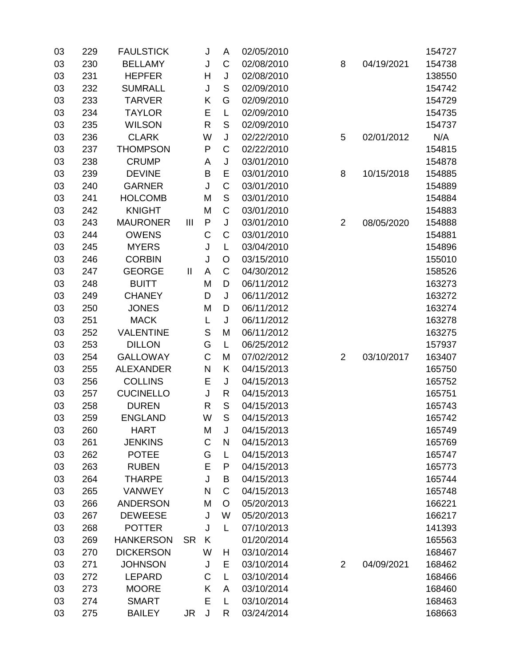| 03 | 229 | <b>FAULSTICK</b> |              | J            | Α           | 02/05/2010 |                |            | 154727 |
|----|-----|------------------|--------------|--------------|-------------|------------|----------------|------------|--------|
| 03 | 230 | <b>BELLAMY</b>   |              | J            | C           | 02/08/2010 | 8              | 04/19/2021 | 154738 |
| 03 | 231 | <b>HEPFER</b>    |              | Н            | J           | 02/08/2010 |                |            | 138550 |
| 03 | 232 | <b>SUMRALL</b>   |              | J            | S           | 02/09/2010 |                |            | 154742 |
| 03 | 233 | <b>TARVER</b>    |              | Κ            | G           | 02/09/2010 |                |            | 154729 |
| 03 | 234 | <b>TAYLOR</b>    |              | E            | L           | 02/09/2010 |                |            | 154735 |
| 03 | 235 | <b>WILSON</b>    |              | R            | $\mathsf S$ | 02/09/2010 |                |            | 154737 |
| 03 | 236 | <b>CLARK</b>     |              | W            | J           | 02/22/2010 | 5              | 02/01/2012 | N/A    |
| 03 | 237 | <b>THOMPSON</b>  |              | P            | $\mathsf C$ | 02/22/2010 |                |            | 154815 |
| 03 | 238 | <b>CRUMP</b>     |              | A            | J           | 03/01/2010 |                |            | 154878 |
| 03 | 239 | <b>DEVINE</b>    |              | B            | E           | 03/01/2010 | 8              | 10/15/2018 | 154885 |
| 03 | 240 | <b>GARNER</b>    |              | J            | $\mathsf C$ | 03/01/2010 |                |            | 154889 |
| 03 | 241 | <b>HOLCOMB</b>   |              | M            | $\mathsf S$ | 03/01/2010 |                |            | 154884 |
| 03 | 242 | <b>KNIGHT</b>    |              | M            | C           | 03/01/2010 |                |            | 154883 |
| 03 | 243 | <b>MAURONER</b>  | Ш            | $\mathsf{P}$ | J           | 03/01/2010 | $\overline{2}$ | 08/05/2020 | 154888 |
| 03 | 244 | <b>OWENS</b>     |              | C            | C           | 03/01/2010 |                |            | 154881 |
| 03 | 245 | <b>MYERS</b>     |              | J            | L           | 03/04/2010 |                |            | 154896 |
| 03 | 246 | <b>CORBIN</b>    |              | J            | O           | 03/15/2010 |                |            | 155010 |
| 03 | 247 | <b>GEORGE</b>    | $\mathbf{I}$ | A            | $\mathsf C$ | 04/30/2012 |                |            | 158526 |
| 03 | 248 | <b>BUITT</b>     |              | M            | D           | 06/11/2012 |                |            | 163273 |
| 03 | 249 | <b>CHANEY</b>    |              | D            | J           | 06/11/2012 |                |            | 163272 |
| 03 | 250 | <b>JONES</b>     |              | M            | D           | 06/11/2012 |                |            | 163274 |
| 03 | 251 | <b>MACK</b>      |              | L            | J           | 06/11/2012 |                |            | 163278 |
| 03 | 252 | <b>VALENTINE</b> |              | S            | M           | 06/11/2012 |                |            | 163275 |
| 03 | 253 | <b>DILLON</b>    |              | G            | L           | 06/25/2012 |                |            | 157937 |
| 03 | 254 | <b>GALLOWAY</b>  |              | $\mathsf C$  | M           | 07/02/2012 | $\overline{2}$ | 03/10/2017 | 163407 |
| 03 | 255 | <b>ALEXANDER</b> |              | N            | Κ           | 04/15/2013 |                |            | 165750 |
| 03 | 256 | <b>COLLINS</b>   |              | E            | J           | 04/15/2013 |                |            | 165752 |
| 03 | 257 | <b>CUCINELLO</b> |              | J            | R           | 04/15/2013 |                |            | 165751 |
| 03 | 258 | <b>DUREN</b>     |              | R            | $\mathsf S$ | 04/15/2013 |                |            | 165743 |
| 03 | 259 | <b>ENGLAND</b>   |              | W            | S           | 04/15/2013 |                |            | 165742 |
| 03 | 260 | <b>HART</b>      |              | M            | J           | 04/15/2013 |                |            | 165749 |
| 03 | 261 | <b>JENKINS</b>   |              | C            | N           | 04/15/2013 |                |            | 165769 |
| 03 | 262 | <b>POTEE</b>     |              | G            | L           | 04/15/2013 |                |            | 165747 |
| 03 | 263 | <b>RUBEN</b>     |              | E            | P           | 04/15/2013 |                |            | 165773 |
| 03 | 264 | <b>THARPE</b>    |              | J            | B           | 04/15/2013 |                |            | 165744 |
| 03 | 265 | <b>VANWEY</b>    |              | N            | C           | 04/15/2013 |                |            | 165748 |
| 03 | 266 | <b>ANDERSON</b>  |              | M            | O           | 05/20/2013 |                |            | 166221 |
| 03 | 267 | <b>DEWEESE</b>   |              | J            | W           | 05/20/2013 |                |            | 166217 |
| 03 | 268 | <b>POTTER</b>    |              | J            | L           | 07/10/2013 |                |            | 141393 |
| 03 | 269 | <b>HANKERSON</b> | <b>SR</b>    | K            |             | 01/20/2014 |                |            | 165563 |
| 03 | 270 | <b>DICKERSON</b> |              | W            | H           | 03/10/2014 |                |            | 168467 |
| 03 | 271 | <b>JOHNSON</b>   |              | J            | E           | 03/10/2014 | $\overline{2}$ | 04/09/2021 | 168462 |
| 03 | 272 | <b>LEPARD</b>    |              | С            | L           | 03/10/2014 |                |            | 168466 |
| 03 | 273 | <b>MOORE</b>     |              | K            | A           | 03/10/2014 |                |            | 168460 |
| 03 | 274 | <b>SMART</b>     |              | E            | L           | 03/10/2014 |                |            | 168463 |
| 03 | 275 | <b>BAILEY</b>    | <b>JR</b>    | J            | R           | 03/24/2014 |                |            | 168663 |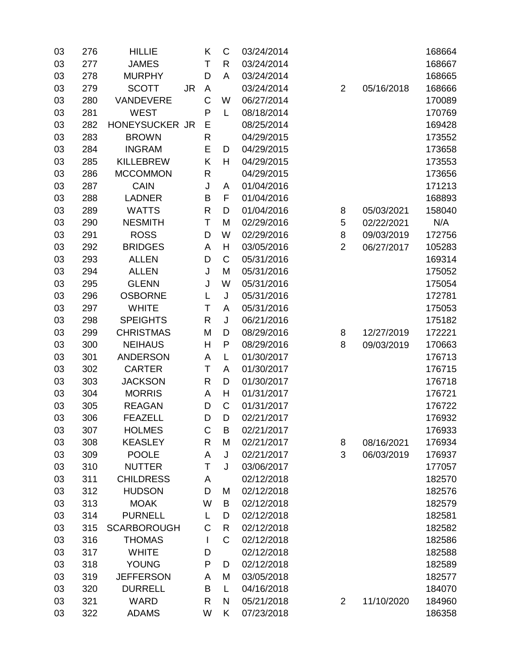| 03 | 276 | <b>HILLIE</b>      |           | K            | $\mathsf C$  | 03/24/2014 |                |            | 168664 |
|----|-----|--------------------|-----------|--------------|--------------|------------|----------------|------------|--------|
| 03 | 277 | <b>JAMES</b>       |           | Τ            | $\mathsf{R}$ | 03/24/2014 |                |            | 168667 |
| 03 | 278 | <b>MURPHY</b>      |           | D            | A            | 03/24/2014 |                |            | 168665 |
| 03 | 279 | <b>SCOTT</b>       | <b>JR</b> | A            |              | 03/24/2014 | $\overline{2}$ | 05/16/2018 | 168666 |
| 03 | 280 | VANDEVERE          |           | C            | W            | 06/27/2014 |                |            | 170089 |
| 03 | 281 | <b>WEST</b>        |           | P            | L            | 08/18/2014 |                |            | 170769 |
| 03 | 282 | HONEYSUCKER JR     |           | Ε            |              | 08/25/2014 |                |            | 169428 |
| 03 | 283 | <b>BROWN</b>       |           | R            |              | 04/29/2015 |                |            | 173552 |
| 03 | 284 | <b>INGRAM</b>      |           | E            | D            | 04/29/2015 |                |            | 173658 |
| 03 | 285 | <b>KILLEBREW</b>   |           | Κ            | H            | 04/29/2015 |                |            | 173553 |
| 03 | 286 | <b>MCCOMMON</b>    |           | R            |              | 04/29/2015 |                |            | 173656 |
| 03 | 287 | <b>CAIN</b>        |           | J            | A            | 01/04/2016 |                |            | 171213 |
| 03 | 288 | <b>LADNER</b>      |           | B            | F            | 01/04/2016 |                |            | 168893 |
| 03 | 289 | <b>WATTS</b>       |           | R            | D            | 01/04/2016 | 8              | 05/03/2021 | 158040 |
| 03 | 290 | <b>NESMITH</b>     |           | T            | M            | 02/29/2016 | 5              | 02/22/2021 | N/A    |
| 03 | 291 | <b>ROSS</b>        |           | D            | W            | 02/29/2016 | 8              | 09/03/2019 | 172756 |
| 03 | 292 | <b>BRIDGES</b>     |           | A            | H            | 03/05/2016 | $\overline{2}$ | 06/27/2017 | 105283 |
| 03 | 293 | <b>ALLEN</b>       |           | D            | $\mathsf C$  | 05/31/2016 |                |            | 169314 |
| 03 | 294 | <b>ALLEN</b>       |           | J            | M            | 05/31/2016 |                |            | 175052 |
| 03 | 295 | <b>GLENN</b>       |           | J            | W            | 05/31/2016 |                |            | 175054 |
| 03 | 296 | <b>OSBORNE</b>     |           | L            | J            | 05/31/2016 |                |            | 172781 |
| 03 | 297 | <b>WHITE</b>       |           | Т            | A            | 05/31/2016 |                |            | 175053 |
| 03 | 298 | <b>SPEIGHTS</b>    |           | R            | J            | 06/21/2016 |                |            | 175182 |
| 03 | 299 | <b>CHRISTMAS</b>   |           | M            | D            | 08/29/2016 | 8              | 12/27/2019 | 172221 |
| 03 | 300 | <b>NEIHAUS</b>     |           | H            | $\mathsf{P}$ | 08/29/2016 | 8              | 09/03/2019 | 170663 |
| 03 | 301 | <b>ANDERSON</b>    |           | A            | L            | 01/30/2017 |                |            | 176713 |
| 03 | 302 | <b>CARTER</b>      |           | Τ            | A            | 01/30/2017 |                |            | 176715 |
| 03 | 303 | <b>JACKSON</b>     |           | R            | D            | 01/30/2017 |                |            | 176718 |
| 03 | 304 | <b>MORRIS</b>      |           | A            | H            | 01/31/2017 |                |            | 176721 |
| 03 | 305 | <b>REAGAN</b>      |           | D            | $\mathsf C$  | 01/31/2017 |                |            | 176722 |
| 03 | 306 | <b>FEAZELL</b>     |           | D            | D            | 02/21/2017 |                |            | 176932 |
| 03 | 307 | <b>HOLMES</b>      |           | $\mathsf C$  | B            | 02/21/2017 |                |            | 176933 |
| 03 | 308 | <b>KEASLEY</b>     |           | R            | M            | 02/21/2017 | 8              | 08/16/2021 | 176934 |
| 03 | 309 | <b>POOLE</b>       |           | A            | J            | 02/21/2017 | 3              | 06/03/2019 | 176937 |
| 03 | 310 | <b>NUTTER</b>      |           | Τ            | J            | 03/06/2017 |                |            | 177057 |
| 03 | 311 | <b>CHILDRESS</b>   |           | A            |              | 02/12/2018 |                |            | 182570 |
| 03 | 312 | <b>HUDSON</b>      |           | D            | M            | 02/12/2018 |                |            | 182576 |
| 03 | 313 | <b>MOAK</b>        |           | W            | B            | 02/12/2018 |                |            | 182579 |
| 03 | 314 | <b>PURNELL</b>     |           | L            | D            | 02/12/2018 |                |            | 182581 |
| 03 | 315 | <b>SCARBOROUGH</b> |           | C            | R            | 02/12/2018 |                |            | 182582 |
| 03 | 316 | <b>THOMAS</b>      |           | $\mathbf{I}$ | C            | 02/12/2018 |                |            | 182586 |
| 03 | 317 | <b>WHITE</b>       |           | D            |              | 02/12/2018 |                |            | 182588 |
| 03 | 318 | <b>YOUNG</b>       |           | ${\sf P}$    | D            | 02/12/2018 |                |            | 182589 |
| 03 | 319 | <b>JEFFERSON</b>   |           | A            | M            | 03/05/2018 |                |            | 182577 |
| 03 | 320 | <b>DURRELL</b>     |           | B            | L            | 04/16/2018 |                |            | 184070 |
| 03 | 321 | <b>WARD</b>        |           | R            | N            | 05/21/2018 | $\overline{2}$ | 11/10/2020 | 184960 |
| 03 | 322 | <b>ADAMS</b>       |           | W            | Κ            | 07/23/2018 |                |            | 186358 |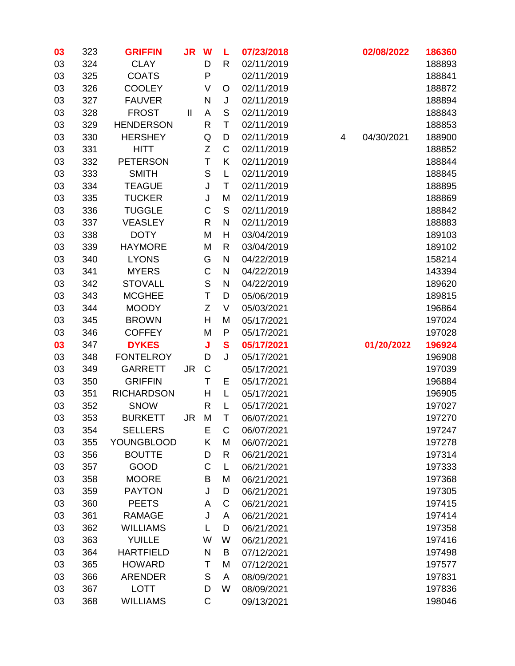| 03 | 323 | <b>GRIFFIN</b>    | <b>JR</b> | W            | L             | 07/23/2018 |   | 02/08/2022 | 186360 |
|----|-----|-------------------|-----------|--------------|---------------|------------|---|------------|--------|
| 03 | 324 | <b>CLAY</b>       |           | D            | $\mathsf{R}$  | 02/11/2019 |   |            | 188893 |
| 03 | 325 | <b>COATS</b>      |           | P            |               | 02/11/2019 |   |            | 188841 |
| 03 | 326 | <b>COOLEY</b>     |           | V            | O             | 02/11/2019 |   |            | 188872 |
| 03 | 327 | <b>FAUVER</b>     |           | N            | J             | 02/11/2019 |   |            | 188894 |
| 03 | 328 | <b>FROST</b>      | Ш         | $\mathsf A$  | S             | 02/11/2019 |   |            | 188843 |
| 03 | 329 | <b>HENDERSON</b>  |           | R            | Τ             | 02/11/2019 |   |            | 188853 |
| 03 | 330 | <b>HERSHEY</b>    |           | Q            | D             | 02/11/2019 | 4 | 04/30/2021 | 188900 |
| 03 | 331 | <b>HITT</b>       |           | Z            | C             | 02/11/2019 |   |            | 188852 |
| 03 | 332 | <b>PETERSON</b>   |           | T            | K             | 02/11/2019 |   |            | 188844 |
| 03 | 333 | <b>SMITH</b>      |           | $\mathsf{S}$ | L             | 02/11/2019 |   |            | 188845 |
| 03 | 334 | <b>TEAGUE</b>     |           | J            | T             | 02/11/2019 |   |            | 188895 |
| 03 | 335 | <b>TUCKER</b>     |           | J            | M             | 02/11/2019 |   |            | 188869 |
| 03 | 336 | <b>TUGGLE</b>     |           | $\mathsf C$  | ${\mathsf S}$ | 02/11/2019 |   |            | 188842 |
| 03 | 337 | <b>VEASLEY</b>    |           | R            | N             | 02/11/2019 |   |            | 188883 |
| 03 | 338 | <b>DOTY</b>       |           | M            | H             | 03/04/2019 |   |            | 189103 |
| 03 | 339 | <b>HAYMORE</b>    |           | M            | R             | 03/04/2019 |   |            | 189102 |
| 03 | 340 | <b>LYONS</b>      |           | G            | $\mathsf{N}$  | 04/22/2019 |   |            | 158214 |
| 03 | 341 | <b>MYERS</b>      |           | C            | N             | 04/22/2019 |   |            | 143394 |
| 03 | 342 | <b>STOVALL</b>    |           | $\mathsf S$  | N             | 04/22/2019 |   |            | 189620 |
| 03 | 343 | <b>MCGHEE</b>     |           | T            | D             | 05/06/2019 |   |            | 189815 |
| 03 | 344 | <b>MOODY</b>      |           | Z            | $\vee$        | 05/03/2021 |   |            | 196864 |
| 03 | 345 | <b>BROWN</b>      |           | Н            | M             | 05/17/2021 |   |            | 197024 |
| 03 | 346 | <b>COFFEY</b>     |           | M            | P             | 05/17/2021 |   |            | 197028 |
| 03 | 347 | <b>DYKES</b>      |           | J            | $\mathbf{s}$  | 05/17/2021 |   | 01/20/2022 | 196924 |
| 03 | 348 | <b>FONTELROY</b>  |           | D            | J             | 05/17/2021 |   |            | 196908 |
| 03 | 349 | <b>GARRETT</b>    | <b>JR</b> | $\mathsf C$  |               | 05/17/2021 |   |            | 197039 |
| 03 | 350 | <b>GRIFFIN</b>    |           | T            | Ε             | 05/17/2021 |   |            | 196884 |
| 03 | 351 | <b>RICHARDSON</b> |           | Н            | L             | 05/17/2021 |   |            | 196905 |
| 03 | 352 | <b>SNOW</b>       |           | R            | L             | 05/17/2021 |   |            | 197027 |
| 03 | 353 | <b>BURKETT</b>    | JR.       | M            | T             | 06/07/2021 |   |            | 197270 |
| 03 | 354 | <b>SELLERS</b>    |           | E            | C             | 06/07/2021 |   |            | 197247 |
| 03 | 355 | <b>YOUNGBLOOD</b> |           | Κ            | M             | 06/07/2021 |   |            | 197278 |
| 03 | 356 | <b>BOUTTE</b>     |           | D            | $\mathsf{R}$  | 06/21/2021 |   |            | 197314 |
| 03 | 357 | GOOD              |           | C            | L             | 06/21/2021 |   |            | 197333 |
| 03 | 358 | <b>MOORE</b>      |           | B            | M             | 06/21/2021 |   |            | 197368 |
| 03 | 359 | <b>PAYTON</b>     |           | J            | D             | 06/21/2021 |   |            | 197305 |
| 03 | 360 | <b>PEETS</b>      |           | A            | C             | 06/21/2021 |   |            | 197415 |
| 03 | 361 | <b>RAMAGE</b>     |           | J            | A             | 06/21/2021 |   |            | 197414 |
| 03 | 362 | <b>WILLIAMS</b>   |           | L            | D             | 06/21/2021 |   |            | 197358 |
| 03 | 363 | <b>YUILLE</b>     |           | W            | W             | 06/21/2021 |   |            | 197416 |
| 03 | 364 | <b>HARTFIELD</b>  |           | N            | В             | 07/12/2021 |   |            | 197498 |
| 03 | 365 | <b>HOWARD</b>     |           | Τ            | M             | 07/12/2021 |   |            | 197577 |
| 03 | 366 | <b>ARENDER</b>    |           | $\mathsf S$  | A             | 08/09/2021 |   |            | 197831 |
| 03 | 367 | <b>LOTT</b>       |           | D            | W             | 08/09/2021 |   |            | 197836 |
| 03 | 368 | <b>WILLIAMS</b>   |           | $\mathsf C$  |               | 09/13/2021 |   |            | 198046 |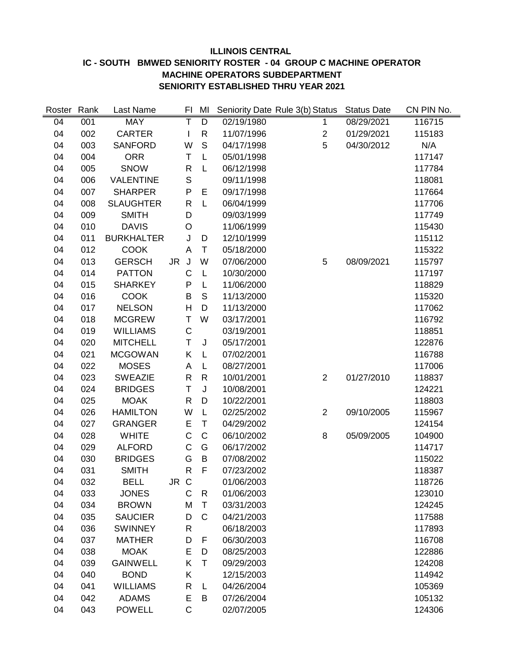#### **ILLINOIS CENTRAL IC - SOUTH BMWED SENIORITY ROSTER - 04 GROUP C MACHINE OPERATOR MACHINE OPERATORS SUBDEPARTMENT SENIORITY ESTABLISHED THRU YEAR 2021**

| Roster | Rank | Last Name         |      | FI           | MI           |            | Seniority Date Rule 3(b) Status | <b>Status Date</b> | CN PIN No. |
|--------|------|-------------------|------|--------------|--------------|------------|---------------------------------|--------------------|------------|
| 04     | 001  | <b>MAY</b>        |      | Τ            | D            | 02/19/1980 | 1                               | 08/29/2021         | 116715     |
| 04     | 002  | <b>CARTER</b>     |      | $\mathbf{I}$ | R            | 11/07/1996 | $\mathbf{2}$                    | 01/29/2021         | 115183     |
| 04     | 003  | <b>SANFORD</b>    |      | W            | S            | 04/17/1998 | 5                               | 04/30/2012         | N/A        |
| 04     | 004  | <b>ORR</b>        |      | Τ            | L            | 05/01/1998 |                                 |                    | 117147     |
| 04     | 005  | <b>SNOW</b>       |      | $\mathsf R$  | L            | 06/12/1998 |                                 |                    | 117784     |
| 04     | 006  | <b>VALENTINE</b>  |      | $\mathbb S$  |              | 09/11/1998 |                                 |                    | 118081     |
| 04     | 007  | <b>SHARPER</b>    |      | P            | Е            | 09/17/1998 |                                 |                    | 117664     |
| 04     | 008  | <b>SLAUGHTER</b>  |      | R            | L            | 06/04/1999 |                                 |                    | 117706     |
| 04     | 009  | <b>SMITH</b>      |      | D            |              | 09/03/1999 |                                 |                    | 117749     |
| 04     | 010  | <b>DAVIS</b>      |      | O            |              | 11/06/1999 |                                 |                    | 115430     |
| 04     | 011  | <b>BURKHALTER</b> |      | J            | D            | 12/10/1999 |                                 |                    | 115112     |
| 04     | 012  | <b>COOK</b>       |      | A            | Τ            | 05/18/2000 |                                 |                    | 115322     |
| 04     | 013  | <b>GERSCH</b>     | JR   | $\sf J$      | W            | 07/06/2000 | 5                               | 08/09/2021         | 115797     |
| 04     | 014  | <b>PATTON</b>     |      | C            | L            | 10/30/2000 |                                 |                    | 117197     |
| 04     | 015  | <b>SHARKEY</b>    |      | P            | L            | 11/06/2000 |                                 |                    | 118829     |
| 04     | 016  | <b>COOK</b>       |      | B            | $\mathbb S$  | 11/13/2000 |                                 |                    | 115320     |
| 04     | 017  | <b>NELSON</b>     |      | H            | D            | 11/13/2000 |                                 |                    | 117062     |
| 04     | 018  | <b>MCGREW</b>     |      | Τ            | W            | 03/17/2001 |                                 |                    | 116792     |
| 04     | 019  | <b>WILLIAMS</b>   |      | $\mathsf C$  |              | 03/19/2001 |                                 |                    | 118851     |
| 04     | 020  | <b>MITCHELL</b>   |      | T            | J            | 05/17/2001 |                                 |                    | 122876     |
| 04     | 021  | <b>MCGOWAN</b>    |      | Κ            | L            | 07/02/2001 |                                 |                    | 116788     |
| 04     | 022  | <b>MOSES</b>      |      | A            | L            | 08/27/2001 |                                 |                    | 117006     |
| 04     | 023  | <b>SWEAZIE</b>    |      | R            | R            | 10/01/2001 | $\overline{2}$                  | 01/27/2010         | 118837     |
| 04     | 024  | <b>BRIDGES</b>    |      | Τ            | J            | 10/08/2001 |                                 |                    | 124221     |
| 04     | 025  | <b>MOAK</b>       |      | $\mathsf R$  | D            | 10/22/2001 |                                 |                    | 118803     |
| 04     | 026  | <b>HAMILTON</b>   |      | W            | L            | 02/25/2002 | $\overline{2}$                  | 09/10/2005         | 115967     |
| 04     | 027  | <b>GRANGER</b>    |      | Ε            | т            | 04/29/2002 |                                 |                    | 124154     |
| 04     | 028  | <b>WHITE</b>      |      | $\mathsf C$  | $\mathsf{C}$ | 06/10/2002 | 8                               | 05/09/2005         | 104900     |
| 04     | 029  | <b>ALFORD</b>     |      | $\mathsf C$  | G            | 06/17/2002 |                                 |                    | 114717     |
| 04     | 030  | <b>BRIDGES</b>    |      | G            | B            | 07/08/2002 |                                 |                    | 115022     |
| 04     | 031  | <b>SMITH</b>      |      | $\mathsf R$  | F            | 07/23/2002 |                                 |                    | 118387     |
| 04     | 032  | <b>BELL</b>       | JR C |              |              | 01/06/2003 |                                 |                    | 118726     |
| 04     | 033  | <b>JONES</b>      |      | C            | R            | 01/06/2003 |                                 |                    | 123010     |
| 04     | 034  | <b>BROWN</b>      |      | M            | Т            | 03/31/2003 |                                 |                    | 124245     |
| 04     | 035  | <b>SAUCIER</b>    |      | D            | C            | 04/21/2003 |                                 |                    | 117588     |
| 04     | 036  | <b>SWINNEY</b>    |      | $\mathsf{R}$ |              | 06/18/2003 |                                 |                    | 117893     |
| 04     | 037  | <b>MATHER</b>     |      | D            | F            | 06/30/2003 |                                 |                    | 116708     |
| 04     | 038  | <b>MOAK</b>       |      | E            | D            | 08/25/2003 |                                 |                    | 122886     |
| 04     | 039  | <b>GAINWELL</b>   |      | Κ            | Т            | 09/29/2003 |                                 |                    | 124208     |
| 04     | 040  | <b>BOND</b>       |      | Κ            |              | 12/15/2003 |                                 |                    | 114942     |
| 04     | 041  | <b>WILLIAMS</b>   |      | R            | L            | 04/26/2004 |                                 |                    | 105369     |
| 04     | 042  | <b>ADAMS</b>      |      | Ε            | B            | 07/26/2004 |                                 |                    | 105132     |
| 04     | 043  | <b>POWELL</b>     |      | C            |              | 02/07/2005 |                                 |                    | 124306     |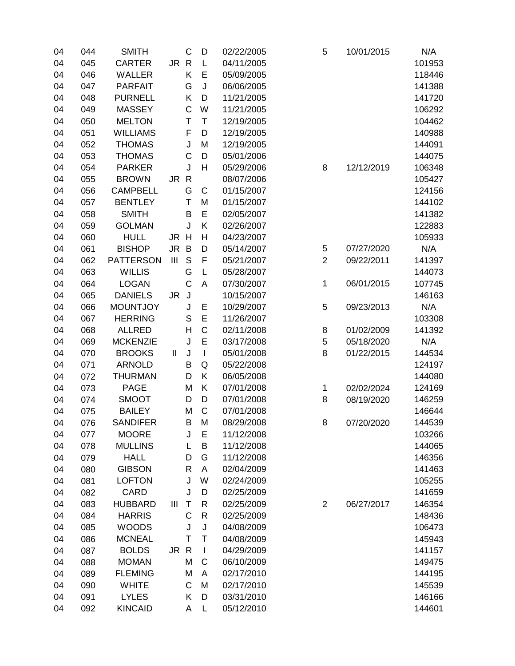| 04 | 044 | <b>SMITH</b>     |               | C            | D            | 02/22/2005 | 5              | 10/01/2015 | N/A    |
|----|-----|------------------|---------------|--------------|--------------|------------|----------------|------------|--------|
| 04 | 045 | <b>CARTER</b>    | JR R          |              | L            | 04/11/2005 |                |            | 101953 |
| 04 | 046 | <b>WALLER</b>    |               | Κ            | Е            | 05/09/2005 |                |            | 118446 |
| 04 | 047 | <b>PARFAIT</b>   |               | G            | J            | 06/06/2005 |                |            | 141388 |
| 04 | 048 | <b>PURNELL</b>   |               | Κ            | D            | 11/21/2005 |                |            | 141720 |
| 04 | 049 | <b>MASSEY</b>    |               | $\mathsf C$  | W            | 11/21/2005 |                |            | 106292 |
| 04 | 050 | <b>MELTON</b>    |               | T            | T            | 12/19/2005 |                |            | 104462 |
| 04 | 051 | <b>WILLIAMS</b>  |               | F            | D            | 12/19/2005 |                |            | 140988 |
| 04 | 052 | <b>THOMAS</b>    |               | J            | M            | 12/19/2005 |                |            | 144091 |
| 04 | 053 | <b>THOMAS</b>    |               | $\mathsf C$  | D            | 05/01/2006 |                |            | 144075 |
| 04 | 054 | <b>PARKER</b>    |               | J            | H            | 05/29/2006 | 8              | 12/12/2019 | 106348 |
| 04 | 055 | <b>BROWN</b>     | JR R          |              |              | 08/07/2006 |                |            | 105427 |
| 04 | 056 | <b>CAMPBELL</b>  |               | G            | C            | 01/15/2007 |                |            | 124156 |
| 04 | 057 | <b>BENTLEY</b>   |               | T            | M            | 01/15/2007 |                |            | 144102 |
| 04 | 058 | <b>SMITH</b>     |               | B            | E            | 02/05/2007 |                |            | 141382 |
| 04 | 059 | <b>GOLMAN</b>    |               | J            | Κ            | 02/26/2007 |                |            | 122883 |
| 04 | 060 | <b>HULL</b>      | JR H          |              | Η            | 04/23/2007 |                |            | 105933 |
| 04 | 061 | <b>BISHOP</b>    | <b>JR</b>     | B            | D            | 05/14/2007 | 5              | 07/27/2020 | N/A    |
| 04 | 062 | <b>PATTERSON</b> | III           | $\mathsf S$  | F            | 05/21/2007 | $\overline{2}$ | 09/22/2011 | 141397 |
| 04 | 063 | <b>WILLIS</b>    |               | G            | L            | 05/28/2007 |                |            | 144073 |
| 04 | 064 | <b>LOGAN</b>     |               | C            | Α            | 07/30/2007 | 1              | 06/01/2015 | 107745 |
| 04 | 065 | <b>DANIELS</b>   | JR.           | J            |              | 10/15/2007 |                |            | 146163 |
| 04 | 066 | <b>MOUNTJOY</b>  |               | J            | Ε            | 10/29/2007 | 5              | 09/23/2013 | N/A    |
| 04 | 067 | <b>HERRING</b>   |               | S            | E            | 11/26/2007 |                |            | 103308 |
| 04 | 068 | <b>ALLRED</b>    |               | H            | C            | 02/11/2008 | 8              | 01/02/2009 | 141392 |
| 04 | 069 | <b>MCKENZIE</b>  |               | J            | E            | 03/17/2008 | 5              | 05/18/2020 | N/A    |
| 04 | 070 | <b>BROOKS</b>    | $\mathbf{II}$ | J            | $\mathbf{I}$ | 05/01/2008 | 8              | 01/22/2015 | 144534 |
| 04 | 071 | <b>ARNOLD</b>    |               | B            | Q            | 05/22/2008 |                |            | 124197 |
| 04 | 072 | <b>THURMAN</b>   |               | D            | K            | 06/05/2008 |                |            | 144080 |
| 04 | 073 | <b>PAGE</b>      |               | M            | K            | 07/01/2008 | 1              | 02/02/2024 | 124169 |
| 04 | 074 | <b>SMOOT</b>     |               | D            | D            | 07/01/2008 | 8              | 08/19/2020 | 146259 |
| 04 | 075 | <b>BAILEY</b>    |               | M            | C            | 07/01/2008 |                |            | 146644 |
| 04 | 076 | <b>SANDIFER</b>  |               | B.           | M            | 08/29/2008 | 8              | 07/20/2020 | 144539 |
| 04 | 077 | <b>MOORE</b>     |               | J            | Ε            | 11/12/2008 |                |            | 103266 |
| 04 | 078 | <b>MULLINS</b>   |               | L            | B            | 11/12/2008 |                |            | 144065 |
| 04 | 079 | <b>HALL</b>      |               | D            | G            | 11/12/2008 |                |            | 146356 |
| 04 | 080 | <b>GIBSON</b>    |               | $\mathsf R$  | A            | 02/04/2009 |                |            | 141463 |
| 04 | 081 | <b>LOFTON</b>    |               | J            | W            | 02/24/2009 |                |            | 105255 |
| 04 | 082 | CARD             |               | J            | D            | 02/25/2009 |                |            | 141659 |
| 04 | 083 | <b>HUBBARD</b>   | Ш             | T            | R            | 02/25/2009 | $\overline{2}$ | 06/27/2017 | 146354 |
| 04 | 084 | <b>HARRIS</b>    |               | $\mathsf{C}$ | R            | 02/25/2009 |                |            | 148436 |
| 04 | 085 | <b>WOODS</b>     |               | J            | J            | 04/08/2009 |                |            | 106473 |
| 04 | 086 | <b>MCNEAL</b>    |               | Τ            | Т            | 04/08/2009 |                |            | 145943 |
| 04 | 087 | <b>BOLDS</b>     | JR R          |              | $\mathbf{I}$ | 04/29/2009 |                |            | 141157 |
| 04 | 088 | <b>MOMAN</b>     |               | M            | С            | 06/10/2009 |                |            | 149475 |
| 04 | 089 | <b>FLEMING</b>   |               | M            | A            | 02/17/2010 |                |            | 144195 |
| 04 | 090 | <b>WHITE</b>     |               | C            | M            | 02/17/2010 |                |            | 145539 |
| 04 | 091 | <b>LYLES</b>     |               | Κ            | D            | 03/31/2010 |                |            | 146166 |
| 04 | 092 | <b>KINCAID</b>   |               | А            | L            | 05/12/2010 |                |            | 144601 |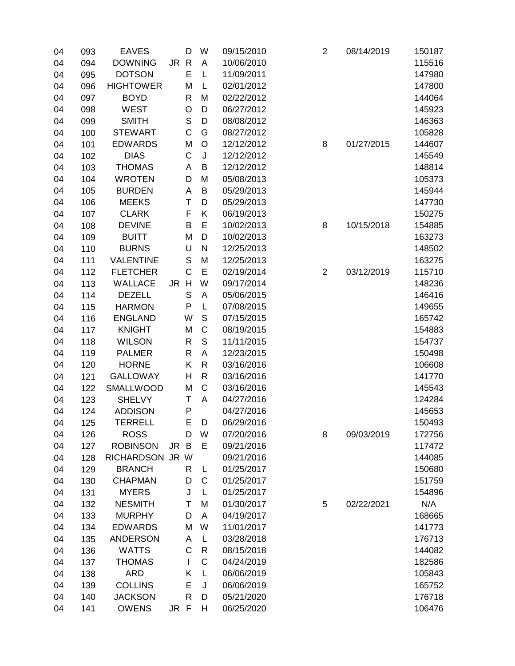| 04 | 093 | <b>EAVES</b>     |      | D            | W            | 09/15/2010 | $\mathbf 2$    | 08/14/2019 | 150187 |
|----|-----|------------------|------|--------------|--------------|------------|----------------|------------|--------|
| 04 | 094 | <b>DOWNING</b>   | JR R |              | A            | 10/06/2010 |                |            | 115516 |
| 04 | 095 | <b>DOTSON</b>    |      | E            | L            | 11/09/2011 |                |            | 147980 |
| 04 | 096 | <b>HIGHTOWER</b> |      | М            | L            | 02/01/2012 |                |            | 147800 |
| 04 | 097 | <b>BOYD</b>      |      | R            | M            | 02/22/2012 |                |            | 144064 |
| 04 | 098 | <b>WEST</b>      |      | O            | D            | 06/27/2012 |                |            | 145923 |
| 04 | 099 | <b>SMITH</b>     |      | $\mathsf S$  | D            | 08/08/2012 |                |            | 146363 |
| 04 | 100 | <b>STEWART</b>   |      | C            | G            | 08/27/2012 |                |            | 105828 |
| 04 | 101 | <b>EDWARDS</b>   |      | M            | O            | 12/12/2012 | 8              | 01/27/2015 | 144607 |
| 04 | 102 | <b>DIAS</b>      |      | C            | J            | 12/12/2012 |                |            | 145549 |
| 04 | 103 | <b>THOMAS</b>    |      | A            | B            | 12/12/2012 |                |            | 148814 |
| 04 | 104 | <b>WROTEN</b>    |      | D            | M            | 05/08/2013 |                |            | 105373 |
| 04 | 105 | <b>BURDEN</b>    |      | A            | B            | 05/29/2013 |                |            | 145944 |
| 04 | 106 | <b>MEEKS</b>     |      | Τ            | D            | 05/29/2013 |                |            | 147730 |
| 04 | 107 | <b>CLARK</b>     |      | F            | Κ            | 06/19/2013 |                |            | 150275 |
| 04 | 108 | <b>DEVINE</b>    |      | B            | Е            | 10/02/2013 | 8              | 10/15/2018 | 154885 |
| 04 | 109 | <b>BUITT</b>     |      | M            | D            | 10/02/2013 |                |            | 163273 |
| 04 | 110 | <b>BURNS</b>     |      | U            | $\mathsf{N}$ | 12/25/2013 |                |            | 148502 |
| 04 | 111 | <b>VALENTINE</b> |      | S            | M            | 12/25/2013 |                |            | 163275 |
| 04 | 112 | <b>FLETCHER</b>  |      | C            | E            | 02/19/2014 | $\overline{2}$ | 03/12/2019 | 115710 |
| 04 | 113 | <b>WALLACE</b>   | JR H |              | W            | 09/17/2014 |                |            | 148236 |
| 04 | 114 | <b>DEZELL</b>    |      | S            | A            | 05/06/2015 |                |            | 146416 |
| 04 | 115 | <b>HARMON</b>    |      | P            | L            | 07/08/2015 |                |            | 149655 |
| 04 | 116 | <b>ENGLAND</b>   |      | W            | S            | 07/15/2015 |                |            | 165742 |
| 04 | 117 | <b>KNIGHT</b>    |      | M            | C            | 08/19/2015 |                |            | 154883 |
| 04 | 118 | <b>WILSON</b>    |      | $\mathsf{R}$ | S            | 11/11/2015 |                |            | 154737 |
| 04 | 119 | <b>PALMER</b>    |      | R            | A            | 12/23/2015 |                |            | 150498 |
| 04 | 120 | <b>HORNE</b>     |      | Κ            | R            | 03/16/2016 |                |            | 106608 |
| 04 | 121 | <b>GALLOWAY</b>  |      | Η            | R            | 03/16/2016 |                |            | 141770 |
| 04 | 122 | <b>SMALLWOOD</b> |      | M            | $\mathsf{C}$ | 03/16/2016 |                |            | 145543 |
| 04 | 123 | <b>SHELVY</b>    |      | Τ            | A            | 04/27/2016 |                |            | 124284 |
| 04 | 124 | <b>ADDISON</b>   |      | P            |              | 04/27/2016 |                |            | 145653 |
| 04 | 125 | <b>TERRELL</b>   |      | Е            | D            | 06/29/2016 |                |            | 150493 |
| 04 | 126 | <b>ROSS</b>      |      | D            | W            | 07/20/2016 | 8              | 09/03/2019 | 172756 |
| 04 | 127 | <b>ROBINSON</b>  | JR B |              | E            | 09/21/2016 |                |            | 117472 |
| 04 | 128 | RICHARDSON JR W  |      |              |              | 09/21/2016 |                |            | 144085 |
| 04 | 129 | <b>BRANCH</b>    |      | R            | L            | 01/25/2017 |                |            | 150680 |
| 04 | 130 | <b>CHAPMAN</b>   |      | D            | С            | 01/25/2017 |                |            | 151759 |
| 04 | 131 | <b>MYERS</b>     |      | J            | L            | 01/25/2017 |                |            | 154896 |
| 04 | 132 | <b>NESMITH</b>   |      | Τ            | M            | 01/30/2017 | 5              | 02/22/2021 | N/A    |
| 04 | 133 | <b>MURPHY</b>    |      | D            | Α            | 04/19/2017 |                |            | 168665 |
| 04 | 134 | <b>EDWARDS</b>   |      | M            | W            | 11/01/2017 |                |            | 141773 |
| 04 | 135 | <b>ANDERSON</b>  |      | Α            | L            | 03/28/2018 |                |            | 176713 |
| 04 | 136 | <b>WATTS</b>     |      | C            | R            | 08/15/2018 |                |            | 144082 |
| 04 | 137 | <b>THOMAS</b>    |      | L            | C            | 04/24/2019 |                |            | 182586 |
| 04 | 138 | <b>ARD</b>       |      | Κ            | L            | 06/06/2019 |                |            | 105843 |
| 04 | 139 | <b>COLLINS</b>   |      | E            | J            | 06/06/2019 |                |            | 165752 |
| 04 | 140 | <b>JACKSON</b>   |      | R            | D            | 05/21/2020 |                |            | 176718 |
| 04 | 141 | <b>OWENS</b>     | JR F |              | н            | 06/25/2020 |                |            | 106476 |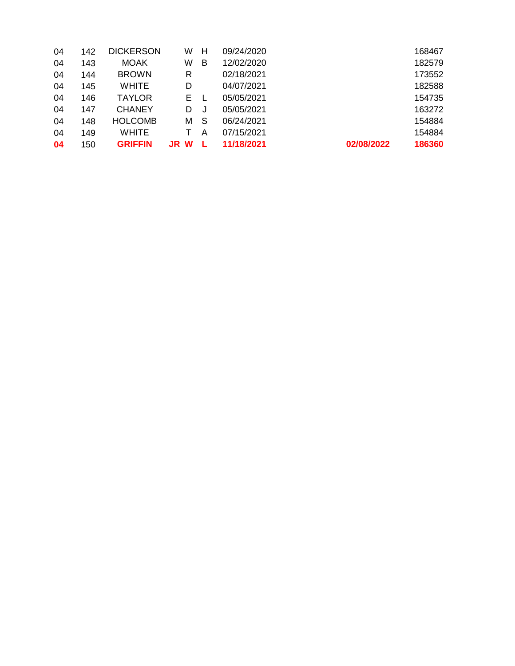| 04 | 142 | <b>DICKERSON</b> | W        | н | 09/24/2020 |            | 168467 |
|----|-----|------------------|----------|---|------------|------------|--------|
| 04 | 143 | <b>MOAK</b>      | W        | B | 12/02/2020 |            | 182579 |
| 04 | 144 | <b>BROWN</b>     | R        |   | 02/18/2021 |            | 173552 |
| 04 | 145 | <b>WHITE</b>     | D        |   | 04/07/2021 |            | 182588 |
| 04 | 146 | <b>TAYLOR</b>    | E.       |   | 05/05/2021 |            | 154735 |
| 04 | 147 | <b>CHANEY</b>    | D        |   | 05/05/2021 |            | 163272 |
| 04 | 148 | <b>HOLCOMB</b>   | м        | S | 06/24/2021 |            | 154884 |
| 04 | 149 | <b>WHITE</b>     |          | A | 07/15/2021 |            | 154884 |
| 04 | 150 | <b>GRIFFIN</b>   | W<br>JR. |   | 11/18/2021 | 02/08/2022 | 186360 |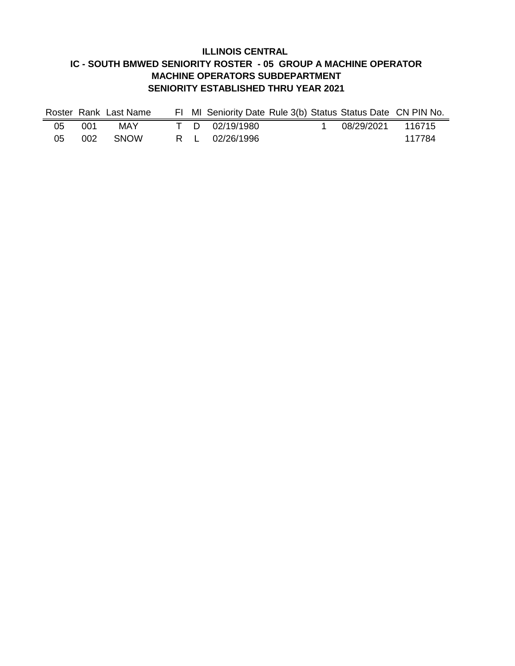### **ILLINOIS CENTRAL IC - SOUTH BMWED SENIORITY ROSTER - 05 GROUP A MACHINE OPERATOR MACHINE OPERATORS SUBDEPARTMENT SENIORITY ESTABLISHED THRU YEAR 2021**

|    |      | Roster Rank Last Name |  |                | FI MI Seniority Date Rule 3(b) Status Status Date CN PIN No. |                   |        |
|----|------|-----------------------|--|----------------|--------------------------------------------------------------|-------------------|--------|
| 05 | 001. | MAY                   |  | T D 02/19/1980 |                                                              | 08/29/2021 116715 |        |
| 05 |      | 002 SNOW              |  | R L 02/26/1996 |                                                              |                   | 117784 |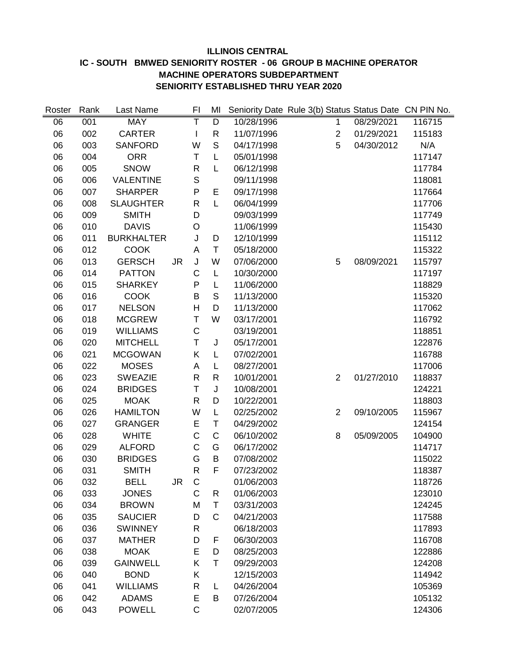#### **ILLINOIS CENTRAL IC - SOUTH BMWED SENIORITY ROSTER - 06 GROUP B MACHINE OPERATOR MACHINE OPERATORS SUBDEPARTMENT SENIORITY ESTABLISHED THRU YEAR 2020**

| Roster | Rank | Last Name         |           | FI           | MI           | Seniority Date Rule 3(b) Status Status Date CN PIN No. |                |            |        |
|--------|------|-------------------|-----------|--------------|--------------|--------------------------------------------------------|----------------|------------|--------|
| 06     | 001  | <b>MAY</b>        |           | Т            | D            | 10/28/1996                                             | 1              | 08/29/2021 | 116715 |
| 06     | 002  | <b>CARTER</b>     |           | $\mathsf{l}$ | R            | 11/07/1996                                             | $\overline{c}$ | 01/29/2021 | 115183 |
| 06     | 003  | <b>SANFORD</b>    |           | W            | S            | 04/17/1998                                             | 5              | 04/30/2012 | N/A    |
| 06     | 004  | <b>ORR</b>        |           | Τ            | L            | 05/01/1998                                             |                |            | 117147 |
| 06     | 005  | <b>SNOW</b>       |           | R            | L            | 06/12/1998                                             |                |            | 117784 |
| 06     | 006  | <b>VALENTINE</b>  |           | $\mathbf S$  |              | 09/11/1998                                             |                |            | 118081 |
| 06     | 007  | <b>SHARPER</b>    |           | P            | E            | 09/17/1998                                             |                |            | 117664 |
| 06     | 008  | <b>SLAUGHTER</b>  |           | R            | L            | 06/04/1999                                             |                |            | 117706 |
| 06     | 009  | <b>SMITH</b>      |           | D            |              | 09/03/1999                                             |                |            | 117749 |
| 06     | 010  | <b>DAVIS</b>      |           | O            |              | 11/06/1999                                             |                |            | 115430 |
| 06     | 011  | <b>BURKHALTER</b> |           | J            | D            | 12/10/1999                                             |                |            | 115112 |
| 06     | 012  | <b>COOK</b>       |           | Α            | Τ            | 05/18/2000                                             |                |            | 115322 |
| 06     | 013  | <b>GERSCH</b>     | <b>JR</b> | J            | W            | 07/06/2000                                             | 5              | 08/09/2021 | 115797 |
| 06     | 014  | <b>PATTON</b>     |           | C            | L            | 10/30/2000                                             |                |            | 117197 |
| 06     | 015  | <b>SHARKEY</b>    |           | P            | L            | 11/06/2000                                             |                |            | 118829 |
| 06     | 016  | <b>COOK</b>       |           | B            | S            | 11/13/2000                                             |                |            | 115320 |
| 06     | 017  | <b>NELSON</b>     |           | Η            | D            | 11/13/2000                                             |                |            | 117062 |
| 06     | 018  | <b>MCGREW</b>     |           | T            | W            | 03/17/2001                                             |                |            | 116792 |
| 06     | 019  | <b>WILLIAMS</b>   |           | $\mathsf C$  |              | 03/19/2001                                             |                |            | 118851 |
| 06     | 020  | <b>MITCHELL</b>   |           | T            | J            | 05/17/2001                                             |                |            | 122876 |
| 06     | 021  | <b>MCGOWAN</b>    |           | Κ            | L            | 07/02/2001                                             |                |            | 116788 |
| 06     | 022  | <b>MOSES</b>      |           | Α            | L            | 08/27/2001                                             |                |            | 117006 |
| 06     | 023  | <b>SWEAZIE</b>    |           | R            | $\mathsf{R}$ | 10/01/2001                                             | $\overline{2}$ | 01/27/2010 | 118837 |
| 06     | 024  | <b>BRIDGES</b>    |           | T            | J            | 10/08/2001                                             |                |            | 124221 |
| 06     | 025  | <b>MOAK</b>       |           | R            | D            | 10/22/2001                                             |                |            | 118803 |
| 06     | 026  | <b>HAMILTON</b>   |           | W            | L            | 02/25/2002                                             | $\overline{2}$ | 09/10/2005 | 115967 |
| 06     | 027  | <b>GRANGER</b>    |           | E            | Τ            | 04/29/2002                                             |                |            | 124154 |
| 06     | 028  | <b>WHITE</b>      |           | $\mathsf C$  | C            | 06/10/2002                                             | 8              | 05/09/2005 | 104900 |
| 06     | 029  | <b>ALFORD</b>     |           | C            | G            | 06/17/2002                                             |                |            | 114717 |
| 06     | 030  | <b>BRIDGES</b>    |           | G            | B            | 07/08/2002                                             |                |            | 115022 |
| 06     | 031  | <b>SMITH</b>      |           | $\mathsf R$  | F            | 07/23/2002                                             |                |            | 118387 |
| 06     | 032  | <b>BELL</b>       | JR        | $\mathsf{C}$ |              | 01/06/2003                                             |                |            | 118726 |
| 06     | 033  | <b>JONES</b>      |           | C            | R            | 01/06/2003                                             |                |            | 123010 |
| 06     | 034  | <b>BROWN</b>      |           | M            | Τ            | 03/31/2003                                             |                |            | 124245 |
| 06     | 035  | <b>SAUCIER</b>    |           | D            | C            | 04/21/2003                                             |                |            | 117588 |
| 06     | 036  | <b>SWINNEY</b>    |           | R            |              | 06/18/2003                                             |                |            | 117893 |
| 06     | 037  | <b>MATHER</b>     |           | D            | F            | 06/30/2003                                             |                |            | 116708 |
| 06     | 038  | <b>MOAK</b>       |           | Е            | D            | 08/25/2003                                             |                |            | 122886 |
| 06     | 039  | <b>GAINWELL</b>   |           | Κ            | Τ            | 09/29/2003                                             |                |            | 124208 |
| 06     | 040  | <b>BOND</b>       |           | Κ            |              | 12/15/2003                                             |                |            | 114942 |
| 06     | 041  | <b>WILLIAMS</b>   |           | R            | L            | 04/26/2004                                             |                |            | 105369 |
| 06     | 042  | <b>ADAMS</b>      |           | Е            | B            | 07/26/2004                                             |                |            | 105132 |
| 06     | 043  | <b>POWELL</b>     |           | $\mathsf C$  |              | 02/07/2005                                             |                |            | 124306 |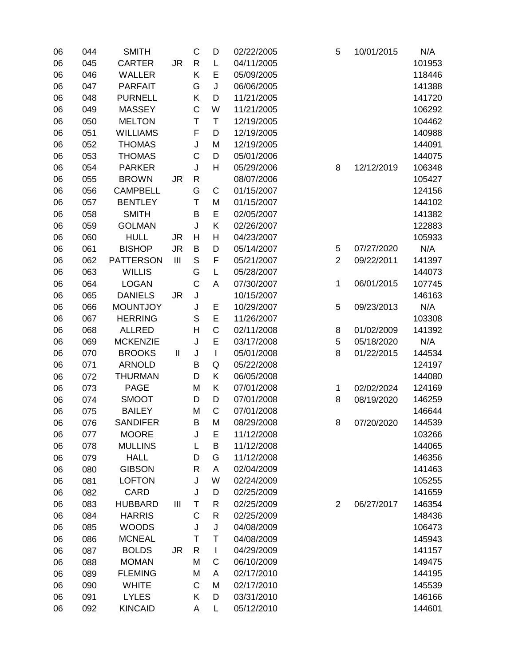| 06 | 044 | <b>SMITH</b>     |                | C           | D            | 02/22/2005 | 5              | 10/01/2015 | N/A    |
|----|-----|------------------|----------------|-------------|--------------|------------|----------------|------------|--------|
| 06 | 045 | <b>CARTER</b>    | <b>JR</b>      | R           | L            | 04/11/2005 |                |            | 101953 |
| 06 | 046 | <b>WALLER</b>    |                | Κ           | Е            | 05/09/2005 |                |            | 118446 |
| 06 | 047 | <b>PARFAIT</b>   |                | G           | J            | 06/06/2005 |                |            | 141388 |
| 06 | 048 | <b>PURNELL</b>   |                | Κ           | D            | 11/21/2005 |                |            | 141720 |
| 06 | 049 | <b>MASSEY</b>    |                | $\mathsf C$ | W            | 11/21/2005 |                |            | 106292 |
| 06 | 050 | <b>MELTON</b>    |                | T           | T            | 12/19/2005 |                |            | 104462 |
| 06 | 051 | <b>WILLIAMS</b>  |                | F           | D            | 12/19/2005 |                |            | 140988 |
| 06 | 052 | <b>THOMAS</b>    |                | J           | M            | 12/19/2005 |                |            | 144091 |
| 06 | 053 | <b>THOMAS</b>    |                | C           | D            | 05/01/2006 |                |            | 144075 |
| 06 | 054 | <b>PARKER</b>    |                | J           | H            | 05/29/2006 | 8              | 12/12/2019 | 106348 |
| 06 | 055 | <b>BROWN</b>     | <b>JR</b>      | R           |              | 08/07/2006 |                |            | 105427 |
| 06 | 056 | <b>CAMPBELL</b>  |                | G           | C            | 01/15/2007 |                |            | 124156 |
| 06 | 057 | <b>BENTLEY</b>   |                | T           | M            | 01/15/2007 |                |            | 144102 |
| 06 | 058 | <b>SMITH</b>     |                | B           | E            | 02/05/2007 |                |            | 141382 |
| 06 | 059 | <b>GOLMAN</b>    |                | J           | K            | 02/26/2007 |                |            | 122883 |
| 06 | 060 | <b>HULL</b>      | <b>JR</b>      | H           | H            | 04/23/2007 |                |            | 105933 |
| 06 | 061 | <b>BISHOP</b>    | <b>JR</b>      | B           | D            | 05/14/2007 | $\mathbf 5$    | 07/27/2020 | N/A    |
| 06 | 062 | <b>PATTERSON</b> | $\mathbf{III}$ | S           | F            | 05/21/2007 | $\overline{2}$ | 09/22/2011 | 141397 |
| 06 | 063 | <b>WILLIS</b>    |                | G           | L            | 05/28/2007 |                |            | 144073 |
| 06 | 064 | <b>LOGAN</b>     |                | C           | A            | 07/30/2007 | 1              | 06/01/2015 | 107745 |
| 06 | 065 | <b>DANIELS</b>   | <b>JR</b>      | J           |              | 10/15/2007 |                |            | 146163 |
| 06 | 066 | <b>MOUNTJOY</b>  |                | J           | Ε            | 10/29/2007 | 5              | 09/23/2013 | N/A    |
| 06 | 067 | <b>HERRING</b>   |                | S           | E            | 11/26/2007 |                |            | 103308 |
| 06 | 068 | <b>ALLRED</b>    |                | Н           | C            | 02/11/2008 | 8              | 01/02/2009 | 141392 |
| 06 | 069 | <b>MCKENZIE</b>  |                | J           | E            | 03/17/2008 | 5              | 05/18/2020 | N/A    |
| 06 | 070 | <b>BROOKS</b>    | $\mathbf{I}$   | J           | $\mathsf{I}$ | 05/01/2008 | 8              | 01/22/2015 | 144534 |
| 06 | 071 | <b>ARNOLD</b>    |                | B           | Q            | 05/22/2008 |                |            | 124197 |
| 06 | 072 | <b>THURMAN</b>   |                | D           | K            | 06/05/2008 |                |            | 144080 |
| 06 | 073 | <b>PAGE</b>      |                | M           | K            | 07/01/2008 | 1              | 02/02/2024 | 124169 |
| 06 | 074 | <b>SMOOT</b>     |                | D           | D            | 07/01/2008 | 8              | 08/19/2020 | 146259 |
| 06 | 075 | <b>BAILEY</b>    |                | M           | C            | 07/01/2008 |                |            | 146644 |
| 06 | 076 | <b>SANDIFER</b>  |                | B.          | M            | 08/29/2008 | 8              | 07/20/2020 | 144539 |
| 06 | 077 | <b>MOORE</b>     |                | J           | Ε            | 11/12/2008 |                |            | 103266 |
| 06 | 078 | <b>MULLINS</b>   |                | L           | B            | 11/12/2008 |                |            | 144065 |
| 06 | 079 | <b>HALL</b>      |                | D           | G            | 11/12/2008 |                |            | 146356 |
| 06 | 080 | <b>GIBSON</b>    |                | R           | A            | 02/04/2009 |                |            | 141463 |
| 06 | 081 | <b>LOFTON</b>    |                | J           | W            | 02/24/2009 |                |            | 105255 |
| 06 | 082 | CARD             |                | J           | D            | 02/25/2009 |                |            | 141659 |
| 06 | 083 | <b>HUBBARD</b>   | Ш              | Т           | R            | 02/25/2009 | $\overline{2}$ | 06/27/2017 | 146354 |
| 06 | 084 | <b>HARRIS</b>    |                | C           | R            | 02/25/2009 |                |            | 148436 |
| 06 | 085 | <b>WOODS</b>     |                | J           | J            | 04/08/2009 |                |            | 106473 |
| 06 | 086 | <b>MCNEAL</b>    |                | Τ           | Τ            | 04/08/2009 |                |            | 145943 |
| 06 | 087 | <b>BOLDS</b>     | JR             | R           | $\mathbf{I}$ | 04/29/2009 |                |            | 141157 |
| 06 | 088 | <b>MOMAN</b>     |                | M           | C            | 06/10/2009 |                |            | 149475 |
| 06 | 089 | <b>FLEMING</b>   |                | M           | A            | 02/17/2010 |                |            | 144195 |
| 06 | 090 | <b>WHITE</b>     |                | C           | M            | 02/17/2010 |                |            | 145539 |
| 06 | 091 | <b>LYLES</b>     |                | Κ           | D            | 03/31/2010 |                |            | 146166 |
| 06 | 092 | <b>KINCAID</b>   |                | А           | L            | 05/12/2010 |                |            | 144601 |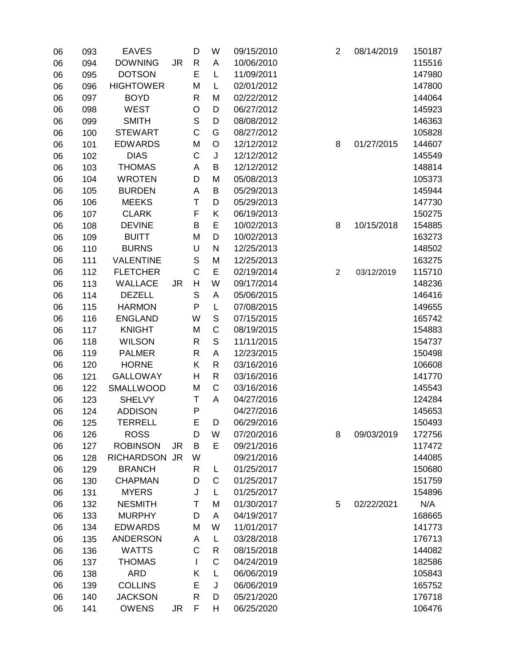| 06 | 093 | <b>EAVES</b>      |           | D            | W           | 09/15/2010 | $\overline{2}$ | 08/14/2019 | 150187 |
|----|-----|-------------------|-----------|--------------|-------------|------------|----------------|------------|--------|
| 06 | 094 | <b>DOWNING</b>    | <b>JR</b> | R            | A           | 10/06/2010 |                |            | 115516 |
| 06 | 095 | <b>DOTSON</b>     |           | E            | L           | 11/09/2011 |                |            | 147980 |
| 06 | 096 | <b>HIGHTOWER</b>  |           | M            | L           | 02/01/2012 |                |            | 147800 |
| 06 | 097 | <b>BOYD</b>       |           | R            | M           | 02/22/2012 |                |            | 144064 |
| 06 | 098 | <b>WEST</b>       |           | O            | D           | 06/27/2012 |                |            | 145923 |
| 06 | 099 | <b>SMITH</b>      |           | $\mathbf S$  | D           | 08/08/2012 |                |            | 146363 |
| 06 | 100 | <b>STEWART</b>    |           | $\mathsf{C}$ | G           | 08/27/2012 |                |            | 105828 |
| 06 | 101 | <b>EDWARDS</b>    |           | M            | O           | 12/12/2012 | 8              | 01/27/2015 | 144607 |
| 06 | 102 | <b>DIAS</b>       |           | $\mathsf C$  | J           | 12/12/2012 |                |            | 145549 |
| 06 | 103 | <b>THOMAS</b>     |           | A            | B           | 12/12/2012 |                |            | 148814 |
| 06 | 104 | <b>WROTEN</b>     |           | D            | M           | 05/08/2013 |                |            | 105373 |
| 06 | 105 | <b>BURDEN</b>     |           | A            | B           | 05/29/2013 |                |            | 145944 |
| 06 | 106 | <b>MEEKS</b>      |           | T            | D           | 05/29/2013 |                |            | 147730 |
| 06 | 107 | <b>CLARK</b>      |           | F            | Κ           | 06/19/2013 |                |            | 150275 |
| 06 | 108 | <b>DEVINE</b>     |           | B            | E           | 10/02/2013 | 8              | 10/15/2018 | 154885 |
| 06 | 109 | <b>BUITT</b>      |           | M            | D           | 10/02/2013 |                |            | 163273 |
| 06 | 110 | <b>BURNS</b>      |           | U            | N           | 12/25/2013 |                |            | 148502 |
| 06 | 111 | <b>VALENTINE</b>  |           | S            | M           | 12/25/2013 |                |            | 163275 |
| 06 | 112 | <b>FLETCHER</b>   |           | C            | E           | 02/19/2014 | $\overline{c}$ | 03/12/2019 | 115710 |
| 06 | 113 | <b>WALLACE</b>    | <b>JR</b> | Н            | W           | 09/17/2014 |                |            | 148236 |
| 06 | 114 | <b>DEZELL</b>     |           | S            | A           | 05/06/2015 |                |            | 146416 |
| 06 | 115 | <b>HARMON</b>     |           | P            | L           | 07/08/2015 |                |            | 149655 |
| 06 | 116 | <b>ENGLAND</b>    |           | W            | S           | 07/15/2015 |                |            | 165742 |
| 06 | 117 | <b>KNIGHT</b>     |           | M            | $\mathsf C$ | 08/19/2015 |                |            | 154883 |
| 06 | 118 | <b>WILSON</b>     |           | R            | S           | 11/11/2015 |                |            | 154737 |
| 06 | 119 | <b>PALMER</b>     |           | R            | A           | 12/23/2015 |                |            | 150498 |
| 06 | 120 | <b>HORNE</b>      |           | Κ            | R           | 03/16/2016 |                |            | 106608 |
| 06 | 121 | <b>GALLOWAY</b>   |           | Н            | R           | 03/16/2016 |                |            | 141770 |
| 06 | 122 | SMALLWOOD         |           | M            | C           | 03/16/2016 |                |            | 145543 |
| 06 | 123 | <b>SHELVY</b>     |           | Τ            | Α           | 04/27/2016 |                |            | 124284 |
| 06 | 124 | <b>ADDISON</b>    |           | P            |             | 04/27/2016 |                |            | 145653 |
| 06 | 125 | TERRELL           |           | Е            | D           | 06/29/2016 |                |            | 150493 |
| 06 | 126 | <b>ROSS</b>       |           | D            | W           | 07/20/2016 | 8              | 09/03/2019 | 172756 |
| 06 | 127 | <b>ROBINSON</b>   | JR        | B            | E           | 09/21/2016 |                |            | 117472 |
| 06 | 128 | <b>RICHARDSON</b> | JR.       | W            |             | 09/21/2016 |                |            | 144085 |
| 06 | 129 | <b>BRANCH</b>     |           | R            | L           | 01/25/2017 |                |            | 150680 |
| 06 | 130 | <b>CHAPMAN</b>    |           | D            | C           | 01/25/2017 |                |            | 151759 |
| 06 | 131 | <b>MYERS</b>      |           | J            | L           | 01/25/2017 |                |            | 154896 |
| 06 | 132 | <b>NESMITH</b>    |           | Τ            | M           | 01/30/2017 | 5              | 02/22/2021 | N/A    |
| 06 | 133 | <b>MURPHY</b>     |           | D            | A           | 04/19/2017 |                |            | 168665 |
| 06 | 134 | <b>EDWARDS</b>    |           | M            | W           | 11/01/2017 |                |            | 141773 |
| 06 | 135 | <b>ANDERSON</b>   |           | A            | L           | 03/28/2018 |                |            | 176713 |
| 06 | 136 | <b>WATTS</b>      |           | C            | R           | 08/15/2018 |                |            | 144082 |
| 06 | 137 | <b>THOMAS</b>     |           | I            | C           | 04/24/2019 |                |            | 182586 |
| 06 | 138 | <b>ARD</b>        |           | Κ            | L           | 06/06/2019 |                |            | 105843 |
| 06 | 139 | <b>COLLINS</b>    |           | E            | J           | 06/06/2019 |                |            | 165752 |
| 06 | 140 | <b>JACKSON</b>    |           | R            | D           | 05/21/2020 |                |            | 176718 |
| 06 | 141 | <b>OWENS</b>      | JR        | F            | H           | 06/25/2020 |                |            | 106476 |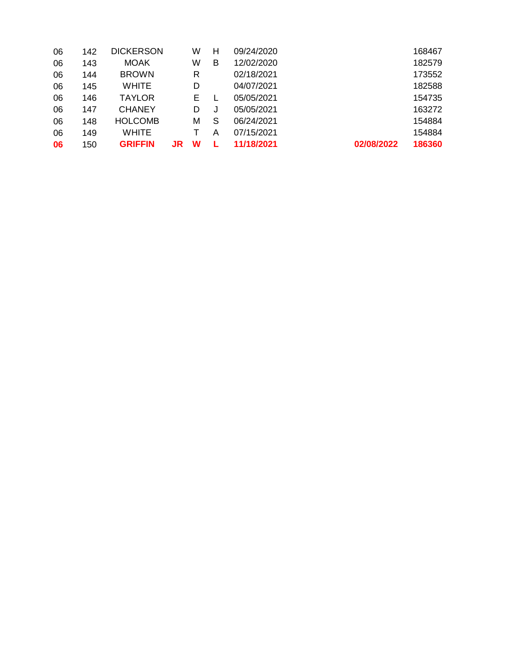| 06 | 142 | <b>DICKERSON</b> |    | W | н | 09/24/2020 |            | 168467 |
|----|-----|------------------|----|---|---|------------|------------|--------|
| 06 | 143 | <b>MOAK</b>      |    | W | в | 12/02/2020 |            | 182579 |
| 06 | 144 | <b>BROWN</b>     |    | R |   | 02/18/2021 |            | 173552 |
| 06 | 145 | <b>WHITE</b>     |    | D |   | 04/07/2021 |            | 182588 |
| 06 | 146 | <b>TAYLOR</b>    |    | Е |   | 05/05/2021 |            | 154735 |
| 06 | 147 | <b>CHANEY</b>    |    | D |   | 05/05/2021 |            | 163272 |
| 06 | 148 | <b>HOLCOMB</b>   |    | м | S | 06/24/2021 |            | 154884 |
| 06 | 149 | <b>WHITE</b>     |    | Т | А | 07/15/2021 |            | 154884 |
| 06 | 150 | <b>GRIFFIN</b>   | JR | w |   | 11/18/2021 | 02/08/2022 | 186360 |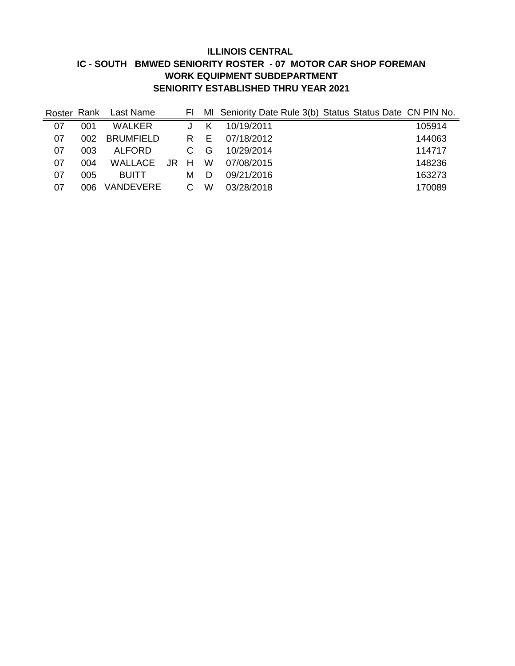# **ILLINOIS CENTRAL IC - SOUTH BMWED SENIORITY ROSTER - 07 MOTOR CAR SHOP FOREMAN WORK EQUIPMENT SUBDEPARTMENT SENIORITY ESTABLISHED THRU YEAR 2021**

| Roster Rank |      | Last Name        |                |     | FI MI Seniority Date Rule 3(b) Status Status Date CN PIN No. |  |        |
|-------------|------|------------------|----------------|-----|--------------------------------------------------------------|--|--------|
| 07          | 001  | <b>WALKER</b>    |                | K   | 10/19/2011                                                   |  | 105914 |
| 07          | 002  | <b>BRUMFIELD</b> |                | R E | 07/18/2012                                                   |  | 144063 |
| 07          | 003  | ALFORD           | C.             | - G | 10/29/2014                                                   |  | 114717 |
| 07          | 004  | WALLACE JR H     |                | W   | 07/08/2015                                                   |  | 148236 |
| 07          | 005  | <b>BUITT</b>     | м              | D   | 09/21/2016                                                   |  | 163273 |
| 07          | 006. | VANDEVERE        | $\overline{C}$ | W   | 03/28/2018                                                   |  | 170089 |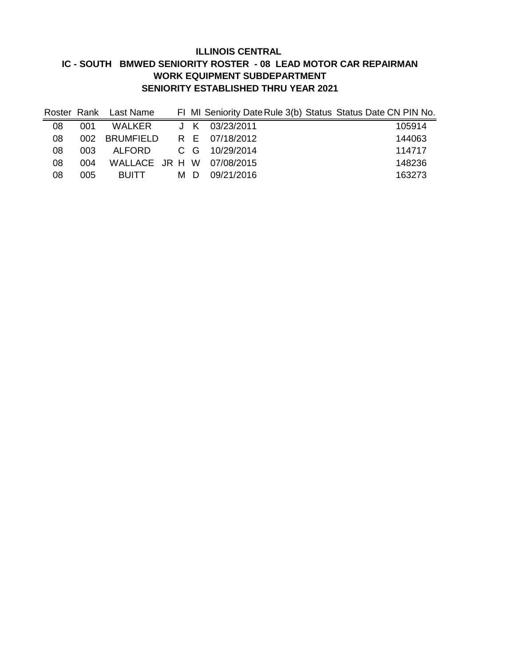# **ILLINOIS CENTRAL IC - SOUTH BMWED SENIORITY ROSTER - 08 LEAD MOTOR CAR REPAIRMAN WORK EQUIPMENT SUBDEPARTMENT SENIORITY ESTABLISHED THRU YEAR 2021**

|    |      | Roster Rank Last Name |     |                           | FI MI Seniority Date Rule 3(b) Status Status Date CN PIN No. |
|----|------|-----------------------|-----|---------------------------|--------------------------------------------------------------|
| 08 | 001  | WALKER                |     | J K $03/23/2011$          | 105914                                                       |
| 08 | 002. | <b>BRUMFIELD</b>      |     | R E 07/18/2012            | 144063                                                       |
| 08 | 003  | ALFORD                |     | C G 10/29/2014            | 114717                                                       |
| 08 | 004  |                       |     | WALLACE JR H W 07/08/2015 | 148236                                                       |
| 08 | 005  | <b>BUITT</b>          | MD. | 09/21/2016                | 163273                                                       |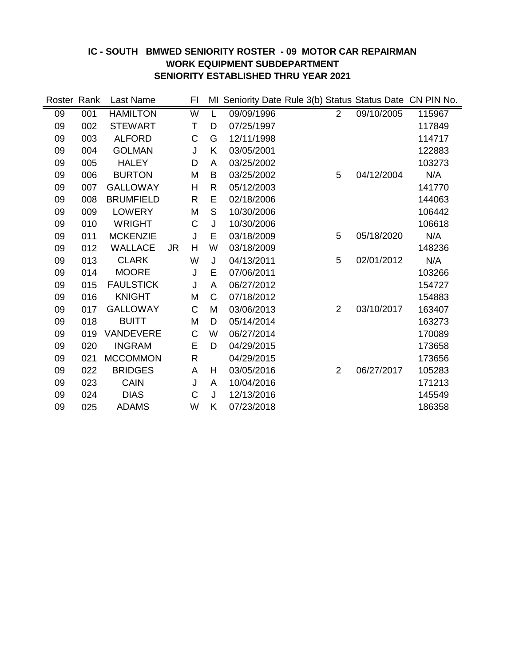### **IC - SOUTH BMWED SENIORITY ROSTER - 09 MOTOR CAR REPAIRMAN WORK EQUIPMENT SUBDEPARTMENT SENIORITY ESTABLISHED THRU YEAR 2021**

| Roster Rank |     | Last Name        |           | FI          |              | MI Seniority Date Rule 3(b) Status Status Date CN PIN No. |                |            |        |
|-------------|-----|------------------|-----------|-------------|--------------|-----------------------------------------------------------|----------------|------------|--------|
| 09          | 001 | <b>HAMILTON</b>  |           | W           | L            | 09/09/1996                                                | $\overline{2}$ | 09/10/2005 | 115967 |
| 09          | 002 | <b>STEWART</b>   |           | T           | D            | 07/25/1997                                                |                |            | 117849 |
| 09          | 003 | <b>ALFORD</b>    |           | C           | G            | 12/11/1998                                                |                |            | 114717 |
| 09          | 004 | <b>GOLMAN</b>    |           | J           | K            | 03/05/2001                                                |                |            | 122883 |
| 09          | 005 | <b>HALEY</b>     |           | D           | A            | 03/25/2002                                                |                |            | 103273 |
| 09          | 006 | <b>BURTON</b>    |           | M           | B            | 03/25/2002                                                | 5              | 04/12/2004 | N/A    |
| 09          | 007 | <b>GALLOWAY</b>  |           | Н           | $\mathsf{R}$ | 05/12/2003                                                |                |            | 141770 |
| 09          | 008 | <b>BRUMFIELD</b> |           | R           | E            | 02/18/2006                                                |                |            | 144063 |
| 09          | 009 | <b>LOWERY</b>    |           | M           | S            | 10/30/2006                                                |                |            | 106442 |
| 09          | 010 | <b>WRIGHT</b>    |           | C           | J            | 10/30/2006                                                |                |            | 106618 |
| 09          | 011 | <b>MCKENZIE</b>  |           | J           | E            | 03/18/2009                                                | 5              | 05/18/2020 | N/A    |
| 09          | 012 | <b>WALLACE</b>   | <b>JR</b> | Η           | W            | 03/18/2009                                                |                |            | 148236 |
| 09          | 013 | <b>CLARK</b>     |           | W           | J            | 04/13/2011                                                | 5              | 02/01/2012 | N/A    |
| 09          | 014 | <b>MOORE</b>     |           | J           | E            | 07/06/2011                                                |                |            | 103266 |
| 09          | 015 | <b>FAULSTICK</b> |           | J           | A            | 06/27/2012                                                |                |            | 154727 |
| 09          | 016 | <b>KNIGHT</b>    |           | M           | C            | 07/18/2012                                                |                |            | 154883 |
| 09          | 017 | <b>GALLOWAY</b>  |           | C           | M            | 03/06/2013                                                | $\overline{2}$ | 03/10/2017 | 163407 |
| 09          | 018 | <b>BUITT</b>     |           | M           | D            | 05/14/2014                                                |                |            | 163273 |
| 09          | 019 | <b>VANDEVERE</b> |           | C           | W            | 06/27/2014                                                |                |            | 170089 |
| 09          | 020 | <b>INGRAM</b>    |           | E           | D            | 04/29/2015                                                |                |            | 173658 |
| 09          | 021 | <b>MCCOMMON</b>  |           | $\mathsf R$ |              | 04/29/2015                                                |                |            | 173656 |
| 09          | 022 | <b>BRIDGES</b>   |           | A           | H            | 03/05/2016                                                | 2              | 06/27/2017 | 105283 |
| 09          | 023 | <b>CAIN</b>      |           | J           | A            | 10/04/2016                                                |                |            | 171213 |
| 09          | 024 | <b>DIAS</b>      |           | C           | J            | 12/13/2016                                                |                |            | 145549 |
| 09          | 025 | <b>ADAMS</b>     |           | W           | K            | 07/23/2018                                                |                |            | 186358 |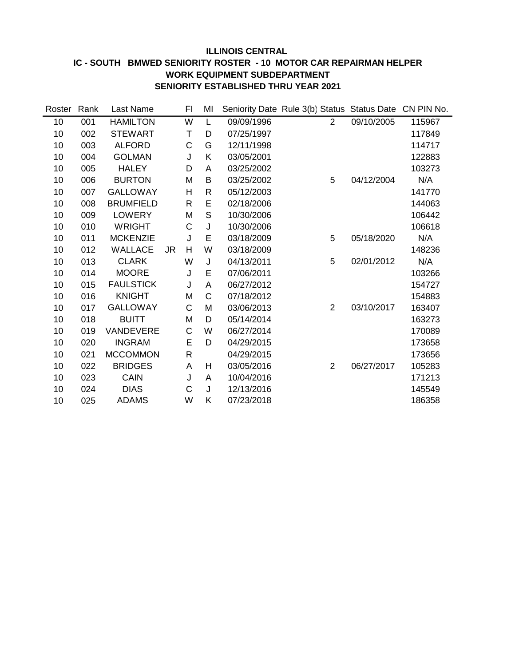### **ILLINOIS CENTRAL IC - SOUTH BMWED SENIORITY ROSTER - 10 MOTOR CAR REPAIRMAN HELPER WORK EQUIPMENT SUBDEPARTMENT SENIORITY ESTABLISHED THRU YEAR 2021**

| Roster | Rank | Last Name        |    | FI           | MI |            | Seniority Date Rule 3(b) Status Status Date |            | CN PIN No. |
|--------|------|------------------|----|--------------|----|------------|---------------------------------------------|------------|------------|
| 10     | 001  | <b>HAMILTON</b>  |    | W            | L  | 09/09/1996 | $\overline{2}$                              | 09/10/2005 | 115967     |
| 10     | 002  | <b>STEWART</b>   |    | T            | D  | 07/25/1997 |                                             |            | 117849     |
| 10     | 003  | <b>ALFORD</b>    |    | C            | G  | 12/11/1998 |                                             |            | 114717     |
| 10     | 004  | <b>GOLMAN</b>    |    | J            | Κ  | 03/05/2001 |                                             |            | 122883     |
| 10     | 005  | <b>HALEY</b>     |    | D            | Α  | 03/25/2002 |                                             |            | 103273     |
| 10     | 006  | <b>BURTON</b>    |    | M            | B  | 03/25/2002 | 5                                           | 04/12/2004 | N/A        |
| 10     | 007  | <b>GALLOWAY</b>  |    | H            | R  | 05/12/2003 |                                             |            | 141770     |
| 10     | 008  | <b>BRUMFIELD</b> |    | $\mathsf{R}$ | E  | 02/18/2006 |                                             |            | 144063     |
| 10     | 009  | <b>LOWERY</b>    |    | M            | S  | 10/30/2006 |                                             |            | 106442     |
| 10     | 010  | <b>WRIGHT</b>    |    | C            | J  | 10/30/2006 |                                             |            | 106618     |
| 10     | 011  | <b>MCKENZIE</b>  |    | J            | E  | 03/18/2009 | 5                                           | 05/18/2020 | N/A        |
| 10     | 012  | WALLACE          | JR | H            | W  | 03/18/2009 |                                             |            | 148236     |
| 10     | 013  | <b>CLARK</b>     |    | W            | J  | 04/13/2011 | 5                                           | 02/01/2012 | N/A        |
| 10     | 014  | <b>MOORE</b>     |    | J            | Е  | 07/06/2011 |                                             |            | 103266     |
| 10     | 015  | <b>FAULSTICK</b> |    | J            | Α  | 06/27/2012 |                                             |            | 154727     |
| 10     | 016  | <b>KNIGHT</b>    |    | M            | C  | 07/18/2012 |                                             |            | 154883     |
| 10     | 017  | <b>GALLOWAY</b>  |    | C            | M  | 03/06/2013 | $\overline{2}$                              | 03/10/2017 | 163407     |
| 10     | 018  | <b>BUITT</b>     |    | M            | D  | 05/14/2014 |                                             |            | 163273     |
| 10     | 019  | VANDEVERE        |    | C            | W  | 06/27/2014 |                                             |            | 170089     |
| 10     | 020  | <b>INGRAM</b>    |    | E            | D  | 04/29/2015 |                                             |            | 173658     |
| 10     | 021  | <b>MCCOMMON</b>  |    | $\mathsf{R}$ |    | 04/29/2015 |                                             |            | 173656     |
| 10     | 022  | <b>BRIDGES</b>   |    | Α            | Н  | 03/05/2016 | $\overline{2}$                              | 06/27/2017 | 105283     |
| 10     | 023  | <b>CAIN</b>      |    | J            | A  | 10/04/2016 |                                             |            | 171213     |
| 10     | 024  | <b>DIAS</b>      |    | C            | J  | 12/13/2016 |                                             |            | 145549     |
| 10     | 025  | <b>ADAMS</b>     |    | W            | Κ  | 07/23/2018 |                                             |            | 186358     |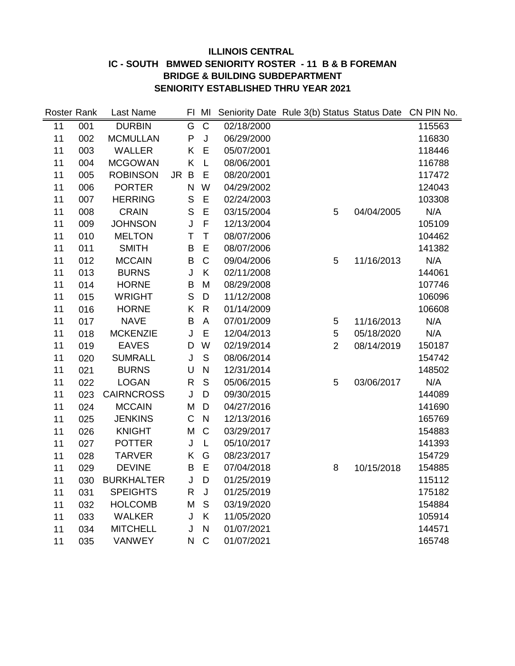# **ILLINOIS CENTRAL IC - SOUTH BMWED SENIORITY ROSTER - 11 B & B FOREMAN BRIDGE & BUILDING SUBDEPARTMENT SENIORITY ESTABLISHED THRU YEAR 2021**

| Roster Rank |     | Last Name         |           |              | FI MI                   |            | Seniority Date Rule 3(b) Status Status Date |            | CN PIN No. |
|-------------|-----|-------------------|-----------|--------------|-------------------------|------------|---------------------------------------------|------------|------------|
| 11          | 001 | <b>DURBIN</b>     |           | G            | $\mathbf C$             | 02/18/2000 |                                             |            | 115563     |
| 11          | 002 | <b>MCMULLAN</b>   |           | $\mathsf{P}$ | J                       | 06/29/2000 |                                             |            | 116830     |
| 11          | 003 | <b>WALLER</b>     |           | K            | E                       | 05/07/2001 |                                             |            | 118446     |
| 11          | 004 | <b>MCGOWAN</b>    |           | Κ            | L                       | 08/06/2001 |                                             |            | 116788     |
| 11          | 005 | <b>ROBINSON</b>   | <b>JR</b> | $\sf B$      | E                       | 08/20/2001 |                                             |            | 117472     |
| 11          | 006 | <b>PORTER</b>     |           | N            | W                       | 04/29/2002 |                                             |            | 124043     |
| 11          | 007 | <b>HERRING</b>    |           | $\mathsf{S}$ | E                       | 02/24/2003 |                                             |            | 103308     |
| 11          | 008 | <b>CRAIN</b>      |           | $\mathsf{S}$ | E                       | 03/15/2004 | 5                                           | 04/04/2005 | N/A        |
| 11          | 009 | <b>JOHNSON</b>    |           | J            | F                       | 12/13/2004 |                                             |            | 105109     |
| 11          | 010 | <b>MELTON</b>     |           | T            | T                       | 08/07/2006 |                                             |            | 104462     |
| 11          | 011 | <b>SMITH</b>      |           | B            | E                       | 08/07/2006 |                                             |            | 141382     |
| 11          | 012 | <b>MCCAIN</b>     |           | B            | $\mathsf C$             | 09/04/2006 | 5                                           | 11/16/2013 | N/A        |
| 11          | 013 | <b>BURNS</b>      |           | J            | K                       | 02/11/2008 |                                             |            | 144061     |
| 11          | 014 | <b>HORNE</b>      |           | $\sf B$      | M                       | 08/29/2008 |                                             |            | 107746     |
| 11          | 015 | <b>WRIGHT</b>     |           | S            | $\mathsf D$             | 11/12/2008 |                                             |            | 106096     |
| 11          | 016 | <b>HORNE</b>      |           | K            | $\mathsf{R}$            | 01/14/2009 |                                             |            | 106608     |
| 11          | 017 | <b>NAVE</b>       |           | B            | A                       | 07/01/2009 | 5                                           | 11/16/2013 | N/A        |
| 11          | 018 | <b>MCKENZIE</b>   |           | J            | Ε                       | 12/04/2013 | 5                                           | 05/18/2020 | N/A        |
| 11          | 019 | <b>EAVES</b>      |           | D            | W                       | 02/19/2014 | $\overline{2}$                              | 08/14/2019 | 150187     |
| 11          | 020 | <b>SUMRALL</b>    |           | J            | $\mathsf S$             | 08/06/2014 |                                             |            | 154742     |
| 11          | 021 | <b>BURNS</b>      |           | U            | $\overline{\mathsf{N}}$ | 12/31/2014 |                                             |            | 148502     |
| 11          | 022 | <b>LOGAN</b>      |           | $\mathsf{R}$ | $\mathsf S$             | 05/06/2015 | 5                                           | 03/06/2017 | N/A        |
| 11          | 023 | <b>CAIRNCROSS</b> |           | J            | D                       | 09/30/2015 |                                             |            | 144089     |
| 11          | 024 | <b>MCCAIN</b>     |           | M            | D                       | 04/27/2016 |                                             |            | 141690     |
| 11          | 025 | <b>JENKINS</b>    |           | $\mathsf C$  | $\overline{N}$          | 12/13/2016 |                                             |            | 165769     |
| 11          | 026 | <b>KNIGHT</b>     |           | M            | $\mathsf{C}$            | 03/29/2017 |                                             |            | 154883     |
| 11          | 027 | <b>POTTER</b>     |           | J            | L                       | 05/10/2017 |                                             |            | 141393     |
| 11          | 028 | <b>TARVER</b>     |           | Κ            | G                       | 08/23/2017 |                                             |            | 154729     |
| 11          | 029 | <b>DEVINE</b>     |           | B            | E                       | 07/04/2018 | 8                                           | 10/15/2018 | 154885     |
| 11          | 030 | <b>BURKHALTER</b> |           | J            | D                       | 01/25/2019 |                                             |            | 115112     |
| 11          | 031 | <b>SPEIGHTS</b>   |           | $\mathsf{R}$ | J                       | 01/25/2019 |                                             |            | 175182     |
| 11          | 032 | <b>HOLCOMB</b>    |           | M            | $\mathsf S$             | 03/19/2020 |                                             |            | 154884     |
| 11          | 033 | <b>WALKER</b>     |           | J            | K                       | 11/05/2020 |                                             |            | 105914     |
| 11          | 034 | <b>MITCHELL</b>   |           | J            | N                       | 01/07/2021 |                                             |            | 144571     |
| 11          | 035 | <b>VANWEY</b>     |           | N            | $\mathsf C$             | 01/07/2021 |                                             |            | 165748     |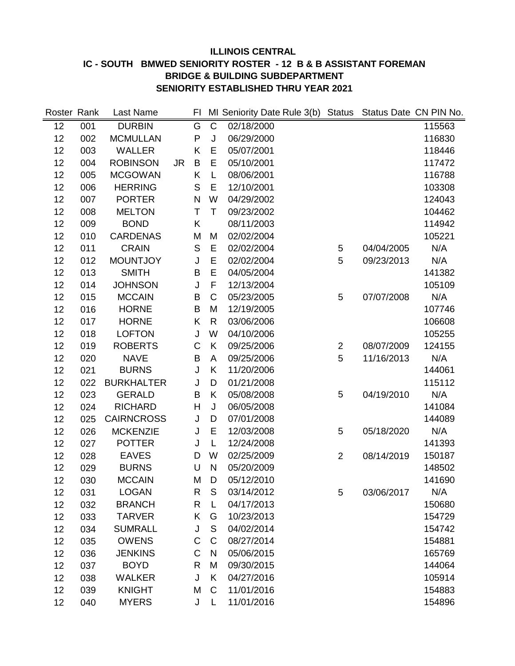# **ILLINOIS CENTRAL IC - SOUTH BMWED SENIORITY ROSTER - 12 B & B ASSISTANT FOREMAN BRIDGE & BUILDING SUBDEPARTMENT SENIORITY ESTABLISHED THRU YEAR 2021**

| Roster Rank |     | Last Name         |           | FI |               | MI Seniority Date Rule 3(b) Status Status Date CN PIN No. |                |            |        |
|-------------|-----|-------------------|-----------|----|---------------|-----------------------------------------------------------|----------------|------------|--------|
| 12          | 001 | <b>DURBIN</b>     |           | G  | $\mathsf{C}$  | 02/18/2000                                                |                |            | 115563 |
| 12          | 002 | <b>MCMULLAN</b>   |           | P  | J             | 06/29/2000                                                |                |            | 116830 |
| 12          | 003 | <b>WALLER</b>     |           | K  | E             | 05/07/2001                                                |                |            | 118446 |
| 12          | 004 | <b>ROBINSON</b>   | <b>JR</b> | B  | E             | 05/10/2001                                                |                |            | 117472 |
| 12          | 005 | <b>MCGOWAN</b>    |           | Κ  | L             | 08/06/2001                                                |                |            | 116788 |
| 12          | 006 | <b>HERRING</b>    |           | S  | E             | 12/10/2001                                                |                |            | 103308 |
| 12          | 007 | <b>PORTER</b>     |           | N  | W             | 04/29/2002                                                |                |            | 124043 |
| 12          | 008 | <b>MELTON</b>     |           | Τ  | $\top$        | 09/23/2002                                                |                |            | 104462 |
| 12          | 009 | <b>BOND</b>       |           | K  |               | 08/11/2003                                                |                |            | 114942 |
| 12          | 010 | <b>CARDENAS</b>   |           | M  | M             | 02/02/2004                                                |                |            | 105221 |
| 12          | 011 | <b>CRAIN</b>      |           | S  | E             | 02/02/2004                                                | 5              | 04/04/2005 | N/A    |
| 12          | 012 | <b>MOUNTJOY</b>   |           | J  | E             | 02/02/2004                                                | 5              | 09/23/2013 | N/A    |
| 12          | 013 | <b>SMITH</b>      |           | B  | E             | 04/05/2004                                                |                |            | 141382 |
| 12          | 014 | <b>JOHNSON</b>    |           | J  | F             | 12/13/2004                                                |                |            | 105109 |
| 12          | 015 | <b>MCCAIN</b>     |           | B  | $\mathsf{C}$  | 05/23/2005                                                | 5              | 07/07/2008 | N/A    |
| 12          | 016 | <b>HORNE</b>      |           | B  | M             | 12/19/2005                                                |                |            | 107746 |
| 12          | 017 | <b>HORNE</b>      |           | K  | $\mathsf{R}$  | 03/06/2006                                                |                |            | 106608 |
| 12          | 018 | <b>LOFTON</b>     |           | J  | W             | 04/10/2006                                                |                |            | 105255 |
| 12          | 019 | <b>ROBERTS</b>    |           | C  | K             | 09/25/2006                                                | $\overline{2}$ | 08/07/2009 | 124155 |
| 12          | 020 | <b>NAVE</b>       |           | B  | A             | 09/25/2006                                                | 5              | 11/16/2013 | N/A    |
| 12          | 021 | <b>BURNS</b>      |           | J  | Κ             | 11/20/2006                                                |                |            | 144061 |
| 12          | 022 | <b>BURKHALTER</b> |           | J  | D             | 01/21/2008                                                |                |            | 115112 |
| 12          | 023 | <b>GERALD</b>     |           | B  | Κ             | 05/08/2008                                                | 5              | 04/19/2010 | N/A    |
| 12          | 024 | <b>RICHARD</b>    |           | Н  | J             | 06/05/2008                                                |                |            | 141084 |
| 12          | 025 | <b>CAIRNCROSS</b> |           | J  | D             | 07/01/2008                                                |                |            | 144089 |
| 12          | 026 | <b>MCKENZIE</b>   |           | J  | E             | 12/03/2008                                                | 5              | 05/18/2020 | N/A    |
| 12          | 027 | <b>POTTER</b>     |           | J  | L             | 12/24/2008                                                |                |            | 141393 |
| 12          | 028 | <b>EAVES</b>      |           | D  | W             | 02/25/2009                                                | $\overline{2}$ | 08/14/2019 | 150187 |
| 12          | 029 | <b>BURNS</b>      |           | U  | $\mathsf{N}$  | 05/20/2009                                                |                |            | 148502 |
| 12          | 030 | <b>MCCAIN</b>     |           | M  | D             | 05/12/2010                                                |                |            | 141690 |
| 12          | 031 | <b>LOGAN</b>      |           | R  | S             | 03/14/2012                                                | 5              | 03/06/2017 | N/A    |
| 12          | 032 | <b>BRANCH</b>     |           | R  | L             | 04/17/2013                                                |                |            | 150680 |
| 12          | 033 | <b>TARVER</b>     |           | K  | G             | 10/23/2013                                                |                |            | 154729 |
| 12          | 034 | <b>SUMRALL</b>    |           | J  | ${\mathsf S}$ | 04/02/2014                                                |                |            | 154742 |
| 12          | 035 | <b>OWENS</b>      |           | C  | $\mathsf C$   | 08/27/2014                                                |                |            | 154881 |
| 12          | 036 | <b>JENKINS</b>    |           | C  | N             | 05/06/2015                                                |                |            | 165769 |
| 12          | 037 | <b>BOYD</b>       |           | R  | M             | 09/30/2015                                                |                |            | 144064 |
| 12          | 038 | <b>WALKER</b>     |           | J  | Κ             | 04/27/2016                                                |                |            | 105914 |
| 12          | 039 | <b>KNIGHT</b>     |           | M  | $\mathsf C$   | 11/01/2016                                                |                |            | 154883 |
| 12          | 040 | <b>MYERS</b>      |           | J  | L             | 11/01/2016                                                |                |            | 154896 |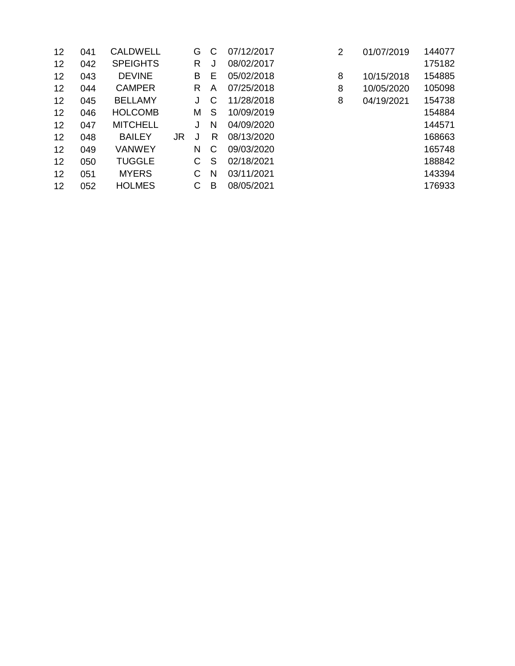| 12 | 041 | <b>CALDWELL</b> |           | G | C | 07/12/2017 | 2 | 01/07/2019 | 144077 |
|----|-----|-----------------|-----------|---|---|------------|---|------------|--------|
| 12 | 042 | <b>SPEIGHTS</b> |           | R | J | 08/02/2017 |   |            | 175182 |
| 12 | 043 | <b>DEVINE</b>   |           | B | Е | 05/02/2018 | 8 | 10/15/2018 | 154885 |
| 12 | 044 | <b>CAMPER</b>   |           | R | A | 07/25/2018 | 8 | 10/05/2020 | 105098 |
| 12 | 045 | <b>BELLAMY</b>  |           | J | C | 11/28/2018 | 8 | 04/19/2021 | 154738 |
| 12 | 046 | <b>HOLCOMB</b>  |           | Μ | S | 10/09/2019 |   |            | 154884 |
| 12 | 047 | <b>MITCHELL</b> |           | J | N | 04/09/2020 |   |            | 144571 |
| 12 | 048 | <b>BAILEY</b>   | <b>JR</b> | J | R | 08/13/2020 |   |            | 168663 |
| 12 | 049 | <b>VANWEY</b>   |           | N | C | 09/03/2020 |   |            | 165748 |
| 12 | 050 | <b>TUGGLE</b>   |           | C | S | 02/18/2021 |   |            | 188842 |
| 12 | 051 | <b>MYERS</b>    |           | С | N | 03/11/2021 |   |            | 143394 |
| 12 | 052 | <b>HOLMES</b>   |           | С | в | 08/05/2021 |   |            | 176933 |
|    |     |                 |           |   |   |            |   |            |        |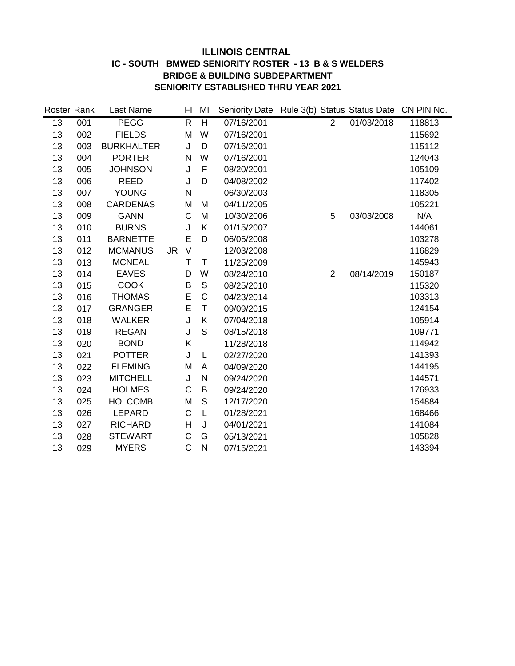#### **ILLINOIS CENTRAL IC - SOUTH BMWED SENIORITY ROSTER - 13 B & S WELDERS BRIDGE & BUILDING SUBDEPARTMENT SENIORITY ESTABLISHED THRU YEAR 2021**

| Roster Rank |     | Last Name         |           | FI           | MI             | Seniority Date Rule 3(b) Status Status Date CN PIN No. |                |            |        |
|-------------|-----|-------------------|-----------|--------------|----------------|--------------------------------------------------------|----------------|------------|--------|
| 13          | 001 | <b>PEGG</b>       |           | R.           | $\overline{H}$ | 07/16/2001                                             | $\overline{2}$ | 01/03/2018 | 118813 |
| 13          | 002 | <b>FIELDS</b>     |           | M            | W              | 07/16/2001                                             |                |            | 115692 |
| 13          | 003 | <b>BURKHALTER</b> |           | J            | D              | 07/16/2001                                             |                |            | 115112 |
| 13          | 004 | <b>PORTER</b>     |           | N            | W              | 07/16/2001                                             |                |            | 124043 |
| 13          | 005 | <b>JOHNSON</b>    |           | J            | F              | 08/20/2001                                             |                |            | 105109 |
| 13          | 006 | <b>REED</b>       |           | J            | D              | 04/08/2002                                             |                |            | 117402 |
| 13          | 007 | <b>YOUNG</b>      |           | $\mathsf{N}$ |                | 06/30/2003                                             |                |            | 118305 |
| 13          | 008 | <b>CARDENAS</b>   |           | M            | M              | 04/11/2005                                             |                |            | 105221 |
| 13          | 009 | <b>GANN</b>       |           | C            | M              | 10/30/2006                                             | 5              | 03/03/2008 | N/A    |
| 13          | 010 | <b>BURNS</b>      |           | J            | K              | 01/15/2007                                             |                |            | 144061 |
| 13          | 011 | <b>BARNETTE</b>   |           | E            | D              | 06/05/2008                                             |                |            | 103278 |
| 13          | 012 | <b>MCMANUS</b>    | <b>JR</b> | $\vee$       |                | 12/03/2008                                             |                |            | 116829 |
| 13          | 013 | <b>MCNEAL</b>     |           | Τ            | T              | 11/25/2009                                             |                |            | 145943 |
| 13          | 014 | <b>EAVES</b>      |           | D            | W              | 08/24/2010                                             | $\overline{2}$ | 08/14/2019 | 150187 |
| 13          | 015 | <b>COOK</b>       |           | B            | S              | 08/25/2010                                             |                |            | 115320 |
| 13          | 016 | <b>THOMAS</b>     |           | E            | $\mathbf C$    | 04/23/2014                                             |                |            | 103313 |
| 13          | 017 | <b>GRANGER</b>    |           | E            | $\mathsf T$    | 09/09/2015                                             |                |            | 124154 |
| 13          | 018 | <b>WALKER</b>     |           | J            | K              | 07/04/2018                                             |                |            | 105914 |
| 13          | 019 | <b>REGAN</b>      |           | J            | S              | 08/15/2018                                             |                |            | 109771 |
| 13          | 020 | <b>BOND</b>       |           | Κ            |                | 11/28/2018                                             |                |            | 114942 |
| 13          | 021 | <b>POTTER</b>     |           | J            | L              | 02/27/2020                                             |                |            | 141393 |
| 13          | 022 | <b>FLEMING</b>    |           | M            | A              | 04/09/2020                                             |                |            | 144195 |
| 13          | 023 | <b>MITCHELL</b>   |           | J            | ${\sf N}$      | 09/24/2020                                             |                |            | 144571 |
| 13          | 024 | <b>HOLMES</b>     |           | С            | B              | 09/24/2020                                             |                |            | 176933 |
| 13          | 025 | <b>HOLCOMB</b>    |           | M            | S              | 12/17/2020                                             |                |            | 154884 |
| 13          | 026 | <b>LEPARD</b>     |           | C            | L              | 01/28/2021                                             |                |            | 168466 |
| 13          | 027 | <b>RICHARD</b>    |           | Η            | J              | 04/01/2021                                             |                |            | 141084 |
| 13          | 028 | <b>STEWART</b>    |           | C            | G              | 05/13/2021                                             |                |            | 105828 |
| 13          | 029 | <b>MYERS</b>      |           | C            | $\mathsf{N}$   | 07/15/2021                                             |                |            | 143394 |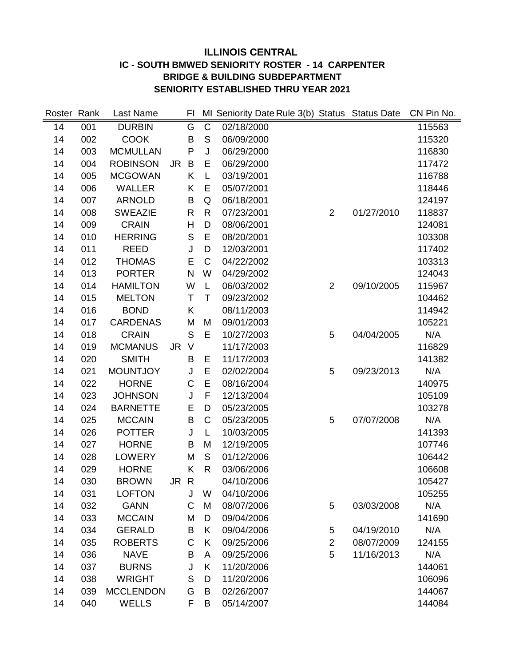# **ILLINOIS CENTRAL IC - SOUTH BMWED SENIORITY ROSTER - 14 CARPENTER BRIDGE & BUILDING SUBDEPARTMENT SENIORITY ESTABLISHED THRU YEAR 2021**

| Roster Rank |     | Last Name        |     | FI           |                | MI Seniority Date Rule 3(b) Status Status Date |                |            | CN Pin No. |
|-------------|-----|------------------|-----|--------------|----------------|------------------------------------------------|----------------|------------|------------|
| 14          | 001 | <b>DURBIN</b>    |     | G            | $\overline{C}$ | 02/18/2000                                     |                |            | 115563     |
| 14          | 002 | <b>COOK</b>      |     | B            | $\mathsf{S}$   | 06/09/2000                                     |                |            | 115320     |
| 14          | 003 | <b>MCMULLAN</b>  |     | P            | J              | 06/29/2000                                     |                |            | 116830     |
| 14          | 004 | <b>ROBINSON</b>  | JR  | B            | E              | 06/29/2000                                     |                |            | 117472     |
| 14          | 005 | <b>MCGOWAN</b>   |     | Κ            | L              | 03/19/2001                                     |                |            | 116788     |
| 14          | 006 | <b>WALLER</b>    |     | Κ            | E              | 05/07/2001                                     |                |            | 118446     |
| 14          | 007 | <b>ARNOLD</b>    |     | B            | Q              | 06/18/2001                                     |                |            | 124197     |
| 14          | 008 | <b>SWEAZIE</b>   |     | $\mathsf{R}$ | $\mathsf{R}$   | 07/23/2001                                     | $\overline{2}$ | 01/27/2010 | 118837     |
| 14          | 009 | <b>CRAIN</b>     |     | Н            | D              | 08/06/2001                                     |                |            | 124081     |
| 14          | 010 | <b>HERRING</b>   |     | $\mathsf S$  | E              | 08/20/2001                                     |                |            | 103308     |
| 14          | 011 | <b>REED</b>      |     | J            | D              | 12/03/2001                                     |                |            | 117402     |
| 14          | 012 | <b>THOMAS</b>    |     | E            | $\mathsf{C}$   | 04/22/2002                                     |                |            | 103313     |
| 14          | 013 | <b>PORTER</b>    |     | $\mathsf{N}$ | W              | 04/29/2002                                     |                |            | 124043     |
| 14          | 014 | <b>HAMILTON</b>  |     | W            | L              | 06/03/2002                                     | $\overline{2}$ | 09/10/2005 | 115967     |
| 14          | 015 | <b>MELTON</b>    |     | Τ            | Τ              | 09/23/2002                                     |                |            | 104462     |
| 14          | 016 | <b>BOND</b>      |     | Κ            |                | 08/11/2003                                     |                |            | 114942     |
| 14          | 017 | <b>CARDENAS</b>  |     | M            | M              | 09/01/2003                                     |                |            | 105221     |
| 14          | 018 | <b>CRAIN</b>     |     | S            | E              | 10/27/2003                                     | 5              | 04/04/2005 | N/A        |
| 14          | 019 | <b>MCMANUS</b>   | JR. | $\vee$       |                | 11/17/2003                                     |                |            | 116829     |
| 14          | 020 | <b>SMITH</b>     |     | B            | E              | 11/17/2003                                     |                |            | 141382     |
| 14          | 021 | <b>MOUNTJOY</b>  |     | J            | E              | 02/02/2004                                     | 5              | 09/23/2013 | N/A        |
| 14          | 022 | <b>HORNE</b>     |     | C            | E              | 08/16/2004                                     |                |            | 140975     |
| 14          | 023 | <b>JOHNSON</b>   |     | J            | F              | 12/13/2004                                     |                |            | 105109     |
| 14          | 024 | <b>BARNETTE</b>  |     | Е            | D              | 05/23/2005                                     |                |            | 103278     |
| 14          | 025 | <b>MCCAIN</b>    |     | B            | $\mathsf C$    | 05/23/2005                                     | 5              | 07/07/2008 | N/A        |
| 14          | 026 | <b>POTTER</b>    |     | J            | L              | 10/03/2005                                     |                |            | 141393     |
| 14          | 027 | <b>HORNE</b>     |     | B            | M              | 12/19/2005                                     |                |            | 107746     |
| 14          | 028 | <b>LOWERY</b>    |     | M            | S              | 01/12/2006                                     |                |            | 106442     |
| 14          | 029 | <b>HORNE</b>     |     | Κ            | $\mathsf{R}$   | 03/06/2006                                     |                |            | 106608     |
| 14          | 030 | <b>BROWN</b>     | JR  | $\mathsf{R}$ |                | 04/10/2006                                     |                |            | 105427     |
| 14          | 031 | <b>LOFTON</b>    |     | J            | W              | 04/10/2006                                     |                |            | 105255     |
| 14          | 032 | <b>GANN</b>      |     | C            | M              | 08/07/2006                                     | $\mathbf 5$    | 03/03/2008 | N/A        |
| 14          | 033 | <b>MCCAIN</b>    |     | M            | D              | 09/04/2006                                     |                |            | 141690     |
| 14          | 034 | <b>GERALD</b>    |     | B            | K              | 09/04/2006                                     | 5              | 04/19/2010 | N/A        |
| 14          | 035 | <b>ROBERTS</b>   |     | C            | K              | 09/25/2006                                     | $\overline{2}$ | 08/07/2009 | 124155     |
| 14          | 036 | <b>NAVE</b>      |     | B            | A              | 09/25/2006                                     | 5              | 11/16/2013 | N/A        |
| 14          | 037 | <b>BURNS</b>     |     | J            | K              | 11/20/2006                                     |                |            | 144061     |
| 14          | 038 | <b>WRIGHT</b>    |     | $\mathsf S$  | D              | 11/20/2006                                     |                |            | 106096     |
| 14          | 039 | <b>MCCLENDON</b> |     | G            | B              | 02/26/2007                                     |                |            | 144067     |
| 14          | 040 | <b>WELLS</b>     |     | F            | B              | 05/14/2007                                     |                |            | 144084     |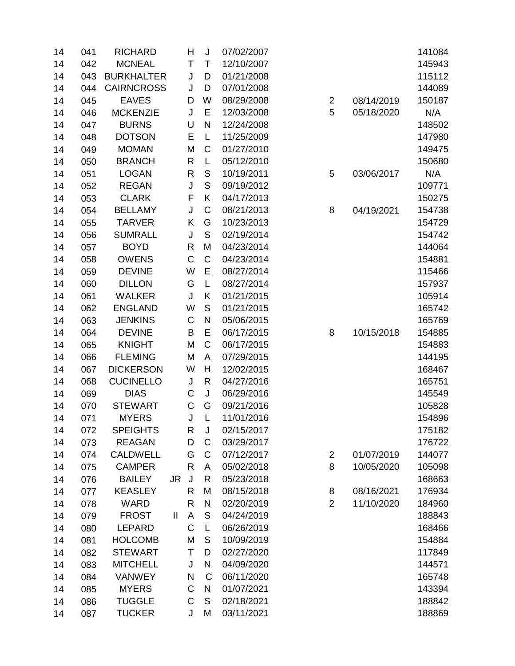| 14 | 041 | <b>RICHARD</b>    |     | H            | J           | 07/02/2007 |                |   |            | 141084 |
|----|-----|-------------------|-----|--------------|-------------|------------|----------------|---|------------|--------|
| 14 | 042 | <b>MCNEAL</b>     |     | T            | T           | 12/10/2007 |                |   |            | 145943 |
| 14 | 043 | <b>BURKHALTER</b> |     | J            | D           | 01/21/2008 |                |   |            | 115112 |
| 14 | 044 | <b>CAIRNCROSS</b> |     | J            | D           | 07/01/2008 |                |   |            | 144089 |
| 14 | 045 | <b>EAVES</b>      |     | D            | W           | 08/29/2008 | $\overline{2}$ |   | 08/14/2019 | 150187 |
| 14 | 046 | <b>MCKENZIE</b>   |     | J            | E           | 12/03/2008 | 5              |   | 05/18/2020 | N/A    |
| 14 | 047 | <b>BURNS</b>      |     | U            | N           | 12/24/2008 |                |   |            | 148502 |
| 14 | 048 | <b>DOTSON</b>     |     | E            | L           | 11/25/2009 |                |   |            | 147980 |
| 14 | 049 | <b>MOMAN</b>      |     | M            | C           | 01/27/2010 |                |   |            | 149475 |
| 14 | 050 | <b>BRANCH</b>     |     | $\mathsf{R}$ | L           | 05/12/2010 |                |   |            | 150680 |
| 14 | 051 | <b>LOGAN</b>      |     | R            | S           | 10/19/2011 | 5              |   | 03/06/2017 | N/A    |
| 14 | 052 | <b>REGAN</b>      |     | J            | S           | 09/19/2012 |                |   |            | 109771 |
| 14 | 053 | <b>CLARK</b>      |     | F            | Κ           | 04/17/2013 |                |   |            | 150275 |
| 14 | 054 | <b>BELLAMY</b>    |     | J            | C           | 08/21/2013 | 8              |   | 04/19/2021 | 154738 |
| 14 | 055 | <b>TARVER</b>     |     | Κ            | G           | 10/23/2013 |                |   |            | 154729 |
| 14 | 056 | <b>SUMRALL</b>    |     | J            | S           | 02/19/2014 |                |   |            | 154742 |
| 14 | 057 | <b>BOYD</b>       |     | $\mathsf{R}$ | M           | 04/23/2014 |                |   |            | 144064 |
| 14 | 058 | <b>OWENS</b>      |     | $\mathsf C$  | C           | 04/23/2014 |                |   |            | 154881 |
| 14 | 059 | <b>DEVINE</b>     |     | W            | E           | 08/27/2014 |                |   |            | 115466 |
| 14 | 060 | <b>DILLON</b>     |     | G            | L           | 08/27/2014 |                |   |            | 157937 |
| 14 | 061 | <b>WALKER</b>     |     | J            | Κ           | 01/21/2015 |                |   |            | 105914 |
| 14 | 062 | <b>ENGLAND</b>    |     | W            | $\mathsf S$ | 01/21/2015 |                |   |            | 165742 |
| 14 | 063 | <b>JENKINS</b>    |     | C            | N           | 05/06/2015 |                |   |            | 165769 |
| 14 | 064 | <b>DEVINE</b>     |     | B            | E           | 06/17/2015 | 8              |   | 10/15/2018 | 154885 |
| 14 | 065 | <b>KNIGHT</b>     |     | M            | C           | 06/17/2015 |                |   |            | 154883 |
| 14 | 066 | <b>FLEMING</b>    |     | M            | A           | 07/29/2015 |                |   |            | 144195 |
| 14 | 067 | <b>DICKERSON</b>  |     | W            | Η           | 12/02/2015 |                |   |            | 168467 |
| 14 | 068 | <b>CUCINELLO</b>  |     | J            | R           | 04/27/2016 |                |   |            | 165751 |
| 14 | 069 | <b>DIAS</b>       |     | C            | J           | 06/29/2016 |                |   |            | 145549 |
| 14 | 070 | <b>STEWART</b>    |     | $\mathsf C$  | G           | 09/21/2016 |                |   |            | 105828 |
| 14 | 071 | <b>MYERS</b>      |     | J            | L           | 11/01/2016 |                |   |            | 154896 |
| 14 | 072 | <b>SPEIGHTS</b>   |     | R            | J           | 02/15/2017 |                |   |            | 175182 |
| 14 | 073 | <b>REAGAN</b>     |     | D            | C           | 03/29/2017 |                |   |            | 176722 |
| 14 | 074 | <b>CALDWELL</b>   |     | G            | C           | 07/12/2017 | $\overline{2}$ |   | 01/07/2019 | 144077 |
| 14 | 075 | <b>CAMPER</b>     |     | R            | A           | 05/02/2018 | 8              |   | 10/05/2020 | 105098 |
| 14 | 076 | <b>BAILEY</b>     | JR. | J            | R           | 05/23/2018 |                |   |            | 168663 |
| 14 | 077 | <b>KEASLEY</b>    |     | R            | M           | 08/15/2018 | 8              |   | 08/16/2021 | 176934 |
| 14 | 078 | <b>WARD</b>       |     | $\mathsf{R}$ | N           | 02/20/2019 |                | 2 | 11/10/2020 | 184960 |
| 14 | 079 | <b>FROST</b>      | Ш   | A            | S           | 04/24/2019 |                |   |            | 188843 |
| 14 | 080 | <b>LEPARD</b>     |     | $\mathsf C$  | L           | 06/26/2019 |                |   |            | 168466 |
| 14 | 081 | <b>HOLCOMB</b>    |     | M            | S           | 10/09/2019 |                |   |            | 154884 |
| 14 | 082 | <b>STEWART</b>    |     | Τ            | D           | 02/27/2020 |                |   |            | 117849 |
| 14 | 083 | <b>MITCHELL</b>   |     | J            | N           | 04/09/2020 |                |   |            | 144571 |
| 14 | 084 | <b>VANWEY</b>     |     | N            | C           | 06/11/2020 |                |   |            | 165748 |
| 14 | 085 | <b>MYERS</b>      |     | C            | N           | 01/07/2021 |                |   |            | 143394 |
| 14 | 086 | <b>TUGGLE</b>     |     | $\mathsf C$  | S           | 02/18/2021 |                |   |            | 188842 |
| 14 | 087 | <b>TUCKER</b>     |     | J            | M           | 03/11/2021 |                |   |            | 188869 |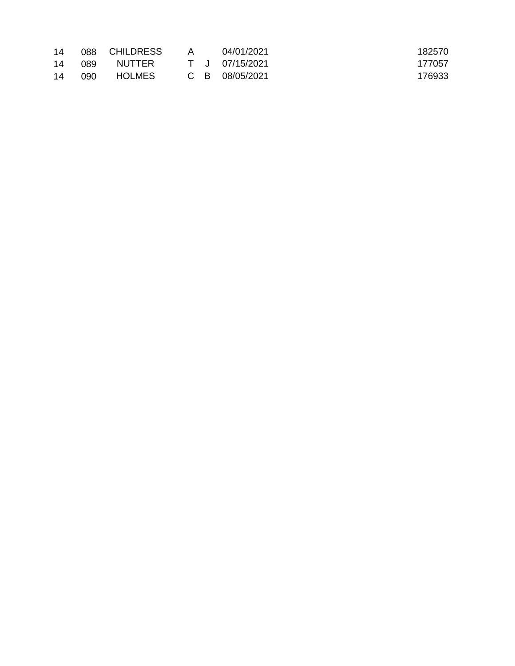| 14 |     | 088 CHILDRESS | A | 04/01/2021     | 182570 |
|----|-----|---------------|---|----------------|--------|
| 14 | 089 | NUTTER        |   | T J 07/15/2021 | 177057 |
| 14 | 090 | <b>HOLMES</b> |   | C B 08/05/2021 | 176933 |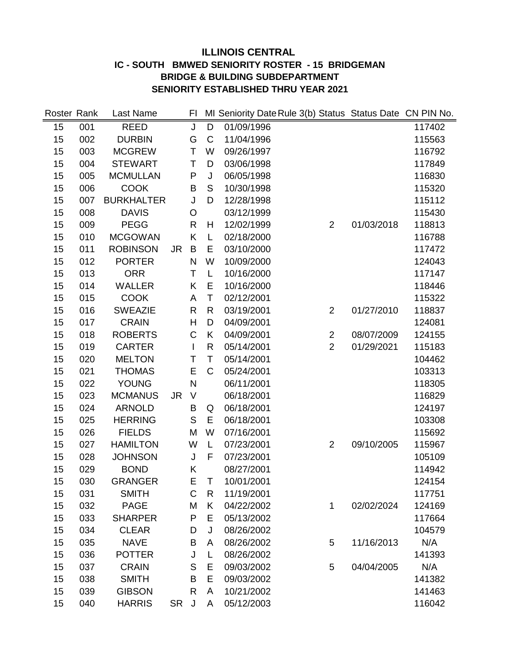# **ILLINOIS CENTRAL IC - SOUTH BMWED SENIORITY ROSTER - 15 BRIDGEMAN BRIDGE & BUILDING SUBDEPARTMENT SENIORITY ESTABLISHED THRU YEAR 2021**

| Roster Rank |     | Last Name         |           | FI           |                |            | MI Seniority Date Rule 3(b) Status Status Date CN PIN No. |            |        |
|-------------|-----|-------------------|-----------|--------------|----------------|------------|-----------------------------------------------------------|------------|--------|
| 15          | 001 | <b>REED</b>       |           | J            | $\overline{D}$ | 01/09/1996 |                                                           |            | 117402 |
| 15          | 002 | <b>DURBIN</b>     |           | G            | $\mathsf{C}$   | 11/04/1996 |                                                           |            | 115563 |
| 15          | 003 | <b>MCGREW</b>     |           | T            | W              | 09/26/1997 |                                                           |            | 116792 |
| 15          | 004 | <b>STEWART</b>    |           | Τ            | D              | 03/06/1998 |                                                           |            | 117849 |
| 15          | 005 | <b>MCMULLAN</b>   |           | P            | J              | 06/05/1998 |                                                           |            | 116830 |
| 15          | 006 | <b>COOK</b>       |           | B            | S              | 10/30/1998 |                                                           |            | 115320 |
| 15          | 007 | <b>BURKHALTER</b> |           | J            | D              | 12/28/1998 |                                                           |            | 115112 |
| 15          | 008 | <b>DAVIS</b>      |           | $\circ$      |                | 03/12/1999 |                                                           |            | 115430 |
| 15          | 009 | <b>PEGG</b>       |           | R            | H              | 12/02/1999 | $\overline{2}$                                            | 01/03/2018 | 118813 |
| 15          | 010 | <b>MCGOWAN</b>    |           | K            | L              | 02/18/2000 |                                                           |            | 116788 |
| 15          | 011 | <b>ROBINSON</b>   | <b>JR</b> | B            | E              | 03/10/2000 |                                                           |            | 117472 |
| 15          | 012 | <b>PORTER</b>     |           | N            | W              | 10/09/2000 |                                                           |            | 124043 |
| 15          | 013 | <b>ORR</b>        |           | T            | L              | 10/16/2000 |                                                           |            | 117147 |
| 15          | 014 | <b>WALLER</b>     |           | K            | E              | 10/16/2000 |                                                           |            | 118446 |
| 15          | 015 | <b>COOK</b>       |           | A            | T              | 02/12/2001 |                                                           |            | 115322 |
| 15          | 016 | <b>SWEAZIE</b>    |           | R            | $\mathsf{R}$   | 03/19/2001 | $\overline{2}$                                            | 01/27/2010 | 118837 |
| 15          | 017 | <b>CRAIN</b>      |           | H            | D              | 04/09/2001 |                                                           |            | 124081 |
| 15          | 018 | <b>ROBERTS</b>    |           | $\mathsf C$  | Κ              | 04/09/2001 | $\overline{c}$                                            | 08/07/2009 | 124155 |
| 15          | 019 | <b>CARTER</b>     |           |              | R              | 05/14/2001 | $\overline{2}$                                            | 01/29/2021 | 115183 |
| 15          | 020 | <b>MELTON</b>     |           | Τ            | T              | 05/14/2001 |                                                           |            | 104462 |
| 15          | 021 | <b>THOMAS</b>     |           | E            | $\mathsf{C}$   | 05/24/2001 |                                                           |            | 103313 |
| 15          | 022 | <b>YOUNG</b>      |           | N            |                | 06/11/2001 |                                                           |            | 118305 |
| 15          | 023 | <b>MCMANUS</b>    | JR.       | V            |                | 06/18/2001 |                                                           |            | 116829 |
| 15          | 024 | <b>ARNOLD</b>     |           | B            | Q              | 06/18/2001 |                                                           |            | 124197 |
| 15          | 025 | <b>HERRING</b>    |           | S            | E              | 06/18/2001 |                                                           |            | 103308 |
| 15          | 026 | <b>FIELDS</b>     |           | M            | W              | 07/16/2001 |                                                           |            | 115692 |
| 15          | 027 | <b>HAMILTON</b>   |           | W            | L              | 07/23/2001 | $\overline{2}$                                            | 09/10/2005 | 115967 |
| 15          | 028 | <b>JOHNSON</b>    |           | J            | F              | 07/23/2001 |                                                           |            | 105109 |
| 15          | 029 | <b>BOND</b>       |           | Κ            |                | 08/27/2001 |                                                           |            | 114942 |
| 15          | 030 | <b>GRANGER</b>    |           | E            | Τ              | 10/01/2001 |                                                           |            | 124154 |
| 15          | 031 | <b>SMITH</b>      |           | C            | R              | 11/19/2001 |                                                           |            | 117751 |
| 15          | 032 | <b>PAGE</b>       |           | M            | Κ              | 04/22/2002 | 1                                                         | 02/02/2024 | 124169 |
| 15          | 033 | <b>SHARPER</b>    |           | P            | E              | 05/13/2002 |                                                           |            | 117664 |
| 15          | 034 | <b>CLEAR</b>      |           | D            | J              | 08/26/2002 |                                                           |            | 104579 |
| 15          | 035 | <b>NAVE</b>       |           | B            | A              | 08/26/2002 | 5                                                         | 11/16/2013 | N/A    |
| 15          | 036 | <b>POTTER</b>     |           | J            | L              | 08/26/2002 |                                                           |            | 141393 |
| 15          | 037 | <b>CRAIN</b>      |           | S            | E              | 09/03/2002 | 5                                                         | 04/04/2005 | N/A    |
| 15          | 038 | <b>SMITH</b>      |           | B            | E              | 09/03/2002 |                                                           |            | 141382 |
| 15          | 039 | <b>GIBSON</b>     |           | $\mathsf{R}$ | A              | 10/21/2002 |                                                           |            | 141463 |
| 15          | 040 | <b>HARRIS</b>     | <b>SR</b> | J            | A              | 05/12/2003 |                                                           |            | 116042 |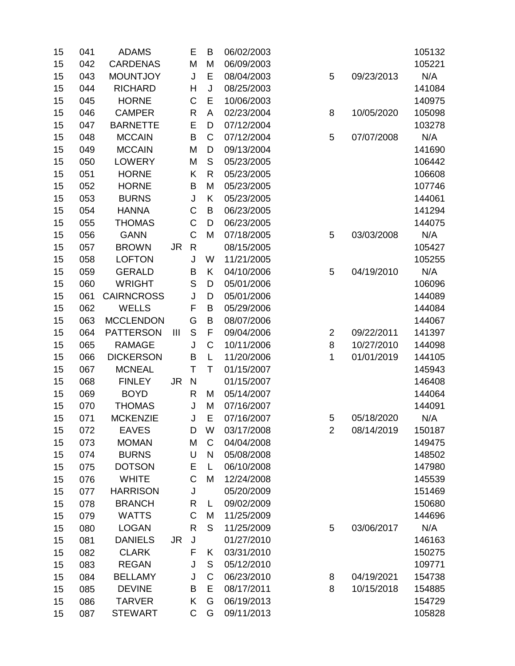| 15 | 041 | <b>ADAMS</b>      |                | Е            | B            | 06/02/2003 |                |            | 105132 |
|----|-----|-------------------|----------------|--------------|--------------|------------|----------------|------------|--------|
| 15 | 042 | <b>CARDENAS</b>   |                | M            | M            | 06/09/2003 |                |            | 105221 |
| 15 | 043 | <b>MOUNTJOY</b>   |                | J            | E            | 08/04/2003 | 5              | 09/23/2013 | N/A    |
| 15 | 044 | <b>RICHARD</b>    |                | Н            | J            | 08/25/2003 |                |            | 141084 |
| 15 | 045 | <b>HORNE</b>      |                | C            | E            | 10/06/2003 |                |            | 140975 |
| 15 | 046 | <b>CAMPER</b>     |                | R            | A            | 02/23/2004 | 8              | 10/05/2020 | 105098 |
| 15 | 047 | <b>BARNETTE</b>   |                | E            | D            | 07/12/2004 |                |            | 103278 |
| 15 | 048 | <b>MCCAIN</b>     |                | B            | C            | 07/12/2004 | 5              | 07/07/2008 | N/A    |
| 15 | 049 | <b>MCCAIN</b>     |                | M            | D            | 09/13/2004 |                |            | 141690 |
| 15 | 050 | <b>LOWERY</b>     |                | M            | S            | 05/23/2005 |                |            | 106442 |
| 15 | 051 | <b>HORNE</b>      |                | Κ            | $\mathsf{R}$ | 05/23/2005 |                |            | 106608 |
| 15 | 052 | <b>HORNE</b>      |                | B            | M            | 05/23/2005 |                |            | 107746 |
| 15 | 053 | <b>BURNS</b>      |                | J            | Κ            | 05/23/2005 |                |            | 144061 |
| 15 | 054 | <b>HANNA</b>      |                | C            | B            | 06/23/2005 |                |            | 141294 |
| 15 | 055 | <b>THOMAS</b>     |                | C            | D            | 06/23/2005 |                |            | 144075 |
| 15 | 056 | <b>GANN</b>       |                | $\mathsf C$  | M            | 07/18/2005 | 5              | 03/03/2008 | N/A    |
| 15 | 057 | <b>BROWN</b>      | <b>JR</b>      | $\mathsf R$  |              | 08/15/2005 |                |            | 105427 |
| 15 | 058 | <b>LOFTON</b>     |                | J            | W            | 11/21/2005 |                |            | 105255 |
| 15 | 059 | <b>GERALD</b>     |                | B            | Κ            | 04/10/2006 | 5              | 04/19/2010 | N/A    |
| 15 | 060 | <b>WRIGHT</b>     |                | S            | D            | 05/01/2006 |                |            | 106096 |
| 15 | 061 | <b>CAIRNCROSS</b> |                | J            | D            | 05/01/2006 |                |            | 144089 |
| 15 | 062 | <b>WELLS</b>      |                | F            | B            | 05/29/2006 |                |            | 144084 |
| 15 | 063 | <b>MCCLENDON</b>  |                | G            | B            | 08/07/2006 |                |            | 144067 |
| 15 | 064 | <b>PATTERSON</b>  | $\mathbf{III}$ | S            | F            | 09/04/2006 | $\overline{2}$ | 09/22/2011 | 141397 |
| 15 | 065 | <b>RAMAGE</b>     |                | J            | C            | 10/11/2006 | 8              | 10/27/2010 | 144098 |
| 15 | 066 | <b>DICKERSON</b>  |                | B            | L            | 11/20/2006 | 1              | 01/01/2019 | 144105 |
| 15 | 067 | <b>MCNEAL</b>     |                | T            | T            | 01/15/2007 |                |            | 145943 |
| 15 | 068 | <b>FINLEY</b>     | <b>JR</b>      | $\mathsf{N}$ |              | 01/15/2007 |                |            | 146408 |
| 15 | 069 | <b>BOYD</b>       |                | R            | M            | 05/14/2007 |                |            | 144064 |
| 15 | 070 | <b>THOMAS</b>     |                | J            | M            | 07/16/2007 |                |            | 144091 |
| 15 | 071 | <b>MCKENZIE</b>   |                | J            | E            | 07/16/2007 | 5              | 05/18/2020 | N/A    |
| 15 | 072 | <b>EAVES</b>      |                | D            | W            | 03/17/2008 | $\overline{2}$ | 08/14/2019 | 150187 |
| 15 | 073 | <b>MOMAN</b>      |                | M            | C            | 04/04/2008 |                |            | 149475 |
| 15 | 074 | <b>BURNS</b>      |                | U            | N            | 05/08/2008 |                |            | 148502 |
| 15 | 075 | <b>DOTSON</b>     |                | Ε            | L            | 06/10/2008 |                |            | 147980 |
| 15 | 076 | <b>WHITE</b>      |                | C            | M            | 12/24/2008 |                |            | 145539 |
| 15 | 077 | <b>HARRISON</b>   |                | J            |              | 05/20/2009 |                |            | 151469 |
| 15 | 078 | <b>BRANCH</b>     |                | R            | L            | 09/02/2009 |                |            | 150680 |
| 15 | 079 | <b>WATTS</b>      |                | C            | M            | 11/25/2009 |                |            | 144696 |
| 15 | 080 | <b>LOGAN</b>      |                | R            | S            | 11/25/2009 | 5              | 03/06/2017 | N/A    |
| 15 | 081 | <b>DANIELS</b>    | <b>JR</b>      | $\sf J$      |              | 01/27/2010 |                |            | 146163 |
| 15 | 082 | <b>CLARK</b>      |                | F            | Κ            | 03/31/2010 |                |            | 150275 |
| 15 | 083 | <b>REGAN</b>      |                | J            | $\mathsf S$  | 05/12/2010 |                |            | 109771 |
| 15 | 084 | <b>BELLAMY</b>    |                | J            | C            | 06/23/2010 | 8              | 04/19/2021 | 154738 |
| 15 | 085 | <b>DEVINE</b>     |                | B            | E            | 08/17/2011 | 8              | 10/15/2018 | 154885 |
| 15 | 086 | <b>TARVER</b>     |                | Κ            | G            | 06/19/2013 |                |            | 154729 |
| 15 | 087 | <b>STEWART</b>    |                | C            | G            | 09/11/2013 |                |            | 105828 |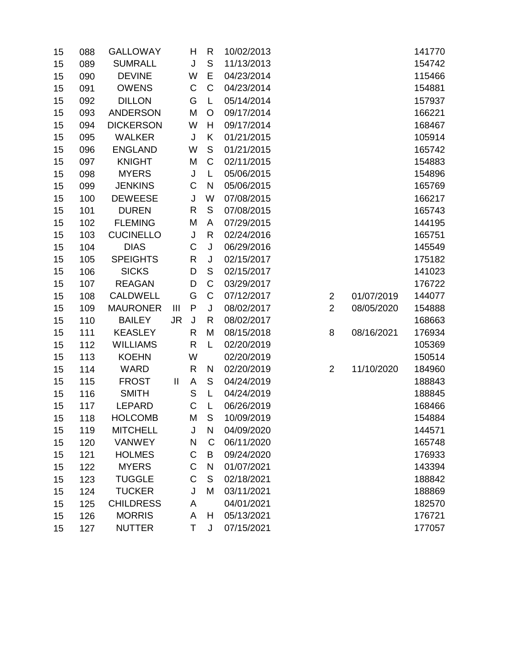| 15 | 088 | <b>GALLOWAY</b>  |                | Н            | R            | 10/02/2013 |                |            | 141770 |
|----|-----|------------------|----------------|--------------|--------------|------------|----------------|------------|--------|
| 15 | 089 | <b>SUMRALL</b>   |                | J            | $\mathsf S$  | 11/13/2013 |                |            | 154742 |
| 15 | 090 | <b>DEVINE</b>    |                | W            | E            | 04/23/2014 |                |            | 115466 |
| 15 | 091 | <b>OWENS</b>     |                | C            | $\mathsf C$  | 04/23/2014 |                |            | 154881 |
| 15 | 092 | <b>DILLON</b>    |                | G            | L            | 05/14/2014 |                |            | 157937 |
| 15 | 093 | <b>ANDERSON</b>  |                | M            | O            | 09/17/2014 |                |            | 166221 |
| 15 | 094 | <b>DICKERSON</b> |                | W            | H            | 09/17/2014 |                |            | 168467 |
| 15 | 095 | <b>WALKER</b>    |                | J            | Κ            | 01/21/2015 |                |            | 105914 |
| 15 | 096 | <b>ENGLAND</b>   |                | W            | S            | 01/21/2015 |                |            | 165742 |
| 15 | 097 | <b>KNIGHT</b>    |                | M            | $\mathsf C$  | 02/11/2015 |                |            | 154883 |
| 15 | 098 | <b>MYERS</b>     |                | J            | L            | 05/06/2015 |                |            | 154896 |
| 15 | 099 | <b>JENKINS</b>   |                | C            | $\mathsf{N}$ | 05/06/2015 |                |            | 165769 |
| 15 | 100 | <b>DEWEESE</b>   |                | J            | W            | 07/08/2015 |                |            | 166217 |
| 15 | 101 | <b>DUREN</b>     |                | R            | $\mathsf S$  | 07/08/2015 |                |            | 165743 |
| 15 | 102 | <b>FLEMING</b>   |                | M            | А            | 07/29/2015 |                |            | 144195 |
| 15 | 103 | <b>CUCINELLO</b> |                | J            | $\mathsf{R}$ | 02/24/2016 |                |            | 165751 |
| 15 | 104 | <b>DIAS</b>      |                | C            | J            | 06/29/2016 |                |            | 145549 |
| 15 | 105 | <b>SPEIGHTS</b>  |                | R            | J            | 02/15/2017 |                |            | 175182 |
| 15 | 106 | <b>SICKS</b>     |                | D            | $\mathsf S$  | 02/15/2017 |                |            | 141023 |
| 15 | 107 | <b>REAGAN</b>    |                | D            | $\mathsf C$  | 03/29/2017 |                |            | 176722 |
| 15 | 108 | <b>CALDWELL</b>  |                | G            | $\mathsf C$  | 07/12/2017 | $\overline{c}$ | 01/07/2019 | 144077 |
| 15 | 109 | <b>MAURONER</b>  | $\mathbf{III}$ | P            | J            | 08/02/2017 | $\overline{2}$ | 08/05/2020 | 154888 |
| 15 | 110 | <b>BAILEY</b>    | <b>JR</b>      | J            | R            | 08/02/2017 |                |            | 168663 |
| 15 | 111 | <b>KEASLEY</b>   |                | $\mathsf{R}$ | M            | 08/15/2018 | 8              | 08/16/2021 | 176934 |
| 15 | 112 | <b>WILLIAMS</b>  |                | R            | L            | 02/20/2019 |                |            | 105369 |
| 15 | 113 | <b>KOEHN</b>     |                | W            |              | 02/20/2019 |                |            | 150514 |
| 15 | 114 | <b>WARD</b>      |                | R            | N            | 02/20/2019 | $\overline{2}$ | 11/10/2020 | 184960 |
| 15 | 115 | <b>FROST</b>     | $\mathbf{I}$   | A            | S            | 04/24/2019 |                |            | 188843 |
| 15 | 116 | <b>SMITH</b>     |                | $\mathsf S$  | L            | 04/24/2019 |                |            | 188845 |
| 15 | 117 | <b>LEPARD</b>    |                | C            | L            | 06/26/2019 |                |            | 168466 |
| 15 | 118 | <b>HOLCOMB</b>   |                | М            | S            | 10/09/2019 |                |            | 154884 |
| 15 | 119 | <b>MITCHELL</b>  |                | J            | N            | 04/09/2020 |                |            | 144571 |
| 15 | 120 | <b>VANWEY</b>    |                | N            | $\mathsf C$  | 06/11/2020 |                |            | 165748 |
| 15 | 121 | <b>HOLMES</b>    |                | C            | B            | 09/24/2020 |                |            | 176933 |
| 15 | 122 | <b>MYERS</b>     |                | $\mathsf C$  | N            | 01/07/2021 |                |            | 143394 |
| 15 | 123 | <b>TUGGLE</b>    |                | $\mathsf C$  | $\mathsf S$  | 02/18/2021 |                |            | 188842 |
| 15 | 124 | <b>TUCKER</b>    |                | J            | M            | 03/11/2021 |                |            | 188869 |
| 15 | 125 | <b>CHILDRESS</b> |                | A            |              | 04/01/2021 |                |            | 182570 |
| 15 | 126 | <b>MORRIS</b>    |                | A            | Η            | 05/13/2021 |                |            | 176721 |
| 15 | 127 | <b>NUTTER</b>    |                | Τ            | J            | 07/15/2021 |                |            | 177057 |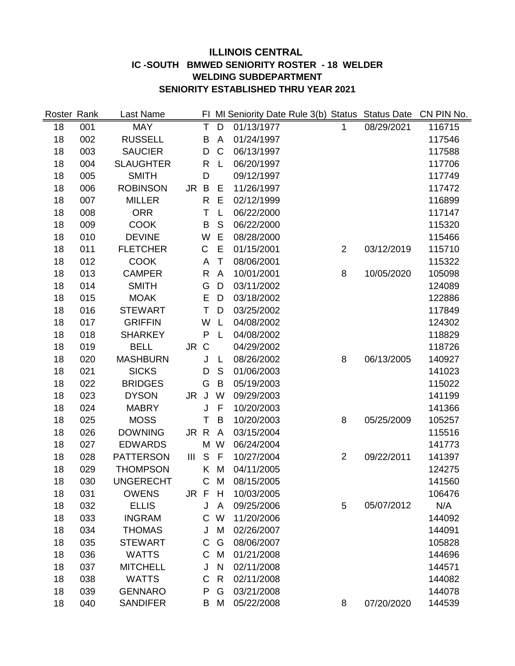# **ILLINOIS CENTRAL IC -SOUTH BMWED SENIORITY ROSTER - 18 WELDER WELDING SUBDEPARTMENT SENIORITY ESTABLISHED THRU YEAR 2021**

| Roster Rank |     | Last Name        |                | FI.          |              |            | MI Seniority Date Rule 3(b) Status Status Date |            | CN PIN No. |
|-------------|-----|------------------|----------------|--------------|--------------|------------|------------------------------------------------|------------|------------|
| 18          | 001 | <b>MAY</b>       |                | T            | D            | 01/13/1977 | 1                                              | 08/29/2021 | 116715     |
| 18          | 002 | <b>RUSSELL</b>   |                | B            | A            | 01/24/1997 |                                                |            | 117546     |
| 18          | 003 | <b>SAUCIER</b>   |                | D            | $\mathsf C$  | 06/13/1997 |                                                |            | 117588     |
| 18          | 004 | <b>SLAUGHTER</b> |                | R            | L            | 06/20/1997 |                                                |            | 117706     |
| 18          | 005 | <b>SMITH</b>     |                | D            |              | 09/12/1997 |                                                |            | 117749     |
| 18          | 006 | <b>ROBINSON</b>  | JR B           |              | Ε            | 11/26/1997 |                                                |            | 117472     |
| 18          | 007 | <b>MILLER</b>    |                | $\mathsf{R}$ | E            | 02/12/1999 |                                                |            | 116899     |
| 18          | 008 | <b>ORR</b>       |                | T            | L            | 06/22/2000 |                                                |            | 117147     |
| 18          | 009 | <b>COOK</b>      |                | B            | S            | 06/22/2000 |                                                |            | 115320     |
| 18          | 010 | <b>DEVINE</b>    |                | W            | E            | 08/28/2000 |                                                |            | 115466     |
| 18          | 011 | <b>FLETCHER</b>  |                | C            | E            | 01/15/2001 | $\overline{2}$                                 | 03/12/2019 | 115710     |
| 18          | 012 | <b>COOK</b>      |                | A            | T            | 08/06/2001 |                                                |            | 115322     |
| 18          | 013 | <b>CAMPER</b>    |                | $\mathsf{R}$ | A            | 10/01/2001 | 8                                              | 10/05/2020 | 105098     |
| 18          | 014 | <b>SMITH</b>     |                | G            | D            | 03/11/2002 |                                                |            | 124089     |
| 18          | 015 | <b>MOAK</b>      |                | E            | D            | 03/18/2002 |                                                |            | 122886     |
| 18          | 016 | <b>STEWART</b>   |                | T            | D            | 03/25/2002 |                                                |            | 117849     |
| 18          | 017 | <b>GRIFFIN</b>   |                | W            | L            | 04/08/2002 |                                                |            | 124302     |
| 18          | 018 | <b>SHARKEY</b>   |                | P            | L            | 04/08/2002 |                                                |            | 118829     |
| 18          | 019 | <b>BELL</b>      | JR C           |              |              | 04/29/2002 |                                                |            | 118726     |
| 18          | 020 | <b>MASHBURN</b>  |                | J            | L            | 08/26/2002 | 8                                              | 06/13/2005 | 140927     |
| 18          | 021 | <b>SICKS</b>     |                | D            | S            | 01/06/2003 |                                                |            | 141023     |
| 18          | 022 | <b>BRIDGES</b>   |                | G            | B            | 05/19/2003 |                                                |            | 115022     |
| 18          | 023 | <b>DYSON</b>     | JR             | J            | W            | 09/29/2003 |                                                |            | 141199     |
| 18          | 024 | <b>MABRY</b>     |                | J            | F            | 10/20/2003 |                                                |            | 141366     |
| 18          | 025 | <b>MOSS</b>      |                | T            | B            | 10/20/2003 | 8                                              | 05/25/2009 | 105257     |
| 18          | 026 | <b>DOWNING</b>   | JR R           |              | A            | 03/15/2004 |                                                |            | 115516     |
| 18          | 027 | <b>EDWARDS</b>   |                | M            | W            | 06/24/2004 |                                                |            | 141773     |
| 18          | 028 | <b>PATTERSON</b> | $\mathbf{III}$ | S            | F            | 10/27/2004 | $\overline{2}$                                 | 09/22/2011 | 141397     |
| 18          | 029 | <b>THOMPSON</b>  |                | K.           | M            | 04/11/2005 |                                                |            | 124275     |
| 18          | 030 | <b>UNGERECHT</b> |                | C            | M            | 08/15/2005 |                                                |            | 141560     |
| 18          | 031 | <b>OWENS</b>     | JR F           |              | H            | 10/03/2005 |                                                |            | 106476     |
| 18          | 032 | <b>ELLIS</b>     |                | J            | A            | 09/25/2006 | 5                                              | 05/07/2012 | N/A        |
| 18          | 033 | <b>INGRAM</b>    |                | $\mathsf{C}$ | W            | 11/20/2006 |                                                |            | 144092     |
| 18          | 034 | <b>THOMAS</b>    |                | J            | M            | 02/26/2007 |                                                |            | 144091     |
| 18          | 035 | <b>STEWART</b>   |                | C            | G            | 08/06/2007 |                                                |            | 105828     |
| 18          | 036 | <b>WATTS</b>     |                | C            | M            | 01/21/2008 |                                                |            | 144696     |
| 18          | 037 | <b>MITCHELL</b>  |                | J            | N            | 02/11/2008 |                                                |            | 144571     |
| 18          | 038 | <b>WATTS</b>     |                | C            | $\mathsf{R}$ | 02/11/2008 |                                                |            | 144082     |
| 18          | 039 | <b>GENNARO</b>   |                | P            | G            | 03/21/2008 |                                                |            | 144078     |
| 18          | 040 | <b>SANDIFER</b>  |                | B            | M            | 05/22/2008 | 8                                              | 07/20/2020 | 144539     |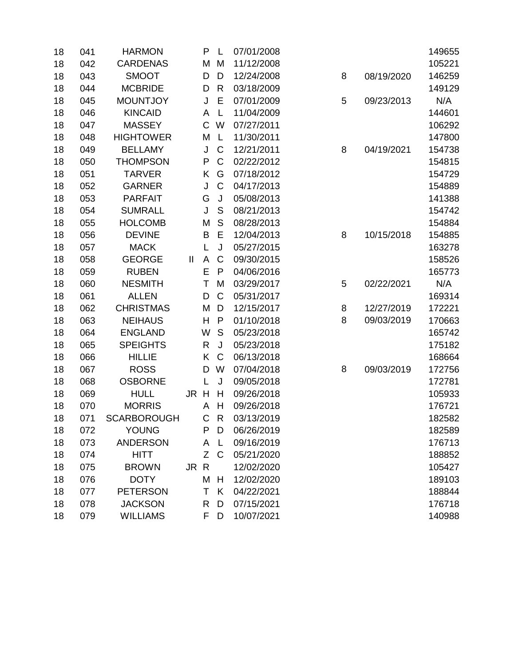| 18 | 041 | <b>HARMON</b>      |                            | P | L            | 07/01/2008 |   |            | 149655 |
|----|-----|--------------------|----------------------------|---|--------------|------------|---|------------|--------|
| 18 | 042 | <b>CARDENAS</b>    |                            | M | M            | 11/12/2008 |   |            | 105221 |
| 18 | 043 | <b>SMOOT</b>       |                            | D | D            | 12/24/2008 | 8 | 08/19/2020 | 146259 |
| 18 | 044 | <b>MCBRIDE</b>     |                            | D | R            | 03/18/2009 |   |            | 149129 |
| 18 | 045 | <b>MOUNTJOY</b>    |                            | J | E            | 07/01/2009 | 5 | 09/23/2013 | N/A    |
| 18 | 046 | <b>KINCAID</b>     |                            | A | L            | 11/04/2009 |   |            | 144601 |
| 18 | 047 | <b>MASSEY</b>      |                            | C | W            | 07/27/2011 |   |            | 106292 |
| 18 | 048 | <b>HIGHTOWER</b>   |                            | M | L            | 11/30/2011 |   |            | 147800 |
| 18 | 049 | <b>BELLAMY</b>     |                            | J | $\mathsf C$  | 12/21/2011 | 8 | 04/19/2021 | 154738 |
| 18 | 050 | <b>THOMPSON</b>    |                            | P | $\mathsf{C}$ | 02/22/2012 |   |            | 154815 |
| 18 | 051 | <b>TARVER</b>      |                            | Κ | G            | 07/18/2012 |   |            | 154729 |
| 18 | 052 | <b>GARNER</b>      |                            | J | $\mathsf C$  | 04/17/2013 |   |            | 154889 |
| 18 | 053 | <b>PARFAIT</b>     |                            | G | J            | 05/08/2013 |   |            | 141388 |
| 18 | 054 | <b>SUMRALL</b>     |                            | J | S            | 08/21/2013 |   |            | 154742 |
| 18 | 055 | <b>HOLCOMB</b>     |                            | M | S            | 08/28/2013 |   |            | 154884 |
| 18 | 056 | <b>DEVINE</b>      |                            | B | Е            | 12/04/2013 | 8 | 10/15/2018 | 154885 |
| 18 | 057 | <b>MACK</b>        |                            | L | J            | 05/27/2015 |   |            | 163278 |
| 18 | 058 | <b>GEORGE</b>      | $\ensuremath{\mathsf{II}}$ | A | $\mathsf C$  | 09/30/2015 |   |            | 158526 |
| 18 | 059 | <b>RUBEN</b>       |                            | E | $\mathsf{P}$ | 04/06/2016 |   |            | 165773 |
| 18 | 060 | <b>NESMITH</b>     |                            | Τ | M            | 03/29/2017 | 5 | 02/22/2021 | N/A    |
| 18 | 061 | <b>ALLEN</b>       |                            | D | $\mathsf C$  | 05/31/2017 |   |            | 169314 |
| 18 | 062 | <b>CHRISTMAS</b>   |                            | M | D            | 12/15/2017 | 8 | 12/27/2019 | 172221 |
| 18 | 063 | <b>NEIHAUS</b>     |                            | H | P            | 01/10/2018 | 8 | 09/03/2019 | 170663 |
| 18 | 064 | <b>ENGLAND</b>     |                            | W | S            | 05/23/2018 |   |            | 165742 |
| 18 | 065 | <b>SPEIGHTS</b>    |                            | R | J            | 05/23/2018 |   |            | 175182 |
| 18 | 066 | <b>HILLIE</b>      |                            | Κ | $\mathsf C$  | 06/13/2018 |   |            | 168664 |
| 18 | 067 | <b>ROSS</b>        |                            | D | W            | 07/04/2018 | 8 | 09/03/2019 | 172756 |
| 18 | 068 | <b>OSBORNE</b>     |                            | L | J            | 09/05/2018 |   |            | 172781 |
| 18 | 069 | <b>HULL</b>        | JR H                       |   | H            | 09/26/2018 |   |            | 105933 |
| 18 | 070 | <b>MORRIS</b>      |                            | A | H            | 09/26/2018 |   |            | 176721 |
| 18 | 071 | <b>SCARBOROUGH</b> |                            | C | R            | 03/13/2019 |   |            | 182582 |
| 18 | 072 | YOUNG              |                            | P | D            | 06/26/2019 |   |            | 182589 |
| 18 | 073 | <b>ANDERSON</b>    |                            | A | L            | 09/16/2019 |   |            | 176713 |
| 18 | 074 | <b>HITT</b>        |                            | Z | C            | 05/21/2020 |   |            | 188852 |
| 18 | 075 | <b>BROWN</b>       | JR R                       |   |              | 12/02/2020 |   |            | 105427 |
| 18 | 076 | <b>DOTY</b>        |                            | M | Н            | 12/02/2020 |   |            | 189103 |
| 18 | 077 | <b>PETERSON</b>    |                            | Τ | K            | 04/22/2021 |   |            | 188844 |
| 18 | 078 | <b>JACKSON</b>     |                            | R | D            | 07/15/2021 |   |            | 176718 |
| 18 | 079 | <b>WILLIAMS</b>    |                            | F | D            | 10/07/2021 |   |            | 140988 |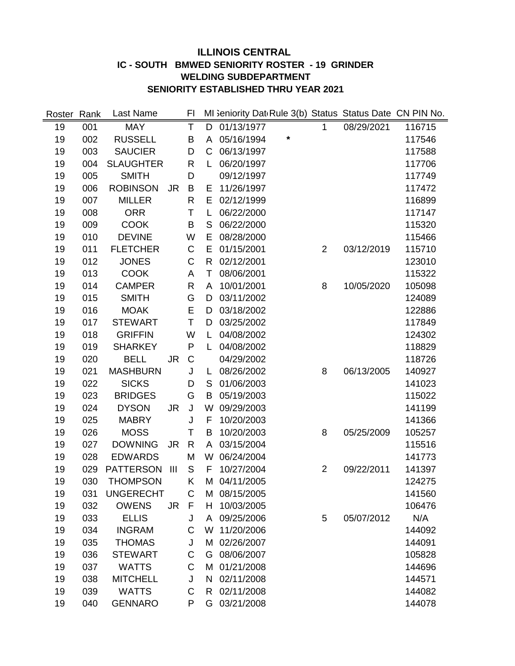# **ILLINOIS CENTRAL IC - SOUTH BMWED SENIORITY ROSTER - 19 GRINDER WELDING SUBDEPARTMENT SENIORITY ESTABLISHED THRU YEAR 2021**

| Roster | Rank | Last Name        |                | FI           |              | MI Seniority Dat Rule 3(b) Status Status Date CN PIN No. |   |                |            |        |
|--------|------|------------------|----------------|--------------|--------------|----------------------------------------------------------|---|----------------|------------|--------|
| 19     | 001  | <b>MAY</b>       |                | T            | D            | 01/13/1977                                               |   | 1              | 08/29/2021 | 116715 |
| 19     | 002  | <b>RUSSELL</b>   |                | B            | A            | 05/16/1994                                               | * |                |            | 117546 |
| 19     | 003  | <b>SAUCIER</b>   |                | D            | C            | 06/13/1997                                               |   |                |            | 117588 |
| 19     | 004  | <b>SLAUGHTER</b> |                | $\mathsf{R}$ | L            | 06/20/1997                                               |   |                |            | 117706 |
| 19     | 005  | <b>SMITH</b>     |                | D            |              | 09/12/1997                                               |   |                |            | 117749 |
| 19     | 006  | <b>ROBINSON</b>  | <b>JR</b>      | B            | Е            | 11/26/1997                                               |   |                |            | 117472 |
| 19     | 007  | <b>MILLER</b>    |                | R            | Е            | 02/12/1999                                               |   |                |            | 116899 |
| 19     | 008  | <b>ORR</b>       |                | T            | L            | 06/22/2000                                               |   |                |            | 117147 |
| 19     | 009  | <b>COOK</b>      |                | B            | S            | 06/22/2000                                               |   |                |            | 115320 |
| 19     | 010  | <b>DEVINE</b>    |                | W            | E            | 08/28/2000                                               |   |                |            | 115466 |
| 19     | 011  | <b>FLETCHER</b>  |                | $\mathsf C$  | E            | 01/15/2001                                               |   | $\overline{2}$ | 03/12/2019 | 115710 |
| 19     | 012  | <b>JONES</b>     |                | C            | $\mathsf{R}$ | 02/12/2001                                               |   |                |            | 123010 |
| 19     | 013  | <b>COOK</b>      |                | A            | T            | 08/06/2001                                               |   |                |            | 115322 |
| 19     | 014  | <b>CAMPER</b>    |                | R.           | A            | 10/01/2001                                               |   | 8              | 10/05/2020 | 105098 |
| 19     | 015  | <b>SMITH</b>     |                | G            | D            | 03/11/2002                                               |   |                |            | 124089 |
| 19     | 016  | <b>MOAK</b>      |                | E            | D            | 03/18/2002                                               |   |                |            | 122886 |
| 19     | 017  | <b>STEWART</b>   |                | Τ            | D            | 03/25/2002                                               |   |                |            | 117849 |
| 19     | 018  | <b>GRIFFIN</b>   |                | W            | L            | 04/08/2002                                               |   |                |            | 124302 |
| 19     | 019  | <b>SHARKEY</b>   |                | P            | L            | 04/08/2002                                               |   |                |            | 118829 |
| 19     | 020  | <b>BELL</b>      | <b>JR</b>      | C            |              | 04/29/2002                                               |   |                |            | 118726 |
| 19     | 021  | <b>MASHBURN</b>  |                | J            | L            | 08/26/2002                                               |   | 8              | 06/13/2005 | 140927 |
| 19     | 022  | <b>SICKS</b>     |                | D            | S            | 01/06/2003                                               |   |                |            | 141023 |
| 19     | 023  | <b>BRIDGES</b>   |                | G            | B            | 05/19/2003                                               |   |                |            | 115022 |
| 19     | 024  | <b>DYSON</b>     | <b>JR</b>      | J            | W            | 09/29/2003                                               |   |                |            | 141199 |
| 19     | 025  | <b>MABRY</b>     |                | J            | F            | 10/20/2003                                               |   |                |            | 141366 |
| 19     | 026  | <b>MOSS</b>      |                | Τ            | B            | 10/20/2003                                               |   | 8              | 05/25/2009 | 105257 |
| 19     | 027  | <b>DOWNING</b>   | <b>JR</b>      | $\mathsf{R}$ | A            | 03/15/2004                                               |   |                |            | 115516 |
| 19     | 028  | <b>EDWARDS</b>   |                | M            | W            | 06/24/2004                                               |   |                |            | 141773 |
| 19     | 029  | <b>PATTERSON</b> | $\mathbf{III}$ | S            | F            | 10/27/2004                                               |   | $\overline{2}$ | 09/22/2011 | 141397 |
| 19     | 030  | <b>THOMPSON</b>  |                | Κ            | М            | 04/11/2005                                               |   |                |            | 124275 |
| 19     | 031  | <b>UNGERECHT</b> |                | С            | M            | 08/15/2005                                               |   |                |            | 141560 |
| 19     | 032  | <b>OWENS</b>     | <b>JR</b>      | F            | H.           | 10/03/2005                                               |   |                |            | 106476 |
| 19     | 033  | <b>ELLIS</b>     |                | J            | A            | 09/25/2006                                               |   | 5              | 05/07/2012 | N/A    |
| 19     | 034  | <b>INGRAM</b>    |                | С            | W            | 11/20/2006                                               |   |                |            | 144092 |
| 19     | 035  | <b>THOMAS</b>    |                | J            | М            | 02/26/2007                                               |   |                |            | 144091 |
| 19     | 036  | <b>STEWART</b>   |                | C            | G            | 08/06/2007                                               |   |                |            | 105828 |
| 19     | 037  | <b>WATTS</b>     |                | C            | M            | 01/21/2008                                               |   |                |            | 144696 |
| 19     | 038  | <b>MITCHELL</b>  |                | J            | N            | 02/11/2008                                               |   |                |            | 144571 |
| 19     | 039  | <b>WATTS</b>     |                | C            | R.           | 02/11/2008                                               |   |                |            | 144082 |
| 19     | 040  | <b>GENNARO</b>   |                | P            | G            | 03/21/2008                                               |   |                |            | 144078 |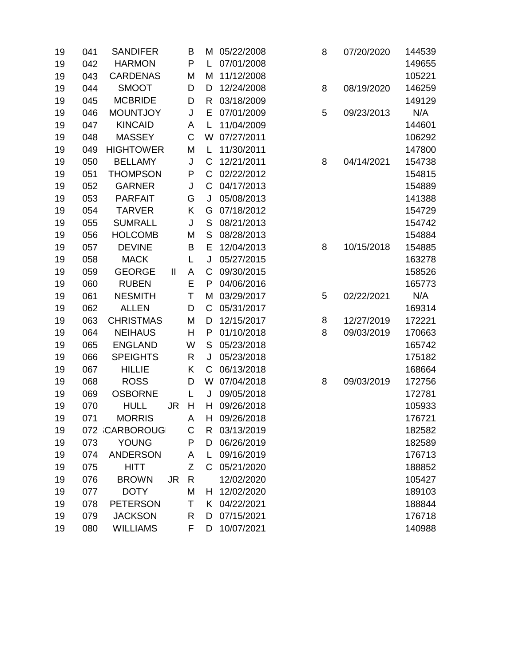| 19 | 041 | <b>SANDIFER</b>  |              | B |             | M 05/22/2008 | 8 | 07/20/2020 | 144539 |
|----|-----|------------------|--------------|---|-------------|--------------|---|------------|--------|
| 19 | 042 | <b>HARMON</b>    |              | P | L.          | 07/01/2008   |   |            | 149655 |
| 19 | 043 | <b>CARDENAS</b>  |              | M | Μ           | 11/12/2008   |   |            | 105221 |
| 19 | 044 | <b>SMOOT</b>     |              | D | D           | 12/24/2008   | 8 | 08/19/2020 | 146259 |
| 19 | 045 | <b>MCBRIDE</b>   |              | D | R.          | 03/18/2009   |   |            | 149129 |
| 19 | 046 | <b>MOUNTJOY</b>  |              | J | E           | 07/01/2009   | 5 | 09/23/2013 | N/A    |
| 19 | 047 | <b>KINCAID</b>   |              | A | L           | 11/04/2009   |   |            | 144601 |
| 19 | 048 | <b>MASSEY</b>    |              | C | W           | 07/27/2011   |   |            | 106292 |
| 19 | 049 | <b>HIGHTOWER</b> |              | M | L           | 11/30/2011   |   |            | 147800 |
| 19 | 050 | <b>BELLAMY</b>   |              | J | C           | 12/21/2011   | 8 | 04/14/2021 | 154738 |
| 19 | 051 | <b>THOMPSON</b>  |              | P | $\mathsf C$ | 02/22/2012   |   |            | 154815 |
| 19 | 052 | <b>GARNER</b>    |              | J | C           | 04/17/2013   |   |            | 154889 |
| 19 | 053 | <b>PARFAIT</b>   |              | G | J           | 05/08/2013   |   |            | 141388 |
| 19 | 054 | <b>TARVER</b>    |              | Κ | G           | 07/18/2012   |   |            | 154729 |
| 19 | 055 | <b>SUMRALL</b>   |              | J | S           | 08/21/2013   |   |            | 154742 |
| 19 | 056 | <b>HOLCOMB</b>   |              | M | S           | 08/28/2013   |   |            | 154884 |
| 19 | 057 | <b>DEVINE</b>    |              | B | Е           | 12/04/2013   | 8 | 10/15/2018 | 154885 |
| 19 | 058 | <b>MACK</b>      |              | L | J           | 05/27/2015   |   |            | 163278 |
| 19 | 059 | <b>GEORGE</b>    | $\mathbf{H}$ | A | C           | 09/30/2015   |   |            | 158526 |
| 19 | 060 | <b>RUBEN</b>     |              | E | P           | 04/06/2016   |   |            | 165773 |
| 19 | 061 | <b>NESMITH</b>   |              | T | М           | 03/29/2017   | 5 | 02/22/2021 | N/A    |
| 19 | 062 | <b>ALLEN</b>     |              | D | C           | 05/31/2017   |   |            | 169314 |
| 19 | 063 | <b>CHRISTMAS</b> |              | M | D           | 12/15/2017   | 8 | 12/27/2019 | 172221 |
| 19 | 064 | <b>NEIHAUS</b>   |              | Н | P           | 01/10/2018   | 8 | 09/03/2019 | 170663 |
| 19 | 065 | <b>ENGLAND</b>   |              | W | S           | 05/23/2018   |   |            | 165742 |
| 19 | 066 | <b>SPEIGHTS</b>  |              | R | J           | 05/23/2018   |   |            | 175182 |
| 19 | 067 | <b>HILLIE</b>    |              | Κ | C           | 06/13/2018   |   |            | 168664 |
| 19 | 068 | <b>ROSS</b>      |              | D | W           | 07/04/2018   | 8 | 09/03/2019 | 172756 |
| 19 | 069 | <b>OSBORNE</b>   |              | L | J           | 09/05/2018   |   |            | 172781 |
| 19 | 070 | <b>HULL</b>      | JR           | Н | H.          | 09/26/2018   |   |            | 105933 |
| 19 | 071 | <b>MORRIS</b>    |              | A | H           | 09/26/2018   |   |            | 176721 |
| 19 |     | 072 CARBOROUG    |              | С |             | R 03/13/2019 |   |            | 182582 |
| 19 | 073 | <b>YOUNG</b>     |              | P | D           | 06/26/2019   |   |            | 182589 |
| 19 | 074 | <b>ANDERSON</b>  |              | A | L           | 09/16/2019   |   |            | 176713 |
| 19 | 075 | <b>HITT</b>      |              | Ζ |             | C 05/21/2020 |   |            | 188852 |
| 19 | 076 | <b>BROWN</b>     | JR           | R |             | 12/02/2020   |   |            | 105427 |
| 19 | 077 | <b>DOTY</b>      |              | M |             | H 12/02/2020 |   |            | 189103 |
| 19 | 078 | <b>PETERSON</b>  |              | Τ |             | K 04/22/2021 |   |            | 188844 |
| 19 | 079 | <b>JACKSON</b>   |              | R | D           | 07/15/2021   |   |            | 176718 |
| 19 | 080 | <b>WILLIAMS</b>  |              | F | D           | 10/07/2021   |   |            | 140988 |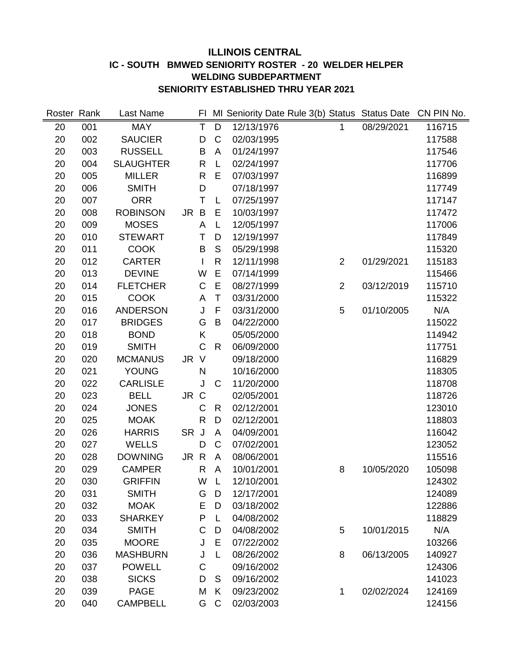# **ILLINOIS CENTRAL IC - SOUTH BMWED SENIORITY ROSTER - 20 WELDER HELPER WELDING SUBDEPARTMENT SENIORITY ESTABLISHED THRU YEAR 2021**

| Roster Rank |     | Last Name        |                         |                |            | FI MI Seniority Date Rule 3(b) Status Status Date |            | CN PIN No. |
|-------------|-----|------------------|-------------------------|----------------|------------|---------------------------------------------------|------------|------------|
| 20          | 001 | <b>MAY</b>       | $\overline{\mathsf{T}}$ | $\overline{D}$ | 12/13/1976 | $\mathbf{1}$                                      | 08/29/2021 | 116715     |
| 20          | 002 | <b>SAUCIER</b>   | D                       | $\mathsf C$    | 02/03/1995 |                                                   |            | 117588     |
| 20          | 003 | <b>RUSSELL</b>   | B                       | A              | 01/24/1997 |                                                   |            | 117546     |
| 20          | 004 | <b>SLAUGHTER</b> | $\mathsf{R}$            | L              | 02/24/1997 |                                                   |            | 117706     |
| 20          | 005 | <b>MILLER</b>    | $\mathsf{R}$            | E              | 07/03/1997 |                                                   |            | 116899     |
| 20          | 006 | <b>SMITH</b>     | D                       |                | 07/18/1997 |                                                   |            | 117749     |
| 20          | 007 | <b>ORR</b>       | T                       | L              | 07/25/1997 |                                                   |            | 117147     |
| 20          | 008 | <b>ROBINSON</b>  | B<br>JR.                | E              | 10/03/1997 |                                                   |            | 117472     |
| 20          | 009 | <b>MOSES</b>     | A                       | L              | 12/05/1997 |                                                   |            | 117006     |
| 20          | 010 | <b>STEWART</b>   | Τ                       | D              | 12/19/1997 |                                                   |            | 117849     |
| 20          | 011 | <b>COOK</b>      | B                       | S              | 05/29/1998 |                                                   |            | 115320     |
| 20          | 012 | <b>CARTER</b>    |                         | $\mathsf{R}$   | 12/11/1998 | $\overline{2}$                                    | 01/29/2021 | 115183     |
| 20          | 013 | <b>DEVINE</b>    | W                       | E              | 07/14/1999 |                                                   |            | 115466     |
| 20          | 014 | <b>FLETCHER</b>  | C                       | $\mathsf E$    | 08/27/1999 | $\overline{2}$                                    | 03/12/2019 | 115710     |
| 20          | 015 | <b>COOK</b>      | A                       | T              | 03/31/2000 |                                                   |            | 115322     |
| 20          | 016 | <b>ANDERSON</b>  | J                       | F              | 03/31/2000 | 5                                                 | 01/10/2005 | N/A        |
| 20          | 017 | <b>BRIDGES</b>   | G                       | B              | 04/22/2000 |                                                   |            | 115022     |
| 20          | 018 | <b>BOND</b>      | Κ                       |                | 05/05/2000 |                                                   |            | 114942     |
| 20          | 019 | <b>SMITH</b>     | C                       | R              | 06/09/2000 |                                                   |            | 117751     |
| 20          | 020 | <b>MCMANUS</b>   | JR V                    |                | 09/18/2000 |                                                   |            | 116829     |
| 20          | 021 | YOUNG            | N                       |                | 10/16/2000 |                                                   |            | 118305     |
| 20          | 022 | <b>CARLISLE</b>  | J                       | C              | 11/20/2000 |                                                   |            | 118708     |
| 20          | 023 | <b>BELL</b>      | JR C                    |                | 02/05/2001 |                                                   |            | 118726     |
| 20          | 024 | <b>JONES</b>     | C                       | R              | 02/12/2001 |                                                   |            | 123010     |
| 20          | 025 | <b>MOAK</b>      | $\mathsf{R}$            | D              | 02/12/2001 |                                                   |            | 118803     |
| 20          | 026 | <b>HARRIS</b>    | <b>SR</b><br>J          | A              | 04/09/2001 |                                                   |            | 116042     |
| 20          | 027 | <b>WELLS</b>     | D                       | $\mathsf{C}$   | 07/02/2001 |                                                   |            | 123052     |
| 20          | 028 | <b>DOWNING</b>   | JR R                    | A              | 08/06/2001 |                                                   |            | 115516     |
| 20          | 029 | <b>CAMPER</b>    | $\mathsf{R}$            | A              | 10/01/2001 | 8                                                 | 10/05/2020 | 105098     |
| 20          | 030 | <b>GRIFFIN</b>   | W                       | L              | 12/10/2001 |                                                   |            | 124302     |
| 20          | 031 | <b>SMITH</b>     | G                       | D              | 12/17/2001 |                                                   |            | 124089     |
| 20          | 032 | <b>MOAK</b>      | Ε                       | D              | 03/18/2002 |                                                   |            | 122886     |
| 20          | 033 | <b>SHARKEY</b>   | P                       | L              | 04/08/2002 |                                                   |            | 118829     |
| 20          | 034 | <b>SMITH</b>     | C                       | D              | 04/08/2002 | 5                                                 | 10/01/2015 | N/A        |
| 20          | 035 | <b>MOORE</b>     | J                       | E              | 07/22/2002 |                                                   |            | 103266     |
| 20          | 036 | <b>MASHBURN</b>  | J                       | L              | 08/26/2002 | 8                                                 | 06/13/2005 | 140927     |
| 20          | 037 | <b>POWELL</b>    | $\mathsf C$             |                | 09/16/2002 |                                                   |            | 124306     |
| 20          | 038 | <b>SICKS</b>     | D                       | S              | 09/16/2002 |                                                   |            | 141023     |
| 20          | 039 | <b>PAGE</b>      | M                       | K              | 09/23/2002 | 1                                                 | 02/02/2024 | 124169     |
| 20          | 040 | <b>CAMPBELL</b>  | G                       | $\mathsf{C}$   | 02/03/2003 |                                                   |            | 124156     |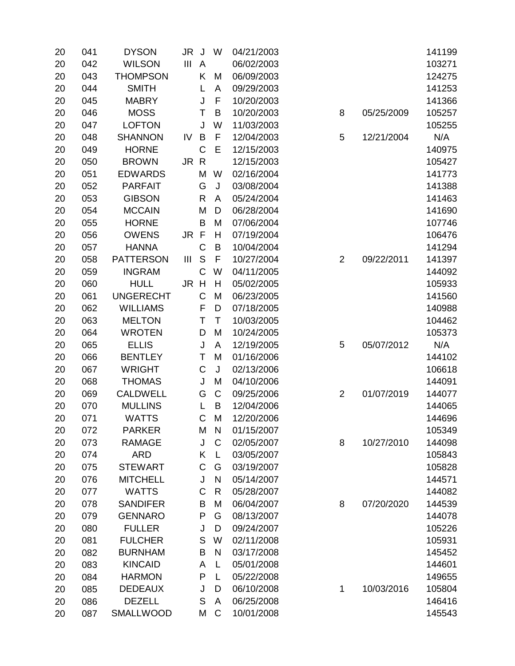| 20 | 041 | <b>DYSON</b>     | JR.<br>J                      | W            | 04/21/2003 |                |            | 141199 |
|----|-----|------------------|-------------------------------|--------------|------------|----------------|------------|--------|
| 20 | 042 | <b>WILSON</b>    | $\mathbf{III}$<br>A           |              | 06/02/2003 |                |            | 103271 |
| 20 | 043 | <b>THOMPSON</b>  | K                             | M            | 06/09/2003 |                |            | 124275 |
| 20 | 044 | <b>SMITH</b>     | L                             | A            | 09/29/2003 |                |            | 141253 |
| 20 | 045 | <b>MABRY</b>     | J                             | F            | 10/20/2003 |                |            | 141366 |
| 20 | 046 | <b>MOSS</b>      | T                             | B            | 10/20/2003 | 8              | 05/25/2009 | 105257 |
| 20 | 047 | <b>LOFTON</b>    | J                             | W            | 11/03/2003 |                |            | 105255 |
| 20 | 048 | <b>SHANNON</b>   | B<br>IV                       | $\mathsf F$  | 12/04/2003 | 5              | 12/21/2004 | N/A    |
| 20 | 049 | <b>HORNE</b>     | C                             | E            | 12/15/2003 |                |            | 140975 |
| 20 | 050 | <b>BROWN</b>     | JR R                          |              | 12/15/2003 |                |            | 105427 |
| 20 | 051 | <b>EDWARDS</b>   | M                             | W            | 02/16/2004 |                |            | 141773 |
| 20 | 052 | <b>PARFAIT</b>   | G                             | J            | 03/08/2004 |                |            | 141388 |
| 20 | 053 | <b>GIBSON</b>    | R                             | A            | 05/24/2004 |                |            | 141463 |
| 20 | 054 | <b>MCCAIN</b>    | M                             | D            | 06/28/2004 |                |            | 141690 |
| 20 | 055 | <b>HORNE</b>     | B                             | M            | 07/06/2004 |                |            | 107746 |
| 20 | 056 | <b>OWENS</b>     | $\mathsf{F}$<br>JR            | $\mathsf{H}$ | 07/19/2004 |                |            | 106476 |
| 20 | 057 | <b>HANNA</b>     | C                             | B            | 10/04/2004 |                |            | 141294 |
| 20 | 058 | <b>PATTERSON</b> | $\mathsf S$<br>$\mathbf{III}$ | F            | 10/27/2004 | $\overline{2}$ | 09/22/2011 | 141397 |
| 20 | 059 | <b>INGRAM</b>    | $\mathsf C$                   | W            | 04/11/2005 |                |            | 144092 |
| 20 | 060 | <b>HULL</b>      | H<br>JR                       | $\mathsf{H}$ | 05/02/2005 |                |            | 105933 |
| 20 | 061 | <b>UNGERECHT</b> | C                             | M            | 06/23/2005 |                |            | 141560 |
| 20 | 062 | <b>WILLIAMS</b>  | F                             | D            | 07/18/2005 |                |            | 140988 |
| 20 | 063 | <b>MELTON</b>    | Τ                             | T            | 10/03/2005 |                |            | 104462 |
| 20 | 064 | <b>WROTEN</b>    | D                             | M            | 10/24/2005 |                |            | 105373 |
| 20 | 065 | <b>ELLIS</b>     | J                             | A            | 12/19/2005 | 5              | 05/07/2012 | N/A    |
| 20 | 066 | <b>BENTLEY</b>   | Τ                             | M            | 01/16/2006 |                |            | 144102 |
| 20 | 067 | <b>WRIGHT</b>    | C                             | $\sf J$      | 02/13/2006 |                |            | 106618 |
| 20 | 068 | <b>THOMAS</b>    | J                             | M            | 04/10/2006 |                |            | 144091 |
| 20 | 069 | <b>CALDWELL</b>  | G                             | C            | 09/25/2006 | $\overline{2}$ | 01/07/2019 | 144077 |
| 20 | 070 | <b>MULLINS</b>   | L                             | B            | 12/04/2006 |                |            | 144065 |
| 20 | 071 | <b>WATTS</b>     | C                             | M            | 12/20/2006 |                |            | 144696 |
| 20 | 072 | <b>PARKER</b>    | M                             | N            | 01/15/2007 |                |            | 105349 |
| 20 | 073 | <b>RAMAGE</b>    | J                             | $\mathsf{C}$ | 02/05/2007 | 8              | 10/27/2010 | 144098 |
| 20 | 074 | <b>ARD</b>       | K                             | L            | 03/05/2007 |                |            | 105843 |
| 20 | 075 | <b>STEWART</b>   | C                             | G            | 03/19/2007 |                |            | 105828 |
| 20 | 076 | <b>MITCHELL</b>  | J                             | $\mathsf{N}$ | 05/14/2007 |                |            | 144571 |
| 20 | 077 | <b>WATTS</b>     | C                             | R            | 05/28/2007 |                |            | 144082 |
| 20 | 078 | <b>SANDIFER</b>  | В                             | M            | 06/04/2007 | 8              | 07/20/2020 | 144539 |
| 20 | 079 | <b>GENNARO</b>   | P                             | G            | 08/13/2007 |                |            | 144078 |
| 20 | 080 | <b>FULLER</b>    | J                             | D            | 09/24/2007 |                |            | 105226 |
| 20 | 081 | <b>FULCHER</b>   | S                             | W            | 02/11/2008 |                |            | 105931 |
| 20 | 082 | <b>BURNHAM</b>   | B                             | N            | 03/17/2008 |                |            | 145452 |
| 20 | 083 | <b>KINCAID</b>   | A                             | L            | 05/01/2008 |                |            | 144601 |
| 20 | 084 | <b>HARMON</b>    | P                             | L            | 05/22/2008 |                |            | 149655 |
| 20 | 085 | <b>DEDEAUX</b>   | J                             | D            | 06/10/2008 | 1              | 10/03/2016 | 105804 |
| 20 | 086 | <b>DEZELL</b>    | S                             | A            | 06/25/2008 |                |            | 146416 |
| 20 | 087 | SMALLWOOD        | M                             | $\mathsf C$  | 10/01/2008 |                |            | 145543 |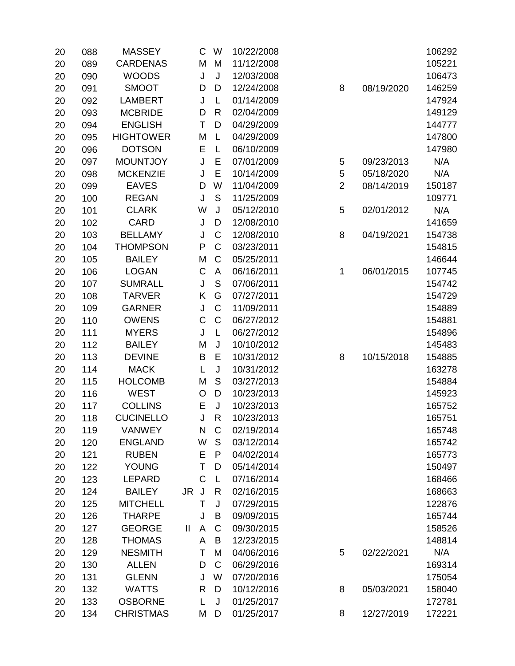| 20 | 088 | <b>MASSEY</b>    |              | C           | W              | 10/22/2008 |                |            | 106292 |
|----|-----|------------------|--------------|-------------|----------------|------------|----------------|------------|--------|
| 20 | 089 | <b>CARDENAS</b>  |              | M           | M              | 11/12/2008 |                |            | 105221 |
| 20 | 090 | <b>WOODS</b>     |              | J           | J              | 12/03/2008 |                |            | 106473 |
| 20 | 091 | <b>SMOOT</b>     |              | D           | D              | 12/24/2008 | 8              | 08/19/2020 | 146259 |
| 20 | 092 | <b>LAMBERT</b>   |              | J           | L              | 01/14/2009 |                |            | 147924 |
| 20 | 093 | <b>MCBRIDE</b>   |              | D           | $\mathsf{R}$   | 02/04/2009 |                |            | 149129 |
| 20 | 094 | <b>ENGLISH</b>   |              | T           | D              | 04/29/2009 |                |            | 144777 |
| 20 | 095 | <b>HIGHTOWER</b> |              | M           | L              | 04/29/2009 |                |            | 147800 |
| 20 | 096 | <b>DOTSON</b>    |              | E           | L              | 06/10/2009 |                |            | 147980 |
| 20 | 097 | <b>MOUNTJOY</b>  |              | J           | E              | 07/01/2009 | 5              | 09/23/2013 | N/A    |
| 20 | 098 | <b>MCKENZIE</b>  |              | J           | E              | 10/14/2009 | 5              | 05/18/2020 | N/A    |
| 20 | 099 | <b>EAVES</b>     |              | D           | W              | 11/04/2009 | $\overline{2}$ | 08/14/2019 | 150187 |
| 20 | 100 | <b>REGAN</b>     |              | J           | S              | 11/25/2009 |                |            | 109771 |
| 20 | 101 | <b>CLARK</b>     |              | W           | J              | 05/12/2010 | 5              | 02/01/2012 | N/A    |
| 20 | 102 | <b>CARD</b>      |              | J           | D              | 12/08/2010 |                |            | 141659 |
| 20 | 103 | <b>BELLAMY</b>   |              | J           | $\mathsf{C}$   | 12/08/2010 | 8              | 04/19/2021 | 154738 |
| 20 | 104 | <b>THOMPSON</b>  |              | ${\sf P}$   | $\mathsf C$    | 03/23/2011 |                |            | 154815 |
| 20 | 105 | <b>BAILEY</b>    |              | M           | $\mathsf C$    | 05/25/2011 |                |            | 146644 |
| 20 | 106 | <b>LOGAN</b>     |              | $\mathsf C$ | $\overline{A}$ | 06/16/2011 | 1              | 06/01/2015 | 107745 |
| 20 | 107 | <b>SUMRALL</b>   |              | J           | S              | 07/06/2011 |                |            | 154742 |
| 20 | 108 | <b>TARVER</b>    |              | Κ           | G              | 07/27/2011 |                |            | 154729 |
| 20 | 109 | <b>GARNER</b>    |              | J           | $\mathsf C$    | 11/09/2011 |                |            | 154889 |
| 20 | 110 | <b>OWENS</b>     |              | C           | $\mathsf{C}$   | 06/27/2012 |                |            | 154881 |
| 20 | 111 | <b>MYERS</b>     |              | J           | L              | 06/27/2012 |                |            | 154896 |
| 20 | 112 | <b>BAILEY</b>    |              | M           | J              | 10/10/2012 |                |            | 145483 |
| 20 | 113 | <b>DEVINE</b>    |              | B           | E              | 10/31/2012 | 8              | 10/15/2018 | 154885 |
| 20 | 114 | <b>MACK</b>      |              | L           | J              | 10/31/2012 |                |            | 163278 |
| 20 | 115 | <b>HOLCOMB</b>   |              | Μ           | S              | 03/27/2013 |                |            | 154884 |
| 20 | 116 | <b>WEST</b>      |              | O           | D              | 10/23/2013 |                |            | 145923 |
| 20 | 117 | <b>COLLINS</b>   |              | E           | J              | 10/23/2013 |                |            | 165752 |
| 20 | 118 | <b>CUCINELLO</b> |              | J           | $\mathsf{R}$   | 10/23/2013 |                |            | 165751 |
| 20 | 119 | <b>VANWEY</b>    |              | N           | $\mathsf C$    | 02/19/2014 |                |            | 165748 |
| 20 | 120 | <b>ENGLAND</b>   |              | W           | S              | 03/12/2014 |                |            | 165742 |
| 20 | 121 | <b>RUBEN</b>     |              | Е           | P              | 04/02/2014 |                |            | 165773 |
| 20 | 122 | <b>YOUNG</b>     |              | Τ           | D              | 05/14/2014 |                |            | 150497 |
| 20 | 123 | <b>LEPARD</b>    |              | C           | L              | 07/16/2014 |                |            | 168466 |
| 20 | 124 | <b>BAILEY</b>    | <b>JR</b>    | J           | $\mathsf{R}$   | 02/16/2015 |                |            | 168663 |
| 20 | 125 | <b>MITCHELL</b>  |              | Τ           | J              | 07/29/2015 |                |            | 122876 |
| 20 | 126 | <b>THARPE</b>    |              | J           | B              | 09/09/2015 |                |            | 165744 |
| 20 | 127 | <b>GEORGE</b>    | $\mathbf{I}$ | A           | $\mathsf C$    | 09/30/2015 |                |            | 158526 |
| 20 | 128 | <b>THOMAS</b>    |              | A           | B              | 12/23/2015 |                |            | 148814 |
| 20 | 129 | <b>NESMITH</b>   |              | T           | M              | 04/06/2016 | 5              | 02/22/2021 | N/A    |
| 20 | 130 | <b>ALLEN</b>     |              | D           | $\mathsf{C}$   | 06/29/2016 |                |            | 169314 |
| 20 | 131 | <b>GLENN</b>     |              | J           | W              | 07/20/2016 |                |            | 175054 |
| 20 | 132 | <b>WATTS</b>     |              | R           | D              | 10/12/2016 | 8              | 05/03/2021 | 158040 |
| 20 | 133 | <b>OSBORNE</b>   |              | L           | J              | 01/25/2017 |                |            | 172781 |
| 20 | 134 | <b>CHRISTMAS</b> |              | M           | D              | 01/25/2017 | 8              | 12/27/2019 | 172221 |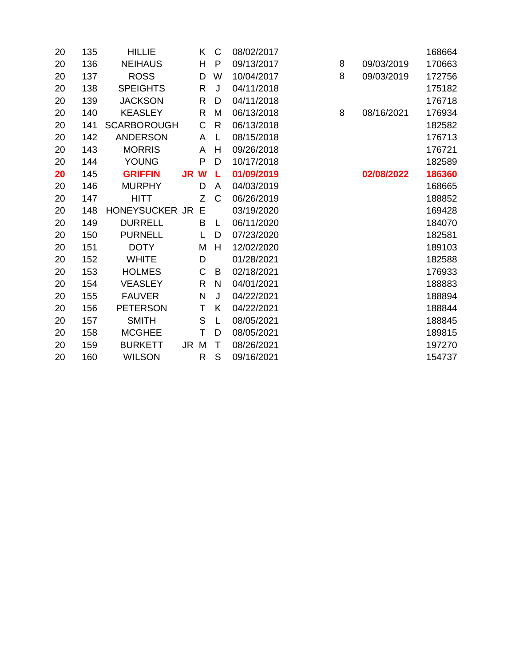| 20 | 135 | <b>HILLIE</b>      |      | Κ            | C            | 08/02/2017 |   |            | 168664 |
|----|-----|--------------------|------|--------------|--------------|------------|---|------------|--------|
| 20 | 136 | <b>NEIHAUS</b>     |      | H            | $\mathsf{P}$ | 09/13/2017 | 8 | 09/03/2019 | 170663 |
| 20 | 137 | <b>ROSS</b>        |      | D            | W            | 10/04/2017 | 8 | 09/03/2019 | 172756 |
| 20 | 138 | <b>SPEIGHTS</b>    |      | $\mathsf{R}$ | J            | 04/11/2018 |   |            | 175182 |
| 20 | 139 | <b>JACKSON</b>     |      | R            | D            | 04/11/2018 |   |            | 176718 |
| 20 | 140 | <b>KEASLEY</b>     |      | R            | M            | 06/13/2018 | 8 | 08/16/2021 | 176934 |
| 20 | 141 | <b>SCARBOROUGH</b> |      | $\mathsf C$  | $\mathsf{R}$ | 06/13/2018 |   |            | 182582 |
| 20 | 142 | <b>ANDERSON</b>    |      | A            | L            | 08/15/2018 |   |            | 176713 |
| 20 | 143 | <b>MORRIS</b>      |      | A            | Н            | 09/26/2018 |   |            | 176721 |
| 20 | 144 | <b>YOUNG</b>       |      | P            | D            | 10/17/2018 |   |            | 182589 |
| 20 | 145 | <b>GRIFFIN</b>     | JR W |              | L            | 01/09/2019 |   | 02/08/2022 | 186360 |
| 20 | 146 | <b>MURPHY</b>      |      | D            | A            | 04/03/2019 |   |            | 168665 |
| 20 | 147 | <b>HITT</b>        |      | Z            | C            | 06/26/2019 |   |            | 188852 |
| 20 | 148 | HONEYSUCKER JR     |      | Е            |              | 03/19/2020 |   |            | 169428 |
| 20 | 149 | <b>DURRELL</b>     |      | B            | L            | 06/11/2020 |   |            | 184070 |
| 20 | 150 | <b>PURNELL</b>     |      | L            | D            | 07/23/2020 |   |            | 182581 |
| 20 | 151 | <b>DOTY</b>        |      | M            | H            | 12/02/2020 |   |            | 189103 |
| 20 | 152 | <b>WHITE</b>       |      | D            |              | 01/28/2021 |   |            | 182588 |
| 20 | 153 | <b>HOLMES</b>      |      | C            | B            | 02/18/2021 |   |            | 176933 |
| 20 | 154 | <b>VEASLEY</b>     |      | $\mathsf{R}$ | $\mathsf{N}$ | 04/01/2021 |   |            | 188883 |
| 20 | 155 | <b>FAUVER</b>      |      | $\mathsf{N}$ | J            | 04/22/2021 |   |            | 188894 |
| 20 | 156 | <b>PETERSON</b>    |      | T            | K            | 04/22/2021 |   |            | 188844 |
| 20 | 157 | <b>SMITH</b>       |      | S            | L            | 08/05/2021 |   |            | 188845 |
| 20 | 158 | <b>MCGHEE</b>      |      | T            | D            | 08/05/2021 |   |            | 189815 |
| 20 | 159 | <b>BURKETT</b>     | JR.  | M            | Τ            | 08/26/2021 |   |            | 197270 |
| 20 | 160 | <b>WILSON</b>      |      | R            | S            | 09/16/2021 |   |            | 154737 |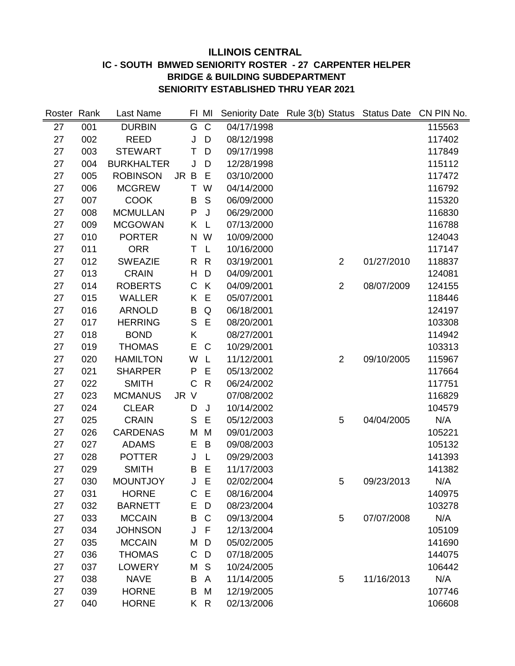# **ILLINOIS CENTRAL IC - SOUTH BMWED SENIORITY ROSTER - 27 CARPENTER HELPER BRIDGE & BUILDING SUBDEPARTMENT SENIORITY ESTABLISHED THRU YEAR 2021**

| Roster Rank |     | Last Name         |      |              | FI MI          |            | Seniority Date Rule 3(b) Status Status Date CN PIN No. |            |        |
|-------------|-----|-------------------|------|--------------|----------------|------------|--------------------------------------------------------|------------|--------|
| 27          | 001 | <b>DURBIN</b>     |      | G            | $\overline{C}$ | 04/17/1998 |                                                        |            | 115563 |
| 27          | 002 | <b>REED</b>       |      | J            | D              | 08/12/1998 |                                                        |            | 117402 |
| 27          | 003 | <b>STEWART</b>    |      | T            | D              | 09/17/1998 |                                                        |            | 117849 |
| 27          | 004 | <b>BURKHALTER</b> |      | J            | D              | 12/28/1998 |                                                        |            | 115112 |
| 27          | 005 | <b>ROBINSON</b>   | JR B |              | E              | 03/10/2000 |                                                        |            | 117472 |
| 27          | 006 | <b>MCGREW</b>     |      | Τ            | W              | 04/14/2000 |                                                        |            | 116792 |
| 27          | 007 | <b>COOK</b>       |      | B            | S              | 06/09/2000 |                                                        |            | 115320 |
| 27          | 008 | <b>MCMULLAN</b>   |      | P            | J              | 06/29/2000 |                                                        |            | 116830 |
| 27          | 009 | <b>MCGOWAN</b>    |      | Κ            | L              | 07/13/2000 |                                                        |            | 116788 |
| 27          | 010 | <b>PORTER</b>     |      | N            | W              | 10/09/2000 |                                                        |            | 124043 |
| 27          | 011 | <b>ORR</b>        |      | Τ            | L              | 10/16/2000 |                                                        |            | 117147 |
| 27          | 012 | <b>SWEAZIE</b>    |      | R            | R              | 03/19/2001 | $\overline{2}$                                         | 01/27/2010 | 118837 |
| 27          | 013 | <b>CRAIN</b>      |      | H            | D              | 04/09/2001 |                                                        |            | 124081 |
| 27          | 014 | <b>ROBERTS</b>    |      | C            | K              | 04/09/2001 | $\overline{2}$                                         | 08/07/2009 | 124155 |
| 27          | 015 | <b>WALLER</b>     |      | K            | E              | 05/07/2001 |                                                        |            | 118446 |
| 27          | 016 | <b>ARNOLD</b>     |      | B            | Q              | 06/18/2001 |                                                        |            | 124197 |
| 27          | 017 | <b>HERRING</b>    |      | $\mathsf S$  | E              | 08/20/2001 |                                                        |            | 103308 |
| 27          | 018 | <b>BOND</b>       |      | Κ            |                | 08/27/2001 |                                                        |            | 114942 |
| 27          | 019 | <b>THOMAS</b>     |      | E            | C              | 10/29/2001 |                                                        |            | 103313 |
| 27          | 020 | <b>HAMILTON</b>   |      | W            | L              | 11/12/2001 | $\overline{2}$                                         | 09/10/2005 | 115967 |
| 27          | 021 | <b>SHARPER</b>    |      | P            | E              | 05/13/2002 |                                                        |            | 117664 |
| 27          | 022 | <b>SMITH</b>      |      | $\mathsf{C}$ | $\mathsf{R}$   | 06/24/2002 |                                                        |            | 117751 |
| 27          | 023 | <b>MCMANUS</b>    | JR   | $\vee$       |                | 07/08/2002 |                                                        |            | 116829 |
| 27          | 024 | <b>CLEAR</b>      |      | D            | J              | 10/14/2002 |                                                        |            | 104579 |
| 27          | 025 | <b>CRAIN</b>      |      | S            | Ε              | 05/12/2003 | 5                                                      | 04/04/2005 | N/A    |
| 27          | 026 | <b>CARDENAS</b>   |      | M            | M              | 09/01/2003 |                                                        |            | 105221 |
| 27          | 027 | <b>ADAMS</b>      |      | E            | B              | 09/08/2003 |                                                        |            | 105132 |
| 27          | 028 | <b>POTTER</b>     |      | J            | L              | 09/29/2003 |                                                        |            | 141393 |
| 27          | 029 | <b>SMITH</b>      |      | B            | E              | 11/17/2003 |                                                        |            | 141382 |
| 27          | 030 | <b>MOUNTJOY</b>   |      | J            | E              | 02/02/2004 | 5                                                      | 09/23/2013 | N/A    |
| 27          | 031 | <b>HORNE</b>      |      | C            | E              | 08/16/2004 |                                                        |            | 140975 |
| 27          | 032 | <b>BARNETT</b>    |      | E            | D              | 08/23/2004 |                                                        |            | 103278 |
| 27          | 033 | <b>MCCAIN</b>     |      | B            | C              | 09/13/2004 | 5                                                      | 07/07/2008 | N/A    |
| 27          | 034 | <b>JOHNSON</b>    |      | J            | F              | 12/13/2004 |                                                        |            | 105109 |
| 27          | 035 | <b>MCCAIN</b>     |      | M            | D              | 05/02/2005 |                                                        |            | 141690 |
| 27          | 036 | <b>THOMAS</b>     |      | $\mathsf C$  | D              | 07/18/2005 |                                                        |            | 144075 |
| 27          | 037 | <b>LOWERY</b>     |      | M            | S              | 10/24/2005 |                                                        |            | 106442 |
| 27          | 038 | <b>NAVE</b>       |      | B            | A              | 11/14/2005 | 5                                                      | 11/16/2013 | N/A    |
| 27          | 039 | <b>HORNE</b>      |      | B            | M              | 12/19/2005 |                                                        |            | 107746 |
| 27          | 040 | <b>HORNE</b>      |      |              | K R            | 02/13/2006 |                                                        |            | 106608 |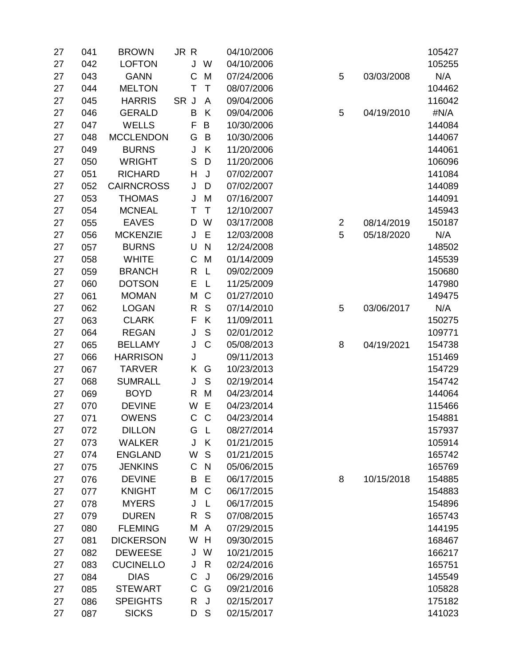| 27 | 041 | <b>BROWN</b>      | JR R         |              | 04/10/2006 |                |            | 105427 |
|----|-----|-------------------|--------------|--------------|------------|----------------|------------|--------|
| 27 | 042 | <b>LOFTON</b>     | J            | W            | 04/10/2006 |                |            | 105255 |
| 27 | 043 | <b>GANN</b>       | C            | M            | 07/24/2006 | 5              | 03/03/2008 | N/A    |
| 27 | 044 | <b>MELTON</b>     | Τ            | $\mathsf T$  | 08/07/2006 |                |            | 104462 |
| 27 | 045 | <b>HARRIS</b>     | SR J         | A            | 09/04/2006 |                |            | 116042 |
| 27 | 046 | <b>GERALD</b>     | B            | K            | 09/04/2006 | 5              | 04/19/2010 | #N/A   |
| 27 | 047 | <b>WELLS</b>      | $\mathsf F$  | B            | 10/30/2006 |                |            | 144084 |
| 27 | 048 | <b>MCCLENDON</b>  | G            | B            | 10/30/2006 |                |            | 144067 |
| 27 | 049 | <b>BURNS</b>      | J            | K            | 11/20/2006 |                |            | 144061 |
| 27 | 050 | <b>WRIGHT</b>     | $\mathsf S$  | D            | 11/20/2006 |                |            | 106096 |
| 27 | 051 | <b>RICHARD</b>    | Н            | J            | 07/02/2007 |                |            | 141084 |
| 27 | 052 | <b>CAIRNCROSS</b> | J            | D            | 07/02/2007 |                |            | 144089 |
| 27 | 053 | <b>THOMAS</b>     | J            | M            | 07/16/2007 |                |            | 144091 |
| 27 | 054 | <b>MCNEAL</b>     | T            | $\mathsf T$  | 12/10/2007 |                |            | 145943 |
| 27 | 055 | <b>EAVES</b>      | D            | W            | 03/17/2008 | $\overline{2}$ | 08/14/2019 | 150187 |
| 27 | 056 | <b>MCKENZIE</b>   | J            | Е            | 12/03/2008 | 5              | 05/18/2020 | N/A    |
| 27 | 057 | <b>BURNS</b>      | U            | $\mathsf{N}$ | 12/24/2008 |                |            | 148502 |
| 27 | 058 | <b>WHITE</b>      | C            | M            | 01/14/2009 |                |            | 145539 |
| 27 | 059 | <b>BRANCH</b>     | $\mathsf{R}$ | L            | 09/02/2009 |                |            | 150680 |
| 27 | 060 | <b>DOTSON</b>     | E            | L            | 11/25/2009 |                |            | 147980 |
| 27 | 061 | <b>MOMAN</b>      | M            | $\mathsf C$  | 01/27/2010 |                |            | 149475 |
| 27 | 062 | <b>LOGAN</b>      | R            | S            | 07/14/2010 | 5              | 03/06/2017 | N/A    |
| 27 | 063 | <b>CLARK</b>      | F            | K            | 11/09/2011 |                |            | 150275 |
| 27 | 064 | <b>REGAN</b>      | J            | $\mathsf S$  | 02/01/2012 |                |            | 109771 |
| 27 | 065 | <b>BELLAMY</b>    | J            | $\mathsf C$  | 05/08/2013 | 8              | 04/19/2021 | 154738 |
| 27 | 066 | <b>HARRISON</b>   | J            |              | 09/11/2013 |                |            | 151469 |
| 27 | 067 | <b>TARVER</b>     | Κ            | G            | 10/23/2013 |                |            | 154729 |
| 27 | 068 | <b>SUMRALL</b>    | J            | S            | 02/19/2014 |                |            | 154742 |
| 27 | 069 | <b>BOYD</b>       | R            | M            | 04/23/2014 |                |            | 144064 |
| 27 | 070 | <b>DEVINE</b>     | W            | E            | 04/23/2014 |                |            | 115466 |
| 27 | 071 | <b>OWENS</b>      | $\mathsf C$  | $\mathbf C$  | 04/23/2014 |                |            | 154881 |
| 27 | 072 | <b>DILLON</b>     | G            | $\mathsf{L}$ | 08/27/2014 |                |            | 157937 |
| 27 | 073 | <b>WALKER</b>     | J            | K            | 01/21/2015 |                |            | 105914 |
| 27 | 074 | <b>ENGLAND</b>    | W            | S            | 01/21/2015 |                |            | 165742 |
| 27 | 075 | <b>JENKINS</b>    | $\mathsf{C}$ | $\mathsf{N}$ | 05/06/2015 |                |            | 165769 |
| 27 | 076 | <b>DEVINE</b>     | B            | Е            | 06/17/2015 | 8              | 10/15/2018 | 154885 |
| 27 | 077 | <b>KNIGHT</b>     | M            | C            | 06/17/2015 |                |            | 154883 |
| 27 | 078 | <b>MYERS</b>      | J            | L            | 06/17/2015 |                |            | 154896 |
| 27 | 079 | <b>DUREN</b>      | R            | S            | 07/08/2015 |                |            | 165743 |
| 27 | 080 | <b>FLEMING</b>    | M            | A            | 07/29/2015 |                |            | 144195 |
| 27 | 081 | <b>DICKERSON</b>  | W            | H            | 09/30/2015 |                |            | 168467 |
| 27 | 082 | <b>DEWEESE</b>    | J            | W            | 10/21/2015 |                |            | 166217 |
| 27 | 083 | <b>CUCINELLO</b>  | J            | R            | 02/24/2016 |                |            | 165751 |
| 27 | 084 | <b>DIAS</b>       | C            | J            | 06/29/2016 |                |            | 145549 |
| 27 | 085 | <b>STEWART</b>    | $\mathsf C$  | G            | 09/21/2016 |                |            | 105828 |
| 27 | 086 | <b>SPEIGHTS</b>   | R            | J            | 02/15/2017 |                |            | 175182 |
| 27 | 087 | <b>SICKS</b>      | D            | S            | 02/15/2017 |                |            | 141023 |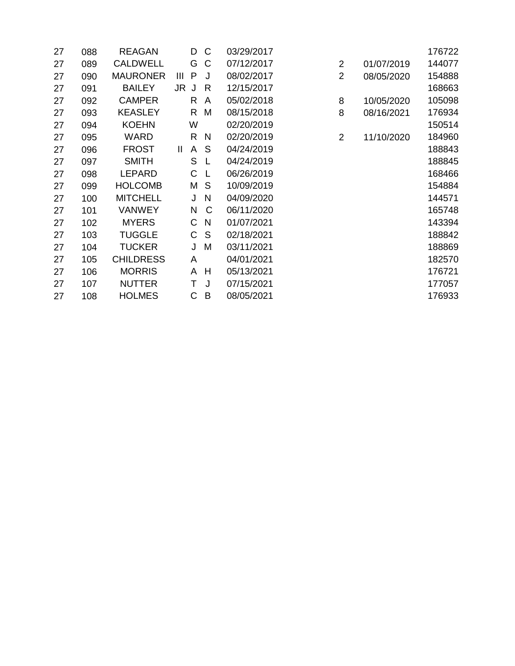| 27 | 088 | <b>REAGAN</b>    |               | D | C            | 03/29/2017 |                |            | 176722 |
|----|-----|------------------|---------------|---|--------------|------------|----------------|------------|--------|
| 27 | 089 | <b>CALDWELL</b>  |               | G | C            | 07/12/2017 | $\overline{2}$ | 01/07/2019 | 144077 |
| 27 | 090 | <b>MAURONER</b>  | Ш             | P | J            | 08/02/2017 | $\overline{2}$ | 08/05/2020 | 154888 |
| 27 | 091 | <b>BAILEY</b>    | JR J          |   | R            | 12/15/2017 |                |            | 168663 |
| 27 | 092 | <b>CAMPER</b>    |               | R | A            | 05/02/2018 | 8              | 10/05/2020 | 105098 |
| 27 | 093 | <b>KEASLEY</b>   |               | R | M            | 08/15/2018 | 8              | 08/16/2021 | 176934 |
| 27 | 094 | <b>KOEHN</b>     |               | W |              | 02/20/2019 |                |            | 150514 |
| 27 | 095 | <b>WARD</b>      |               | R | N            | 02/20/2019 | 2              | 11/10/2020 | 184960 |
| 27 | 096 | <b>FROST</b>     | $\mathbf{II}$ | A | S            | 04/24/2019 |                |            | 188843 |
| 27 | 097 | <b>SMITH</b>     |               | S | $\mathsf{L}$ | 04/24/2019 |                |            | 188845 |
| 27 | 098 | LEPARD           |               | C | L            | 06/26/2019 |                |            | 168466 |
| 27 | 099 | <b>HOLCOMB</b>   |               | М | S            | 10/09/2019 |                |            | 154884 |
| 27 | 100 | <b>MITCHELL</b>  |               | J | N            | 04/09/2020 |                |            | 144571 |
| 27 | 101 | <b>VANWEY</b>    |               | N | C            | 06/11/2020 |                |            | 165748 |
| 27 | 102 | <b>MYERS</b>     |               | C | N            | 01/07/2021 |                |            | 143394 |
| 27 | 103 | <b>TUGGLE</b>    |               | C | S            | 02/18/2021 |                |            | 188842 |
| 27 | 104 | <b>TUCKER</b>    |               | J | M            | 03/11/2021 |                |            | 188869 |
| 27 | 105 | <b>CHILDRESS</b> |               | A |              | 04/01/2021 |                |            | 182570 |
| 27 | 106 | <b>MORRIS</b>    |               | A | H            | 05/13/2021 |                |            | 176721 |
| 27 | 107 | <b>NUTTER</b>    |               | Τ | J            | 07/15/2021 |                |            | 177057 |
| 27 | 108 | <b>HOLMES</b>    |               | C | B            | 08/05/2021 |                |            | 176933 |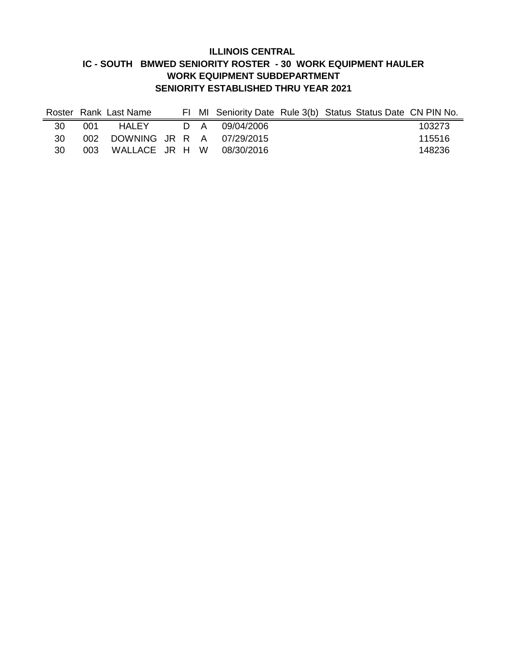#### **ILLINOIS CENTRAL IC - SOUTH BMWED SENIORITY ROSTER - 30 WORK EQUIPMENT HAULER WORK EQUIPMENT SUBDEPARTMENT SENIORITY ESTABLISHED THRU YEAR 2021**

|     |         | Roster Rank Last Name |  | FI MI Seniority Date Rule 3(b) Status Status Date CN PIN No. |  |        |
|-----|---------|-----------------------|--|--------------------------------------------------------------|--|--------|
| 30  | 001     |                       |  | HALEY D A 09/04/2006                                         |  | 103273 |
| 30  |         |                       |  | 002 DOWNING JR R A 07/29/2015                                |  | 115516 |
| 30. | - 003 - |                       |  | WALLACE JR H W 08/30/2016                                    |  | 148236 |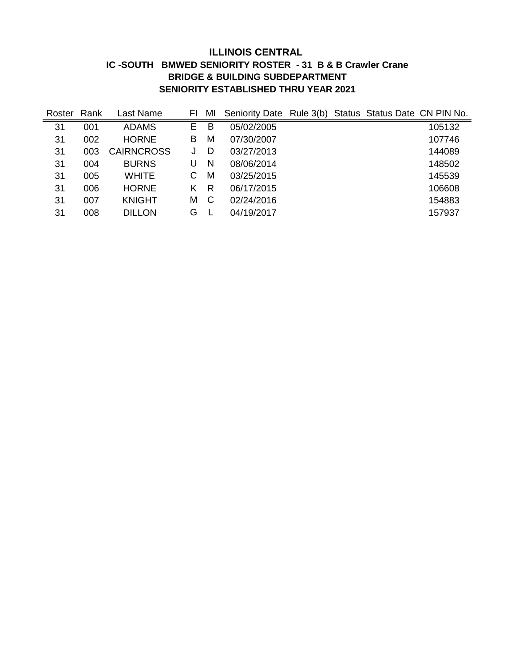## **ILLINOIS CENTRAL IC -SOUTH BMWED SENIORITY ROSTER - 31 B & B Crawler Crane BRIDGE & BUILDING SUBDEPARTMENT SENIORITY ESTABLISHED THRU YEAR 2021**

| Roster | Rank | Last Name         | FI | MI | Seniority Date Rule 3(b) |  | Status Status Date CN PIN No. |        |
|--------|------|-------------------|----|----|--------------------------|--|-------------------------------|--------|
| 31     | 001  | <b>ADAMS</b>      | E  | B  | 05/02/2005               |  |                               | 105132 |
| 31     | 002  | <b>HORNE</b>      | В  | M  | 07/30/2007               |  |                               | 107746 |
| 31     | 003  | <b>CAIRNCROSS</b> |    | D  | 03/27/2013               |  |                               | 144089 |
| 31     | 004  | <b>BURNS</b>      | U  | N  | 08/06/2014               |  |                               | 148502 |
| 31     | 005  | WHITE             | С  | M  | 03/25/2015               |  |                               | 145539 |
| 31     | 006  | <b>HORNE</b>      | K  | R  | 06/17/2015               |  |                               | 106608 |
| 31     | 007  | <b>KNIGHT</b>     | Μ  | C  | 02/24/2016               |  |                               | 154883 |
| 31     | 008  | <b>DILLON</b>     | G  |    | 04/19/2017               |  |                               | 157937 |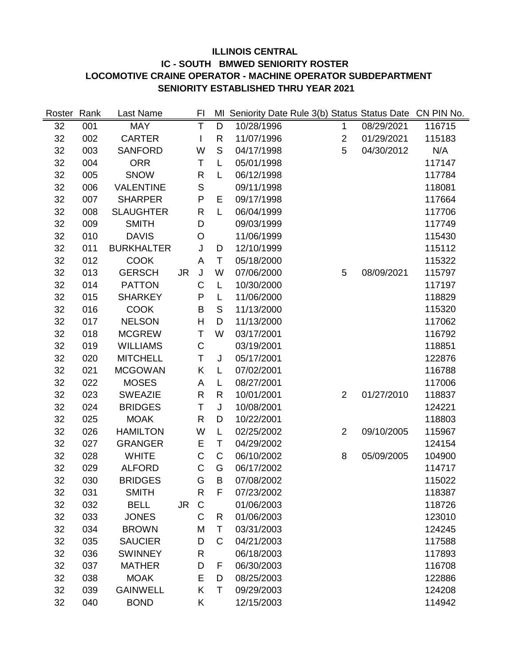# **ILLINOIS CENTRAL IC - SOUTH BMWED SENIORITY ROSTER LOCOMOTIVE CRAINE OPERATOR - MACHINE OPERATOR SUBDEPARTMENT SENIORITY ESTABLISHED THRU YEAR 2021**

| Roster | Rank | Last Name         |           | FI           |              |            | MI Seniority Date Rule 3(b) Status Status Date |            | CN PIN No. |
|--------|------|-------------------|-----------|--------------|--------------|------------|------------------------------------------------|------------|------------|
| 32     | 001  | <b>MAY</b>        |           | Τ            | D            | 10/28/1996 | $\mathbf{1}$                                   | 08/29/2021 | 116715     |
| 32     | 002  | <b>CARTER</b>     |           | I            | R            | 11/07/1996 | $\overline{2}$                                 | 01/29/2021 | 115183     |
| 32     | 003  | <b>SANFORD</b>    |           | W            | S            | 04/17/1998 | 5                                              | 04/30/2012 | N/A        |
| 32     | 004  | <b>ORR</b>        |           | T            | L            | 05/01/1998 |                                                |            | 117147     |
| 32     | 005  | <b>SNOW</b>       |           | R            | L            | 06/12/1998 |                                                |            | 117784     |
| 32     | 006  | <b>VALENTINE</b>  |           | $\mathsf S$  |              | 09/11/1998 |                                                |            | 118081     |
| 32     | 007  | <b>SHARPER</b>    |           | P            | Е            | 09/17/1998 |                                                |            | 117664     |
| 32     | 008  | <b>SLAUGHTER</b>  |           | R            | L            | 06/04/1999 |                                                |            | 117706     |
| 32     | 009  | <b>SMITH</b>      |           | D            |              | 09/03/1999 |                                                |            | 117749     |
| 32     | 010  | <b>DAVIS</b>      |           | O            |              | 11/06/1999 |                                                |            | 115430     |
| 32     | 011  | <b>BURKHALTER</b> |           | J            | D            | 12/10/1999 |                                                |            | 115112     |
| 32     | 012  | <b>COOK</b>       |           | A            | T            | 05/18/2000 |                                                |            | 115322     |
| 32     | 013  | <b>GERSCH</b>     | <b>JR</b> | J            | W            | 07/06/2000 | 5                                              | 08/09/2021 | 115797     |
| 32     | 014  | <b>PATTON</b>     |           | C            | L            | 10/30/2000 |                                                |            | 117197     |
| 32     | 015  | <b>SHARKEY</b>    |           | P            | L            | 11/06/2000 |                                                |            | 118829     |
| 32     | 016  | <b>COOK</b>       |           | B            | $\mathsf{S}$ | 11/13/2000 |                                                |            | 115320     |
| 32     | 017  | <b>NELSON</b>     |           | H            | D            | 11/13/2000 |                                                |            | 117062     |
| 32     | 018  | <b>MCGREW</b>     |           | Τ            | W            | 03/17/2001 |                                                |            | 116792     |
| 32     | 019  | <b>WILLIAMS</b>   |           | C            |              | 03/19/2001 |                                                |            | 118851     |
| 32     | 020  | <b>MITCHELL</b>   |           | T            | J            | 05/17/2001 |                                                |            | 122876     |
| 32     | 021  | <b>MCGOWAN</b>    |           | Κ            | Г            | 07/02/2001 |                                                |            | 116788     |
| 32     | 022  | <b>MOSES</b>      |           | A            | L            | 08/27/2001 |                                                |            | 117006     |
| 32     | 023  | <b>SWEAZIE</b>    |           | $\mathsf{R}$ | $\mathsf{R}$ | 10/01/2001 | $\overline{2}$                                 | 01/27/2010 | 118837     |
| 32     | 024  | <b>BRIDGES</b>    |           | Τ            | J            | 10/08/2001 |                                                |            | 124221     |
| 32     | 025  | <b>MOAK</b>       |           | $\mathsf{R}$ | D            | 10/22/2001 |                                                |            | 118803     |
| 32     | 026  | <b>HAMILTON</b>   |           | W            | L            | 02/25/2002 | $\overline{2}$                                 | 09/10/2005 | 115967     |
| 32     | 027  | <b>GRANGER</b>    |           | E            | Τ            | 04/29/2002 |                                                |            | 124154     |
| 32     | 028  | <b>WHITE</b>      |           | $\mathsf C$  | $\mathsf C$  | 06/10/2002 | 8                                              | 05/09/2005 | 104900     |
| 32     | 029  | <b>ALFORD</b>     |           | C            | G            | 06/17/2002 |                                                |            | 114717     |
| 32     | 030  | <b>BRIDGES</b>    |           | G            | B            | 07/08/2002 |                                                |            | 115022     |
| 32     | 031  | <b>SMITH</b>      |           | R            | F            | 07/23/2002 |                                                |            | 118387     |
| 32     | 032  | <b>BELL</b>       | <b>JR</b> | $\mathsf{C}$ |              | 01/06/2003 |                                                |            | 118726     |
| 32     | 033  | <b>JONES</b>      |           | C            | R            | 01/06/2003 |                                                |            | 123010     |
| 32     | 034  | <b>BROWN</b>      |           | M            | Τ            | 03/31/2003 |                                                |            | 124245     |
| 32     | 035  | <b>SAUCIER</b>    |           | D            | $\mathsf{C}$ | 04/21/2003 |                                                |            | 117588     |
| 32     | 036  | <b>SWINNEY</b>    |           | R            |              | 06/18/2003 |                                                |            | 117893     |
| 32     | 037  | <b>MATHER</b>     |           | D            | F            | 06/30/2003 |                                                |            | 116708     |
| 32     | 038  | <b>MOAK</b>       |           | Е            | D            | 08/25/2003 |                                                |            | 122886     |
| 32     | 039  | <b>GAINWELL</b>   |           | Κ            | T            | 09/29/2003 |                                                |            | 124208     |
| 32     | 040  | <b>BOND</b>       |           | K            |              | 12/15/2003 |                                                |            | 114942     |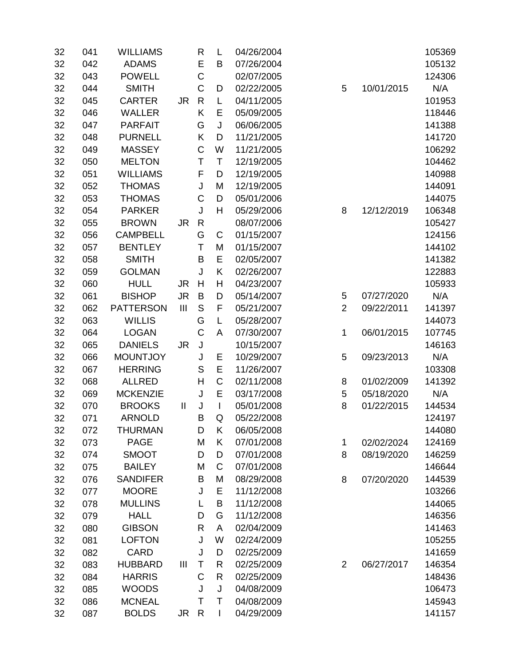| 32 | 041 | <b>WILLIAMS</b>  |                | R            | L           | 04/26/2004 |                |            | 105369 |
|----|-----|------------------|----------------|--------------|-------------|------------|----------------|------------|--------|
| 32 | 042 | <b>ADAMS</b>     |                | E            | B           | 07/26/2004 |                |            | 105132 |
| 32 | 043 | <b>POWELL</b>    |                | C            |             | 02/07/2005 |                |            | 124306 |
| 32 | 044 | <b>SMITH</b>     |                | C            | D           | 02/22/2005 | 5              | 10/01/2015 | N/A    |
| 32 | 045 | <b>CARTER</b>    | <b>JR</b>      | $\mathsf{R}$ | L           | 04/11/2005 |                |            | 101953 |
| 32 | 046 | <b>WALLER</b>    |                | K            | E           | 05/09/2005 |                |            | 118446 |
| 32 | 047 | <b>PARFAIT</b>   |                | G            | J           | 06/06/2005 |                |            | 141388 |
| 32 | 048 | <b>PURNELL</b>   |                | Κ            | D           | 11/21/2005 |                |            | 141720 |
| 32 | 049 | <b>MASSEY</b>    |                | $\mathsf C$  | W           | 11/21/2005 |                |            | 106292 |
| 32 | 050 | <b>MELTON</b>    |                | Τ            | T           | 12/19/2005 |                |            | 104462 |
| 32 | 051 | <b>WILLIAMS</b>  |                | F            | D           | 12/19/2005 |                |            | 140988 |
| 32 | 052 | <b>THOMAS</b>    |                | J            | M           | 12/19/2005 |                |            | 144091 |
| 32 | 053 | <b>THOMAS</b>    |                | C            | D           | 05/01/2006 |                |            | 144075 |
| 32 | 054 | <b>PARKER</b>    |                | J            | H           | 05/29/2006 | 8              | 12/12/2019 | 106348 |
| 32 | 055 | <b>BROWN</b>     | <b>JR</b>      | $\mathsf{R}$ |             | 08/07/2006 |                |            | 105427 |
| 32 | 056 | <b>CAMPBELL</b>  |                | G            | C           | 01/15/2007 |                |            | 124156 |
| 32 | 057 | <b>BENTLEY</b>   |                | Τ            | M           | 01/15/2007 |                |            | 144102 |
| 32 | 058 | <b>SMITH</b>     |                | B            | E           | 02/05/2007 |                |            | 141382 |
| 32 | 059 | <b>GOLMAN</b>    |                | J            | K           | 02/26/2007 |                |            | 122883 |
| 32 | 060 | <b>HULL</b>      | <b>JR</b>      | H            | H           | 04/23/2007 |                |            | 105933 |
| 32 | 061 | <b>BISHOP</b>    | <b>JR</b>      | B            | D           | 05/14/2007 | 5              | 07/27/2020 | N/A    |
| 32 | 062 | <b>PATTERSON</b> | $\mathbf{III}$ | S            | F           | 05/21/2007 | $\overline{2}$ | 09/22/2011 | 141397 |
| 32 | 063 | <b>WILLIS</b>    |                | G            | Г           | 05/28/2007 |                |            | 144073 |
| 32 | 064 | <b>LOGAN</b>     |                | C            | A           | 07/30/2007 | 1              | 06/01/2015 | 107745 |
| 32 | 065 | <b>DANIELS</b>   | <b>JR</b>      | J            |             | 10/15/2007 |                |            | 146163 |
| 32 | 066 | <b>MOUNTJOY</b>  |                | J            | Е           | 10/29/2007 | 5              | 09/23/2013 | N/A    |
| 32 | 067 | <b>HERRING</b>   |                | S            | E           | 11/26/2007 |                |            | 103308 |
| 32 | 068 | <b>ALLRED</b>    |                | H            | $\mathsf C$ | 02/11/2008 | 8              | 01/02/2009 | 141392 |
| 32 | 069 | <b>MCKENZIE</b>  |                | J            | E           | 03/17/2008 | 5              | 05/18/2020 | N/A    |
| 32 | 070 | <b>BROOKS</b>    | $\mathbf{  }$  | J            | L           | 05/01/2008 | 8              | 01/22/2015 | 144534 |
| 32 | 071 | <b>ARNOLD</b>    |                | B            | Q           | 05/22/2008 |                |            | 124197 |
| 32 | 072 | <b>THURMAN</b>   |                | D            | K           | 06/05/2008 |                |            | 144080 |
| 32 | 073 | <b>PAGE</b>      |                | M            | Κ           | 07/01/2008 | 1              | 02/02/2024 | 124169 |
| 32 | 074 | <b>SMOOT</b>     |                | D            | D           | 07/01/2008 | 8              | 08/19/2020 | 146259 |
| 32 | 075 | <b>BAILEY</b>    |                | M            | C           | 07/01/2008 |                |            | 146644 |
| 32 | 076 | <b>SANDIFER</b>  |                | B            | M           | 08/29/2008 | 8              | 07/20/2020 | 144539 |
| 32 | 077 | <b>MOORE</b>     |                | J            | E           | 11/12/2008 |                |            | 103266 |
| 32 | 078 | <b>MULLINS</b>   |                | L            | B           | 11/12/2008 |                |            | 144065 |
| 32 | 079 | <b>HALL</b>      |                | D            | G           | 11/12/2008 |                |            | 146356 |
| 32 | 080 | <b>GIBSON</b>    |                | R            | A           | 02/04/2009 |                |            | 141463 |
| 32 | 081 | <b>LOFTON</b>    |                | J            | W           | 02/24/2009 |                |            | 105255 |
| 32 | 082 | <b>CARD</b>      |                | J            | D           | 02/25/2009 |                |            | 141659 |
| 32 | 083 | <b>HUBBARD</b>   | Ш              | Τ            | R           | 02/25/2009 | $\overline{2}$ | 06/27/2017 | 146354 |
| 32 | 084 | <b>HARRIS</b>    |                | C            | R           | 02/25/2009 |                |            | 148436 |
| 32 | 085 | <b>WOODS</b>     |                | J            | J           | 04/08/2009 |                |            | 106473 |
| 32 | 086 | <b>MCNEAL</b>    |                | Τ            | Τ           | 04/08/2009 |                |            | 145943 |
| 32 | 087 | <b>BOLDS</b>     | JR             | R            | L           | 04/29/2009 |                |            | 141157 |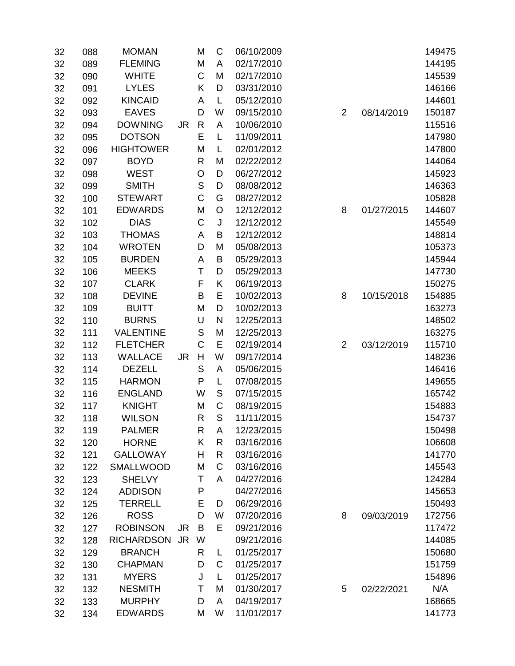| 32 | 088 | <b>MOMAN</b>      |           | M            | C           | 06/10/2009 |                |            | 149475 |
|----|-----|-------------------|-----------|--------------|-------------|------------|----------------|------------|--------|
| 32 | 089 | <b>FLEMING</b>    |           | M            | A           | 02/17/2010 |                |            | 144195 |
| 32 | 090 | <b>WHITE</b>      |           | C            | M           | 02/17/2010 |                |            | 145539 |
| 32 | 091 | <b>LYLES</b>      |           | Κ            | D           | 03/31/2010 |                |            | 146166 |
| 32 | 092 | <b>KINCAID</b>    |           | A            | L           | 05/12/2010 |                |            | 144601 |
| 32 | 093 | <b>EAVES</b>      |           | D            | W           | 09/15/2010 | $\overline{2}$ | 08/14/2019 | 150187 |
| 32 | 094 | <b>DOWNING</b>    | JR        | $\mathsf{R}$ | A           | 10/06/2010 |                |            | 115516 |
| 32 | 095 | <b>DOTSON</b>     |           | E            | L           | 11/09/2011 |                |            | 147980 |
| 32 | 096 | <b>HIGHTOWER</b>  |           | M            | L           | 02/01/2012 |                |            | 147800 |
| 32 | 097 | <b>BOYD</b>       |           | R            | M           | 02/22/2012 |                |            | 144064 |
| 32 | 098 | <b>WEST</b>       |           | O            | D           | 06/27/2012 |                |            | 145923 |
| 32 | 099 | <b>SMITH</b>      |           | S            | D           | 08/08/2012 |                |            | 146363 |
| 32 | 100 | <b>STEWART</b>    |           | C            | G           | 08/27/2012 |                |            | 105828 |
| 32 | 101 | <b>EDWARDS</b>    |           | M            | O           | 12/12/2012 | 8              | 01/27/2015 | 144607 |
| 32 | 102 | <b>DIAS</b>       |           | C            | J           | 12/12/2012 |                |            | 145549 |
| 32 | 103 | <b>THOMAS</b>     |           | A            | В           | 12/12/2012 |                |            | 148814 |
| 32 | 104 | <b>WROTEN</b>     |           | D            | M           | 05/08/2013 |                |            | 105373 |
| 32 | 105 | <b>BURDEN</b>     |           | A            | B           | 05/29/2013 |                |            | 145944 |
| 32 | 106 | <b>MEEKS</b>      |           | Τ            | D           | 05/29/2013 |                |            | 147730 |
| 32 | 107 | <b>CLARK</b>      |           | F            | Κ           | 06/19/2013 |                |            | 150275 |
| 32 | 108 | <b>DEVINE</b>     |           | B            | Ε           | 10/02/2013 | 8              | 10/15/2018 | 154885 |
| 32 | 109 | <b>BUITT</b>      |           | M            | D           | 10/02/2013 |                |            | 163273 |
| 32 | 110 | <b>BURNS</b>      |           | U            | N           | 12/25/2013 |                |            | 148502 |
| 32 | 111 | <b>VALENTINE</b>  |           | S            | M           | 12/25/2013 |                |            | 163275 |
| 32 | 112 | <b>FLETCHER</b>   |           | C            | E           | 02/19/2014 | $\overline{2}$ | 03/12/2019 | 115710 |
| 32 | 113 | <b>WALLACE</b>    | JR.       | H            | W           | 09/17/2014 |                |            | 148236 |
| 32 | 114 | <b>DEZELL</b>     |           | S            | A           | 05/06/2015 |                |            | 146416 |
| 32 | 115 | <b>HARMON</b>     |           | P            | L           | 07/08/2015 |                |            | 149655 |
| 32 | 116 | <b>ENGLAND</b>    |           | W            | $\mathsf S$ | 07/15/2015 |                |            | 165742 |
| 32 | 117 | <b>KNIGHT</b>     |           | M            | C           | 08/19/2015 |                |            | 154883 |
| 32 | 118 | <b>WILSON</b>     |           | R            | S           | 11/11/2015 |                |            | 154737 |
| 32 | 119 | <b>PALMER</b>     |           | R            | A           | 12/23/2015 |                |            | 150498 |
| 32 | 120 | <b>HORNE</b>      |           | Κ            | R           | 03/16/2016 |                |            | 106608 |
| 32 | 121 | <b>GALLOWAY</b>   |           | Н            | R           | 03/16/2016 |                |            | 141770 |
| 32 | 122 | <b>SMALLWOOD</b>  |           | M            | C           | 03/16/2016 |                |            | 145543 |
| 32 | 123 | <b>SHELVY</b>     |           | Τ            | A           | 04/27/2016 |                |            | 124284 |
| 32 | 124 | <b>ADDISON</b>    |           | P            |             | 04/27/2016 |                |            | 145653 |
| 32 | 125 | <b>TERRELL</b>    |           | E            | D           | 06/29/2016 |                |            | 150493 |
| 32 | 126 | <b>ROSS</b>       |           | D            | W           | 07/20/2016 | 8              | 09/03/2019 | 172756 |
| 32 | 127 | <b>ROBINSON</b>   | JR.       | B            | Е           | 09/21/2016 |                |            | 117472 |
| 32 | 128 | <b>RICHARDSON</b> | <b>JR</b> | W            |             | 09/21/2016 |                |            | 144085 |
| 32 | 129 | <b>BRANCH</b>     |           | R            | L           | 01/25/2017 |                |            | 150680 |
| 32 | 130 | <b>CHAPMAN</b>    |           | D            | C           | 01/25/2017 |                |            | 151759 |
| 32 | 131 | <b>MYERS</b>      |           | J            | L           | 01/25/2017 |                |            | 154896 |
| 32 | 132 | <b>NESMITH</b>    |           | Τ            | M           | 01/30/2017 | 5              | 02/22/2021 | N/A    |
| 32 | 133 | <b>MURPHY</b>     |           | D            | A           | 04/19/2017 |                |            | 168665 |
| 32 | 134 | <b>EDWARDS</b>    |           | M            | W           | 11/01/2017 |                |            | 141773 |
|    |     |                   |           |              |             |            |                |            |        |